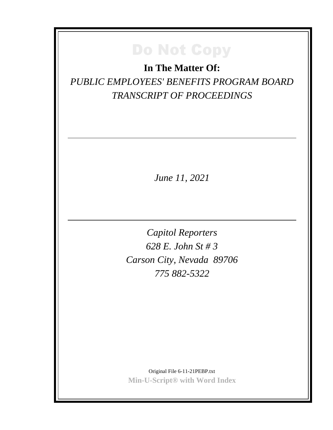**In The Matter Of:** *PUBLIC EMPLOYEES' BENEFITS PROGRAM BOARD TRANSCRIPT OF PROCEEDINGS*

*June 11, 2021*

*Capitol Reporters 628 E. John St # 3 Carson City, Nevada 89706 775 882-5322*

Original File 6-11-21PEBP.txt **Min-U-Script® with Word Index**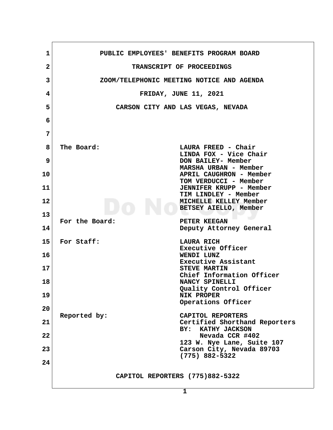| 1            | PUBLIC EMPLOYEES' BENEFITS PROGRAM BOARD                  |
|--------------|-----------------------------------------------------------|
| $\mathbf{2}$ | TRANSCRIPT OF PROCEEDINGS                                 |
| 3            | ZOOM/TELEPHONIC MEETING NOTICE AND AGENDA                 |
| 4            | <b>FRIDAY, JUNE 11, 2021</b>                              |
| 5            | CARSON CITY AND LAS VEGAS, NEVADA                         |
| 6            |                                                           |
| 7            |                                                           |
| 8            | The Board:<br>LAURA FREED - Chair                         |
|              | LINDA FOX - Vice Chair                                    |
| 9            | DON BAILEY- Member<br>MARSHA URBAN - Member               |
| 10           | APRIL CAUGHRON - Member<br>TOM VERDUCCI - Member          |
| 11           | JENNIFER KRUPP - Member<br>TIM LINDLEY - Member           |
| 12           | MICHELLE KELLEY Member<br>BETSEY AIELLO, Member           |
| 13           |                                                           |
| 14           | For the Board:<br>PETER KEEGAN<br>Deputy Attorney General |
| 15           | For Staff:<br>LAURA RICH                                  |
| 16           | Executive Officer<br>WENDI LUNZ                           |
| 17           | Executive Assistant<br><b>STEVE MARTIN</b>                |
| 18           | Chief Information Officer<br>NANCY SPINELLI               |
| 19           | Quality Control Officer<br><b>NIK PROPER</b>              |
| 20           | Operations Officer                                        |
|              | Reported by:<br>CAPITOL REPORTERS                         |
| 21           | Certified Shorthand Reporters<br>BY: KATHY JACKSON        |
| 22           | Nevada CCR #402<br>123 W. Nye Lane, Suite 107             |
| 23           | Carson City, Nevada 89703<br>$(775)$ 882-5322             |
| 24           |                                                           |
|              | CAPITOL REPORTERS (775)882-5322                           |
|              | $\mathbf{1}$                                              |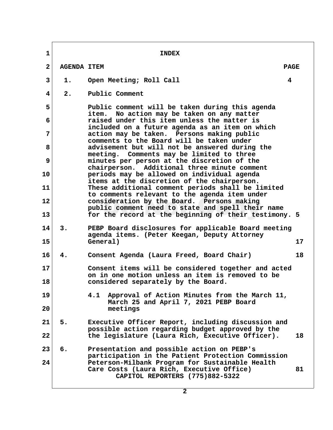**1** INDEX  **2 AGENDA ITEM PAGE 3 1. Open Meeting; Roll Call 4 4 2. Public Comment 5 Public comment will be taken during this agenda item. No action may be taken on any matter 6 raised under this item unless the matter is included on a future agenda as an item on which 7 action may be taken. Persons making public comments to the Board will be taken under 8 advisement but will not be answered during the meeting. Comments may be limited to three 9 minutes per person at the discretion of the chairperson. Additional three minute comment 10 periods may be allowed on individual agenda items at the discretion of the chairperson. 11 These additional comment periods shall be limited to comments relevant to the agenda item under 12 consideration by the Board. Persons making public comment need to state and spell their name 13 for the record at the beginning of their testimony. 5 14 3. PEBP Board disclosures for applicable Board meeting agenda items. (Peter Keegan, Deputy Attorney 15 General) 17 16 4. Consent Agenda (Laura Freed, Board Chair) 18 17 Consent items will be considered together and acted on in one motion unless an item is removed to be 18 considered separately by the Board. 19 4.1 Approval of Action Minutes from the March 11, March 25 and April 7, 2021 PEBP Board 20 meetings 21 5. Executive Officer Report, including discussion and possible action regarding budget approved by the 22 the legislature (Laura Rich, Executive Officer). 18 23 6. Presentation and possible action on PEBP's participation in the Patient Protection Commission 24 Peterson-Milbank Program for Sustainable Health Care Costs (Laura Rich, Executive Office) 81 CAPITOL REPORTERS (775)882-5322**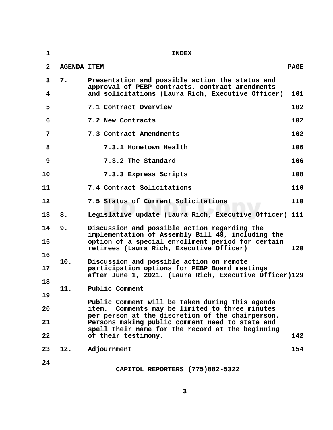| $\mathbf{1}$   |                    | <b>INDEX</b>                                                                                                                                                                                       |             |
|----------------|--------------------|----------------------------------------------------------------------------------------------------------------------------------------------------------------------------------------------------|-------------|
| $\mathbf{2}$   | <b>AGENDA ITEM</b> |                                                                                                                                                                                                    | <b>PAGE</b> |
| 3<br>4         | 7.                 | Presentation and possible action the status and<br>approval of PEBP contracts, contract amendments<br>and solicitations (Laura Rich, Executive Officer)                                            | 101         |
| 5              |                    | 7.1 Contract Overview                                                                                                                                                                              | 102         |
| 6              |                    | 7.2 New Contracts                                                                                                                                                                                  | 102         |
| 7              |                    | 7.3 Contract Amendments                                                                                                                                                                            | 102         |
| 8              |                    | 7.3.1 Hometown Health                                                                                                                                                                              | 106         |
| 9              |                    | 7.3.2 The Standard                                                                                                                                                                                 | 106         |
| 10             |                    | 7.3.3 Express Scripts                                                                                                                                                                              | 108         |
| 11             |                    | 7.4 Contract Solicitations                                                                                                                                                                         | 110         |
| 12             |                    | 7.5 Status of Current Solicitations                                                                                                                                                                | 110         |
| 13             | 8.                 | Legislative update (Laura Rich, Executive Officer) 111                                                                                                                                             |             |
| 14<br>15       | 9.                 | Discussion and possible action regarding the<br>implementation of Assembly Bill 48, including the<br>option of a special enrollment period for certain<br>retirees (Laura Rich, Executive Officer) | 120         |
| 16<br>17<br>18 | 10.                | Discussion and possible action on remote<br>participation options for PEBP Board meetings<br>after June 1, 2021. (Laura Rich, Executive Officer)129                                                |             |
| 19             | 11.                | Public Comment                                                                                                                                                                                     |             |
| 20             |                    | Public Comment will be taken during this agenda<br>Comments may be limited to three minutes<br>item.<br>per person at the discretion of the chairperson.                                           |             |
| 21<br>22       |                    | Persons making public comment need to state and<br>spell their name for the record at the beginning<br>of their testimony.                                                                         | 142         |
| 23             | 12.                | Adjournment                                                                                                                                                                                        | 154         |
| 24             |                    | CAPITOL REPORTERS (775)882-5322                                                                                                                                                                    |             |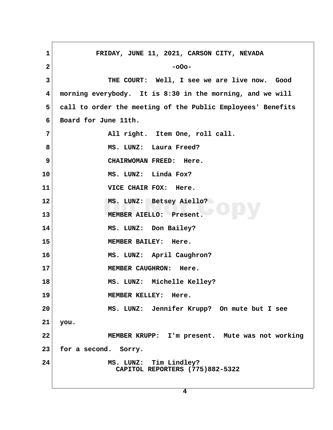**1 FRIDAY, JUNE 11, 2021, CARSON CITY, NEVADA 2** -oOo- **3 THE COURT: Well, I see we are live now. Good 4 morning everybody. It is 8:30 in the morning, and we will 5 call to order the meeting of the Public Employees' Benefits 6 Board for June 11th.** 7 All right. Item One, roll call. 8 MS. LUNZ: Laura Freed?  **9 CHAIRWOMAN FREED: Here. 10 MS. LUNZ: Linda Fox? 11 VICE CHAIR FOX: Here. 12 MS. LUNZ: Betsey Aiello? 13 MEMBER AIELLO: Present. 14 MS. LUNZ: Don Bailey? 15 MEMBER BAILEY: Here. 16 MS. LUNZ: April Caughron?** 17 MEMBER CAUGHRON: Here. **18 MS. LUNZ: Michelle Kelley? 19 MEMBER KELLEY: Here. 20 MS. LUNZ: Jennifer Krupp? On mute but I see 21 you. 22 MEMBER KRUPP: I'm present. Mute was not working 23 for a second. Sorry. 24 MS. LUNZ: Tim Lindley? CAPITOL REPORTERS (775)882-5322**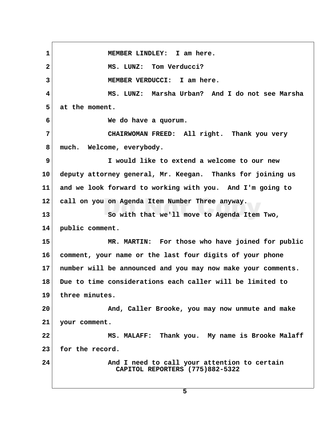**1 MEMBER LINDLEY: I am here. 2 MS. LUNZ: Tom Verducci? 3 MEMBER VERDUCCI: I am here. 4 MS. LUNZ: Marsha Urban? And I do not see Marsha 5 at the moment. 6 We do have a quorum. 7 CHAIRWOMAN FREED: All right. Thank you very 8 much. Welcome, everybody. 9 I would like to extend a welcome to our new 10 deputy attorney general, Mr. Keegan. Thanks for joining us 11 and we look forward to working with you. And I'm going to 12 call on you on Agenda Item Number Three anyway. 13 So with that we'll move to Agenda Item Two, 14 public comment. 15 MR. MARTIN: For those who have joined for public 16 comment, your name or the last four digits of your phone 17 number will be announced and you may now make your comments. 18 Due to time considerations each caller will be limited to 19 three minutes. 20 And, Caller Brooke, you may now unmute and make 21 your comment. 22 MS. MALAFF: Thank you. My name is Brooke Malaff 23 for the record. 24 And I need to call your attention to certain CAPITOL REPORTERS (775)882-5322**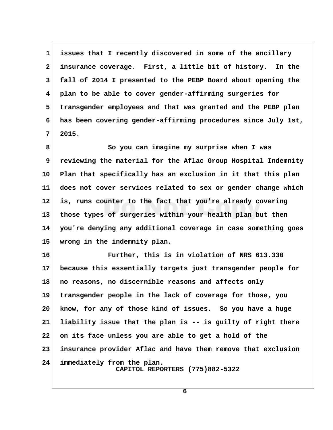**1 issues that I recently discovered in some of the ancillary 2 insurance coverage. First, a little bit of history. In the 3 fall of 2014 I presented to the PEBP Board about opening the 4 plan to be able to cover gender-affirming surgeries for 5 transgender employees and that was granted and the PEBP plan 6 has been covering gender-affirming procedures since July 1st, 7 2015.**

 **8 So you can imagine my surprise when I was 9 reviewing the material for the Aflac Group Hospital Indemnity 10 Plan that specifically has an exclusion in it that this plan 11 does not cover services related to sex or gender change which 12 is, runs counter to the fact that you're already covering 13 those types of surgeries within your health plan but then 14 you're denying any additional coverage in case something goes 15 wrong in the indemnity plan.**

**16 Further, this is in violation of NRS 613.330 17 because this essentially targets just transgender people for 18 no reasons, no discernible reasons and affects only 19 transgender people in the lack of coverage for those, you 20 know, for any of those kind of issues. So you have a huge 21 liability issue that the plan is -- is guilty of right there 22 on its face unless you are able to get a hold of the 23 insurance provider Aflac and have them remove that exclusion 24 immediately from the plan. CAPITOL REPORTERS (775)882-5322**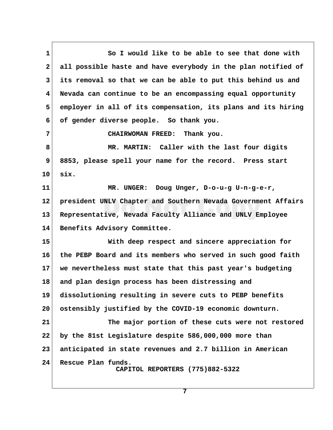**1 So I would like to be able to see that done with 2 all possible haste and have everybody in the plan notified of 3 its removal so that we can be able to put this behind us and 4 Nevada can continue to be an encompassing equal opportunity 5 employer in all of its compensation, its plans and its hiring 6 of gender diverse people. So thank you. 7 CHAIRWOMAN FREED: Thank you. 8 MR. MARTIN: Caller with the last four digits 9 8853, please spell your name for the record. Press start 10 six. 11 MR. UNGER: Doug Unger, D-o-u-g U-n-g-e-r, 12 president UNLV Chapter and Southern Nevada Government Affairs 13 Representative, Nevada Faculty Alliance and UNLV Employee 14 Benefits Advisory Committee. 15 With deep respect and sincere appreciation for 16 the PEBP Board and its members who served in such good faith 17 we nevertheless must state that this past year's budgeting 18 and plan design process has been distressing and 19 dissolutioning resulting in severe cuts to PEBP benefits 20 ostensibly justified by the COVID-19 economic downturn. 21 The major portion of these cuts were not restored 22 by the 81st Legislature despite 586,000,000 more than 23 anticipated in state revenues and 2.7 billion in American 24 Rescue Plan funds. CAPITOL REPORTERS (775)882-5322**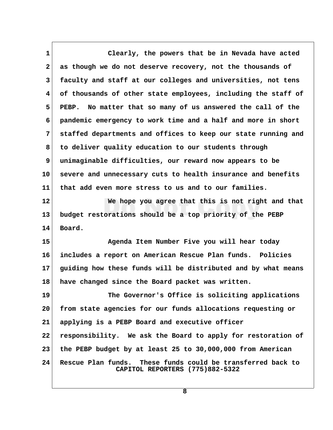**1 Clearly, the powers that be in Nevada have acted 2 as though we do not deserve recovery, not the thousands of 3 faculty and staff at our colleges and universities, not tens 4 of thousands of other state employees, including the staff of 5 PEBP. No matter that so many of us answered the call of the 6 pandemic emergency to work time and a half and more in short 7 staffed departments and offices to keep our state running and 8 to deliver quality education to our students through 9 unimaginable difficulties, our reward now appears to be 10 severe and unnecessary cuts to health insurance and benefits 11 that add even more stress to us and to our families. 12 We hope you agree that this is not right and that 13 budget restorations should be a top priority of the PEBP 14 Board. 15 Agenda Item Number Five you will hear today 16 includes a report on American Rescue Plan funds. Policies 17 guiding how these funds will be distributed and by what means 18 have changed since the Board packet was written. 19 The Governor's Office is soliciting applications 20 from state agencies for our funds allocations requesting or 21 applying is a PEBP Board and executive officer 22 responsibility. We ask the Board to apply for restoration of 23 the PEBP budget by at least 25 to 30,000,000 from American 24 Rescue Plan funds. These funds could be transferred back to CAPITOL REPORTERS (775)882-5322**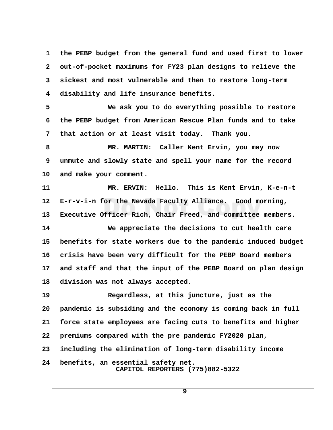**1 the PEBP budget from the general fund and used first to lower 2 out-of-pocket maximums for FY23 plan designs to relieve the 3 sickest and most vulnerable and then to restore long-term 4 disability and life insurance benefits. 5 We ask you to do everything possible to restore 6 the PEBP budget from American Rescue Plan funds and to take 7 that action or at least visit today. Thank you. 8 MR. MARTIN: Caller Kent Ervin, you may now 9 unmute and slowly state and spell your name for the record 10 and make your comment. 11 MR. ERVIN: Hello. This is Kent Ervin, K-e-n-t 12 E-r-v-i-n for the Nevada Faculty Alliance. Good morning, 13 Executive Officer Rich, Chair Freed, and committee members. 14 We appreciate the decisions to cut health care 15 benefits for state workers due to the pandemic induced budget 16 crisis have been very difficult for the PEBP Board members 17 and staff and that the input of the PEBP Board on plan design 18 division was not always accepted. 19 Regardless, at this juncture, just as the 20 pandemic is subsiding and the economy is coming back in full 21 force state employees are facing cuts to benefits and higher 22 premiums compared with the pre pandemic FY2020 plan, 23 including the elimination of long-term disability income 24 benefits, an essential safety net. CAPITOL REPORTERS (775)882-5322**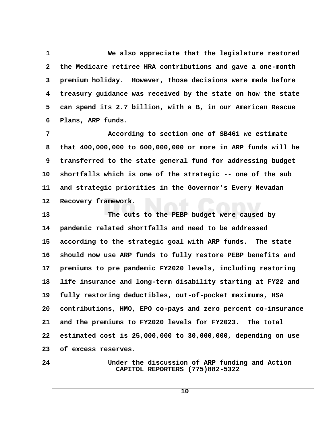**1 We also appreciate that the legislature restored 2 the Medicare retiree HRA contributions and gave a one-month 3 premium holiday. However, those decisions were made before 4 treasury guidance was received by the state on how the state 5 can spend its 2.7 billion, with a B, in our American Rescue 6 Plans, ARP funds.**

 **7 According to section one of SB461 we estimate 8 that 400,000,000 to 600,000,000 or more in ARP funds will be 9 transferred to the state general fund for addressing budget 10 shortfalls which is one of the strategic -- one of the sub 11 and strategic priorities in the Governor's Every Nevadan 12 Recovery framework.**

**13 The cuts to the PEBP budget were caused by 14 pandemic related shortfalls and need to be addressed 15 according to the strategic goal with ARP funds. The state 16 should now use ARP funds to fully restore PEBP benefits and 17 premiums to pre pandemic FY2020 levels, including restoring 18 life insurance and long-term disability starting at FY22 and 19 fully restoring deductibles, out-of-pocket maximums, HSA 20 contributions, HMO, EPO co-pays and zero percent co-insurance 21 and the premiums to FY2020 levels for FY2023. The total 22 estimated cost is 25,000,000 to 30,000,000, depending on use 23 of excess reserves.**

**24 Under the discussion of ARP funding and Action CAPITOL REPORTERS (775)882-5322**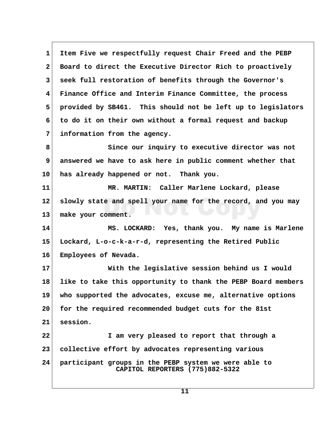**1 Item Five we respectfully request Chair Freed and the PEBP 2 Board to direct the Executive Director Rich to proactively 3 seek full restoration of benefits through the Governor's 4 Finance Office and Interim Finance Committee, the process 5 provided by SB461. This should not be left up to legislators 6 to do it on their own without a formal request and backup 7 information from the agency. 8 Since our inquiry to executive director was not 9 answered we have to ask here in public comment whether that 10 has already happened or not. Thank you. 11 MR. MARTIN: Caller Marlene Lockard, please 12 slowly state and spell your name for the record, and you may 13 make your comment. 14 MS. LOCKARD: Yes, thank you. My name is Marlene 15 Lockard, L-o-c-k-a-r-d, representing the Retired Public 16 Employees of Nevada. 17 With the legislative session behind us I would 18 like to take this opportunity to thank the PEBP Board members 19 who supported the advocates, excuse me, alternative options 20 for the required recommended budget cuts for the 81st 21 session. 22 I am very pleased to report that through a 23 collective effort by advocates representing various 24 participant groups in the PEBP system we were able to CAPITOL REPORTERS (775)882-5322**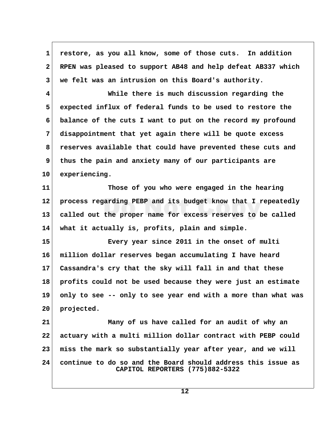**1 restore, as you all know, some of those cuts. In addition 2 RPEN was pleased to support AB48 and help defeat AB337 which 3 we felt was an intrusion on this Board's authority. 4 While there is much discussion regarding the 5 expected influx of federal funds to be used to restore the 6 balance of the cuts I want to put on the record my profound 7 disappointment that yet again there will be quote excess 8 reserves available that could have prevented these cuts and 9 thus the pain and anxiety many of our participants are 10 experiencing. 11 Those of you who were engaged in the hearing 12 process regarding PEBP and its budget know that I repeatedly 13 called out the proper name for excess reserves to be called 14 what it actually is, profits, plain and simple. 15 Every year since 2011 in the onset of multi 16 million dollar reserves began accumulating I have heard 17 Cassandra's cry that the sky will fall in and that these 18 profits could not be used because they were just an estimate 19 only to see -- only to see year end with a more than what was 20 projected. 21 Many of us have called for an audit of why an 22 actuary with a multi million dollar contract with PEBP could 23 miss the mark so substantially year after year, and we will 24 continue to do so and the Board should address this issue as CAPITOL REPORTERS (775)882-5322**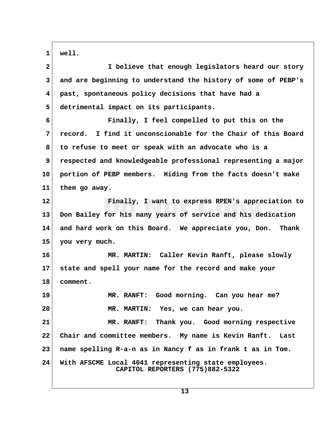**1 well.**

| $\mathbf{2}$ | I believe that enough legislators heard our story                                       |  |
|--------------|-----------------------------------------------------------------------------------------|--|
| 3            | and are beginning to understand the history of some of PEBP's                           |  |
| 4            | past, spontaneous policy decisions that have had a                                      |  |
| 5            | detrimental impact on its participants.                                                 |  |
| 6            | Finally, I feel compelled to put this on the                                            |  |
| 7            | record. I find it unconscionable for the Chair of this Board                            |  |
| 8            | to refuse to meet or speak with an advocate who is a                                    |  |
| 9            | respected and knowledgeable professional representing a major                           |  |
| 10           | portion of PEBP members. Hiding from the facts doesn't make                             |  |
| 11           | them go away.                                                                           |  |
| 12           | Finally, I want to express RPEN's appreciation to                                       |  |
| 13           | Don Bailey for his many years of service and his dedication                             |  |
| 14           | and hard work on this Board. We appreciate you, Don. Thank                              |  |
| 15           | you very much.                                                                          |  |
| 16           | MR. MARTIN: Caller Kevin Ranft, please slowly                                           |  |
| 17           | state and spell your name for the record and make your                                  |  |
| 18           | comment.                                                                                |  |
| 19           | MR. RANFT: Good morning. Can you hear me?                                               |  |
| 20           | MR. MARTIN: Yes, we can hear you.                                                       |  |
| 21           | MR. RANFT: Thank you. Good morning respective                                           |  |
| 22           | Chair and committee members. My name is Kevin Ranft.<br>Last                            |  |
| 23           | name spelling R-a-n as in Nancy f as in frank t as in Tom.                              |  |
| 24           | With AFSCME Local 4041 representing state employees.<br>CAPITOL REPORTERS (775)882-5322 |  |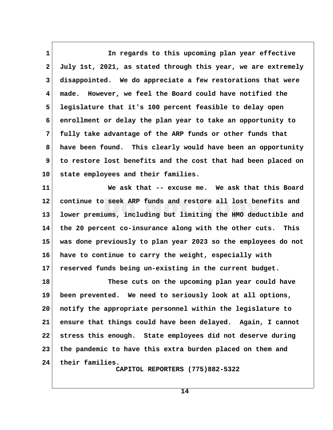1 **1 In regards to this upcoming plan year effective 2 July 1st, 2021, as stated through this year, we are extremely 3 disappointed. We do appreciate a few restorations that were 4 made. However, we feel the Board could have notified the 5 legislature that it's 100 percent feasible to delay open 6 enrollment or delay the plan year to take an opportunity to 7 fully take advantage of the ARP funds or other funds that 8 have been found. This clearly would have been an opportunity 9 to restore lost benefits and the cost that had been placed on 10 state employees and their families.**

**11 We ask that -- excuse me. We ask that this Board 12 continue to seek ARP funds and restore all lost benefits and 13 lower premiums, including but limiting the HMO deductible and 14 the 20 percent co-insurance along with the other cuts. This 15 was done previously to plan year 2023 so the employees do not 16 have to continue to carry the weight, especially with 17 reserved funds being un-existing in the current budget.**

**18 These cuts on the upcoming plan year could have 19 been prevented. We need to seriously look at all options, 20 notify the appropriate personnel within the legislature to 21 ensure that things could have been delayed. Again, I cannot 22 stress this enough. State employees did not deserve during 23 the pandemic to have this extra burden placed on them and 24 their families.**

 **CAPITOL REPORTERS (775)882-5322**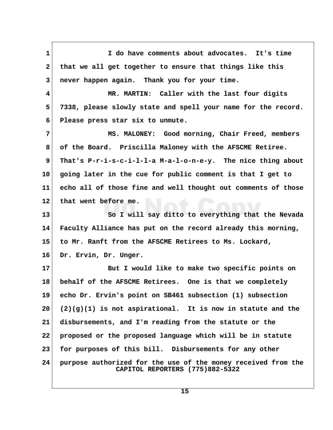**1 I do have comments about advocates. It's time** 2 that we all get together to ensure that things like this  **3 never happen again. Thank you for your time. 4 MR. MARTIN: Caller with the last four digits 5 7338, please slowly state and spell your name for the record. 6 Please press star six to unmute. 7 MS. MALONEY: Good morning, Chair Freed, members 8 of the Board. Priscilla Maloney with the AFSCME Retiree. 9 That's P-r-i-s-c-i-l-l-a M-a-l-o-n-e-y. The nice thing about 10 going later in the cue for public comment is that I get to 11 echo all of those fine and well thought out comments of those 12 that went before me. 13 So I will say ditto to everything that the Nevada 14 Faculty Alliance has put on the record already this morning, 15 to Mr. Ranft from the AFSCME Retirees to Ms. Lockard, 16 Dr. Ervin, Dr. Unger. 17 But I would like to make two specific points on 18 behalf of the AFSCME Retirees. One is that we completely 19 echo Dr. Ervin's point on SB461 subsection (1) subsection 20 (2)(g)(1) is not aspirational. It is now in statute and the 21 disbursements, and I'm reading from the statute or the 22 proposed or the proposed language which will be in statute 23 for purposes of this bill. Disbursements for any other 24 purpose authorized for the use of the money received from the CAPITOL REPORTERS (775)882-5322**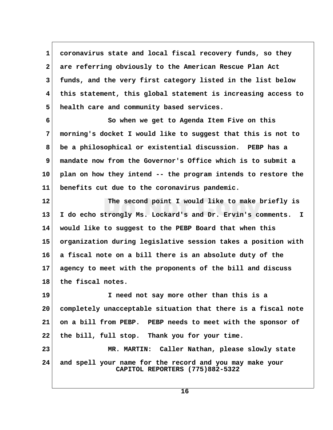**1 coronavirus state and local fiscal recovery funds, so they 2 are referring obviously to the American Rescue Plan Act 3 funds, and the very first category listed in the list below 4 this statement, this global statement is increasing access to 5 health care and community based services.**

 **6 So when we get to Agenda Item Five on this 7 morning's docket I would like to suggest that this is not to 8 be a philosophical or existential discussion. PEBP has a 9 mandate now from the Governor's Office which is to submit a 10 plan on how they intend -- the program intends to restore the 11 benefits cut due to the coronavirus pandemic.**

**12 The second point I would like to make briefly is 13 I do echo strongly Ms. Lockard's and Dr. Ervin's comments. I 14 would like to suggest to the PEBP Board that when this 15 organization during legislative session takes a position with 16 a fiscal note on a bill there is an absolute duty of the 17 agency to meet with the proponents of the bill and discuss 18 the fiscal notes.**

**19 I need not say more other than this is a 20 completely unacceptable situation that there is a fiscal note 21 on a bill from PEBP. PEBP needs to meet with the sponsor of 22 the bill, full stop. Thank you for your time. 23 MR. MARTIN: Caller Nathan, please slowly state**

**24 and spell your name for the record and you may make your CAPITOL REPORTERS (775)882-5322**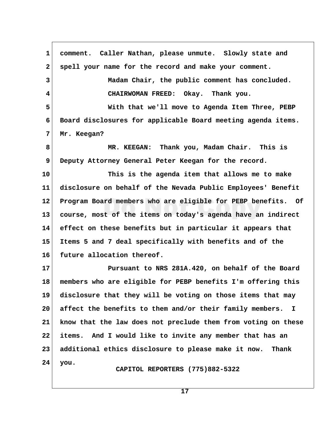**1 comment. Caller Nathan, please unmute. Slowly state and 2 spell your name for the record and make your comment. 3 Madam Chair, the public comment has concluded. 4 CHAIRWOMAN FREED: Okay. Thank you. 5 With that we'll move to Agenda Item Three, PEBP 6 Board disclosures for applicable Board meeting agenda items. 7 Mr. Keegan? 8 MR. KEEGAN: Thank you, Madam Chair. This is 9 Deputy Attorney General Peter Keegan for the record. 10 This is the agenda item that allows me to make 11 disclosure on behalf of the Nevada Public Employees' Benefit 12 Program Board members who are eligible for PEBP benefits. Of 13 course, most of the items on today's agenda have an indirect 14 effect on these benefits but in particular it appears that 15 Items 5 and 7 deal specifically with benefits and of the 16 future allocation thereof. 17 Pursuant to NRS 281A.420, on behalf of the Board 18 members who are eligible for PEBP benefits I'm offering this 19 disclosure that they will be voting on those items that may 20 affect the benefits to them and/or their family members. I 21 know that the law does not preclude them from voting on these 22 items. And I would like to invite any member that has an 23 additional ethics disclosure to please make it now. Thank 24 you. CAPITOL REPORTERS (775)882-5322**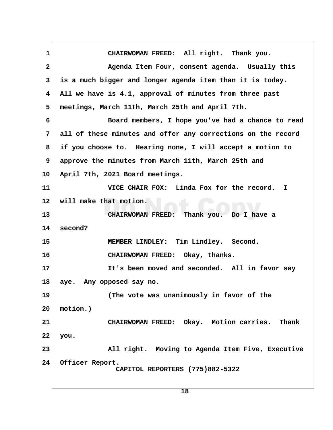1 CHAIRWOMAN FREED: All right. Thank you.  **2 Agenda Item Four, consent agenda. Usually this 3 is a much bigger and longer agenda item than it is today. 4 All we have is 4.1, approval of minutes from three past 5 meetings, March 11th, March 25th and April 7th. 6 Board members, I hope you've had a chance to read 7 all of these minutes and offer any corrections on the record 8 if you choose to. Hearing none, I will accept a motion to 9 approve the minutes from March 11th, March 25th and 10 April 7th, 2021 Board meetings. 11 VICE CHAIR FOX: Linda Fox for the record. I 12 will make that motion. 13 CHAIRWOMAN FREED: Thank you. Do I have a 14 second? 15 MEMBER LINDLEY: Tim Lindley. Second. 16 CHAIRWOMAN FREED: Okay, thanks. 17 It's been moved and seconded. All in favor say 18 aye. Any opposed say no. 19 (The vote was unanimously in favor of the 20 motion.) 21 CHAIRWOMAN FREED: Okay. Motion carries. Thank 22 you. 23 All right. Moving to Agenda Item Five, Executive 24 Officer Report. CAPITOL REPORTERS (775)882-5322**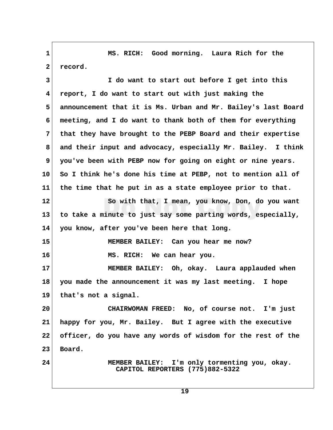**1 MS. RICH: Good morning. Laura Rich for the** 2 record.  **3 I do want to start out before I get into this 4 report, I do want to start out with just making the 5 announcement that it is Ms. Urban and Mr. Bailey's last Board 6 meeting, and I do want to thank both of them for everything 7 that they have brought to the PEBP Board and their expertise 8 and their input and advocacy, especially Mr. Bailey. I think 9 you've been with PEBP now for going on eight or nine years. 10 So I think he's done his time at PEBP, not to mention all of 11 the time that he put in as a state employee prior to that. 12 So with that, I mean, you know, Don, do you want 13 to take a minute to just say some parting words, especially, 14 you know, after you've been here that long. 15 MEMBER BAILEY: Can you hear me now? 16 MS. RICH: We can hear you. 17 MEMBER BAILEY: Oh, okay. Laura applauded when 18 you made the announcement it was my last meeting. I hope 19 that's not a signal. 20 CHAIRWOMAN FREED: No, of course not. I'm just 21 happy for you, Mr. Bailey. But I agree with the executive 22 officer, do you have any words of wisdom for the rest of the 23 Board. 24 MEMBER BAILEY: I'm only tormenting you, okay. CAPITOL REPORTERS (775)882-5322**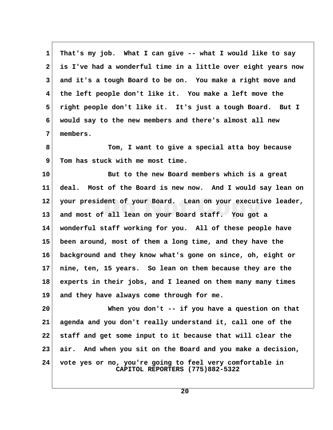**1 That's my job. What I can give -- what I would like to say 2 is I've had a wonderful time in a little over eight years now 3 and it's a tough Board to be on. You make a right move and 4 the left people don't like it. You make a left move the 5 right people don't like it. It's just a tough Board. But I 6 would say to the new members and there's almost all new 7 members.**

 **8 Tom, I want to give a special atta boy because 9 Tom has stuck with me most time.**

**10 But to the new Board members which is a great 11 deal. Most of the Board is new now. And I would say lean on 12 your president of your Board. Lean on your executive leader, 13 and most of all lean on your Board staff. You got a 14 wonderful staff working for you. All of these people have 15 been around, most of them a long time, and they have the 16 background and they know what's gone on since, oh, eight or 17 nine, ten, 15 years. So lean on them because they are the 18 experts in their jobs, and I leaned on them many many times 19 and they have always come through for me.**

**20 When you don't -- if you have a question on that 21 agenda and you don't really understand it, call one of the 22 staff and get some input to it because that will clear the 23 air. And when you sit on the Board and you make a decision, 24 vote yes or no, you're going to feel very comfortable in CAPITOL REPORTERS (775)882-5322**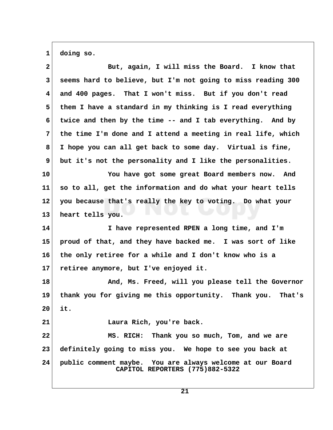**1 doing so.**

| $\mathbf{2}$ | But, again, I will miss the Board. I know that               |  |
|--------------|--------------------------------------------------------------|--|
| 3            | seems hard to believe, but I'm not going to miss reading 300 |  |
| 4            | and 400 pages. That I won't miss. But if you don't read      |  |
| 5            | them I have a standard in my thinking is I read everything   |  |
| 6            | twice and then by the time -- and I tab everything. And by   |  |
| 7            | the time I'm done and I attend a meeting in real life, which |  |
| 8            | I hope you can all get back to some day. Virtual is fine,    |  |
| 9            | but it's not the personality and I like the personalities.   |  |
| 10           | You have got some great Board members now. And               |  |
| 11           | so to all, get the information and do what your heart tells  |  |
| $12 \,$      | you because that's really the key to voting. Do what your    |  |
| 13           | heart tells you.                                             |  |
|              |                                                              |  |
| 14           | I have represented RPEN a long time, and I'm                 |  |
| 15           | proud of that, and they have backed me. I was sort of like   |  |
| 16           | the only retiree for a while and I don't know who is a       |  |
| 17           | retiree anymore, but I've enjoyed it.                        |  |
| 18           | And, Ms. Freed, will you please tell the Governor            |  |
| 19           | thank you for giving me this opportunity. Thank you. That's  |  |
| 20           | it.                                                          |  |
| 21           | Laura Rich, you're back.                                     |  |
| 22           | MS. RICH: Thank you so much, Tom, and we are                 |  |
| 23           | definitely going to miss you. We hope to see you back at     |  |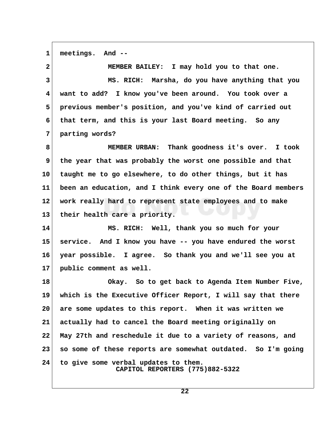**1 meetings. And --**

 **2 MEMBER BAILEY: I may hold you to that one. 3 MS. RICH: Marsha, do you have anything that you 4 want to add? I know you've been around. You took over a 5 previous member's position, and you've kind of carried out 6 that term, and this is your last Board meeting. So any 7 parting words? 8 MEMBER URBAN: Thank goodness it's over. I took**

 **9 the year that was probably the worst one possible and that 10 taught me to go elsewhere, to do other things, but it has 11 been an education, and I think every one of the Board members 12 work really hard to represent state employees and to make 13 their health care a priority.**

**14 MS. RICH: Well, thank you so much for your 15 service. And I know you have -- you have endured the worst 16 year possible. I agree. So thank you and we'll see you at 17 public comment as well.**

**18 Okay. So to get back to Agenda Item Number Five, 19 which is the Executive Officer Report, I will say that there 20 are some updates to this report. When it was written we 21 actually had to cancel the Board meeting originally on 22 May 27th and reschedule it due to a variety of reasons, and 23 so some of these reports are somewhat outdated. So I'm going 24 to give some verbal updates to them. CAPITOL REPORTERS (775)882-5322**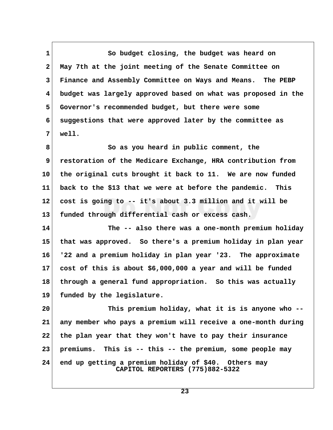1 So budget closing, the budget was heard on  **2 May 7th at the joint meeting of the Senate Committee on 3 Finance and Assembly Committee on Ways and Means. The PEBP 4 budget was largely approved based on what was proposed in the 5 Governor's recommended budget, but there were some 6 suggestions that were approved later by the committee as 7 well. 8 So as you heard in public comment, the**

 **9 restoration of the Medicare Exchange, HRA contribution from 10 the original cuts brought it back to 11. We are now funded 11 back to the \$13 that we were at before the pandemic. This 12 cost is going to -- it's about 3.3 million and it will be 13 funded through differential cash or excess cash.**

**14 The -- also there was a one-month premium holiday 15 that was approved. So there's a premium holiday in plan year 16 '22 and a premium holiday in plan year '23. The approximate 17 cost of this is about \$6,000,000 a year and will be funded 18 through a general fund appropriation. So this was actually 19 funded by the legislature.**

**20 This premium holiday, what it is is anyone who -- 21 any member who pays a premium will receive a one-month during 22 the plan year that they won't have to pay their insurance 23 premiums. This is -- this -- the premium, some people may 24 end up getting a premium holiday of \$40. Others may CAPITOL REPORTERS (775)882-5322**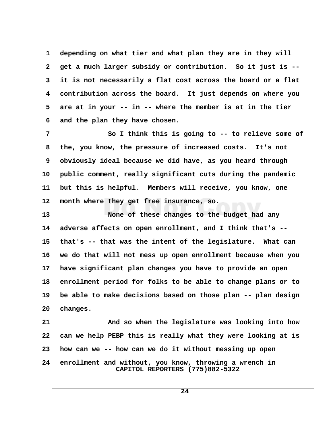**1 depending on what tier and what plan they are in they will 2 get a much larger subsidy or contribution. So it just is -- 3 it is not necessarily a flat cost across the board or a flat 4 contribution across the board. It just depends on where you 5 are at in your -- in -- where the member is at in the tier 6 and the plan they have chosen.**

 **7 So I think this is going to -- to relieve some of 8 the, you know, the pressure of increased costs. It's not 9 obviously ideal because we did have, as you heard through 10 public comment, really significant cuts during the pandemic 11 but this is helpful. Members will receive, you know, one 12 month where they get free insurance, so.**

**13 None of these changes to the budget had any 14 adverse affects on open enrollment, and I think that's -- 15 that's -- that was the intent of the legislature. What can 16 we do that will not mess up open enrollment because when you 17 have significant plan changes you have to provide an open 18 enrollment period for folks to be able to change plans or to 19 be able to make decisions based on those plan -- plan design 20 changes.**

**21 And so when the legislature was looking into how 22 can we help PEBP this is really what they were looking at is 23 how can we -- how can we do it without messing up open 24 enrollment and without, you know, throwing a wrench in CAPITOL REPORTERS (775)882-5322**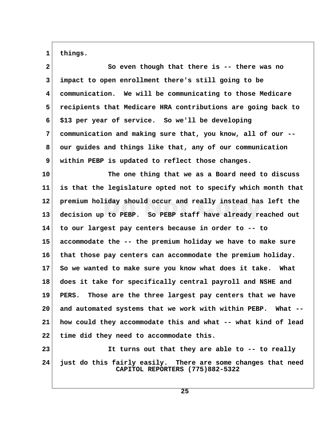1 things.

| $\mathbf{2}$            | So even though that there is -- there was no                                                    |  |
|-------------------------|-------------------------------------------------------------------------------------------------|--|
| 3                       | impact to open enrollment there's still going to be                                             |  |
| $\overline{\mathbf{4}}$ | communication. We will be communicating to those Medicare                                       |  |
| 5                       | recipients that Medicare HRA contributions are going back to                                    |  |
| 6                       | \$13 per year of service. So we'll be developing                                                |  |
| 7                       | communication and making sure that, you know, all of our --                                     |  |
| 8                       | our guides and things like that, any of our communication                                       |  |
| 9                       | within PEBP is updated to reflect those changes.                                                |  |
| 10                      | The one thing that we as a Board need to discuss                                                |  |
| 11                      | is that the legislature opted not to specify which month that                                   |  |
| $12 \,$                 | premium holiday should occur and really instead has left the                                    |  |
| 13                      | decision up to PEBP. So PEBP staff have already reached out                                     |  |
| 14                      | to our largest pay centers because in order to -- to                                            |  |
| 15                      | accommodate the -- the premium holiday we have to make sure                                     |  |
| 16                      | that those pay centers can accommodate the premium holiday.                                     |  |
| 17                      | So we wanted to make sure you know what does it take. What                                      |  |
| 18                      | does it take for specifically central payroll and NSHE and                                      |  |
| 19                      | Those are the three largest pay centers that we have<br>PERS.                                   |  |
| 20                      | and automated systems that we work with within PEBP. What --                                    |  |
| 21                      | how could they accommodate this and what -- what kind of lead                                   |  |
| 22                      | time did they need to accommodate this.                                                         |  |
| 23                      | It turns out that they are able to -- to really                                                 |  |
| 24                      | just do this fairly easily. There are some changes that need<br>CAPITOL REPORTERS (775)882-5322 |  |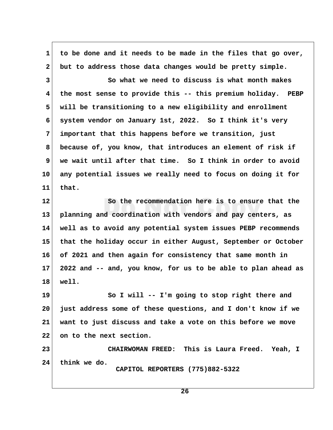**1 to be done and it needs to be made in the files that go over, 2 but to address those data changes would be pretty simple. 3 So what we need to discuss is what month makes 4 the most sense to provide this -- this premium holiday. PEBP 5 will be transitioning to a new eligibility and enrollment 6 system vendor on January 1st, 2022. So I think it's very 7 important that this happens before we transition, just 8 because of, you know, that introduces an element of risk if 9 we wait until after that time. So I think in order to avoid 10 any potential issues we really need to focus on doing it for 11 that. 12 So the recommendation here is to ensure that the 13 planning and coordination with vendors and pay centers, as 14 well as to avoid any potential system issues PEBP recommends 15 that the holiday occur in either August, September or October 16 of 2021 and then again for consistency that same month in 17 2022 and -- and, you know, for us to be able to plan ahead as 18 well.** 19 So I will -- I'm going to stop right there and **20 just address some of these questions, and I don't know if we 21 want to just discuss and take a vote on this before we move 22 on to the next section. 23 CHAIRWOMAN FREED: This is Laura Freed. Yeah, I 24 think we do. CAPITOL REPORTERS (775)882-5322**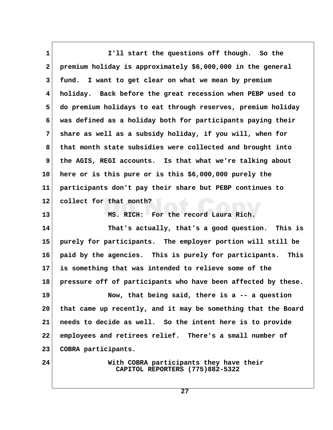**1 I'll start the questions off though. So the 2 premium holiday is approximately \$6,000,000 in the general 3 fund. I want to get clear on what we mean by premium 4 holiday. Back before the great recession when PEBP used to 5 do premium holidays to eat through reserves, premium holiday 6 was defined as a holiday both for participants paying their 7 share as well as a subsidy holiday, if you will, when for 8 that month state subsidies were collected and brought into 9 the AGIS, REGI accounts. Is that what we're talking about 10 here or is this pure or is this \$6,000,000 purely the 11 participants don't pay their share but PEBP continues to 12 collect for that month? 13 MS. RICH: For the record Laura Rich. 14 That's actually, that's a good question. This is 15 purely for participants. The employer portion will still be 16 paid by the agencies. This is purely for participants. This 17 is something that was intended to relieve some of the 18 pressure off of participants who have been affected by these. 19 Now, that being said, there is a -- a question 20 that came up recently, and it may be something that the Board 21 needs to decide as well. So the intent here is to provide 22 employees and retirees relief. There's a small number of 23 COBRA participants. 24 With COBRA participants they have their CAPITOL REPORTERS (775)882-5322**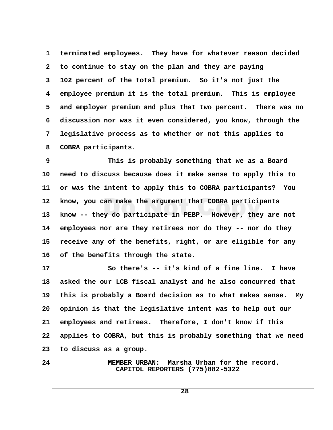**1 terminated employees. They have for whatever reason decided 2 to continue to stay on the plan and they are paying 3 102 percent of the total premium. So it's not just the 4 employee premium it is the total premium. This is employee 5 and employer premium and plus that two percent. There was no 6 discussion nor was it even considered, you know, through the 7 legislative process as to whether or not this applies to 8 COBRA participants.**

 **9 This is probably something that we as a Board 10 need to discuss because does it make sense to apply this to 11 or was the intent to apply this to COBRA participants? You 12 know, you can make the argument that COBRA participants 13 know -- they do participate in PEBP. However, they are not 14 employees nor are they retirees nor do they -- nor do they 15 receive any of the benefits, right, or are eligible for any 16 of the benefits through the state.**

**17 So there's -- it's kind of a fine line. I have 18 asked the our LCB fiscal analyst and he also concurred that 19 this is probably a Board decision as to what makes sense. My 20 opinion is that the legislative intent was to help out our 21 employees and retirees. Therefore, I don't know if this 22 applies to COBRA, but this is probably something that we need 23 to discuss as a group.**

**24 MEMBER URBAN: Marsha Urban for the record. CAPITOL REPORTERS (775)882-5322**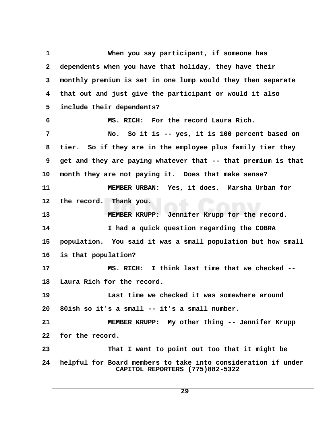**1 When you say participant, if someone has 2 dependents when you have that holiday, they have their 3 monthly premium is set in one lump would they then separate 4 that out and just give the participant or would it also 5 include their dependents? 6 MS. RICH: For the record Laura Rich. 7 No. So it is -- yes, it is 100 percent based on 8 tier. So if they are in the employee plus family tier they 9 get and they are paying whatever that -- that premium is that 10 month they are not paying it. Does that make sense? 11 MEMBER URBAN: Yes, it does. Marsha Urban for 12 the record. Thank you. 13 MEMBER KRUPP: Jennifer Krupp for the record. 14 I had a quick question regarding the COBRA 15 population. You said it was a small population but how small 16 is that population? 17 MS. RICH: I think last time that we checked -- 18 Laura Rich for the record. 19 Last time we checked it was somewhere around 20 80ish so it's a small -- it's a small number. 21 MEMBER KRUPP: My other thing -- Jennifer Krupp 22 for the record. 23 That I want to point out too that it might be 24 helpful for Board members to take into consideration if under CAPITOL REPORTERS (775)882-5322**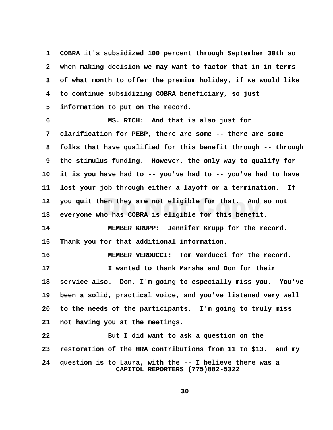**1 COBRA it's subsidized 100 percent through September 30th so 2 when making decision we may want to factor that in in terms 3 of what month to offer the premium holiday, if we would like 4 to continue subsidizing COBRA beneficiary, so just 5 information to put on the record. 6 MS. RICH: And that is also just for 7 clarification for PEBP, there are some -- there are some 8 folks that have qualified for this benefit through -- through** 9 the stimulus funding. However, the only way to qualify for **10 it is you have had to -- you've had to -- you've had to have 11 lost your job through either a layoff or a termination. If 12 you quit then they are not eligible for that. And so not 13 everyone who has COBRA is eligible for this benefit. 14 MEMBER KRUPP: Jennifer Krupp for the record. 15 Thank you for that additional information. 16 MEMBER VERDUCCI: Tom Verducci for the record. 17 I wanted to thank Marsha and Don for their 18 service also. Don, I'm going to especially miss you. You've 19 been a solid, practical voice, and you've listened very well 20 to the needs of the participants. I'm going to truly miss 21 not having you at the meetings. 22 But I did want to ask a question on the 23 restoration of the HRA contributions from 11 to \$13. And my 24 question is to Laura, with the -- I believe there was a CAPITOL REPORTERS (775)882-5322**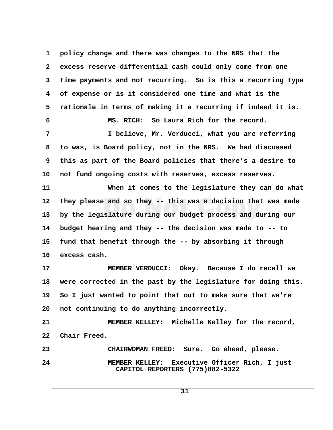**1 policy change and there was changes to the NRS that the 2 excess reserve differential cash could only come from one 3 time payments and not recurring. So is this a recurring type 4 of expense or is it considered one time and what is the 5 rationale in terms of making it a recurring if indeed it is. 6 MS. RICH: So Laura Rich for the record. 7 I believe, Mr. Verducci, what you are referring 8 to was, is Board policy, not in the NRS. We had discussed 9 this as part of the Board policies that there's a desire to 10 not fund ongoing costs with reserves, excess reserves. 11 When it comes to the legislature they can do what 12 they please and so they -- this was a decision that was made 13 by the legislature during our budget process and during our 14 budget hearing and they -- the decision was made to -- to 15 fund that benefit through the -- by absorbing it through 16 excess cash. 17 MEMBER VERDUCCI: Okay. Because I do recall we 18 were corrected in the past by the legislature for doing this. 19 So I just wanted to point that out to make sure that we're 20 not continuing to do anything incorrectly. 21 MEMBER KELLEY: Michelle Kelley for the record, 22 Chair Freed. 23 CHAIRWOMAN FREED: Sure. Go ahead, please. 24 MEMBER KELLEY: Executive Officer Rich, I just CAPITOL REPORTERS (775)882-5322**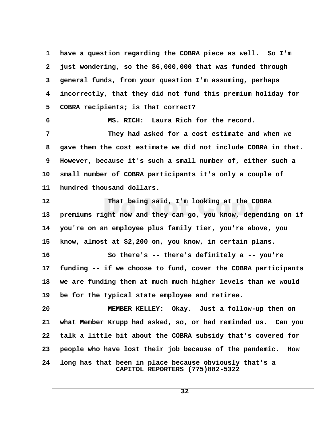**1 have a question regarding the COBRA piece as well. So I'm 2 just wondering, so the \$6,000,000 that was funded through 3 general funds, from your question I'm assuming, perhaps 4 incorrectly, that they did not fund this premium holiday for 5 COBRA recipients; is that correct? 6 MS. RICH: Laura Rich for the record. 7 They had asked for a cost estimate and when we 8 gave them the cost estimate we did not include COBRA in that. 9 However, because it's such a small number of, either such a 10 small number of COBRA participants it's only a couple of 11 hundred thousand dollars. 12 That being said, I'm looking at the COBRA 13 premiums right now and they can go, you know, depending on if 14 you're on an employee plus family tier, you're above, you 15 know, almost at \$2,200 on, you know, in certain plans. 16 So there's -- there's definitely a -- you're 17 funding -- if we choose to fund, cover the COBRA participants 18 we are funding them at much much higher levels than we would 19 be for the typical state employee and retiree. 20 MEMBER KELLEY: Okay. Just a follow-up then on 21 what Member Krupp had asked, so, or had reminded us. Can you 22 talk a little bit about the COBRA subsidy that's covered for 23 people who have lost their job because of the pandemic. How 24 long has that been in place because obviously that's a CAPITOL REPORTERS (775)882-5322**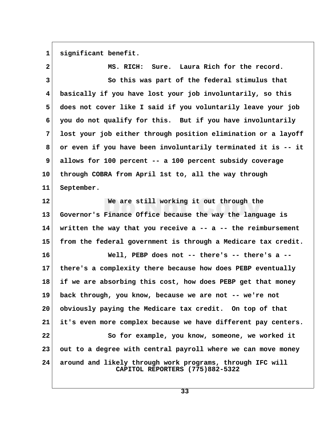1 significant benefit.

 **2 MS. RICH: Sure. Laura Rich for the record. 3 So this was part of the federal stimulus that 4 basically if you have lost your job involuntarily, so this 5 does not cover like I said if you voluntarily leave your job 6 you do not qualify for this. But if you have involuntarily 7 lost your job either through position elimination or a layoff 8 or even if you have been involuntarily terminated it is -- it 9 allows for 100 percent -- a 100 percent subsidy coverage 10 through COBRA from April 1st to, all the way through 11 September. 12 We are still working it out through the 13 Governor's Finance Office because the way the language is 14 written the way that you receive a -- a -- the reimbursement 15 from the federal government is through a Medicare tax credit. 16 Well, PEBP does not -- there's -- there's a -- 17 there's a complexity there because how does PEBP eventually 18 if we are absorbing this cost, how does PEBP get that money 19 back through, you know, because we are not -- we're not 20 obviously paying the Medicare tax credit. On top of that 21 it's even more complex because we have different pay centers. 22 So for example, you know, someone, we worked it 23 out to a degree with central payroll where we can move money 24 around and likely through work programs, through IFC will CAPITOL REPORTERS (775)882-5322**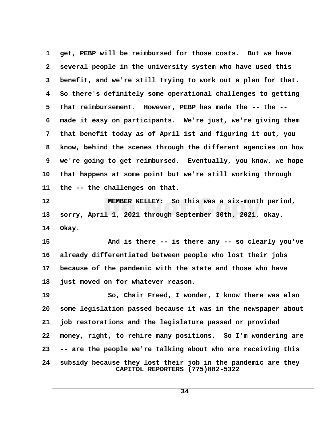**1 get, PEBP will be reimbursed for those costs. But we have 2 several people in the university system who have used this 3 benefit, and we're still trying to work out a plan for that. 4 So there's definitely some operational challenges to getting 5 that reimbursement. However, PEBP has made the -- the -- 6 made it easy on participants. We're just, we're giving them 7 that benefit today as of April 1st and figuring it out, you 8 know, behind the scenes through the different agencies on how 9 we're going to get reimbursed. Eventually, you know, we hope 10 that happens at some point but we're still working through 11 the -- the challenges on that. 12 MEMBER KELLEY: So this was a six-month period, 13 sorry, April 1, 2021 through September 30th, 2021, okay. 14 Okay. 15 And is there -- is there any -- so clearly you've 16 already differentiated between people who lost their jobs 17 because of the pandemic with the state and those who have 18 just moved on for whatever reason.** 19 So, Chair Freed, I wonder, I know there was also **20 some legislation passed because it was in the newspaper about 21 job restorations and the legislature passed or provided 22 money, right, to rehire many positions. So I'm wondering are 23 -- are the people we're talking about who are receiving this 24 subsidy because they lost their job in the pandemic are they CAPITOL REPORTERS (775)882-5322**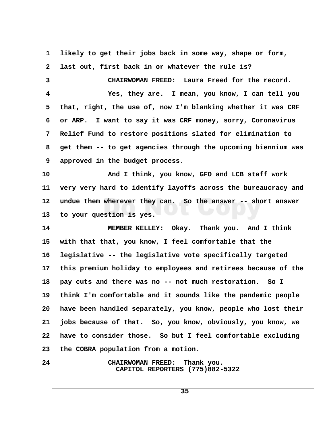| $\mathbf 1$     | likely to get their jobs back in some way, shape or form,                 |  |
|-----------------|---------------------------------------------------------------------------|--|
| $\mathbf{2}$    | last out, first back in or whatever the rule is?                          |  |
| 3               | CHAIRWOMAN FREED: Laura Freed for the record.                             |  |
| 4               | Yes, they are. I mean, you know, I can tell you                           |  |
| 5               | that, right, the use of, now I'm blanking whether it was CRF              |  |
| 6               | or ARP. I want to say it was CRF money, sorry, Coronavirus                |  |
| 7               | Relief Fund to restore positions slated for elimination to                |  |
| 8               | get them -- to get agencies through the upcoming biennium was             |  |
| 9               | approved in the budget process.                                           |  |
| 10              | And I think, you know, GFO and LCB staff work                             |  |
| 11              | very very hard to identify layoffs across the bureaucracy and             |  |
| 12              | undue them wherever they can. So the answer -- short answer               |  |
| 13              | to your question is yes.                                                  |  |
| 14              | MEMBER KELLEY: Okay. Thank you. And I think                               |  |
| 15              | with that that, you know, I feel comfortable that the                     |  |
| 16              | legislative -- the legislative vote specifically targeted                 |  |
| 17 <sub>2</sub> | this premium holiday to employees and retirees because of the             |  |
| 18              | pay cuts and there was no -- not much restoration. So I                   |  |
| 19              | think I'm comfortable and it sounds like the pandemic people              |  |
| 20              | have been handled separately, you know, people who lost their             |  |
| 21              | jobs because of that. So, you know, obviously, you know, we               |  |
| 22              | have to consider those. So but I feel comfortable excluding               |  |
| 23              | the COBRA population from a motion.                                       |  |
| 24              | <b>CHAIRWOMAN FREED:</b><br>Thank you.<br>CAPITOL REPORTERS (775)882-5322 |  |

 $\overline{\phantom{a}}$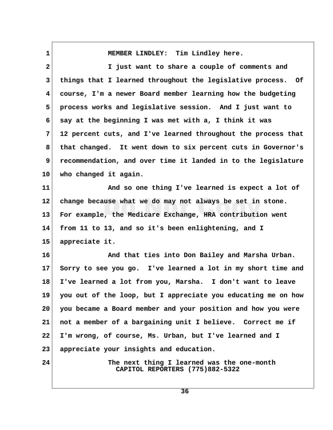1 MEMBER LINDLEY: Tim Lindley here.  **2 I just want to share a couple of comments and 3 things that I learned throughout the legislative process. Of 4 course, I'm a newer Board member learning how the budgeting 5 process works and legislative session. And I just want to 6 say at the beginning I was met with a, I think it was 7 12 percent cuts, and I've learned throughout the process that 8 that changed. It went down to six percent cuts in Governor's 9 recommendation, and over time it landed in to the legislature 10 who changed it again. 11 And so one thing I've learned is expect a lot of 12 change because what we do may not always be set in stone. 13 For example, the Medicare Exchange, HRA contribution went 14 from 11 to 13, and so it's been enlightening, and I 15 appreciate it. 16 And that ties into Don Bailey and Marsha Urban. 17 Sorry to see you go. I've learned a lot in my short time and 18 I've learned a lot from you, Marsha. I don't want to leave 19 you out of the loop, but I appreciate you educating me on how 20 you became a Board member and your position and how you were 21 not a member of a bargaining unit I believe. Correct me if 22 I'm wrong, of course, Ms. Urban, but I've learned and I 23 appreciate your insights and education. 24 The next thing I learned was the one-month CAPITOL REPORTERS (775)882-5322**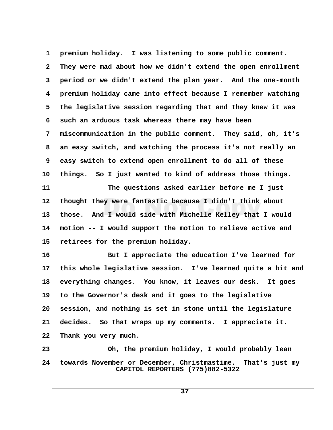| $\mathbf 1$    | premium holiday. I was listening to some public comment.                                       |  |
|----------------|------------------------------------------------------------------------------------------------|--|
| $\mathbf{2}$   | They were mad about how we didn't extend the open enrollment                                   |  |
| 3              | period or we didn't extend the plan year. And the one-month                                    |  |
| 4              | premium holiday came into effect because I remember watching                                   |  |
| 5              | the legislative session regarding that and they knew it was                                    |  |
| 6              | such an arduous task whereas there may have been                                               |  |
| $\overline{7}$ | miscommunication in the public comment. They said, oh, it's                                    |  |
| 8              | an easy switch, and watching the process it's not really an                                    |  |
| 9              | easy switch to extend open enrollment to do all of these                                       |  |
| 10             | things. So I just wanted to kind of address those things.                                      |  |
| 11             | The questions asked earlier before me I just                                                   |  |
| 12             | thought they were fantastic because I didn't think about                                       |  |
| 13             | those. And I would side with Michelle Kelley that I would                                      |  |
| 14             | motion -- I would support the motion to relieve active and                                     |  |
| 15             | retirees for the premium holiday.                                                              |  |
| 16             | But I appreciate the education I've learned for                                                |  |
| $17\,$         | this whole legislative session. I've learned quite a bit and                                   |  |
| 18             | everything changes. You know, it leaves our desk.<br>It goes                                   |  |
| 19             | to the Governor's desk and it goes to the legislative                                          |  |
| 20             | session, and nothing is set in stone until the legislature                                     |  |
| 21             | decides. So that wraps up my comments. I appreciate it.                                        |  |
| 22             | Thank you very much.                                                                           |  |
| 23             | Oh, the premium holiday, I would probably lean                                                 |  |
| 24             | towards November or December, Christmastime. That's just my<br>CAPITOL REPORTERS (775)882-5322 |  |

 $\sqrt{ }$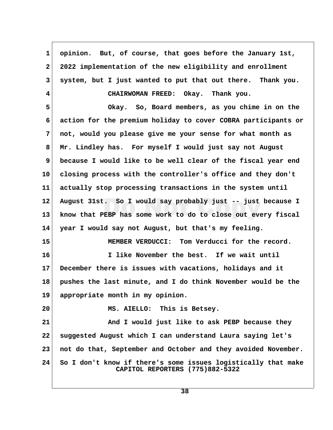**1 opinion. But, of course, that goes before the January 1st, 2 2022 implementation of the new eligibility and enrollment 3 system, but I just wanted to put that out there. Thank you. 4 CHAIRWOMAN FREED: Okay. Thank you. 5 Okay. So, Board members, as you chime in on the 6 action for the premium holiday to cover COBRA participants or 7 not, would you please give me your sense for what month as 8 Mr. Lindley has. For myself I would just say not August 9 because I would like to be well clear of the fiscal year end 10 closing process with the controller's office and they don't 11 actually stop processing transactions in the system until 12 August 31st. So I would say probably just -- just because I 13 know that PEBP has some work to do to close out every fiscal 14 year I would say not August, but that's my feeling. 15 MEMBER VERDUCCI: Tom Verducci for the record. 16 I like November the best. If we wait until 17 December there is issues with vacations, holidays and it 18 pushes the last minute, and I do think November would be the 19 appropriate month in my opinion. 20 MS. AIELLO: This is Betsey. 21 And I would just like to ask PEBP because they 22 suggested August which I can understand Laura saying let's 23 not do that, September and October and they avoided November. 24 So I don't know if there's some issues logistically that make CAPITOL REPORTERS (775)882-5322**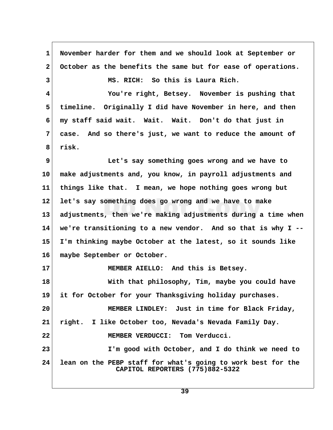**1 November harder for them and we should look at September or 2 October as the benefits the same but for ease of operations. 3 MS. RICH: So this is Laura Rich. 4 You're right, Betsey. November is pushing that 5 timeline. Originally I did have November in here, and then 6 my staff said wait. Wait. Wait. Don't do that just in 7 case. And so there's just, we want to reduce the amount of 8 risk. 9 Let's say something goes wrong and we have to 10 make adjustments and, you know, in payroll adjustments and 11 things like that. I mean, we hope nothing goes wrong but 12 let's say something does go wrong and we have to make 13 adjustments, then we're making adjustments during a time when 14 we're transitioning to a new vendor. And so that is why I -- 15 I'm thinking maybe October at the latest, so it sounds like 16 maybe September or October. 17 MEMBER AIELLO: And this is Betsey. 18 With that philosophy, Tim, maybe you could have 19 it for October for your Thanksgiving holiday purchases. 20 MEMBER LINDLEY: Just in time for Black Friday, 21 right. I like October too, Nevada's Nevada Family Day. 22 MEMBER VERDUCCI: Tom Verducci. 23 I'm good with October, and I do think we need to 24 lean on the PEBP staff for what's going to work best for the CAPITOL REPORTERS (775)882-5322**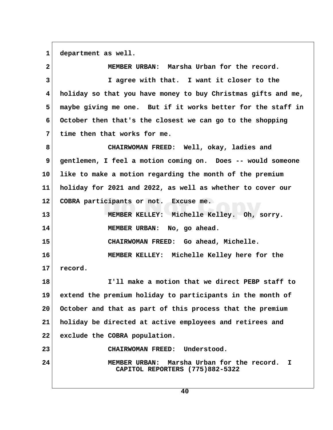**1 department as well.**

 **2 MEMBER URBAN: Marsha Urban for the record. 3 I agree with that. I want it closer to the 4 holiday so that you have money to buy Christmas gifts and me, 5 maybe giving me one. But if it works better for the staff in 6 October then that's the closest we can go to the shopping 7 time then that works for me. 8 CHAIRWOMAN FREED: Well, okay, ladies and 9 gentlemen, I feel a motion coming on. Does -- would someone 10 like to make a motion regarding the month of the premium 11 holiday for 2021 and 2022, as well as whether to cover our 12 COBRA participants or not. Excuse me. 13 MEMBER KELLEY: Michelle Kelley. Oh, sorry. 14 MEMBER URBAN: No, go ahead. 15 CHAIRWOMAN FREED: Go ahead, Michelle. 16 MEMBER KELLEY: Michelle Kelley here for the 17 record. 18 I'll make a motion that we direct PEBP staff to 19 extend the premium holiday to participants in the month of 20 October and that as part of this process that the premium 21 holiday be directed at active employees and retirees and 22 exclude the COBRA population. 23 CHAIRWOMAN FREED: Understood. 24 MEMBER URBAN: Marsha Urban for the record. I CAPITOL REPORTERS (775)882-5322**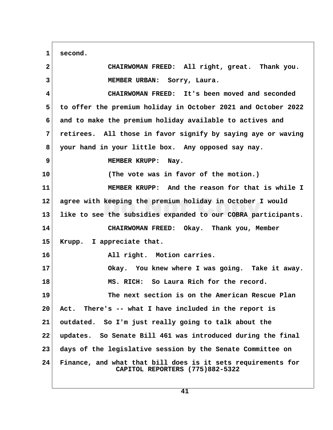**1 second. 2 CHAIRWOMAN FREED: All right, great. Thank you. 3 MEMBER URBAN: Sorry, Laura. 4 CHAIRWOMAN FREED: It's been moved and seconded 5 to offer the premium holiday in October 2021 and October 2022 6 and to make the premium holiday available to actives and 7 retirees. All those in favor signify by saying aye or waving 8 your hand in your little box. Any opposed say nay. 9** MEMBER KRUPP: Nay. **10 (The vote was in favor of the motion.) 11 MEMBER KRUPP: And the reason for that is while I 12 agree with keeping the premium holiday in October I would 13 like to see the subsidies expanded to our COBRA participants. 14 CHAIRWOMAN FREED: Okay. Thank you, Member 15 Krupp. I appreciate that. 16 All right. Motion carries. 17 Okay. You knew where I was going. Take it away. 18 MS. RICH: So Laura Rich for the record. 19 The next section is on the American Rescue Plan 20 Act. There's -- what I have included in the report is 21 outdated. So I'm just really going to talk about the 22 updates. So Senate Bill 461 was introduced during the final 23 days of the legislative session by the Senate Committee on 24 Finance, and what that bill does is it sets requirements for CAPITOL REPORTERS (775)882-5322**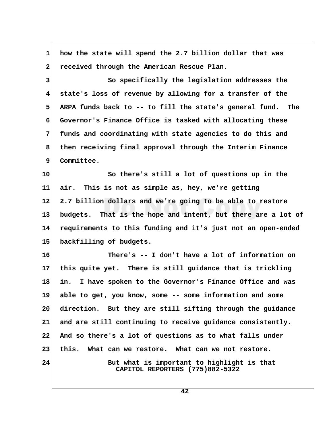**1 how the state will spend the 2.7 billion dollar that was 2 received through the American Rescue Plan. 3 So specifically the legislation addresses the 4 state's loss of revenue by allowing for a transfer of the 5 ARPA funds back to -- to fill the state's general fund. The 6 Governor's Finance Office is tasked with allocating these 7 funds and coordinating with state agencies to do this and 8 then receiving final approval through the Interim Finance 9 Committee. 10 So there's still a lot of questions up in the 11 air. This is not as simple as, hey, we're getting 12 2.7 billion dollars and we're going to be able to restore 13 budgets. That is the hope and intent, but there are a lot of 14 requirements to this funding and it's just not an open-ended 15 backfilling of budgets. 16 There's -- I don't have a lot of information on 17 this quite yet. There is still guidance that is trickling 18 in. I have spoken to the Governor's Finance Office and was 19 able to get, you know, some -- some information and some 20 direction. But they are still sifting through the guidance 21 and are still continuing to receive guidance consistently. 22 And so there's a lot of questions as to what falls under 23 this. What can we restore. What can we not restore.** 24 But what is important to highlight is that  **CAPITOL REPORTERS (775)882-5322**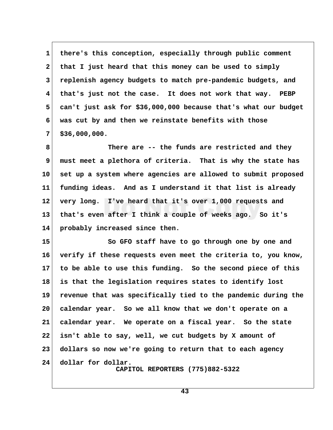1 there's this conception, especially through public comment  **2 that I just heard that this money can be used to simply 3 replenish agency budgets to match pre-pandemic budgets, and 4 that's just not the case. It does not work that way. PEBP 5 can't just ask for \$36,000,000 because that's what our budget 6 was cut by and then we reinstate benefits with those 7 \$36,000,000.**

 **8 There are -- the funds are restricted and they 9 must meet a plethora of criteria. That is why the state has 10 set up a system where agencies are allowed to submit proposed 11 funding ideas. And as I understand it that list is already 12 very long. I've heard that it's over 1,000 requests and 13 that's even after I think a couple of weeks ago. So it's 14 probably increased since then.**

**15 So GFO staff have to go through one by one and 16 verify if these requests even meet the criteria to, you know, 17 to be able to use this funding. So the second piece of this 18 is that the legislation requires states to identify lost 19 revenue that was specifically tied to the pandemic during the 20 calendar year. So we all know that we don't operate on a 21 calendar year. We operate on a fiscal year. So the state 22 isn't able to say, well, we cut budgets by X amount of 23 dollars so now we're going to return that to each agency 24 dollar for dollar. CAPITOL REPORTERS (775)882-5322**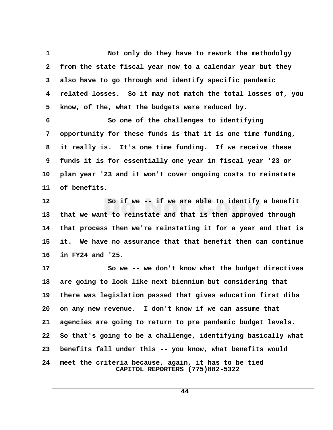1 Not only do they have to rework the methodolgy  **2 from the state fiscal year now to a calendar year but they 3 also have to go through and identify specific pandemic 4 related losses. So it may not match the total losses of, you 5 know, of the, what the budgets were reduced by.**

 **6 So one of the challenges to identifying 7 opportunity for these funds is that it is one time funding, 8 it really is. It's one time funding. If we receive these 9 funds it is for essentially one year in fiscal year '23 or 10 plan year '23 and it won't cover ongoing costs to reinstate 11 of benefits.**

**12 So if we -- if we are able to identify a benefit 13 that we want to reinstate and that is then approved through 14 that process then we're reinstating it for a year and that is 15 it. We have no assurance that that benefit then can continue 16 in FY24 and '25.**

17 So we -- we don't know what the budget directives **18 are going to look like next biennium but considering that 19 there was legislation passed that gives education first dibs 20 on any new revenue. I don't know if we can assume that 21 agencies are going to return to pre pandemic budget levels. 22 So that's going to be a challenge, identifying basically what 23 benefits fall under this -- you know, what benefits would 24 meet the criteria because, again, it has to be tied CAPITOL REPORTERS (775)882-5322**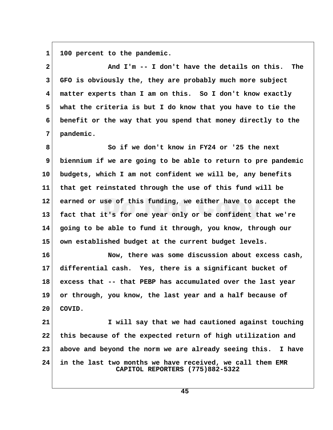1 100 percent to the pandemic.

 **2 And I'm -- I don't have the details on this. The 3 GFO is obviously the, they are probably much more subject 4 matter experts than I am on this. So I don't know exactly 5 what the criteria is but I do know that you have to tie the 6 benefit or the way that you spend that money directly to the 7 pandemic. 8 So if we don't know in FY24 or '25 the next 9 biennium if we are going to be able to return to pre pandemic 10 budgets, which I am not confident we will be, any benefits 11 that get reinstated through the use of this fund will be 12 earned or use of this funding, we either have to accept the 13 fact that it's for one year only or be confident that we're**

**14 going to be able to fund it through, you know, through our 15 own established budget at the current budget levels.**

**16 Now, there was some discussion about excess cash, 17 differential cash. Yes, there is a significant bucket of 18 excess that -- that PEBP has accumulated over the last year 19 or through, you know, the last year and a half because of 20 COVID.**

**21 I will say that we had cautioned against touching 22 this because of the expected return of high utilization and 23 above and beyond the norm we are already seeing this. I have 24 in the last two months we have received, we call them EMR CAPITOL REPORTERS (775)882-5322**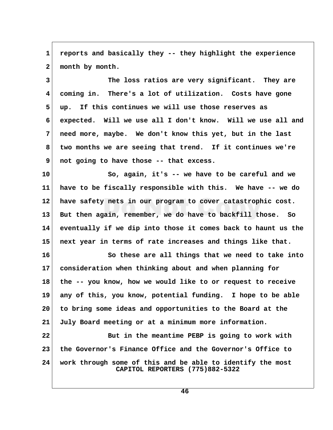**1 reports and basically they -- they highlight the experience** 2 month by month.

 **3 The loss ratios are very significant. They are 4 coming in. There's a lot of utilization. Costs have gone 5 up. If this continues we will use those reserves as 6 expected. Will we use all I don't know. Will we use all and 7 need more, maybe. We don't know this yet, but in the last 8 two months we are seeing that trend. If it continues we're 9 not going to have those -- that excess.**

**10 So, again, it's -- we have to be careful and we 11 have to be fiscally responsible with this. We have -- we do 12 have safety nets in our program to cover catastrophic cost. 13 But then again, remember, we do have to backfill those. So 14 eventually if we dip into those it comes back to haunt us the 15 next year in terms of rate increases and things like that.**

**16 So these are all things that we need to take into 17 consideration when thinking about and when planning for 18 the -- you know, how we would like to or request to receive 19 any of this, you know, potential funding. I hope to be able 20 to bring some ideas and opportunities to the Board at the 21 July Board meeting or at a minimum more information.**

**22 But in the meantime PEBP is going to work with 23 the Governor's Finance Office and the Governor's Office to 24 work through some of this and be able to identify the most CAPITOL REPORTERS (775)882-5322**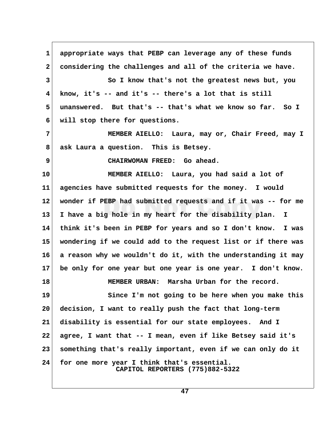| 1            | appropriate ways that PEBP can leverage any of these funds                     |  |
|--------------|--------------------------------------------------------------------------------|--|
| $\mathbf{2}$ | considering the challenges and all of the criteria we have.                    |  |
| 3            | So I know that's not the greatest news but, you                                |  |
| 4            | know, it's $-$ and it's $-$ there's a lot that is still                        |  |
| 5            | unanswered. But that's -- that's what we know so far. So I                     |  |
| 6            | will stop there for questions.                                                 |  |
| 7            | MEMBER AIELLO: Laura, may or, Chair Freed, may I                               |  |
| 8            | ask Laura a question. This is Betsey.                                          |  |
| 9            | CHAIRWOMAN FREED: Go ahead.                                                    |  |
| 10           | MEMBER AIELLO: Laura, you had said a lot of                                    |  |
| 11           | agencies have submitted requests for the money. I would                        |  |
| 12           | wonder if PEBP had submitted requests and if it was -- for me                  |  |
| 13           | I have a big hole in my heart for the disability plan. I                       |  |
| 14           | think it's been in PEBP for years and so I don't know. I was                   |  |
| 15           | wondering if we could add to the request list or if there was                  |  |
| 16           | a reason why we wouldn't do it, with the understanding it may                  |  |
| 17           | be only for one year but one year is one year. I don't know.                   |  |
| 18           | MEMBER URBAN: Marsha Urban for the record.                                     |  |
| 19           | Since I'm not going to be here when you make this                              |  |
| 20           | decision, I want to really push the fact that long-term                        |  |
| 21           | disability is essential for our state employees.<br>And I                      |  |
| 22           | agree, I want that -- I mean, even if like Betsey said it's                    |  |
| 23           | something that's really important, even if we can only do it                   |  |
| 24           | for one more year I think that's essential.<br>CAPITOL REPORTERS (775)882-5322 |  |

 $\Gamma$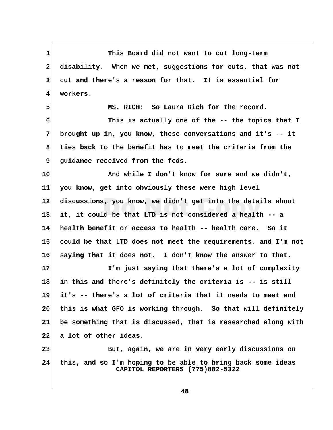**1 This Board did not want to cut long-term 2 disability. When we met, suggestions for cuts, that was not 3 cut and there's a reason for that. It is essential for 4 workers. 5 MS. RICH: So Laura Rich for the record. 6 This is actually one of the -- the topics that I 7 brought up in, you know, these conversations and it's -- it 8 ties back to the benefit has to meet the criteria from the 9** quidance received from the feds. **10 And while I don't know for sure and we didn't, 11 you know, get into obviously these were high level 12 discussions, you know, we didn't get into the details about 13 it, it could be that LTD is not considered a health -- a 14 health benefit or access to health -- health care. So it 15 could be that LTD does not meet the requirements, and I'm not 16 saying that it does not. I don't know the answer to that. 17 I'm just saying that there's a lot of complexity 18 in this and there's definitely the criteria is -- is still 19 it's -- there's a lot of criteria that it needs to meet and 20 this is what GFO is working through. So that will definitely 21 be something that is discussed, that is researched along with 22 a lot of other ideas. 23 But, again, we are in very early discussions on 24 this, and so I'm hoping to be able to bring back some ideas CAPITOL REPORTERS (775)882-5322**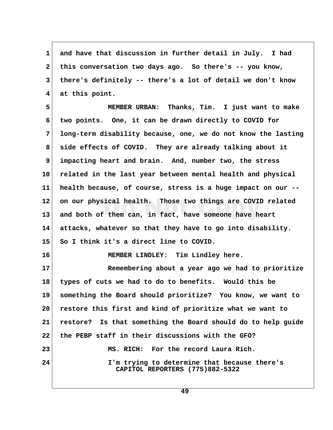1 and have that discussion in further detail in July. I had  **2 this conversation two days ago. So there's -- you know, 3 there's definitely -- there's a lot of detail we don't know 4 at this point.**

 **5 MEMBER URBAN: Thanks, Tim. I just want to make 6 two points. One, it can be drawn directly to COVID for 7 long-term disability because, one, we do not know the lasting 8 side effects of COVID. They are already talking about it 9 impacting heart and brain. And, number two, the stress 10 related in the last year between mental health and physical 11 health because, of course, stress is a huge impact on our -- 12 on our physical health. Those two things are COVID related 13 and both of them can, in fact, have someone have heart 14 attacks, whatever so that they have to go into disability. 15 So I think it's a direct line to COVID. 16 MEMBER LINDLEY: Tim Lindley here. 17 Remembering about a year ago we had to prioritize 18 types of cuts we had to do to benefits. Would this be 19 something the Board should prioritize? You know, we want to 20 restore this first and kind of prioritize what we want to 21 restore? Is that something the Board should do to help guide 22 the PEBP staff in their discussions with the GFO? 23 MS. RICH: For the record Laura Rich. 24 I'm trying to determine that because there's CAPITOL REPORTERS (775)882-5322**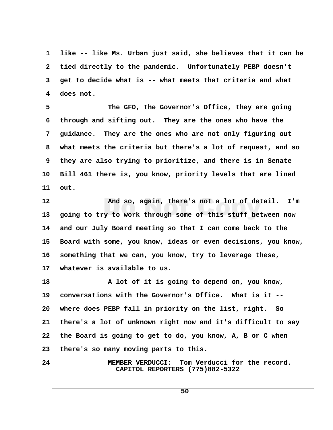**1 like -- like Ms. Urban just said, she believes that it can be 2 tied directly to the pandemic. Unfortunately PEBP doesn't 3 get to decide what is -- what meets that criteria and what 4 does not.**

**5** The GFO, the Governor's Office, they are going  **6 through and sifting out. They are the ones who have the 7 guidance. They are the ones who are not only figuring out 8 what meets the criteria but there's a lot of request, and so 9 they are also trying to prioritize, and there is in Senate 10 Bill 461 there is, you know, priority levels that are lined 11 out.**

**12 And so, again, there's not a lot of detail. I'm 13 going to try to work through some of this stuff between now 14 and our July Board meeting so that I can come back to the 15 Board with some, you know, ideas or even decisions, you know, 16 something that we can, you know, try to leverage these, 17 whatever is available to us.**

**18 A lot of it is going to depend on, you know, 19 conversations with the Governor's Office. What is it -- 20 where does PEBP fall in priority on the list, right. So 21 there's a lot of unknown right now and it's difficult to say 22 the Board is going to get to do, you know, A, B or C when 23 there's so many moving parts to this.**

**24 MEMBER VERDUCCI: Tom Verducci for the record. CAPITOL REPORTERS (775)882-5322**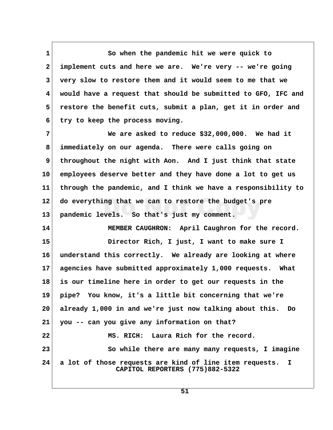1 So when the pandemic hit we were quick to  **2 implement cuts and here we are. We're very -- we're going 3 very slow to restore them and it would seem to me that we 4 would have a request that should be submitted to GFO, IFC and 5 restore the benefit cuts, submit a plan, get it in order and 6 try to keep the process moving.**

 **7 We are asked to reduce \$32,000,000. We had it 8 immediately on our agenda. There were calls going on 9 throughout the night with Aon. And I just think that state 10 employees deserve better and they have done a lot to get us 11 through the pandemic, and I think we have a responsibility to 12 do everything that we can to restore the budget's pre 13 pandemic levels. So that's just my comment.**

**14 MEMBER CAUGHRON: April Caughron for the record. 15 Director Rich, I just, I want to make sure I 16 understand this correctly. We already are looking at where 17 agencies have submitted approximately 1,000 requests. What 18 is our timeline here in order to get our requests in the 19 pipe? You know, it's a little bit concerning that we're 20 already 1,000 in and we're just now talking about this. Do 21 you -- can you give any information on that? 22 MS. RICH: Laura Rich for the record. 23** So while there are many many requests, I imagine **24 a lot of those requests are kind of line item requests. I CAPITOL REPORTERS (775)882-5322**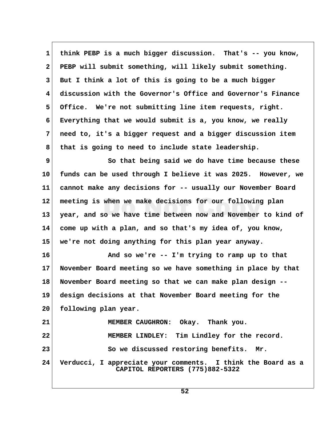**1 think PEBP is a much bigger discussion. That's -- you know, 2 PEBP will submit something, will likely submit something. 3 But I think a lot of this is going to be a much bigger 4 discussion with the Governor's Office and Governor's Finance 5 Office. We're not submitting line item requests, right. 6 Everything that we would submit is a, you know, we really 7 need to, it's a bigger request and a bigger discussion item 8 that is going to need to include state leadership. 9** So that being said we do have time because these **10 funds can be used through I believe it was 2025. However, we 11 cannot make any decisions for -- usually our November Board 12 meeting is when we make decisions for our following plan 13 year, and so we have time between now and November to kind of 14 come up with a plan, and so that's my idea of, you know, 15 we're not doing anything for this plan year anyway.**

**16 And so we're -- I'm trying to ramp up to that 17 November Board meeting so we have something in place by that 18 November Board meeting so that we can make plan design -- 19 design decisions at that November Board meeting for the 20 following plan year. 21 MEMBER CAUGHRON: Okay. Thank you. 22 MEMBER LINDLEY: Tim Lindley for the record.** 23 So we discussed restoring benefits. Mr.

**24 Verducci, I appreciate your comments. I think the Board as a CAPITOL REPORTERS (775)882-5322**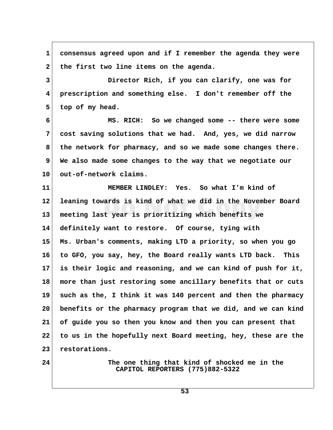**1 consensus agreed upon and if I remember the agenda they were** 2 the first two line items on the agenda.  **3 Director Rich, if you can clarify, one was for 4 prescription and something else. I don't remember off the** 5 top of my head.  **6 MS. RICH: So we changed some -- there were some 7 cost saving solutions that we had. And, yes, we did narrow 8 the network for pharmacy, and so we made some changes there. 9 We also made some changes to the way that we negotiate our 10 out-of-network claims. 11 MEMBER LINDLEY: Yes. So what I'm kind of 12 leaning towards is kind of what we did in the November Board 13 meeting last year is prioritizing which benefits we 14 definitely want to restore. Of course, tying with 15 Ms. Urban's comments, making LTD a priority, so when you go 16 to GFO, you say, hey, the Board really wants LTD back. This 17 is their logic and reasoning, and we can kind of push for it, 18 more than just restoring some ancillary benefits that or cuts 19 such as the, I think it was 140 percent and then the pharmacy 20 benefits or the pharmacy program that we did, and we can kind 21 of guide you so then you know and then you can present that 22 to us in the hopefully next Board meeting, hey, these are the 23 restorations. 24 The one thing that kind of shocked me in the CAPITOL REPORTERS (775)882-5322**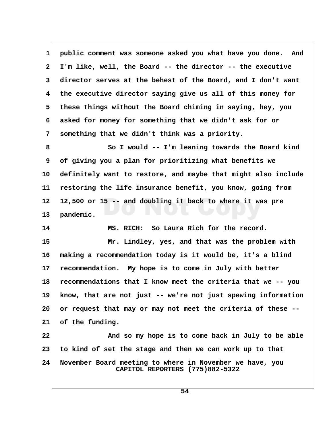**1 public comment was someone asked you what have you done. And 2 I'm like, well, the Board -- the director -- the executive 3 director serves at the behest of the Board, and I don't want 4 the executive director saying give us all of this money for 5 these things without the Board chiming in saying, hey, you 6 asked for money for something that we didn't ask for or 7 something that we didn't think was a priority. 8 So I would -- I'm leaning towards the Board kind 9 of giving you a plan for prioritizing what benefits we 10 definitely want to restore, and maybe that might also include 11 restoring the life insurance benefit, you know, going from 12 12,500 or 15 -- and doubling it back to where it was pre 13 pandemic. 14 MS. RICH: So Laura Rich for the record. 15 Mr. Lindley, yes, and that was the problem with 16 making a recommendation today is it would be, it's a blind 17 recommendation. My hope is to come in July with better 18 recommendations that I know meet the criteria that we -- you 19 know, that are not just -- we're not just spewing information 20 or request that may or may not meet the criteria of these -- 21 of the funding. 22 And so my hope is to come back in July to be able 23 to kind of set the stage and then we can work up to that 24 November Board meeting to where in November we have, you CAPITOL REPORTERS (775)882-5322**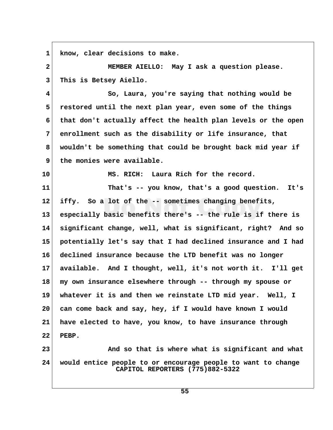**1 know, clear decisions to make. 2 MEMBER AIELLO: May I ask a question please. 3 This is Betsey Aiello. 4 So, Laura, you're saying that nothing would be 5 restored until the next plan year, even some of the things 6 that don't actually affect the health plan levels or the open 7 enrollment such as the disability or life insurance, that 8 wouldn't be something that could be brought back mid year if 9 the monies were available. 10 MS. RICH: Laura Rich for the record. 11 That's -- you know, that's a good question. It's 12 iffy. So a lot of the -- sometimes changing benefits, 13 especially basic benefits there's -- the rule is if there is 14 significant change, well, what is significant, right? And so 15 potentially let's say that I had declined insurance and I had 16 declined insurance because the LTD benefit was no longer 17 available. And I thought, well, it's not worth it. I'll get 18 my own insurance elsewhere through -- through my spouse or 19 whatever it is and then we reinstate LTD mid year. Well, I 20 can come back and say, hey, if I would have known I would 21 have elected to have, you know, to have insurance through 22 PEBP. 23 And so that is where what is significant and what 24 would entice people to or encourage people to want to change CAPITOL REPORTERS (775)882-5322**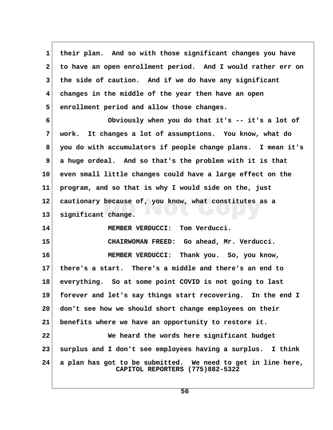**1 their plan. And so with those significant changes you have 2 to have an open enrollment period. And I would rather err on 3 the side of caution. And if we do have any significant 4 changes in the middle of the year then have an open 5 enrollment period and allow those changes. 6 Obviously when you do that it's -- it's a lot of 7 work. It changes a lot of assumptions. You know, what do 8 you do with accumulators if people change plans. I mean it's 9 a huge ordeal. And so that's the problem with it is that 10 even small little changes could have a large effect on the 11 program, and so that is why I would side on the, just 12 cautionary because of, you know, what constitutes as a 13 significant change. 14 MEMBER VERDUCCI: Tom Verducci. 15 CHAIRWOMAN FREED: Go ahead, Mr. Verducci. 16 MEMBER VERDUCCI: Thank you. So, you know, 17 there's a start. There's a middle and there's an end to 18 everything. So at some point COVID is not going to last 19 forever and let's say things start recovering. In the end I 20 don't see how we should short change employees on their 21 benefits where we have an opportunity to restore it. 22 We heard the words here significant budget 23 surplus and I don't see employees having a surplus. I think 24 a plan has got to be submitted. We need to get in line here, CAPITOL REPORTERS (775)882-5322**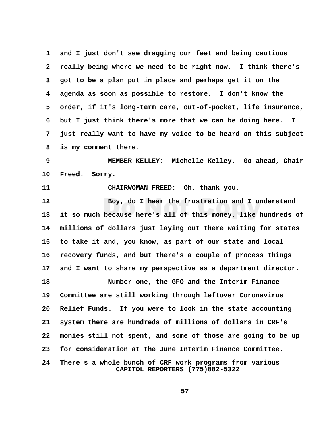**1 and I just don't see dragging our feet and being cautious 2 really being where we need to be right now. I think there's 3 got to be a plan put in place and perhaps get it on the 4 agenda as soon as possible to restore. I don't know the 5 order, if it's long-term care, out-of-pocket, life insurance, 6 but I just think there's more that we can be doing here. I 7 just really want to have my voice to be heard on this subject 8 is my comment there. 9 MEMBER KELLEY: Michelle Kelley. Go ahead, Chair 10 Freed. Sorry. 11 CHAIRWOMAN FREED: Oh, thank you. 12 Boy, do I hear the frustration and I understand 13 it so much because here's all of this money, like hundreds of 14 millions of dollars just laying out there waiting for states 15 to take it and, you know, as part of our state and local 16 recovery funds, and but there's a couple of process things 17 and I want to share my perspective as a department director. 18 Number one, the GFO and the Interim Finance 19 Committee are still working through leftover Coronavirus 20 Relief Funds. If you were to look in the state accounting 21 system there are hundreds of millions of dollars in CRF's 22 monies still not spent, and some of those are going to be up 23 for consideration at the June Interim Finance Committee. 24 There's a whole bunch of CRF work programs from various CAPITOL REPORTERS (775)882-5322**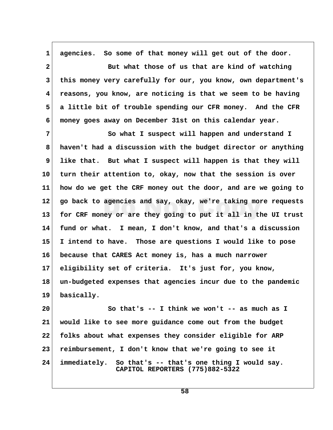**1 agencies. So some of that money will get out of the door. 2 But what those of us that are kind of watching 3 this money very carefully for our, you know, own department's 4 reasons, you know, are noticing is that we seem to be having 5 a little bit of trouble spending our CFR money. And the CFR 6 money goes away on December 31st on this calendar year. 7 So what I suspect will happen and understand I 8 haven't had a discussion with the budget director or anything** 9 like that. But what I suspect will happen is that they will **10 turn their attention to, okay, now that the session is over 11 how do we get the CRF money out the door, and are we going to 12 go back to agencies and say, okay, we're taking more requests 13 for CRF money or are they going to put it all in the UI trust 14 fund or what. I mean, I don't know, and that's a discussion 15 I intend to have. Those are questions I would like to pose 16 because that CARES Act money is, has a much narrower 17 eligibility set of criteria. It's just for, you know,**

**18 un-budgeted expenses that agencies incur due to the pandemic 19 basically.**

**20 So that's -- I think we won't -- as much as I 21 would like to see more guidance come out from the budget 22 folks about what expenses they consider eligible for ARP 23 reimbursement, I don't know that we're going to see it 24 immediately. So that's -- that's one thing I would say. CAPITOL REPORTERS (775)882-5322**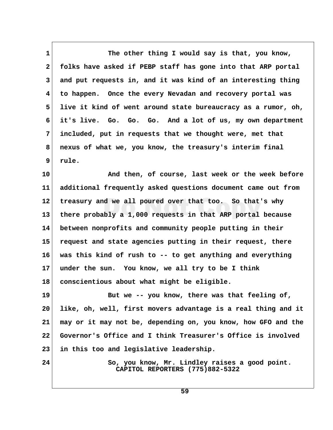1 The other thing I would say is that, you know,  **2 folks have asked if PEBP staff has gone into that ARP portal 3 and put requests in, and it was kind of an interesting thing 4 to happen. Once the every Nevadan and recovery portal was 5 live it kind of went around state bureaucracy as a rumor, oh, 6 it's live. Go. Go. Go. And a lot of us, my own department 7 included, put in requests that we thought were, met that 8 nexus of what we, you know, the treasury's interim final 9 rule.**

**10 And then, of course, last week or the week before 11 additional frequently asked questions document came out from 12 treasury and we all poured over that too. So that's why 13 there probably a 1,000 requests in that ARP portal because 14 between nonprofits and community people putting in their 15 request and state agencies putting in their request, there 16 was this kind of rush to -- to get anything and everything 17 under the sun. You know, we all try to be I think 18 conscientious about what might be eligible.**

19 But we -- you know, there was that feeling of, **20 like, oh, well, first movers advantage is a real thing and it 21 may or it may not be, depending on, you know, how GFO and the 22 Governor's Office and I think Treasurer's Office is involved 23 in this too and legislative leadership.**

24 So, you know, Mr. Lindley raises a good point.  **CAPITOL REPORTERS (775)882-5322**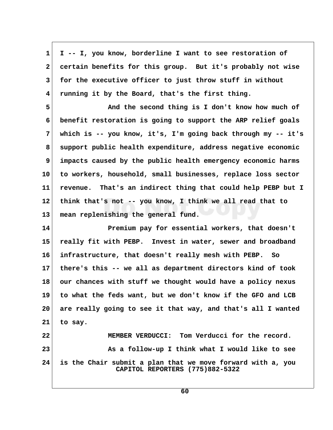**1 I -- I, you know, borderline I want to see restoration of 2 certain benefits for this group. But it's probably not wise 3 for the executive officer to just throw stuff in without 4 running it by the Board, that's the first thing.**

 **5 And the second thing is I don't know how much of 6 benefit restoration is going to support the ARP relief goals 7 which is -- you know, it's, I'm going back through my -- it's 8 support public health expenditure, address negative economic 9 impacts caused by the public health emergency economic harms 10 to workers, household, small businesses, replace loss sector 11 revenue. That's an indirect thing that could help PEBP but I 12 think that's not -- you know, I think we all read that to 13 mean replenishing the general fund.**

**14 Premium pay for essential workers, that doesn't 15 really fit with PEBP. Invest in water, sewer and broadband 16 infrastructure, that doesn't really mesh with PEBP. So 17 there's this -- we all as department directors kind of took 18 our chances with stuff we thought would have a policy nexus 19 to what the feds want, but we don't know if the GFO and LCB 20 are really going to see it that way, and that's all I wanted 21 to say.**

**22 MEMBER VERDUCCI: Tom Verducci for the record.** 23 As a follow-up I think what I would like to see **24 is the Chair submit a plan that we move forward with a, you CAPITOL REPORTERS (775)882-5322**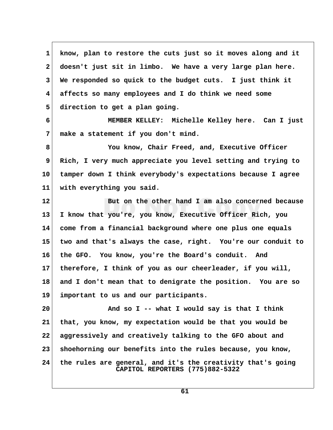**1 know, plan to restore the cuts just so it moves along and it 2 doesn't just sit in limbo. We have a very large plan here. 3 We responded so quick to the budget cuts. I just think it 4 affects so many employees and I do think we need some 5 direction to get a plan going. 6 MEMBER KELLEY: Michelle Kelley here. Can I just 7 make a statement if you don't mind. 8 You know, Chair Freed, and, Executive Officer 9 Rich, I very much appreciate you level setting and trying to 10 tamper down I think everybody's expectations because I agree 11 with everything you said. 12 But on the other hand I am also concerned because 13 I know that you're, you know, Executive Officer Rich, you 14 come from a financial background where one plus one equals 15 two and that's always the case, right. You're our conduit to 16 the GFO. You know, you're the Board's conduit. And 17 therefore, I think of you as our cheerleader, if you will, 18 and I don't mean that to denigrate the position. You are so 19 important to us and our participants. 20 And so I -- what I would say is that I think 21 that, you know, my expectation would be that you would be 22 aggressively and creatively talking to the GFO about and 23 shoehorning our benefits into the rules because, you know, 24 the rules are general, and it's the creativity that's going CAPITOL REPORTERS (775)882-5322**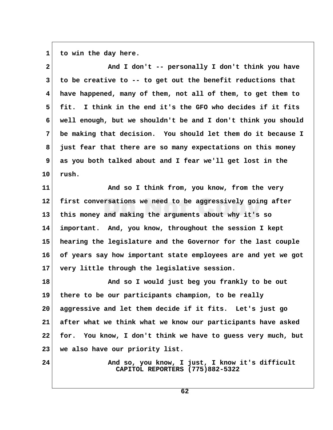1 to win the day here.

| $\mathbf{2}$ | And I don't -- personally I don't think you have                                   |  |
|--------------|------------------------------------------------------------------------------------|--|
| 3            | to be creative to -- to get out the benefit reductions that                        |  |
| 4            | have happened, many of them, not all of them, to get them to                       |  |
| 5            | fit. I think in the end it's the GFO who decides if it fits                        |  |
| 6            | well enough, but we shouldn't be and I don't think you should                      |  |
| 7            | be making that decision. You should let them do it because I                       |  |
| 8            | just fear that there are so many expectations on this money                        |  |
| 9            | as you both talked about and I fear we'll get lost in the                          |  |
| 10           | rush.                                                                              |  |
| 11           | And so I think from, you know, from the very                                       |  |
| 12           | first conversations we need to be aggressively going after                         |  |
| 13           | this money and making the arguments about why it's so                              |  |
| 14           | important. And, you know, throughout the session I kept                            |  |
| 15           | hearing the legislature and the Governor for the last couple                       |  |
| 16           | of years say how important state employees are and yet we got                      |  |
| 17           | very little through the legislative session.                                       |  |
| 18           | And so I would just beg you frankly to be out                                      |  |
| 19           | there to be our participants champion, to be really                                |  |
| 20           | aggressive and let them decide if it fits. Let's just go                           |  |
| 21           | after what we think what we know our participants have asked                       |  |
| 22           | for. You know, I don't think we have to guess very much, but                       |  |
| 23           | we also have our priority list.                                                    |  |
| 24           | And so, you know, I just, I know it's difficult<br>CAPITOL REPORTERS (775)882-5322 |  |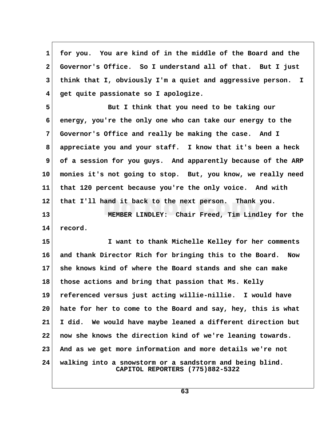**1 for you. You are kind of in the middle of the Board and the 2 Governor's Office. So I understand all of that. But I just 3 think that I, obviously I'm a quiet and aggressive person. I 4 get quite passionate so I apologize.**

 **5 But I think that you need to be taking our 6 energy, you're the only one who can take our energy to the 7 Governor's Office and really be making the case. And I 8 appreciate you and your staff. I know that it's been a heck 9 of a session for you guys. And apparently because of the ARP 10 monies it's not going to stop. But, you know, we really need 11 that 120 percent because you're the only voice. And with 12 that I'll hand it back to the next person. Thank you.**

**13 MEMBER LINDLEY: Chair Freed, Tim Lindley for the 14 record.**

**15 I want to thank Michelle Kelley for her comments 16 and thank Director Rich for bringing this to the Board. Now 17 she knows kind of where the Board stands and she can make 18 those actions and bring that passion that Ms. Kelly 19 referenced versus just acting willie-nillie. I would have 20 hate for her to come to the Board and say, hey, this is what 21 I did. We would have maybe leaned a different direction but 22 now she knows the direction kind of we're leaning towards. 23 And as we get more information and more details we're not 24 walking into a snowstorm or a sandstorm and being blind. CAPITOL REPORTERS (775)882-5322**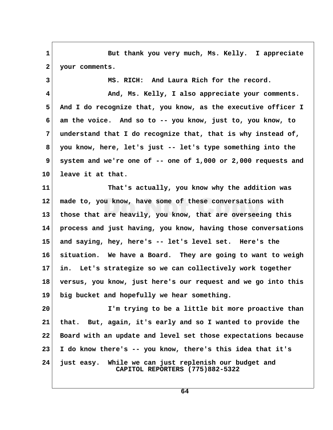1 But thank you very much, Ms. Kelly. I appreciate  **2 your comments.**

 **3 MS. RICH: And Laura Rich for the record.**

 **4 And, Ms. Kelly, I also appreciate your comments. 5 And I do recognize that, you know, as the executive officer I 6 am the voice. And so to -- you know, just to, you know, to 7 understand that I do recognize that, that is why instead of, 8 you know, here, let's just -- let's type something into the 9 system and we're one of -- one of 1,000 or 2,000 requests and 10 leave it at that.**

**11 That's actually, you know why the addition was 12 made to, you know, have some of these conversations with 13 those that are heavily, you know, that are overseeing this 14 process and just having, you know, having those conversations 15 and saying, hey, here's -- let's level set. Here's the 16 situation. We have a Board. They are going to want to weigh 17 in. Let's strategize so we can collectively work together 18 versus, you know, just here's our request and we go into this 19 big bucket and hopefully we hear something.**

**20 I'm trying to be a little bit more proactive than 21 that. But, again, it's early and so I wanted to provide the 22 Board with an update and level set those expectations because 23 I do know there's -- you know, there's this idea that it's 24 just easy. While we can just replenish our budget and CAPITOL REPORTERS (775)882-5322**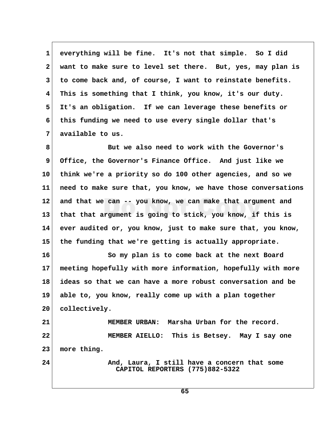**1 everything will be fine. It's not that simple. So I did 2 want to make sure to level set there. But, yes, may plan is 3 to come back and, of course, I want to reinstate benefits. 4 This is something that I think, you know, it's our duty. 5 It's an obligation. If we can leverage these benefits or 6 this funding we need to use every single dollar that's 7 available to us.**

 **8 But we also need to work with the Governor's 9 Office, the Governor's Finance Office. And just like we 10 think we're a priority so do 100 other agencies, and so we 11 need to make sure that, you know, we have those conversations 12 and that we can -- you know, we can make that argument and 13 that that argument is going to stick, you know, if this is 14 ever audited or, you know, just to make sure that, you know, 15 the funding that we're getting is actually appropriate.**

**16 So my plan is to come back at the next Board 17 meeting hopefully with more information, hopefully with more 18 ideas so that we can have a more robust conversation and be 19 able to, you know, really come up with a plan together 20 collectively.**

**21 MEMBER URBAN: Marsha Urban for the record. 22 MEMBER AIELLO: This is Betsey. May I say one 23 more thing.**

**24 And, Laura, I still have a concern that some CAPITOL REPORTERS (775)882-5322**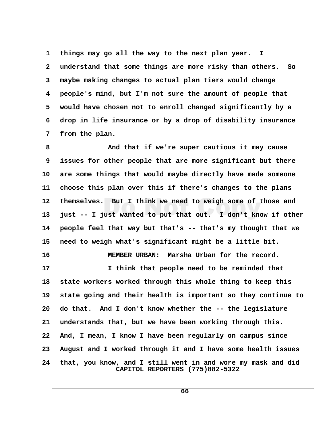**1 things may go all the way to the next plan year. I 2 understand that some things are more risky than others. So 3 maybe making changes to actual plan tiers would change 4 people's mind, but I'm not sure the amount of people that 5 would have chosen not to enroll changed significantly by a 6 drop in life insurance or by a drop of disability insurance 7 from the plan.**

 **8 And that if we're super cautious it may cause 9 issues for other people that are more significant but there 10 are some things that would maybe directly have made someone 11 choose this plan over this if there's changes to the plans 12 themselves. But I think we need to weigh some of those and 13 just -- I just wanted to put that out. I don't know if other 14 people feel that way but that's -- that's my thought that we 15 need to weigh what's significant might be a little bit.**

**16 MEMBER URBAN: Marsha Urban for the record.**

**17 I think that people need to be reminded that 18 state workers worked through this whole thing to keep this 19 state going and their health is important so they continue to 20 do that. And I don't know whether the -- the legislature 21 understands that, but we have been working through this. 22 And, I mean, I know I have been regularly on campus since 23 August and I worked through it and I have some health issues 24 that, you know, and I still went in and wore my mask and did CAPITOL REPORTERS (775)882-5322**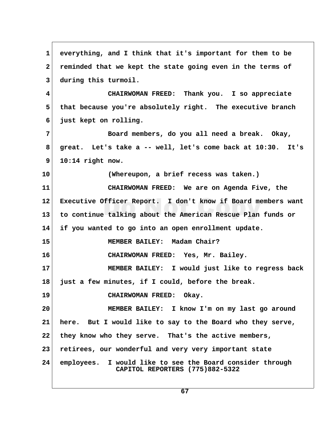| $\mathbf 1$     | everything, and I think that it's important for them to be                                   |  |
|-----------------|----------------------------------------------------------------------------------------------|--|
| $\mathbf{2}$    | reminded that we kept the state going even in the terms of                                   |  |
| 3               | during this turmoil.                                                                         |  |
| 4               | CHAIRWOMAN FREED: Thank you. I so appreciate                                                 |  |
| 5               | that because you're absolutely right. The executive branch                                   |  |
| 6               | just kept on rolling.                                                                        |  |
| 7               | Board members, do you all need a break. Okay,                                                |  |
| 8               | great. Let's take a -- well, let's come back at 10:30. It's                                  |  |
| 9               | $10:14$ right now.                                                                           |  |
| 10              | (Whereupon, a brief recess was taken.)                                                       |  |
| 11              | CHAIRWOMAN FREED: We are on Agenda Five, the                                                 |  |
| $12 \,$         | Executive Officer Report. I don't know if Board members want                                 |  |
| 13              | to continue talking about the American Rescue Plan funds or                                  |  |
| 14              | if you wanted to go into an open enrollment update.                                          |  |
| 15              | MEMBER BAILEY: Madam Chair?                                                                  |  |
| 16              | CHAIRWOMAN FREED: Yes, Mr. Bailey.                                                           |  |
| 17              | MEMBER BAILEY: I would just like to regress back                                             |  |
| 18 <sup>1</sup> | just a few minutes, if I could, before the break.                                            |  |
| 19              | CHAIRWOMAN FREED: Okay.                                                                      |  |
| 20              | MEMBER BAILEY: I know I'm on my last go around                                               |  |
| 21              | here. But I would like to say to the Board who they serve,                                   |  |
| 22              | they know who they serve. That's the active members,                                         |  |
| 23              | retirees, our wonderful and very very important state                                        |  |
| 24              | employees. I would like to see the Board consider through<br>CAPITOL REPORTERS (775)882-5322 |  |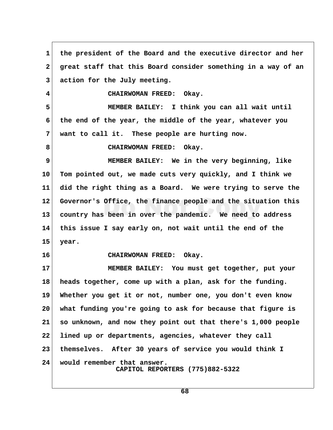**1 the president of the Board and the executive director and her 2 great staff that this Board consider something in a way of an 3 action for the July meeting. 4 CHAIRWOMAN FREED: Okay. 5 MEMBER BAILEY: I think you can all wait until 6 the end of the year, the middle of the year, whatever you 7 want to call it. These people are hurting now.** 8 CHAIRWOMAN FREED: Okay.  **9 MEMBER BAILEY: We in the very beginning, like 10 Tom pointed out, we made cuts very quickly, and I think we 11 did the right thing as a Board. We were trying to serve the 12 Governor's Office, the finance people and the situation this 13 country has been in over the pandemic. We need to address 14 this issue I say early on, not wait until the end of the 15 year. 16 CHAIRWOMAN FREED: Okay. 17 MEMBER BAILEY: You must get together, put your 18 heads together, come up with a plan, ask for the funding. 19 Whether you get it or not, number one, you don't even know 20 what funding you're going to ask for because that figure is 21 so unknown, and now they point out that there's 1,000 people 22 lined up or departments, agencies, whatever they call 23 themselves. After 30 years of service you would think I 24 would remember that answer. CAPITOL REPORTERS (775)882-5322**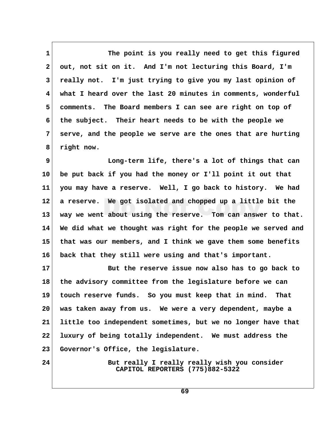1 The point is you really need to get this figured  **2 out, not sit on it. And I'm not lecturing this Board, I'm 3 really not. I'm just trying to give you my last opinion of 4 what I heard over the last 20 minutes in comments, wonderful 5 comments. The Board members I can see are right on top of 6 the subject. Their heart needs to be with the people we 7 serve, and the people we serve are the ones that are hurting 8 right now.**

 **9 Long-term life, there's a lot of things that can 10 be put back if you had the money or I'll point it out that 11 you may have a reserve. Well, I go back to history. We had 12 a reserve. We got isolated and chopped up a little bit the 13 way we went about using the reserve. Tom can answer to that. 14 We did what we thought was right for the people we served and 15 that was our members, and I think we gave them some benefits 16 back that they still were using and that's important.**

**17 But the reserve issue now also has to go back to 18 the advisory committee from the legislature before we can 19 touch reserve funds. So you must keep that in mind. That 20 was taken away from us. We were a very dependent, maybe a 21 little too independent sometimes, but we no longer have that 22 luxury of being totally independent. We must address the 23 Governor's Office, the legislature.**

24 But really I really really wish you consider  **CAPITOL REPORTERS (775)882-5322**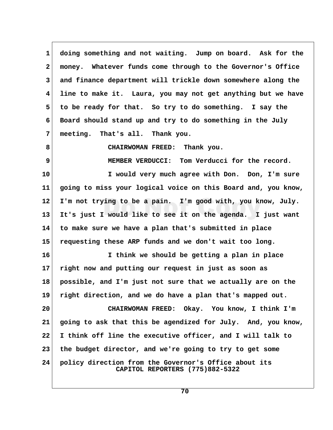**1 doing something and not waiting. Jump on board. Ask for the 2 money. Whatever funds come through to the Governor's Office 3 and finance department will trickle down somewhere along the 4 line to make it. Laura, you may not get anything but we have 5 to be ready for that. So try to do something. I say the 6 Board should stand up and try to do something in the July 7 meeting. That's all. Thank you.**

 **8 CHAIRWOMAN FREED: Thank you.**

 **9 MEMBER VERDUCCI: Tom Verducci for the record.**

**10 I would very much agree with Don. Don, I'm sure 11 going to miss your logical voice on this Board and, you know, 12 I'm not trying to be a pain. I'm good with, you know, July. 13 It's just I would like to see it on the agenda. I just want 14 to make sure we have a plan that's submitted in place 15 requesting these ARP funds and we don't wait too long.**

**16 I think we should be getting a plan in place 17 right now and putting our request in just as soon as 18 possible, and I'm just not sure that we actually are on the 19 right direction, and we do have a plan that's mapped out. 20 CHAIRWOMAN FREED: Okay. You know, I think I'm 21 going to ask that this be agendized for July. And, you know,**

**23 the budget director, and we're going to try to get some**

**22 I think off line the executive officer, and I will talk to**

**24 policy direction from the Governor's Office about its CAPITOL REPORTERS (775)882-5322**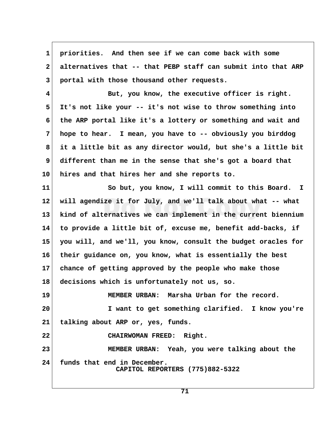**1 priorities. And then see if we can come back with some 2 alternatives that -- that PEBP staff can submit into that ARP 3 portal with those thousand other requests. 4 But, you know, the executive officer is right. 5 It's not like your -- it's not wise to throw something into 6 the ARP portal like it's a lottery or something and wait and 7 hope to hear. I mean, you have to -- obviously you birddog 8 it a little bit as any director would, but she's a little bit 9 different than me in the sense that she's got a board that 10 hires and that hires her and she reports to. 11 So but, you know, I will commit to this Board. I 12 will agendize it for July, and we'll talk about what -- what 13 kind of alternatives we can implement in the current biennium 14 to provide a little bit of, excuse me, benefit add-backs, if 15 you will, and we'll, you know, consult the budget oracles for 16 their guidance on, you know, what is essentially the best 17 chance of getting approved by the people who make those 18 decisions which is unfortunately not us, so. 19 MEMBER URBAN: Marsha Urban for the record. 20 I want to get something clarified. I know you're 21 talking about ARP or, yes, funds. 22 CHAIRWOMAN FREED: Right. 23 MEMBER URBAN: Yeah, you were talking about the 24 funds that end in December. CAPITOL REPORTERS (775)882-5322**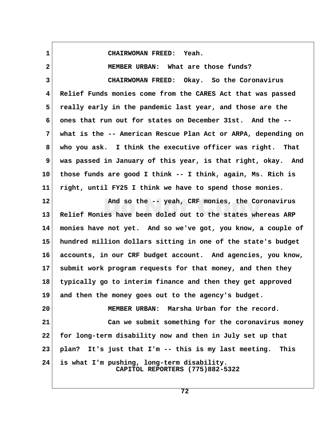**1 CHAIRWOMAN FREED: Yeah.**

 **2 MEMBER URBAN: What are those funds? 3 CHAIRWOMAN FREED: Okay. So the Coronavirus 4 Relief Funds monies come from the CARES Act that was passed 5 really early in the pandemic last year, and those are the 6 ones that run out for states on December 31st. And the -- 7 what is the -- American Rescue Plan Act or ARPA, depending on 8 who you ask. I think the executive officer was right. That 9 was passed in January of this year, is that right, okay. And 10 those funds are good I think -- I think, again, Ms. Rich is 11 right, until FY25 I think we have to spend those monies. 12 And so the -- yeah, CRF monies, the Coronavirus 13 Relief Monies have been doled out to the states whereas ARP 14 monies have not yet. And so we've got, you know, a couple of 15 hundred million dollars sitting in one of the state's budget 16 accounts, in our CRF budget account. And agencies, you know, 17 submit work program requests for that money, and then they 18 typically go to interim finance and then they get approved 19 and then the money goes out to the agency's budget. 20 MEMBER URBAN: Marsha Urban for the record. 21 Can we submit something for the coronavirus money 22 for long-term disability now and then in July set up that 23 plan? It's just that I'm -- this is my last meeting. This 24 is what I'm pushing, long-term disability. CAPITOL REPORTERS (775)882-5322**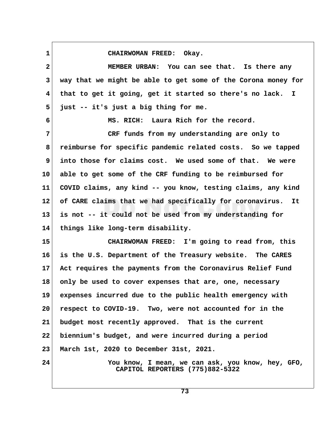1 CHAIRWOMAN FREED: Okay.

| $\mathbf{2}$    | MEMBER URBAN: You can see that. Is there any                                         |
|-----------------|--------------------------------------------------------------------------------------|
| 3               | way that we might be able to get some of the Corona money for                        |
| 4               | that to get it going, get it started so there's no lack. I                           |
| 5               | just -- it's just a big thing for me.                                                |
| 6               | MS. RICH: Laura Rich for the record.                                                 |
| 7               | CRF funds from my understanding are only to                                          |
| 8               | reimburse for specific pandemic related costs. So we tapped                          |
| 9               | into those for claims cost. We used some of that. We were                            |
| 10 <sub>1</sub> | able to get some of the CRF funding to be reimbursed for                             |
| 11              | COVID claims, any kind -- you know, testing claims, any kind                         |
| 12 <sub>2</sub> | of CARE claims that we had specifically for coronavirus. It                          |
| 13              | is not -- it could not be used from my understanding for                             |
| 14              | things like long-term disability.                                                    |
| 15              | CHAIRWOMAN FREED: I'm going to read from, this                                       |
| 16              | is the U.S. Department of the Treasury website. The CARES                            |
| 17              | Act requires the payments from the Coronavirus Relief Fund                           |
| 18              | only be used to cover expenses that are, one, necessary                              |
| 19              | expenses incurred due to the public health emergency with                            |
| 20 <sub>o</sub> | respect to COVID-19. Two, were not accounted for in the                              |
| 21              | budget most recently approved. That is the current                                   |
| $22 \,$         | biennium's budget, and were incurred during a period                                 |
| 23              | March 1st, 2020 to December 31st, 2021.                                              |
| 24              | You know, I mean, we can ask, you know, hey, GFO,<br>CAPITOL REPORTERS (775)882-5322 |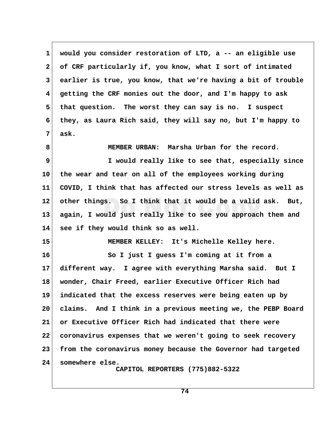**1 would you consider restoration of LTD, a -- an eligible use 2 of CRF particularly if, you know, what I sort of intimated 3 earlier is true, you know, that we're having a bit of trouble 4 getting the CRF monies out the door, and I'm happy to ask 5 that question. The worst they can say is no. I suspect 6 they, as Laura Rich said, they will say no, but I'm happy to 7 ask. 8 MEMBER URBAN: Marsha Urban for the record. 9 I would really like to see that, especially since 10 the wear and tear on all of the employees working during 11 COVID, I think that has affected our stress levels as well as 12 other things. So I think that it would be a valid ask. But, 13 again, I would just really like to see you approach them and 14 see if they would think so as well. 15 MEMBER KELLEY: It's Michelle Kelley here. 16 So I just I guess I'm coming at it from a 17 different way. I agree with everything Marsha said. But I 18 wonder, Chair Freed, earlier Executive Officer Rich had 19 indicated that the excess reserves were being eaten up by 20 claims. And I think in a previous meeting we, the PEBP Board 21 or Executive Officer Rich had indicated that there were 22 coronavirus expenses that we weren't going to seek recovery 23 from the coronavirus money because the Governor had targeted 24 somewhere else. CAPITOL REPORTERS (775)882-5322**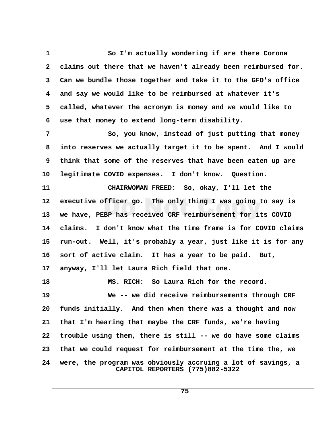1 So I'm actually wondering if are there Corona  **2 claims out there that we haven't already been reimbursed for. 3 Can we bundle those together and take it to the GFO's office 4 and say we would like to be reimbursed at whatever it's 5 called, whatever the acronym is money and we would like to 6 use that money to extend long-term disability. 7** So, you know, instead of just putting that money  **8 into reserves we actually target it to be spent. And I would 9 think that some of the reserves that have been eaten up are 10 legitimate COVID expenses. I don't know. Question. 11 CHAIRWOMAN FREED: So, okay, I'll let the 12 executive officer go. The only thing I was going to say is 13 we have, PEBP has received CRF reimbursement for its COVID 14 claims. I don't know what the time frame is for COVID claims 15 run-out. Well, it's probably a year, just like it is for any 16 sort of active claim. It has a year to be paid. But, 17 anyway, I'll let Laura Rich field that one. 18 MS. RICH: So Laura Rich for the record. 19 We -- we did receive reimbursements through CRF 20 funds initially. And then when there was a thought and now 21 that I'm hearing that maybe the CRF funds, we're having 22 trouble using them, there is still -- we do have some claims 23 that we could request for reimbursement at the time the, we 24 were, the program was obviously accruing a lot of savings, a CAPITOL REPORTERS (775)882-5322**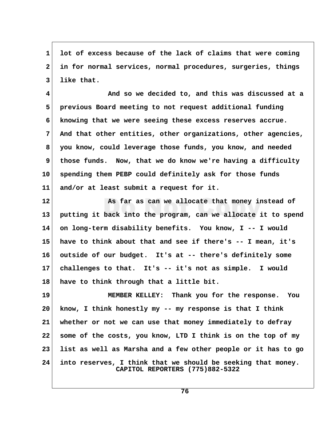**1 lot of excess because of the lack of claims that were coming 2 in for normal services, normal procedures, surgeries, things 3 like that.**

 **4 And so we decided to, and this was discussed at a 5 previous Board meeting to not request additional funding 6 knowing that we were seeing these excess reserves accrue. 7 And that other entities, other organizations, other agencies, 8 you know, could leverage those funds, you know, and needed 9 those funds. Now, that we do know we're having a difficulty 10 spending them PEBP could definitely ask for those funds 11 and/or at least submit a request for it.**

**12 As far as can we allocate that money instead of 13 putting it back into the program, can we allocate it to spend 14 on long-term disability benefits. You know, I -- I would 15 have to think about that and see if there's -- I mean, it's 16 outside of our budget. It's at -- there's definitely some 17 challenges to that. It's -- it's not as simple. I would 18 have to think through that a little bit.**

**19 MEMBER KELLEY: Thank you for the response. You 20 know, I think honestly my -- my response is that I think 21 whether or not we can use that money immediately to defray 22 some of the costs, you know, LTD I think is on the top of my 23 list as well as Marsha and a few other people or it has to go 24 into reserves, I think that we should be seeking that money. CAPITOL REPORTERS (775)882-5322**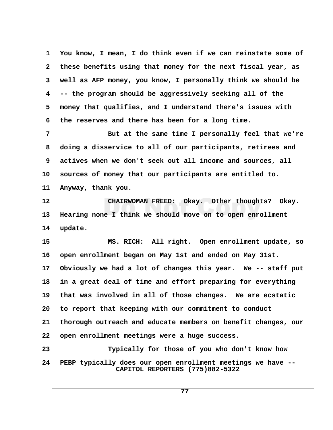**1 You know, I mean, I do think even if we can reinstate some of 2 these benefits using that money for the next fiscal year, as 3 well as AFP money, you know, I personally think we should be 4 -- the program should be aggressively seeking all of the 5 money that qualifies, and I understand there's issues with 6 the reserves and there has been for a long time. 7** But at the same time I personally feel that we're  **8 doing a disservice to all of our participants, retirees and 9 actives when we don't seek out all income and sources, all 10 sources of money that our participants are entitled to. 11 Anyway, thank you. 12 CHAIRWOMAN FREED: Okay. Other thoughts? Okay. 13 Hearing none I think we should move on to open enrollment 14 update. 15 MS. RICH: All right. Open enrollment update, so 16 open enrollment began on May 1st and ended on May 31st. 17 Obviously we had a lot of changes this year. We -- staff put 18 in a great deal of time and effort preparing for everything 19 that was involved in all of those changes. We are ecstatic 20 to report that keeping with our commitment to conduct 21 thorough outreach and educate members on benefit changes, our 22 open enrollment meetings were a huge success. 23 Typically for those of you who don't know how 24 PEBP typically does our open enrollment meetings we have -- CAPITOL REPORTERS (775)882-5322**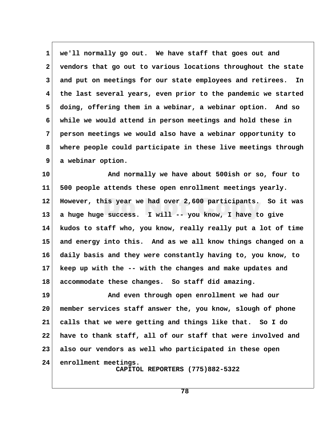**1 we'll normally go out. We have staff that goes out and 2 vendors that go out to various locations throughout the state 3 and put on meetings for our state employees and retirees. In 4 the last several years, even prior to the pandemic we started 5 doing, offering them in a webinar, a webinar option. And so 6 while we would attend in person meetings and hold these in 7 person meetings we would also have a webinar opportunity to 8 where people could participate in these live meetings through 9 a webinar option.**

**10 And normally we have about 500ish or so, four to 11 500 people attends these open enrollment meetings yearly. 12 However, this year we had over 2,600 participants. So it was 13 a huge huge success. I will -- you know, I have to give 14 kudos to staff who, you know, really really put a lot of time 15 and energy into this. And as we all know things changed on a 16 daily basis and they were constantly having to, you know, to 17 keep up with the -- with the changes and make updates and 18 accommodate these changes. So staff did amazing.**

**19 And even through open enrollment we had our 20 member services staff answer the, you know, slough of phone 21 calls that we were getting and things like that. So I do 22 have to thank staff, all of our staff that were involved and 23 also our vendors as well who participated in these open 24 enrollment meetings. CAPITOL REPORTERS (775)882-5322**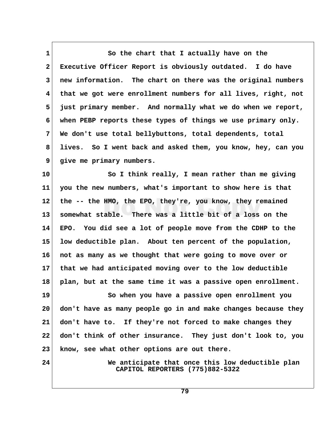1 So the chart that I actually have on the  **2 Executive Officer Report is obviously outdated. I do have 3 new information. The chart on there was the original numbers 4 that we got were enrollment numbers for all lives, right, not 5 just primary member. And normally what we do when we report, 6 when PEBP reports these types of things we use primary only. 7 We don't use total bellybuttons, total dependents, total 8 lives. So I went back and asked them, you know, hey, can you 9 give me primary numbers.**

**10 So I think really, I mean rather than me giving 11 you the new numbers, what's important to show here is that 12 the -- the HMO, the EPO, they're, you know, they remained 13 somewhat stable. There was a little bit of a loss on the 14 EPO. You did see a lot of people move from the CDHP to the 15 low deductible plan. About ten percent of the population, 16 not as many as we thought that were going to move over or 17 that we had anticipated moving over to the low deductible 18 plan, but at the same time it was a passive open enrollment.**

**19 So when you have a passive open enrollment you 20 don't have as many people go in and make changes because they 21 don't have to. If they're not forced to make changes they 22 don't think of other insurance. They just don't look to, you 23 know, see what other options are out there.**

**24 We anticipate that once this low deductible plan CAPITOL REPORTERS (775)882-5322**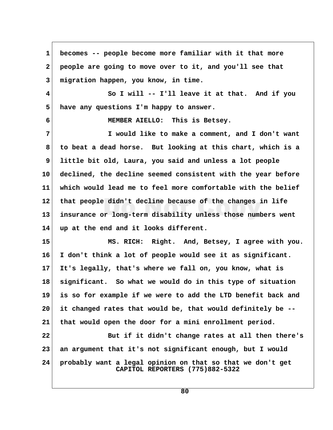**1 becomes -- people become more familiar with it that more 2 people are going to move over to it, and you'll see that 3 migration happen, you know, in time. 4 So I will -- I'll leave it at that. And if you 5 have any questions I'm happy to answer. 6 MEMBER AIELLO: This is Betsey. 7 I would like to make a comment, and I don't want 8 to beat a dead horse. But looking at this chart, which is a 9 little bit old, Laura, you said and unless a lot people 10 declined, the decline seemed consistent with the year before 11 which would lead me to feel more comfortable with the belief 12 that people didn't decline because of the changes in life 13 insurance or long-term disability unless those numbers went 14 up at the end and it looks different. 15 MS. RICH: Right. And, Betsey, I agree with you. 16 I don't think a lot of people would see it as significant. 17 It's legally, that's where we fall on, you know, what is 18 significant. So what we would do in this type of situation 19 is so for example if we were to add the LTD benefit back and 20 it changed rates that would be, that would definitely be -- 21 that would open the door for a mini enrollment period. 22 But if it didn't change rates at all then there's 23 an argument that it's not significant enough, but I would 24 probably want a legal opinion on that so that we don't get CAPITOL REPORTERS (775)882-5322**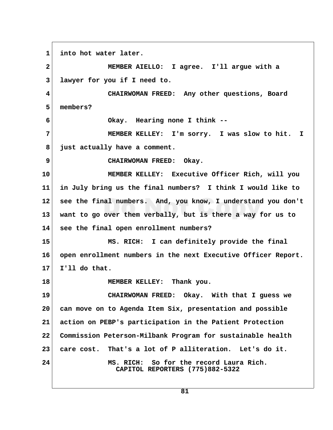**1 into hot water later. 2 MEMBER AIELLO: I agree. I'll argue with a 3 lawyer for you if I need to. 4 CHAIRWOMAN FREED: Any other questions, Board 5 members? 6 Okay. Hearing none I think -- 7 MEMBER KELLEY: I'm sorry. I was slow to hit. I 8 just actually have a comment. 9** CHAIRWOMAN FREED: Okay. **10 MEMBER KELLEY: Executive Officer Rich, will you 11 in July bring us the final numbers? I think I would like to 12 see the final numbers. And, you know, I understand you don't 13 want to go over them verbally, but is there a way for us to 14 see the final open enrollment numbers? 15 MS. RICH: I can definitely provide the final 16 open enrollment numbers in the next Executive Officer Report. 17 I'll do that. 18 MEMBER KELLEY: Thank you. 19 CHAIRWOMAN FREED: Okay. With that I guess we 20 can move on to Agenda Item Six, presentation and possible 21 action on PEBP's participation in the Patient Protection 22 Commission Peterson-Milbank Program for sustainable health 23 care cost. That's a lot of P alliteration. Let's do it. 24 MS. RICH: So for the record Laura Rich. CAPITOL REPORTERS (775)882-5322**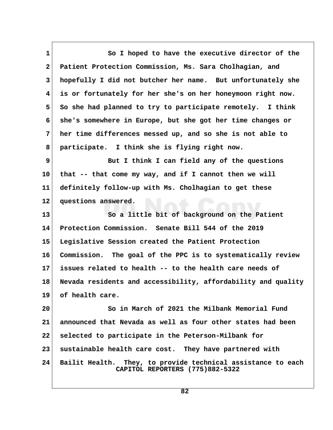1 So I hoped to have the executive director of the  **2 Patient Protection Commission, Ms. Sara Cholhagian, and 3 hopefully I did not butcher her name. But unfortunately she 4 is or fortunately for her she's on her honeymoon right now.** 5 So she had planned to try to participate remotely. I think  **6 she's somewhere in Europe, but she got her time changes or 7 her time differences messed up, and so she is not able to 8 participate. I think she is flying right now. 9** But I think I can field any of the questions **10 that -- that come my way, and if I cannot then we will 11 definitely follow-up with Ms. Cholhagian to get these 12 questions answered. 13 So a little bit of background on the Patient 14 Protection Commission. Senate Bill 544 of the 2019 15 Legislative Session created the Patient Protection 16 Commission. The goal of the PPC is to systematically review 17 issues related to health -- to the health care needs of 18 Nevada residents and accessibility, affordability and quality 19 of health care. 20 So in March of 2021 the Milbank Memorial Fund 21 announced that Nevada as well as four other states had been 22 selected to participate in the Peterson-Milbank for 23 sustainable health care cost. They have partnered with 24 Bailit Health. They, to provide technical assistance to each CAPITOL REPORTERS (775)882-5322**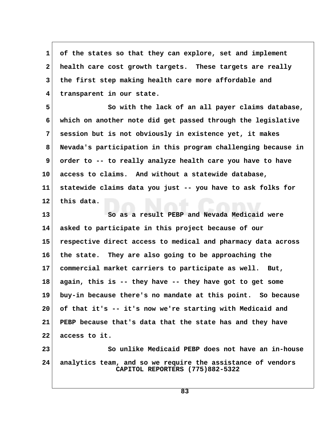**1 of the states so that they can explore, set and implement 2 health care cost growth targets. These targets are really 3 the first step making health care more affordable and 4 transparent in our state.**

 **5 So with the lack of an all payer claims database, 6 which on another note did get passed through the legislative 7 session but is not obviously in existence yet, it makes 8 Nevada's participation in this program challenging because in 9 order to -- to really analyze health care you have to have 10 access to claims. And without a statewide database, 11 statewide claims data you just -- you have to ask folks for 12 this data.**

**13 So as a result PEBP and Nevada Medicaid were 14 asked to participate in this project because of our 15 respective direct access to medical and pharmacy data across 16 the state. They are also going to be approaching the 17 commercial market carriers to participate as well. But, 18 again, this is -- they have -- they have got to get some 19 buy-in because there's no mandate at this point. So because 20 of that it's -- it's now we're starting with Medicaid and 21 PEBP because that's data that the state has and they have 22 access to it.**

**23 So unlike Medicaid PEBP does not have an in-house 24 analytics team, and so we require the assistance of vendors CAPITOL REPORTERS (775)882-5322**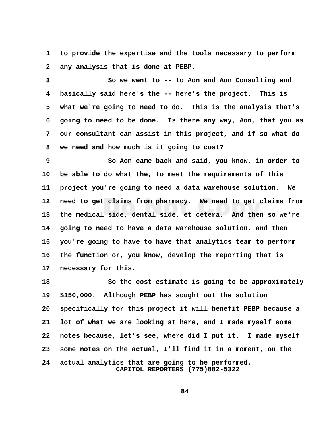**1 to provide the expertise and the tools necessary to perform** 2 any analysis that is done at PEBP.

**3** So we went to -- to Aon and Aon Consulting and  **4 basically said here's the -- here's the project. This is 5 what we're going to need to do. This is the analysis that's 6 going to need to be done. Is there any way, Aon, that you as 7 our consultant can assist in this project, and if so what do 8 we need and how much is it going to cost?**

**9** So Aon came back and said, you know, in order to **10 be able to do what the, to meet the requirements of this 11 project you're going to need a data warehouse solution. We 12 need to get claims from pharmacy. We need to get claims from 13 the medical side, dental side, et cetera. And then so we're 14 going to need to have a data warehouse solution, and then 15 you're going to have to have that analytics team to perform 16 the function or, you know, develop the reporting that is 17 necessary for this.**

**18 So the cost estimate is going to be approximately 19 \$150,000. Although PEBP has sought out the solution 20 specifically for this project it will benefit PEBP because a 21 lot of what we are looking at here, and I made myself some 22 notes because, let's see, where did I put it. I made myself 23 some notes on the actual, I'll find it in a moment, on the 24 actual analytics that are going to be performed. CAPITOL REPORTERS (775)882-5322**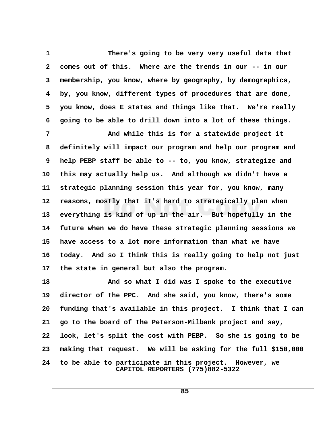1 There's going to be very very useful data that  **2 comes out of this. Where are the trends in our -- in our 3 membership, you know, where by geography, by demographics, 4 by, you know, different types of procedures that are done, 5 you know, does E states and things like that. We're really 6 going to be able to drill down into a lot of these things.**

 **7 And while this is for a statewide project it 8 definitely will impact our program and help our program and 9 help PEBP staff be able to -- to, you know, strategize and 10 this may actually help us. And although we didn't have a 11 strategic planning session this year for, you know, many 12 reasons, mostly that it's hard to strategically plan when 13 everything is kind of up in the air. But hopefully in the 14 future when we do have these strategic planning sessions we 15 have access to a lot more information than what we have 16 today. And so I think this is really going to help not just 17 the state in general but also the program.**

18 And so what I did was I spoke to the executive **19 director of the PPC. And she said, you know, there's some 20 funding that's available in this project. I think that I can 21 go to the board of the Peterson-Milbank project and say, 22 look, let's split the cost with PEBP. So she is going to be 23 making that request. We will be asking for the full \$150,000 24 to be able to participate in this project. However, we CAPITOL REPORTERS (775)882-5322**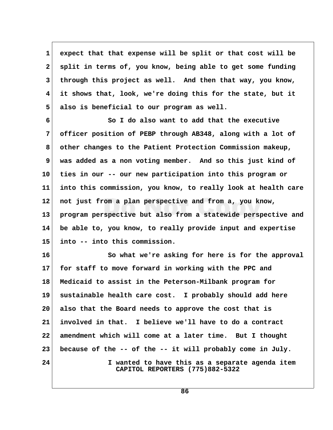**1 expect that that expense will be split or that cost will be 2 split in terms of, you know, being able to get some funding 3 through this project as well. And then that way, you know, 4 it shows that, look, we're doing this for the state, but it 5 also is beneficial to our program as well.**

 **6 So I do also want to add that the executive 7 officer position of PEBP through AB348, along with a lot of 8 other changes to the Patient Protection Commission makeup, 9 was added as a non voting member. And so this just kind of 10 ties in our -- our new participation into this program or 11 into this commission, you know, to really look at health care 12 not just from a plan perspective and from a, you know, 13 program perspective but also from a statewide perspective and 14 be able to, you know, to really provide input and expertise 15 into -- into this commission.**

**16 So what we're asking for here is for the approval 17 for staff to move forward in working with the PPC and 18 Medicaid to assist in the Peterson-Milbank program for 19 sustainable health care cost. I probably should add here 20 also that the Board needs to approve the cost that is 21 involved in that. I believe we'll have to do a contract 22 amendment which will come at a later time. But I thought 23 because of the -- of the -- it will probably come in July. 24 I wanted to have this as a separate agenda item CAPITOL REPORTERS (775)882-5322**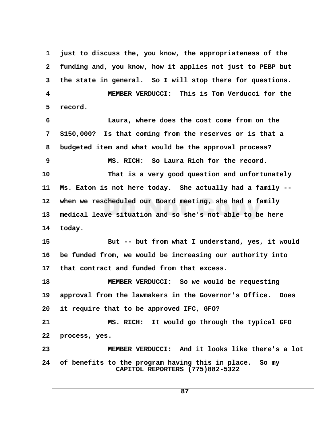**1 just to discuss the, you know, the appropriateness of the 2 funding and, you know, how it applies not just to PEBP but 3 the state in general. So I will stop there for questions. 4 MEMBER VERDUCCI: This is Tom Verducci for the 5 record. 6 Laura, where does the cost come from on the 7 \$150,000? Is that coming from the reserves or is that a 8 budgeted item and what would be the approval process? 9 MS. RICH: So Laura Rich for the record. 10 That is a very good question and unfortunately 11 Ms. Eaton is not here today. She actually had a family -- 12 when we rescheduled our Board meeting, she had a family 13 medical leave situation and so she's not able to be here 14 today. 15 But -- but from what I understand, yes, it would 16 be funded from, we would be increasing our authority into 17 that contract and funded from that excess. 18 MEMBER VERDUCCI: So we would be requesting 19 approval from the lawmakers in the Governor's Office. Does 20 it require that to be approved IFC, GFO? 21 MS. RICH: It would go through the typical GFO 22 process, yes. 23 MEMBER VERDUCCI: And it looks like there's a lot 24 of benefits to the program having this in place. So my CAPITOL REPORTERS (775)882-5322**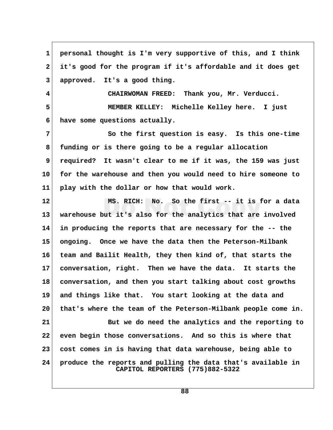**1 personal thought is I'm very supportive of this, and I think 2 it's good for the program if it's affordable and it does get 3 approved. It's a good thing. 4 CHAIRWOMAN FREED: Thank you, Mr. Verducci. 5 MEMBER KELLEY: Michelle Kelley here. I just 6 have some questions actually. 7** So the first question is easy. Is this one-time  **8 funding or is there going to be a regular allocation 9 required? It wasn't clear to me if it was, the 159 was just 10 for the warehouse and then you would need to hire someone to 11 play with the dollar or how that would work. 12 MS. RICH: No. So the first -- it is for a data 13 warehouse but it's also for the analytics that are involved 14 in producing the reports that are necessary for the -- the 15 ongoing. Once we have the data then the Peterson-Milbank 16 team and Bailit Health, they then kind of, that starts the 17 conversation, right. Then we have the data. It starts the 18 conversation, and then you start talking about cost growths 19 and things like that. You start looking at the data and 20 that's where the team of the Peterson-Milbank people come in. 21 But we do need the analytics and the reporting to 22 even begin those conversations. And so this is where that 23 cost comes in is having that data warehouse, being able to**

**24 produce the reports and pulling the data that's available in CAPITOL REPORTERS (775)882-5322**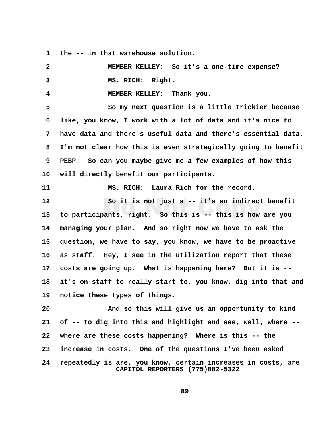**1 the -- in that warehouse solution. 2 MEMBER KELLEY: So it's a one-time expense? 3 MS. RICH: Right. 4 MEMBER KELLEY: Thank you. 5 So my next question is a little trickier because 6 like, you know, I work with a lot of data and it's nice to 7 have data and there's useful data and there's essential data. 8 I'm not clear how this is even strategically going to benefit 9 PEBP. So can you maybe give me a few examples of how this 10 will directly benefit our participants. 11 MS. RICH: Laura Rich for the record. 12 So it is not just a -- it's an indirect benefit 13 to participants, right. So this is -- this is how are you 14 managing your plan. And so right now we have to ask the 15 question, we have to say, you know, we have to be proactive 16 as staff. Hey, I see in the utilization report that these 17 costs are going up. What is happening here? But it is -- 18 it's on staff to really start to, you know, dig into that and 19 notice these types of things. 20 And so this will give us an opportunity to kind 21 of -- to dig into this and highlight and see, well, where -- 22 where are these costs happening? Where is this -- the 23 increase in costs. One of the questions I've been asked 24 repeatedly is are, you know, certain increases in costs, are CAPITOL REPORTERS (775)882-5322**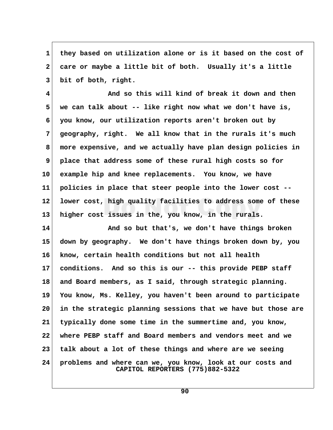**1 they based on utilization alone or is it based on the cost of 2 care or maybe a little bit of both. Usually it's a little 3 bit of both, right.**

 **4 And so this will kind of break it down and then 5 we can talk about -- like right now what we don't have is, 6 you know, our utilization reports aren't broken out by 7 geography, right. We all know that in the rurals it's much 8 more expensive, and we actually have plan design policies in 9 place that address some of these rural high costs so for 10 example hip and knee replacements. You know, we have 11 policies in place that steer people into the lower cost -- 12 lower cost, high quality facilities to address some of these 13 higher cost issues in the, you know, in the rurals.**

**14 And so but that's, we don't have things broken 15 down by geography. We don't have things broken down by, you 16 know, certain health conditions but not all health 17 conditions. And so this is our -- this provide PEBP staff 18 and Board members, as I said, through strategic planning. 19 You know, Ms. Kelley, you haven't been around to participate 20 in the strategic planning sessions that we have but those are 21 typically done some time in the summertime and, you know, 22 where PEBP staff and Board members and vendors meet and we 23 talk about a lot of these things and where are we seeing 24 problems and where can we, you know, look at our costs and CAPITOL REPORTERS (775)882-5322**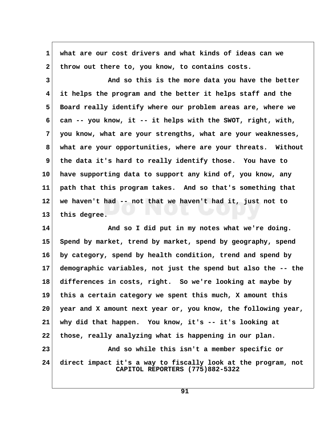**1 what are our cost drivers and what kinds of ideas can we** 2 throw out there to, you know, to contains costs.  **3 And so this is the more data you have the better 4 it helps the program and the better it helps staff and the 5 Board really identify where our problem areas are, where we 6 can -- you know, it -- it helps with the SWOT, right, with, 7 you know, what are your strengths, what are your weaknesses, 8 what are your opportunities, where are your threats. Without 9 the data it's hard to really identify those. You have to 10 have supporting data to support any kind of, you know, any 11 path that this program takes. And so that's something that 12 we haven't had -- not that we haven't had it, just not to 13 this degree. 14 And so I did put in my notes what we're doing. 15 Spend by market, trend by market, spend by geography, spend 16 by category, spend by health condition, trend and spend by 17 demographic variables, not just the spend but also the -- the 18 differences in costs, right. So we're looking at maybe by 19 this a certain category we spent this much, X amount this 20 year and X amount next year or, you know, the following year, 21 why did that happen. You know, it's -- it's looking at 22 those, really analyzing what is happening in our plan.**

**24 direct impact it's a way to fiscally look at the program, not CAPITOL REPORTERS (775)882-5322**

23 And so while this isn't a member specific or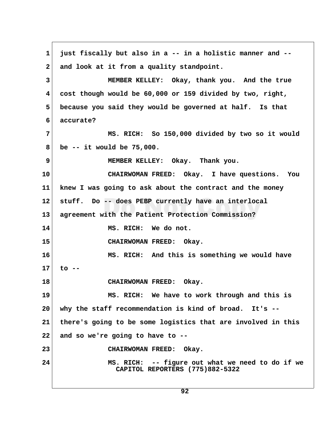**1 just fiscally but also in a -- in a holistic manner and --** 2 and look at it from a quality standpoint.  **3 MEMBER KELLEY: Okay, thank you. And the true 4 cost though would be 60,000 or 159 divided by two, right, 5 because you said they would be governed at half. Is that 6 accurate? 7 MS. RICH: So 150,000 divided by two so it would 8 be -- it would be 75,000. 9 MEMBER KELLEY: Okay. Thank you. 10 CHAIRWOMAN FREED: Okay. I have questions. You 11 knew I was going to ask about the contract and the money 12 stuff. Do -- does PEBP currently have an interlocal 13 agreement with the Patient Protection Commission? 14 MS. RICH: We do not. 15 CHAIRWOMAN FREED: Okay. 16 MS. RICH: And this is something we would have 17 to -- 18 CHAIRWOMAN FREED: Okay. 19 MS. RICH: We have to work through and this is 20 why the staff recommendation is kind of broad. It's -- 21 there's going to be some logistics that are involved in this 22 and so we're going to have to -- 23 CHAIRWOMAN FREED: Okay. 24 MS. RICH: -- figure out what we need to do if we CAPITOL REPORTERS (775)882-5322**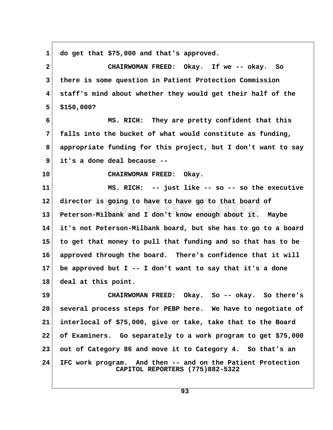**1 do get that \$75,000 and that's approved. 2 CHAIRWOMAN FREED: Okay. If we -- okay. So 3 there is some question in Patient Protection Commission 4 staff's mind about whether they would get their half of the 5 \$150,000? 6 MS. RICH: They are pretty confident that this 7 falls into the bucket of what would constitute as funding, 8 appropriate funding for this project, but I don't want to say 9 it's a done deal because -- 10 CHAIRWOMAN FREED: Okay. 11 MS. RICH: -- just like -- so -- so the executive 12 director is going to have to have go to that board of 13 Peterson-Milbank and I don't know enough about it. Maybe 14 it's not Peterson-Milbank board, but she has to go to a board 15 to get that money to pull that funding and so that has to be 16 approved through the board. There's confidence that it will 17 be approved but I -- I don't want to say that it's a done 18 deal at this point. 19 CHAIRWOMAN FREED: Okay. So -- okay. So there's 20 several process steps for PEBP here. We have to negotiate of 21 interlocal of \$75,000, give or take, take that to the Board 22 of Examiners. Go separately to a work program to get \$75,000 23 out of Category 86 and move it to Category 4. So that's an 24 IFC work program. And then -- and on the Patient Protection CAPITOL REPORTERS (775)882-5322**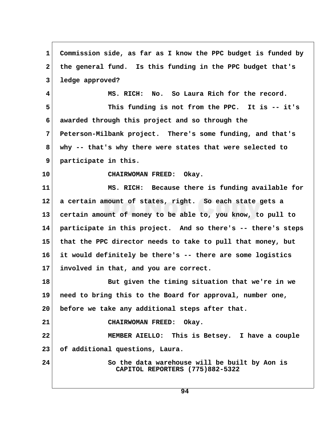**1 Commission side, as far as I know the PPC budget is funded by 2 the general fund. Is this funding in the PPC budget that's 3 ledge approved? 4 MS. RICH: No. So Laura Rich for the record. 5 This funding is not from the PPC. It is -- it's 6 awarded through this project and so through the 7 Peterson-Milbank project. There's some funding, and that's 8 why -- that's why there were states that were selected to 9 participate in this. 10 CHAIRWOMAN FREED: Okay. 11 MS. RICH: Because there is funding available for 12 a certain amount of states, right. So each state gets a 13 certain amount of money to be able to, you know, to pull to 14 participate in this project. And so there's -- there's steps 15 that the PPC director needs to take to pull that money, but 16 it would definitely be there's -- there are some logistics 17 involved in that, and you are correct. 18 But given the timing situation that we're in we 19 need to bring this to the Board for approval, number one, 20 before we take any additional steps after that. 21 CHAIRWOMAN FREED: Okay. 22 MEMBER AIELLO: This is Betsey. I have a couple 23 of additional questions, Laura. 24 So the data warehouse will be built by Aon is CAPITOL REPORTERS (775)882-5322**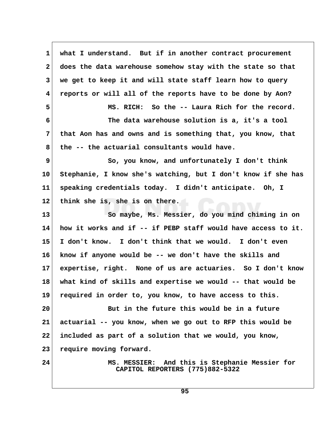**1 what I understand. But if in another contract procurement 2 does the data warehouse somehow stay with the state so that 3 we get to keep it and will state staff learn how to query 4 reports or will all of the reports have to be done by Aon? 5 MS. RICH: So the -- Laura Rich for the record. 6 The data warehouse solution is a, it's a tool 7 that Aon has and owns and is something that, you know, that 8 the -- the actuarial consultants would have. 9** So, you know, and unfortunately I don't think **10 Stephanie, I know she's watching, but I don't know if she has 11 speaking credentials today. I didn't anticipate. Oh, I 12 think she is, she is on there. 13 So maybe, Ms. Messier, do you mind chiming in on 14 how it works and if -- if PEBP staff would have access to it. 15 I don't know. I don't think that we would. I don't even 16 know if anyone would be -- we don't have the skills and 17 expertise, right. None of us are actuaries. So I don't know 18 what kind of skills and expertise we would -- that would be 19 required in order to, you know, to have access to this. 20 But in the future this would be in a future 21 actuarial -- you know, when we go out to RFP this would be 22 included as part of a solution that we would, you know, 23 require moving forward. 24 MS. MESSIER: And this is Stephanie Messier for CAPITOL REPORTERS (775)882-5322**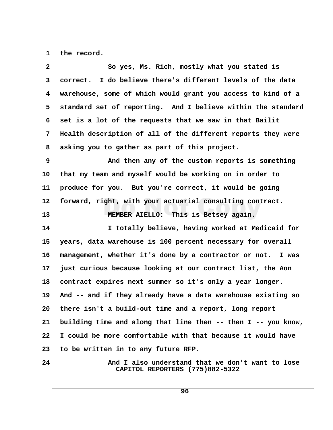1 the record.

| $\mathbf{2}$    | So yes, Ms. Rich, mostly what you stated is                                         |  |
|-----------------|-------------------------------------------------------------------------------------|--|
| 3               | correct. I do believe there's different levels of the data                          |  |
| 4               | warehouse, some of which would grant you access to kind of a                        |  |
| 5               | standard set of reporting. And I believe within the standard                        |  |
| 6               | set is a lot of the requests that we saw in that Bailit                             |  |
| 7               | Health description of all of the different reports they were                        |  |
| 8               | asking you to gather as part of this project.                                       |  |
| 9               | And then any of the custom reports is something                                     |  |
| 10 <sup>°</sup> | that my team and myself would be working on in order to                             |  |
| 11              | produce for you. But you're correct, it would be going                              |  |
| $12 \,$         | forward, right, with your actuarial consulting contract.                            |  |
| 13              | MEMBER AIELLO: This is Betsey again.                                                |  |
| 14              | I totally believe, having worked at Medicaid for                                    |  |
| 15              | years, data warehouse is 100 percent necessary for overall                          |  |
| 16              | management, whether it's done by a contractor or not. I was                         |  |
| 17              | just curious because looking at our contract list, the Aon                          |  |
| 18              | contract expires next summer so it's only a year longer.                            |  |
| 19              | And -- and if they already have a data warehouse existing so                        |  |
| $20\,$          | there isn't a build-out time and a report, long report                              |  |
| 21              | building time and along that line then -- then I -- you know,                       |  |
| 22              | I could be more comfortable with that because it would have                         |  |
| 23              | to be written in to any future RFP.                                                 |  |
| 24              | And I also understand that we don't want to lose<br>CAPITOL REPORTERS (775)882-5322 |  |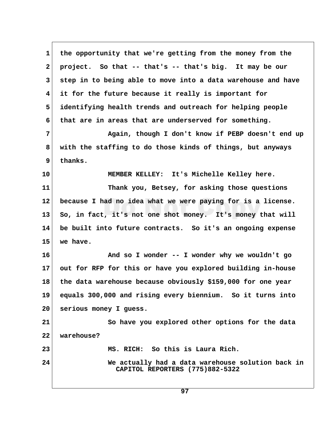1 the opportunity that we're getting from the money from the  **2 project. So that -- that's -- that's big. It may be our 3 step in to being able to move into a data warehouse and have 4 it for the future because it really is important for 5 identifying health trends and outreach for helping people 6 that are in areas that are underserved for something. 7 Again, though I don't know if PEBP doesn't end up 8 with the staffing to do those kinds of things, but anyways 9 thanks. 10 MEMBER KELLEY: It's Michelle Kelley here. 11 Thank you, Betsey, for asking those questions 12 because I had no idea what we were paying for is a license. 13 So, in fact, it's not one shot money. It's money that will 14 be built into future contracts. So it's an ongoing expense 15 we have. 16 And so I wonder -- I wonder why we wouldn't go 17 out for RFP for this or have you explored building in-house 18 the data warehouse because obviously \$159,000 for one year 19 equals 300,000 and rising every biennium. So it turns into 20 serious money I guess. 21 So have you explored other options for the data 22 warehouse? 23 MS. RICH: So this is Laura Rich. 24 We actually had a data warehouse solution back in CAPITOL REPORTERS (775)882-5322**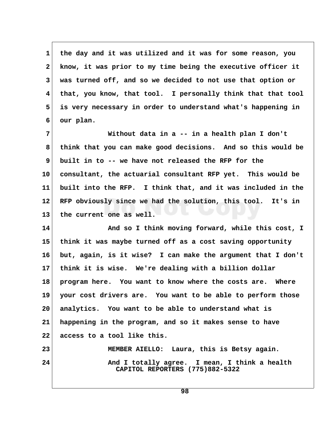**1 the day and it was utilized and it was for some reason, you 2 know, it was prior to my time being the executive officer it 3 was turned off, and so we decided to not use that option or 4 that, you know, that tool. I personally think that that tool 5 is very necessary in order to understand what's happening in 6 our plan.**

 **7 Without data in a -- in a health plan I don't 8 think that you can make good decisions. And so this would be 9 built in to -- we have not released the RFP for the 10 consultant, the actuarial consultant RFP yet. This would be 11 built into the RFP. I think that, and it was included in the 12 RFP obviously since we had the solution, this tool. It's in 13 the current one as well.**

14 And so I think moving forward, while this cost, I **15 think it was maybe turned off as a cost saving opportunity 16 but, again, is it wise? I can make the argument that I don't 17 think it is wise. We're dealing with a billion dollar 18 program here. You want to know where the costs are. Where 19 your cost drivers are. You want to be able to perform those 20 analytics. You want to be able to understand what is 21 happening in the program, and so it makes sense to have 22 access to a tool like this.**

**23 MEMBER AIELLO: Laura, this is Betsy again. 24 And I totally agree. I mean, I think a health CAPITOL REPORTERS (775)882-5322**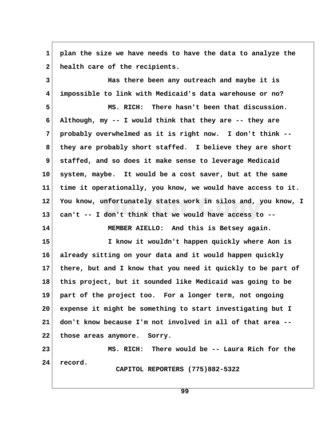**1 plan the size we have needs to have the data to analyze the** 2 health care of the recipients.

 **3 Has there been any outreach and maybe it is 4 impossible to link with Medicaid's data warehouse or no?**

 **5 MS. RICH: There hasn't been that discussion. 6 Although, my -- I would think that they are -- they are 7 probably overwhelmed as it is right now. I don't think -- 8 they are probably short staffed. I believe they are short 9 staffed, and so does it make sense to leverage Medicaid 10 system, maybe. It would be a cost saver, but at the same 11 time it operationally, you know, we would have access to it. 12 You know, unfortunately states work in silos and, you know, I 13 can't -- I don't think that we would have access to --**

**14 MEMBER AIELLO: And this is Betsey again.**

**15 I know it wouldn't happen quickly where Aon is 16 already sitting on your data and it would happen quickly 17 there, but and I know that you need it quickly to be part of 18 this project, but it sounded like Medicaid was going to be 19 part of the project too. For a longer term, not ongoing 20 expense it might be something to start investigating but I 21 don't know because I'm not involved in all of that area -- 22 those areas anymore. Sorry.**

**23 MS. RICH: There would be -- Laura Rich for the 24 record. CAPITOL REPORTERS (775)882-5322**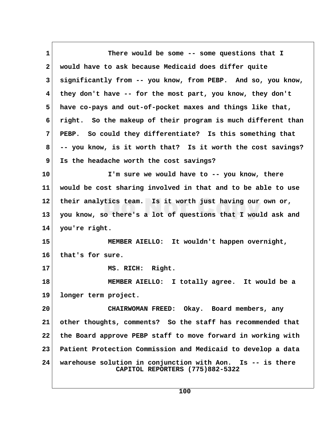1 There would be some -- some questions that I  **2 would have to ask because Medicaid does differ quite 3 significantly from -- you know, from PEBP. And so, you know, 4 they don't have -- for the most part, you know, they don't 5 have co-pays and out-of-pocket maxes and things like that, 6 right. So the makeup of their program is much different than 7 PEBP. So could they differentiate? Is this something that 8 -- you know, is it worth that? Is it worth the cost savings? 9 Is the headache worth the cost savings? 10 I'm sure we would have to -- you know, there 11 would be cost sharing involved in that and to be able to use 12 their analytics team. Is it worth just having our own or, 13 you know, so there's a lot of questions that I would ask and 14 you're right. 15 MEMBER AIELLO: It wouldn't happen overnight, 16 that's for sure. 17 MS. RICH: Right. 18 MEMBER AIELLO: I totally agree. It would be a 19 longer term project. 20 CHAIRWOMAN FREED: Okay. Board members, any 21 other thoughts, comments? So the staff has recommended that 22 the Board approve PEBP staff to move forward in working with 23 Patient Protection Commission and Medicaid to develop a data 24 warehouse solution in conjunction with Aon. Is -- is there CAPITOL REPORTERS (775)882-5322**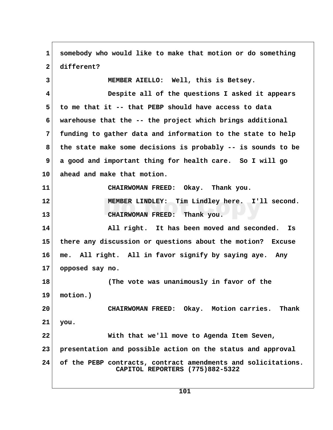**1 somebody who would like to make that motion or do something 2 different? 3 MEMBER AIELLO: Well, this is Betsey. 4 Despite all of the questions I asked it appears 5 to me that it -- that PEBP should have access to data 6 warehouse that the -- the project which brings additional 7 funding to gather data and information to the state to help 8 the state make some decisions is probably -- is sounds to be 9 a good and important thing for health care. So I will go 10 ahead and make that motion. 11 CHAIRWOMAN FREED: Okay. Thank you. 12 MEMBER LINDLEY: Tim Lindley here. I'll second. 13 CHAIRWOMAN FREED: Thank you. 14 All right. It has been moved and seconded. Is 15 there any discussion or questions about the motion? Excuse 16 me. All right. All in favor signify by saying aye. Any 17 opposed say no. 18 (The vote was unanimously in favor of the 19 motion.) 20 CHAIRWOMAN FREED: Okay. Motion carries. Thank 21 you. 22 With that we'll move to Agenda Item Seven, 23 presentation and possible action on the status and approval 24 of the PEBP contracts, contract amendments and solicitations. CAPITOL REPORTERS (775)882-5322**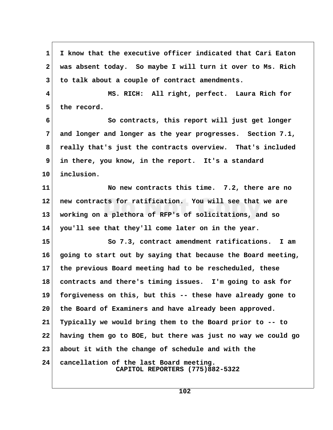**1 I know that the executive officer indicated that Cari Eaton 2 was absent today. So maybe I will turn it over to Ms. Rich 3 to talk about a couple of contract amendments. 4 MS. RICH: All right, perfect. Laura Rich for** 5 the record.  **6 So contracts, this report will just get longer 7 and longer and longer as the year progresses. Section 7.1, 8 really that's just the contracts overview. That's included 9 in there, you know, in the report. It's a standard 10 inclusion. 11 No new contracts this time. 7.2, there are no 12 new contracts for ratification. You will see that we are 13 working on a plethora of RFP's of solicitations, and so 14 you'll see that they'll come later on in the year. 15 So 7.3, contract amendment ratifications. I am 16 going to start out by saying that because the Board meeting, 17 the previous Board meeting had to be rescheduled, these 18 contracts and there's timing issues. I'm going to ask for 19 forgiveness on this, but this -- these have already gone to 20 the Board of Examiners and have already been approved. 21 Typically we would bring them to the Board prior to -- to 22 having them go to BOE, but there was just no way we could go 23 about it with the change of schedule and with the 24 cancellation of the last Board meeting. CAPITOL REPORTERS (775)882-5322**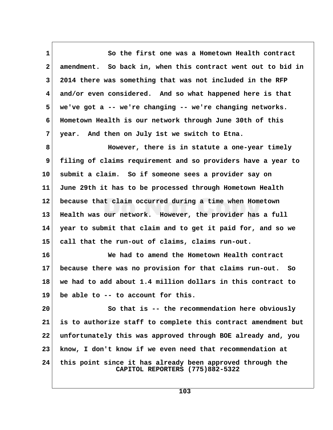**1 So the first one was a Hometown Health contract 2 amendment. So back in, when this contract went out to bid in 3 2014 there was something that was not included in the RFP 4 and/or even considered. And so what happened here is that 5 we've got a -- we're changing -- we're changing networks. 6 Hometown Health is our network through June 30th of this 7 year. And then on July 1st we switch to Etna.**

 **8 However, there is in statute a one-year timely 9 filing of claims requirement and so providers have a year to 10 submit a claim. So if someone sees a provider say on 11 June 29th it has to be processed through Hometown Health 12 because that claim occurred during a time when Hometown 13 Health was our network. However, the provider has a full 14 year to submit that claim and to get it paid for, and so we 15 call that the run-out of claims, claims run-out.**

**16 We had to amend the Hometown Health contract 17 because there was no provision for that claims run-out. So 18 we had to add about 1.4 million dollars in this contract to 19 be able to -- to account for this.**

**20 So that is -- the recommendation here obviously 21 is to authorize staff to complete this contract amendment but 22 unfortunately this was approved through BOE already and, you 23 know, I don't know if we even need that recommendation at 24 this point since it has already been approved through the CAPITOL REPORTERS (775)882-5322**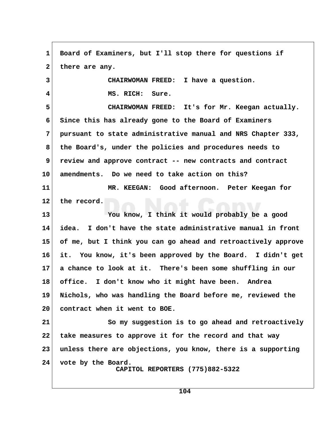1 Board of Examiners, but I'll stop there for questions if 2 there are any.  **3 CHAIRWOMAN FREED: I have a question. 4 MS. RICH: Sure. 5 CHAIRWOMAN FREED: It's for Mr. Keegan actually. 6 Since this has already gone to the Board of Examiners 7 pursuant to state administrative manual and NRS Chapter 333, 8 the Board's, under the policies and procedures needs to 9 review and approve contract -- new contracts and contract 10 amendments. Do we need to take action on this? 11 MR. KEEGAN: Good afternoon. Peter Keegan for 12 the record. 13 You know, I think it would probably be a good 14 idea. I don't have the state administrative manual in front 15 of me, but I think you can go ahead and retroactively approve 16 it. You know, it's been approved by the Board. I didn't get 17 a chance to look at it. There's been some shuffling in our 18 office. I don't know who it might have been. Andrea 19 Nichols, who was handling the Board before me, reviewed the 20 contract when it went to BOE. 21 So my suggestion is to go ahead and retroactively 22 take measures to approve it for the record and that way 23 unless there are objections, you know, there is a supporting 24 vote by the Board. CAPITOL REPORTERS (775)882-5322**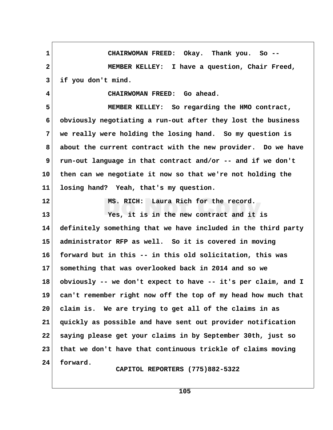**1 CHAIRWOMAN FREED: Okay. Thank you. So -- 2 MEMBER KELLEY: I have a question, Chair Freed, 3 if you don't mind. 4 CHAIRWOMAN FREED: Go ahead. 5 MEMBER KELLEY: So regarding the HMO contract, 6 obviously negotiating a run-out after they lost the business 7 we really were holding the losing hand. So my question is 8 about the current contract with the new provider. Do we have 9 run-out language in that contract and/or -- and if we don't 10 then can we negotiate it now so that we're not holding the 11 losing hand? Yeah, that's my question. 12 MS. RICH: Laura Rich for the record. 13 Yes, it is in the new contract and it is 14 definitely something that we have included in the third party 15 administrator RFP as well. So it is covered in moving 16 forward but in this -- in this old solicitation, this was 17 something that was overlooked back in 2014 and so we 18 obviously -- we don't expect to have -- it's per claim, and I 19 can't remember right now off the top of my head how much that 20 claim is. We are trying to get all of the claims in as 21 quickly as possible and have sent out provider notification 22 saying please get your claims in by September 30th, just so 23 that we don't have that continuous trickle of claims moving 24 forward. CAPITOL REPORTERS (775)882-5322**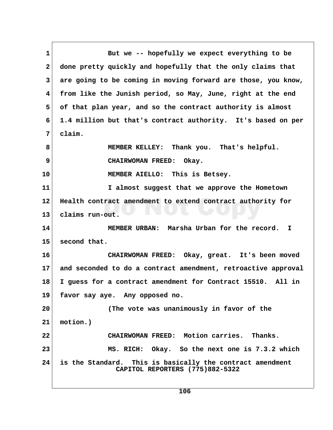1 But we -- hopefully we expect everything to be  **2 done pretty quickly and hopefully that the only claims that 3 are going to be coming in moving forward are those, you know, 4 from like the Junish period, so May, June, right at the end 5 of that plan year, and so the contract authority is almost 6 1.4 million but that's contract authority. It's based on per 7 claim. 8 MEMBER KELLEY: Thank you. That's helpful. 9** CHAIRWOMAN FREED: Okay. **10 MEMBER AIELLO: This is Betsey. 11 I almost suggest that we approve the Hometown 12 Health contract amendment to extend contract authority for 13 claims run-out. 14 MEMBER URBAN: Marsha Urban for the record. I 15 second that. 16 CHAIRWOMAN FREED: Okay, great. It's been moved 17 and seconded to do a contract amendment, retroactive approval 18 I guess for a contract amendment for Contract 15510. All in 19 favor say aye. Any opposed no. 20 (The vote was unanimously in favor of the 21 motion.) 22 CHAIRWOMAN FREED: Motion carries. Thanks. 23 MS. RICH: Okay. So the next one is 7.3.2 which 24 is the Standard. This is basically the contract amendment CAPITOL REPORTERS (775)882-5322**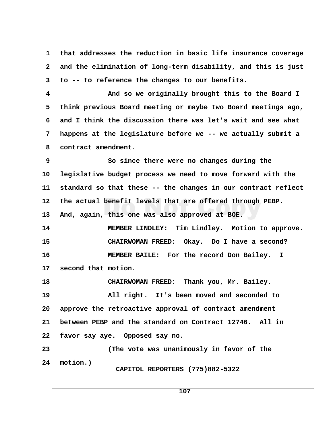**1 that addresses the reduction in basic life insurance coverage 2 and the elimination of long-term disability, and this is just 3 to -- to reference the changes to our benefits. 4 And so we originally brought this to the Board I 5 think previous Board meeting or maybe two Board meetings ago, 6 and I think the discussion there was let's wait and see what 7 happens at the legislature before we -- we actually submit a 8 contract amendment. 9** So since there were no changes during the **10 legislative budget process we need to move forward with the 11 standard so that these -- the changes in our contract reflect 12 the actual benefit levels that are offered through PEBP. 13 And, again, this one was also approved at BOE. 14 MEMBER LINDLEY: Tim Lindley. Motion to approve. 15 CHAIRWOMAN FREED: Okay. Do I have a second? 16 MEMBER BAILE: For the record Don Bailey. I 17 second that motion. 18 CHAIRWOMAN FREED: Thank you, Mr. Bailey. 19 All right. It's been moved and seconded to 20 approve the retroactive approval of contract amendment 21 between PEBP and the standard on Contract 12746. All in 22 favor say aye. Opposed say no. 23 (The vote was unanimously in favor of the 24 motion.) CAPITOL REPORTERS (775)882-5322**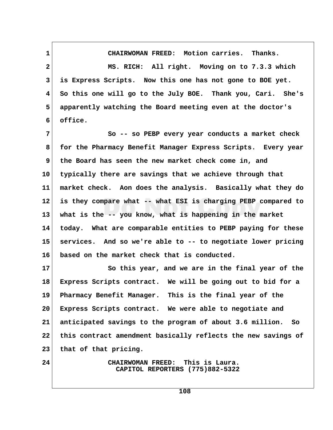**1 CHAIRWOMAN FREED: Motion carries. Thanks. 2 MS. RICH: All right. Moving on to 7.3.3 which 3 is Express Scripts. Now this one has not gone to BOE yet. 4 So this one will go to the July BOE. Thank you, Cari. She's 5 apparently watching the Board meeting even at the doctor's 6 office.**

 **7 So -- so PEBP every year conducts a market check 8 for the Pharmacy Benefit Manager Express Scripts. Every year 9 the Board has seen the new market check come in, and 10 typically there are savings that we achieve through that 11 market check. Aon does the analysis. Basically what they do 12 is they compare what -- what ESI is charging PEBP compared to 13 what is the -- you know, what is happening in the market 14 today. What are comparable entities to PEBP paying for these 15 services. And so we're able to -- to negotiate lower pricing 16 based on the market check that is conducted.**

17 So this year, and we are in the final year of the **18 Express Scripts contract. We will be going out to bid for a 19 Pharmacy Benefit Manager. This is the final year of the 20 Express Scripts contract. We were able to negotiate and 21 anticipated savings to the program of about 3.6 million. So 22 this contract amendment basically reflects the new savings of 23 that of that pricing.**

**24 CHAIRWOMAN FREED: This is Laura. CAPITOL REPORTERS (775)882-5322**

**108**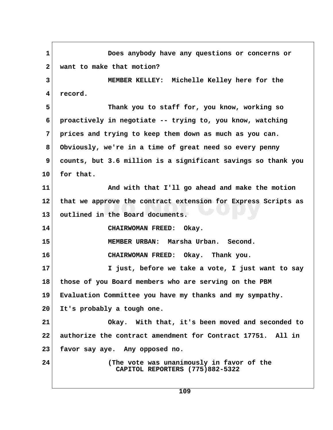**1 Does anybody have any questions or concerns or 2 want to make that motion? 3 MEMBER KELLEY: Michelle Kelley here for the 4 record. 5 Thank you to staff for, you know, working so 6 proactively in negotiate -- trying to, you know, watching 7 prices and trying to keep them down as much as you can. 8 Obviously, we're in a time of great need so every penny 9 counts, but 3.6 million is a significant savings so thank you 10 for that. 11 And with that I'll go ahead and make the motion 12 that we approve the contract extension for Express Scripts as 13 outlined in the Board documents. 14 CHAIRWOMAN FREED: Okay. 15 MEMBER URBAN: Marsha Urban. Second. 16 CHAIRWOMAN FREED: Okay. Thank you. 17 I just, before we take a vote, I just want to say 18 those of you Board members who are serving on the PBM 19 Evaluation Committee you have my thanks and my sympathy. 20 It's probably a tough one. 21 Okay. With that, it's been moved and seconded to 22 authorize the contract amendment for Contract 17751. All in 23 favor say aye. Any opposed no. 24 (The vote was unanimously in favor of the CAPITOL REPORTERS (775)882-5322**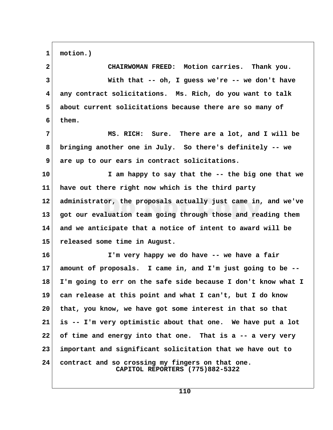**1 motion.)**

 **2 CHAIRWOMAN FREED: Motion carries. Thank you. 3 With that -- oh, I guess we're -- we don't have 4 any contract solicitations. Ms. Rich, do you want to talk 5 about current solicitations because there are so many of 6 them. 7 MS. RICH: Sure. There are a lot, and I will be 8 bringing another one in July. So there's definitely -- we 9 are up to our ears in contract solicitations. 10 I am happy to say that the -- the big one that we 11 have out there right now which is the third party 12 administrator, the proposals actually just came in, and we've 13 got our evaluation team going through those and reading them 14 and we anticipate that a notice of intent to award will be 15 released some time in August. 16 I'm very happy we do have -- we have a fair 17 amount of proposals. I came in, and I'm just going to be -- 18 I'm going to err on the safe side because I don't know what I 19 can release at this point and what I can't, but I do know 20 that, you know, we have got some interest in that so that 21 is -- I'm very optimistic about that one. We have put a lot 22 of time and energy into that one. That is a -- a very very 23 important and significant solicitation that we have out to 24 contract and so crossing my fingers on that one. CAPITOL REPORTERS (775)882-5322**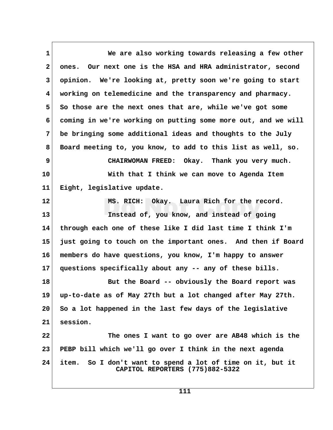**1 We are also working towards releasing a few other 2 ones. Our next one is the HSA and HRA administrator, second 3 opinion. We're looking at, pretty soon we're going to start 4 working on telemedicine and the transparency and pharmacy.** 5 So those are the next ones that are, while we've got some  **6 coming in we're working on putting some more out, and we will 7 be bringing some additional ideas and thoughts to the July 8 Board meeting to, you know, to add to this list as well, so. 9 CHAIRWOMAN FREED: Okay. Thank you very much. 10 With that I think we can move to Agenda Item 11 Eight, legislative update. 12 MS. RICH: Okay. Laura Rich for the record. 13 Instead of, you know, and instead of going 14 through each one of these like I did last time I think I'm 15 just going to touch on the important ones. And then if Board 16 members do have questions, you know, I'm happy to answer 17 questions specifically about any -- any of these bills. 18 But the Board -- obviously the Board report was 19 up-to-date as of May 27th but a lot changed after May 27th. 20 So a lot happened in the last few days of the legislative 21 session. 22 The ones I want to go over are AB48 which is the 23 PEBP bill which we'll go over I think in the next agenda 24 item. So I don't want to spend a lot of time on it, but it CAPITOL REPORTERS (775)882-5322**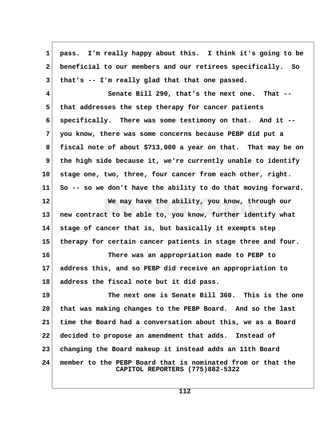| 1            | pass. I'm really happy about this. I think it's going to be                                    |  |
|--------------|------------------------------------------------------------------------------------------------|--|
|              |                                                                                                |  |
| $\mathbf{2}$ | beneficial to our members and our retirees specifically. So                                    |  |
| $\mathbf{3}$ | that's -- I'm really glad that that one passed.                                                |  |
| 4            | Senate Bill 290, that's the next one. That --                                                  |  |
| 5            | that addresses the step therapy for cancer patients                                            |  |
| 6            | specifically. There was some testimony on that. And it --                                      |  |
| 7            | you know, there was some concerns because PEBP did put a                                       |  |
| 8            | fiscal note of about \$713,000 a year on that. That may be on                                  |  |
| 9            | the high side because it, we're currently unable to identify                                   |  |
| 10           | stage one, two, three, four cancer from each other, right.                                     |  |
| 11           | So -- so we don't have the ability to do that moving forward.                                  |  |
| 12           | We may have the ability, you know, through our                                                 |  |
| 13           | new contract to be able to, you know, further identify what                                    |  |
| 14           | stage of cancer that is, but basically it exempts step                                         |  |
| 15           | therapy for certain cancer patients in stage three and four.                                   |  |
| 16           | There was an appropriation made to PEBP to                                                     |  |
| 17           | address this, and so PEBP did receive an appropriation to                                      |  |
| 18           | address the fiscal note but it did pass.                                                       |  |
| 19           | The next one is Senate Bill 360. This is the one                                               |  |
| 20           | that was making changes to the PEBP Board. And so the last                                     |  |
| 21           | time the Board had a conversation about this, we as a Board                                    |  |
| 22           | decided to propose an amendment that adds. Instead of                                          |  |
| 23           | changing the Board makeup it instead adds an 11th Board                                        |  |
| 24           | member to the PEBP Board that is nominated from or that the<br>CAPITOL REPORTERS (775)882-5322 |  |

 $\Gamma$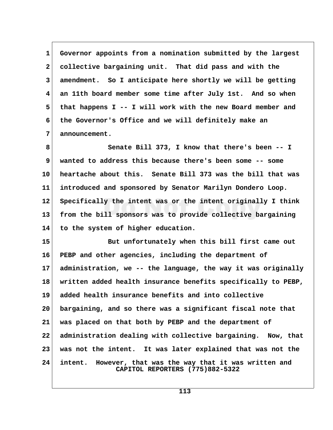**1 Governor appoints from a nomination submitted by the largest 2 collective bargaining unit. That did pass and with the 3 amendment. So I anticipate here shortly we will be getting 4 an 11th board member some time after July 1st. And so when 5 that happens I -- I will work with the new Board member and 6 the Governor's Office and we will definitely make an 7 announcement.**

 **8 Senate Bill 373, I know that there's been -- I 9 wanted to address this because there's been some -- some 10 heartache about this. Senate Bill 373 was the bill that was 11 introduced and sponsored by Senator Marilyn Dondero Loop. 12 Specifically the intent was or the intent originally I think 13 from the bill sponsors was to provide collective bargaining 14 to the system of higher education.**

**15 But unfortunately when this bill first came out 16 PEBP and other agencies, including the department of 17 administration, we -- the language, the way it was originally 18 written added health insurance benefits specifically to PEBP, 19 added health insurance benefits and into collective 20 bargaining, and so there was a significant fiscal note that 21 was placed on that both by PEBP and the department of 22 administration dealing with collective bargaining. Now, that 23 was not the intent. It was later explained that was not the 24 intent. However, that was the way that it was written and CAPITOL REPORTERS (775)882-5322**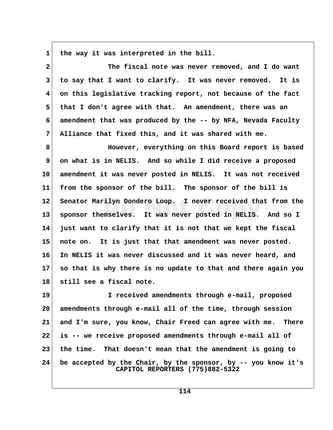1 the way it was interpreted in the bill.

 **2 The fiscal note was never removed, and I do want 3 to say that I want to clarify. It was never removed. It is 4 on this legislative tracking report, not because of the fact 5 that I don't agree with that. An amendment, there was an 6 amendment that was produced by the -- by NFA, Nevada Faculty 7 Alliance that fixed this, and it was shared with me.**

 **8 However, everything on this Board report is based 9 on what is in NELIS. And so while I did receive a proposed 10 amendment it was never posted in NELIS. It was not received 11 from the sponsor of the bill. The sponsor of the bill is 12 Senator Marilyn Dondero Loop. I never received that from the 13 sponsor themselves. It was never posted in NELIS. And so I 14 just want to clarify that it is not that we kept the fiscal 15 note on. It is just that that amendment was never posted. 16 In NELIS it was never discussed and it was never heard, and 17 so that is why there is no update to that and there again you 18 still see a fiscal note.**

**19 I received amendments through e-mail, proposed 20 amendments through e-mail all of the time, through session 21 and I'm sure, you know, Chair Freed can agree with me. There 22 is -- we receive proposed amendments through e-mail all of 23 the time. That doesn't mean that the amendment is going to 24 be accepted by the Chair, by the sponsor, by -- you know it's CAPITOL REPORTERS (775)882-5322**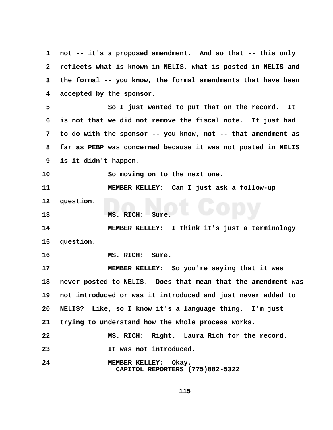**1 not -- it's a proposed amendment. And so that -- this only 2 reflects what is known in NELIS, what is posted in NELIS and 3 the formal -- you know, the formal amendments that have been 4 accepted by the sponsor. 5 So I just wanted to put that on the record. It 6 is not that we did not remove the fiscal note. It just had 7 to do with the sponsor -- you know, not -- that amendment as 8 far as PEBP was concerned because it was not posted in NELIS 9 is it didn't happen. 10 So moving on to the next one. 11 MEMBER KELLEY: Can I just ask a follow-up 12 question. 13 MS. RICH: Sure. 14 MEMBER KELLEY: I think it's just a terminology 15 question. 16 MS. RICH: Sure. 17 MEMBER KELLEY: So you're saying that it was 18 never posted to NELIS. Does that mean that the amendment was 19 not introduced or was it introduced and just never added to 20 NELIS? Like, so I know it's a language thing. I'm just 21 trying to understand how the whole process works.** 22 MS. RICH: Right. Laura Rich for the record. **23 It was not introduced. 24 MEMBER KELLEY: Okay. CAPITOL REPORTERS (775)882-5322**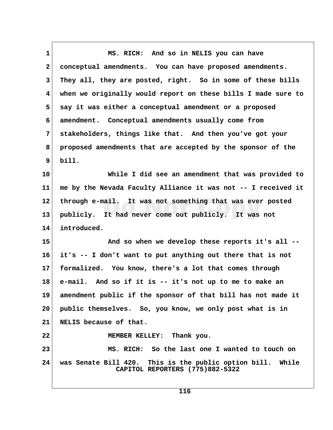**1 MS. RICH: And so in NELIS you can have 2 conceptual amendments. You can have proposed amendments. 3 They all, they are posted, right. So in some of these bills 4 when we originally would report on these bills I made sure to 5 say it was either a conceptual amendment or a proposed 6 amendment. Conceptual amendments usually come from 7 stakeholders, things like that. And then you've got your 8 proposed amendments that are accepted by the sponsor of the 9 bill. 10 While I did see an amendment that was provided to 11 me by the Nevada Faculty Alliance it was not -- I received it 12 through e-mail. It was not something that was ever posted 13 publicly. It had never come out publicly. It was not 14 introduced. 15 And so when we develop these reports it's all -- 16 it's -- I don't want to put anything out there that is not 17 formalized. You know, there's a lot that comes through 18 e-mail. And so if it is -- it's not up to me to make an 19 amendment public if the sponsor of that bill has not made it 20 public themselves. So, you know, we only post what is in 21 NELIS because of that. 22 MEMBER KELLEY: Thank you. 23 MS. RICH: So the last one I wanted to touch on 24 was Senate Bill 420. This is the public option bill. While CAPITOL REPORTERS (775)882-5322**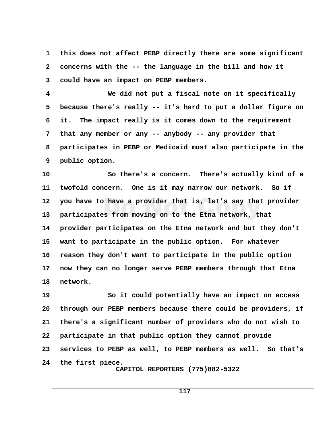**1 this does not affect PEBP directly there are some significant 2 concerns with the -- the language in the bill and how it 3 could have an impact on PEBP members.**

 **4 We did not put a fiscal note on it specifically 5 because there's really -- it's hard to put a dollar figure on 6 it. The impact really is it comes down to the requirement 7 that any member or any -- anybody -- any provider that 8 participates in PEBP or Medicaid must also participate in the 9 public option.**

**10 So there's a concern. There's actually kind of a 11 twofold concern. One is it may narrow our network. So if 12 you have to have a provider that is, let's say that provider 13 participates from moving on to the Etna network, that 14 provider participates on the Etna network and but they don't 15 want to participate in the public option. For whatever 16 reason they don't want to participate in the public option 17 now they can no longer serve PEBP members through that Etna 18 network.**

19 So it could potentially have an impact on access **20 through our PEBP members because there could be providers, if 21 there's a significant number of providers who do not wish to 22 participate in that public option they cannot provide 23 services to PEBP as well, to PEBP members as well. So that's 24 the first piece. CAPITOL REPORTERS (775)882-5322**

**117**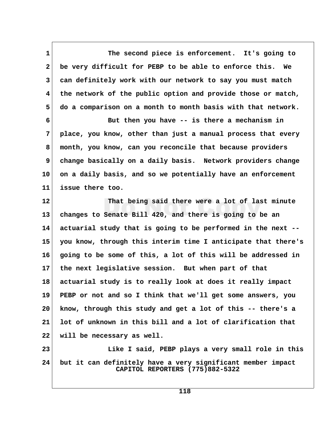**1 The second piece is enforcement. It's going to 2 be very difficult for PEBP to be able to enforce this. We 3 can definitely work with our network to say you must match 4 the network of the public option and provide those or match, 5 do a comparison on a month to month basis with that network.**

 **6 But then you have -- is there a mechanism in 7 place, you know, other than just a manual process that every 8 month, you know, can you reconcile that because providers 9 change basically on a daily basis. Network providers change 10 on a daily basis, and so we potentially have an enforcement 11 issue there too.**

**12 That being said there were a lot of last minute 13 changes to Senate Bill 420, and there is going to be an 14 actuarial study that is going to be performed in the next -- 15 you know, through this interim time I anticipate that there's 16 going to be some of this, a lot of this will be addressed in 17 the next legislative session. But when part of that 18 actuarial study is to really look at does it really impact 19 PEBP or not and so I think that we'll get some answers, you 20 know, through this study and get a lot of this -- there's a 21 lot of unknown in this bill and a lot of clarification that 22 will be necessary as well.**

**23 Like I said, PEBP plays a very small role in this 24 but it can definitely have a very significant member impact CAPITOL REPORTERS (775)882-5322**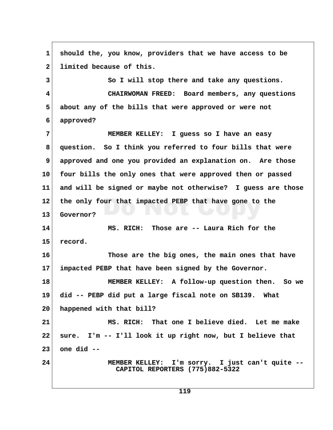1 should the, you know, providers that we have access to be 2 limited because of this. **3** So I will stop there and take any questions.  **4 CHAIRWOMAN FREED: Board members, any questions 5 about any of the bills that were approved or were not 6 approved? 7 MEMBER KELLEY: I guess so I have an easy 8 question. So I think you referred to four bills that were 9 approved and one you provided an explanation on. Are those 10 four bills the only ones that were approved then or passed 11 and will be signed or maybe not otherwise? I guess are those 12 the only four that impacted PEBP that have gone to the 13 Governor? 14 MS. RICH: Those are -- Laura Rich for the 15 record. 16 Those are the big ones, the main ones that have 17 impacted PEBP that have been signed by the Governor. 18 MEMBER KELLEY: A follow-up question then. So we 19 did -- PEBP did put a large fiscal note on SB139. What 20 happened with that bill? 21 MS. RICH: That one I believe died. Let me make 22 sure. I'm -- I'll look it up right now, but I believe that 23 one did -- 24 MEMBER KELLEY: I'm sorry. I just can't quite -- CAPITOL REPORTERS (775)882-5322**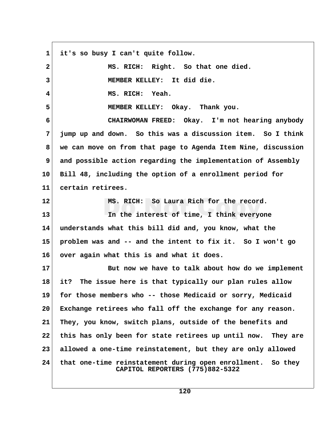**1 it's so busy I can't quite follow. 2 MS. RICH: Right. So that one died. 3 MEMBER KELLEY: It did die. 4 MS. RICH: Yeah. 5 MEMBER KELLEY: Okay. Thank you. 6 CHAIRWOMAN FREED: Okay. I'm not hearing anybody 7 jump up and down. So this was a discussion item. So I think 8 we can move on from that page to Agenda Item Nine, discussion 9 and possible action regarding the implementation of Assembly 10 Bill 48, including the option of a enrollment period for 11 certain retirees. 12 MS. RICH: So Laura Rich for the record. 13 In the interest of time, I think everyone 14 understands what this bill did and, you know, what the 15 problem was and -- and the intent to fix it. So I won't go 16 over again what this is and what it does. 17 But now we have to talk about how do we implement 18 it? The issue here is that typically our plan rules allow 19 for those members who -- those Medicaid or sorry, Medicaid 20 Exchange retirees who fall off the exchange for any reason. 21 They, you know, switch plans, outside of the benefits and 22 this has only been for state retirees up until now. They are 23 allowed a one-time reinstatement, but they are only allowed 24 that one-time reinstatement during open enrollment. So they CAPITOL REPORTERS (775)882-5322**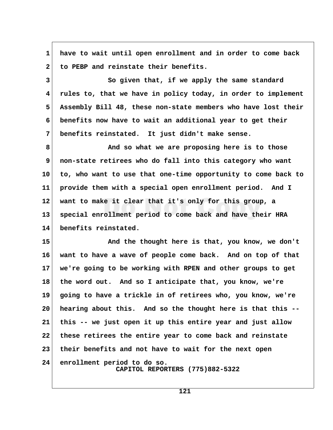**1 have to wait until open enrollment and in order to come back** 2 to PEBP and reinstate their benefits.

**3** So given that, if we apply the same standard  **4 rules to, that we have in policy today, in order to implement 5 Assembly Bill 48, these non-state members who have lost their 6 benefits now have to wait an additional year to get their 7 benefits reinstated. It just didn't make sense.**

 **8 And so what we are proposing here is to those 9 non-state retirees who do fall into this category who want 10 to, who want to use that one-time opportunity to come back to 11 provide them with a special open enrollment period. And I 12 want to make it clear that it's only for this group, a 13 special enrollment period to come back and have their HRA 14 benefits reinstated.**

**15 And the thought here is that, you know, we don't 16 want to have a wave of people come back. And on top of that 17 we're going to be working with RPEN and other groups to get 18 the word out. And so I anticipate that, you know, we're 19 going to have a trickle in of retirees who, you know, we're 20 hearing about this. And so the thought here is that this -- 21 this -- we just open it up this entire year and just allow 22 these retirees the entire year to come back and reinstate 23 their benefits and not have to wait for the next open 24 enrollment period to do so. CAPITOL REPORTERS (775)882-5322**

**121**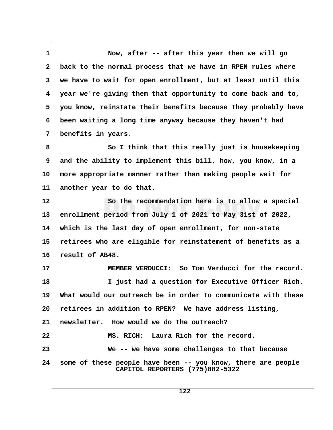**1 Now, after -- after this year then we will go 2 back to the normal process that we have in RPEN rules where 3 we have to wait for open enrollment, but at least until this 4 year we're giving them that opportunity to come back and to, 5 you know, reinstate their benefits because they probably have 6 been waiting a long time anyway because they haven't had 7 benefits in years. 8 So I think that this really just is housekeeping 9 and the ability to implement this bill, how, you know, in a 10 more appropriate manner rather than making people wait for 11 another year to do that. 12 So the recommendation here is to allow a special 13 enrollment period from July 1 of 2021 to May 31st of 2022, 14 which is the last day of open enrollment, for non-state 15 retirees who are eligible for reinstatement of benefits as a 16 result of AB48. 17 MEMBER VERDUCCI: So Tom Verducci for the record. 18 I just had a question for Executive Officer Rich. 19 What would our outreach be in order to communicate with these 20 retirees in addition to RPEN? We have address listing, 21 newsletter. How would we do the outreach? 22 MS. RICH: Laura Rich for the record. 23 We -- we have some challenges to that because 24 some of these people have been -- you know, there are people CAPITOL REPORTERS (775)882-5322**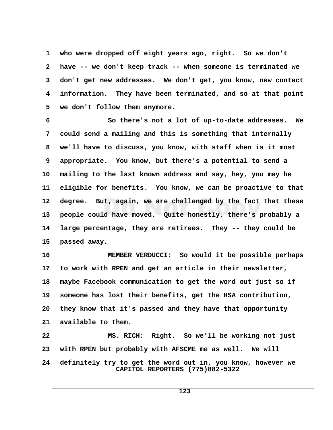**1 who were dropped off eight years ago, right. So we don't 2 have -- we don't keep track -- when someone is terminated we 3 don't get new addresses. We don't get, you know, new contact 4 information. They have been terminated, and so at that point 5 we don't follow them anymore.**

 **6 So there's not a lot of up-to-date addresses. We 7 could send a mailing and this is something that internally 8 we'll have to discuss, you know, with staff when is it most 9 appropriate. You know, but there's a potential to send a 10 mailing to the last known address and say, hey, you may be 11 eligible for benefits. You know, we can be proactive to that 12 degree. But, again, we are challenged by the fact that these 13 people could have moved. Quite honestly, there's probably a 14 large percentage, they are retirees. They -- they could be 15 passed away.**

**16 MEMBER VERDUCCI: So would it be possible perhaps 17 to work with RPEN and get an article in their newsletter, 18 maybe Facebook communication to get the word out just so if 19 someone has lost their benefits, get the HSA contribution, 20 they know that it's passed and they have that opportunity 21 available to them. 22 MS. RICH: Right. So we'll be working not just**

**23 with RPEN but probably with AFSCME me as well. We will 24 definitely try to get the word out in, you know, however we CAPITOL REPORTERS (775)882-5322**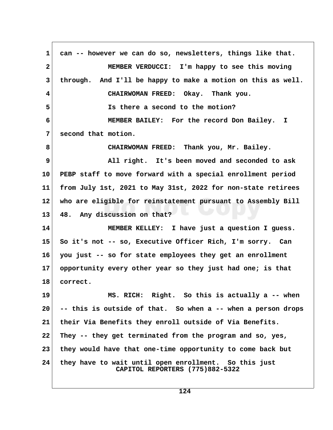**1 can -- however we can do so, newsletters, things like that. 2 MEMBER VERDUCCI: I'm happy to see this moving 3 through. And I'll be happy to make a motion on this as well. 4 CHAIRWOMAN FREED: Okay. Thank you. 5 Is there a second to the motion? 6 MEMBER BAILEY: For the record Don Bailey. I 7 second that motion. 8 CHAIRWOMAN FREED: Thank you, Mr. Bailey. 9 All right. It's been moved and seconded to ask 10 PEBP staff to move forward with a special enrollment period 11 from July 1st, 2021 to May 31st, 2022 for non-state retirees 12 who are eligible for reinstatement pursuant to Assembly Bill 13 48. Any discussion on that? 14 MEMBER KELLEY: I have just a question I guess. 15 So it's not -- so, Executive Officer Rich, I'm sorry. Can 16 you just -- so for state employees they get an enrollment 17 opportunity every other year so they just had one; is that 18 correct. 19 MS. RICH: Right. So this is actually a -- when 20 -- this is outside of that. So when a -- when a person drops 21 their Via Benefits they enroll outside of Via Benefits. 22 They -- they get terminated from the program and so, yes, 23 they would have that one-time opportunity to come back but 24 they have to wait until open enrollment. So this just CAPITOL REPORTERS (775)882-5322**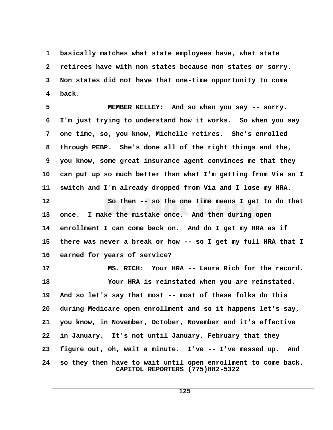**1 basically matches what state employees have, what state 2 retirees have with non states because non states or sorry. 3 Non states did not have that one-time opportunity to come 4 back.**

 **5 MEMBER KELLEY: And so when you say -- sorry. 6 I'm just trying to understand how it works. So when you say 7 one time, so, you know, Michelle retires. She's enrolled 8 through PEBP. She's done all of the right things and the, 9 you know, some great insurance agent convinces me that they 10 can put up so much better than what I'm getting from Via so I 11 switch and I'm already dropped from Via and I lose my HRA.**

**12 So then -- so the one time means I get to do that 13 once. I make the mistake once. And then during open 14 enrollment I can come back on. And do I get my HRA as if 15 there was never a break or how -- so I get my full HRA that I 16 earned for years of service?**

**17 MS. RICH: Your HRA -- Laura Rich for the record. 18 Your HRA is reinstated when you are reinstated. 19 And so let's say that most -- most of these folks do this 20 during Medicare open enrollment and so it happens let's say, 21 you know, in November, October, November and it's effective 22 in January. It's not until January, February that they 23 figure out, oh, wait a minute. I've -- I've messed up. And 24 so they then have to wait until open enrollment to come back. CAPITOL REPORTERS (775)882-5322**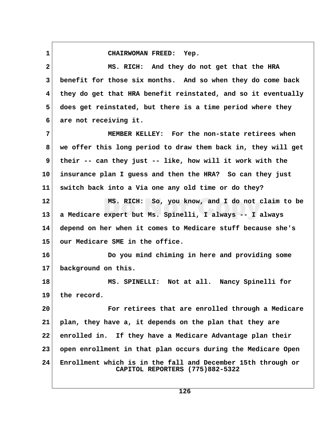**1 CHAIRWOMAN FREED: Yep.**

 **2 MS. RICH: And they do not get that the HRA 3 benefit for those six months. And so when they do come back 4 they do get that HRA benefit reinstated, and so it eventually 5 does get reinstated, but there is a time period where they 6 are not receiving it. 7 MEMBER KELLEY: For the non-state retirees when 8 we offer this long period to draw them back in, they will get 9 their -- can they just -- like, how will it work with the 10 insurance plan I guess and then the HRA? So can they just 11 switch back into a Via one any old time or do they? 12 MS. RICH: So, you know, and I do not claim to be 13 a Medicare expert but Ms. Spinelli, I always -- I always 14 depend on her when it comes to Medicare stuff because she's 15 our Medicare SME in the office. 16 Do you mind chiming in here and providing some 17 background on this. 18 MS. SPINELLI: Not at all. Nancy Spinelli for 19 the record. 20 For retirees that are enrolled through a Medicare 21 plan, they have a, it depends on the plan that they are 22 enrolled in. If they have a Medicare Advantage plan their 23 open enrollment in that plan occurs during the Medicare Open 24 Enrollment which is in the fall and December 15th through or CAPITOL REPORTERS (775)882-5322**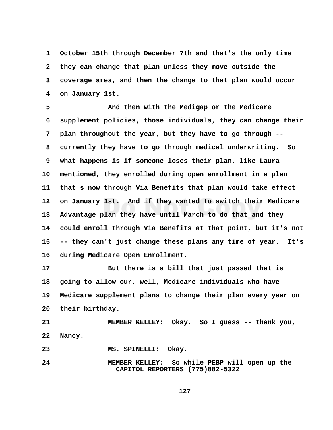**1 October 15th through December 7th and that's the only time 2 they can change that plan unless they move outside the 3 coverage area, and then the change to that plan would occur 4 on January 1st.**

 **5 And then with the Medigap or the Medicare 6 supplement policies, those individuals, they can change their 7 plan throughout the year, but they have to go through -- 8 currently they have to go through medical underwriting. So 9 what happens is if someone loses their plan, like Laura 10 mentioned, they enrolled during open enrollment in a plan 11 that's now through Via Benefits that plan would take effect 12 on January 1st. And if they wanted to switch their Medicare 13 Advantage plan they have until March to do that and they 14 could enroll through Via Benefits at that point, but it's not 15 -- they can't just change these plans any time of year. It's 16 during Medicare Open Enrollment.**

**17 But there is a bill that just passed that is 18 going to allow our, well, Medicare individuals who have 19 Medicare supplement plans to change their plan every year on 20 their birthday.**

**21 MEMBER KELLEY: Okay. So I guess -- thank you, 22 Nancy. 23 MS. SPINELLI: Okay.**

**24 MEMBER KELLEY: So while PEBP will open up the CAPITOL REPORTERS (775)882-5322**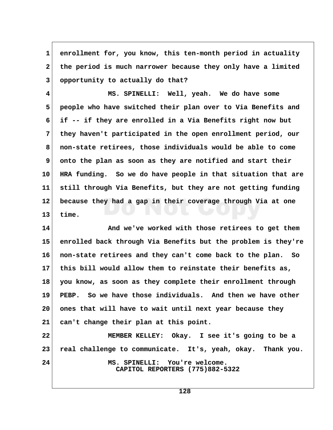1 enrollment for, you know, this ten-month period in actuality  **2 the period is much narrower because they only have a limited 3 opportunity to actually do that?**

 **4 MS. SPINELLI: Well, yeah. We do have some 5 people who have switched their plan over to Via Benefits and 6 if -- if they are enrolled in a Via Benefits right now but 7 they haven't participated in the open enrollment period, our 8 non-state retirees, those individuals would be able to come** 9 onto the plan as soon as they are notified and start their **10 HRA funding. So we do have people in that situation that are 11 still through Via Benefits, but they are not getting funding 12 because they had a gap in their coverage through Via at one 13 time.**

**14 And we've worked with those retirees to get them 15 enrolled back through Via Benefits but the problem is they're 16 non-state retirees and they can't come back to the plan. So 17 this bill would allow them to reinstate their benefits as, 18 you know, as soon as they complete their enrollment through 19 PEBP. So we have those individuals. And then we have other 20 ones that will have to wait until next year because they 21 can't change their plan at this point.**

**22 MEMBER KELLEY: Okay. I see it's going to be a 23 real challenge to communicate. It's, yeah, okay. Thank you. 24 MS. SPINELLI: You're welcome. CAPITOL REPORTERS (775)882-5322**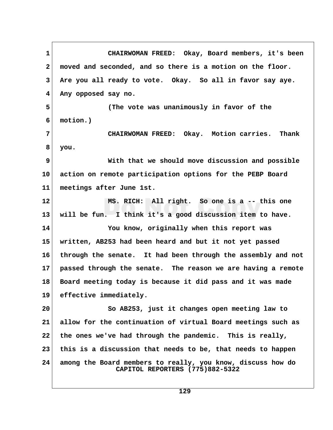**1 CHAIRWOMAN FREED: Okay, Board members, it's been 2 moved and seconded, and so there is a motion on the floor. 3 Are you all ready to vote. Okay. So all in favor say aye. 4 Any opposed say no. 5 (The vote was unanimously in favor of the 6 motion.) 7 CHAIRWOMAN FREED: Okay. Motion carries. Thank 8 you. 9 With that we should move discussion and possible 10 action on remote participation options for the PEBP Board 11 meetings after June 1st. 12 MS. RICH: All right. So one is a -- this one 13 will be fun. I think it's a good discussion item to have. 14 You know, originally when this report was 15 written, AB253 had been heard and but it not yet passed 16 through the senate. It had been through the assembly and not 17 passed through the senate. The reason we are having a remote 18 Board meeting today is because it did pass and it was made 19 effective immediately. 20 So AB253, just it changes open meeting law to 21 allow for the continuation of virtual Board meetings such as 22 the ones we've had through the pandemic. This is really, 23 this is a discussion that needs to be, that needs to happen 24 among the Board members to really, you know, discuss how do CAPITOL REPORTERS (775)882-5322**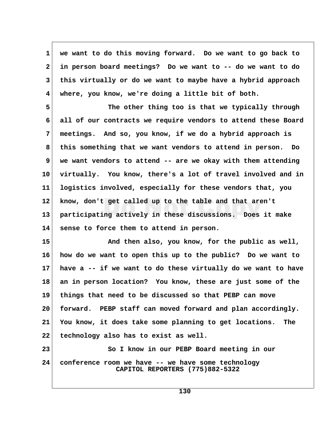**1 we want to do this moving forward. Do we want to go back to 2 in person board meetings? Do we want to -- do we want to do 3 this virtually or do we want to maybe have a hybrid approach 4 where, you know, we're doing a little bit of both.**

**5** The other thing too is that we typically through  **6 all of our contracts we require vendors to attend these Board 7 meetings. And so, you know, if we do a hybrid approach is 8 this something that we want vendors to attend in person. Do 9 we want vendors to attend -- are we okay with them attending 10 virtually. You know, there's a lot of travel involved and in 11 logistics involved, especially for these vendors that, you 12 know, don't get called up to the table and that aren't 13 participating actively in these discussions. Does it make 14 sense to force them to attend in person.**

**15 And then also, you know, for the public as well, 16 how do we want to open this up to the public? Do we want to 17 have a -- if we want to do these virtually do we want to have 18 an in person location? You know, these are just some of the 19 things that need to be discussed so that PEBP can move 20 forward. PEBP staff can moved forward and plan accordingly. 21 You know, it does take some planning to get locations. The 22 technology also has to exist as well.**

**23** So I know in our PEBP Board meeting in our **24 conference room we have -- we have some technology CAPITOL REPORTERS (775)882-5322**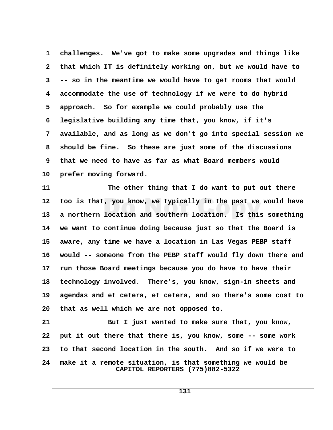**1 challenges. We've got to make some upgrades and things like 2 that which IT is definitely working on, but we would have to 3 -- so in the meantime we would have to get rooms that would 4 accommodate the use of technology if we were to do hybrid 5 approach. So for example we could probably use the 6 legislative building any time that, you know, if it's 7 available, and as long as we don't go into special session we 8 should be fine. So these are just some of the discussions 9 that we need to have as far as what Board members would 10 prefer moving forward.**

**11 The other thing that I do want to put out there 12 too is that, you know, we typically in the past we would have 13 a northern location and southern location. Is this something 14 we want to continue doing because just so that the Board is 15 aware, any time we have a location in Las Vegas PEBP staff 16 would -- someone from the PEBP staff would fly down there and 17 run those Board meetings because you do have to have their 18 technology involved. There's, you know, sign-in sheets and 19 agendas and et cetera, et cetera, and so there's some cost to 20 that as well which we are not opposed to.**

**21** But I just wanted to make sure that, you know, **22 put it out there that there is, you know, some -- some work 23 to that second location in the south. And so if we were to 24 make it a remote situation, is that something we would be CAPITOL REPORTERS (775)882-5322**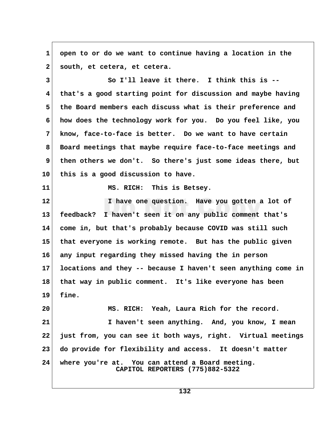**1 open to or do we want to continue having a location in the 2 south, et cetera, et cetera. 3 So I'll leave it there. I think this is -- 4 that's a good starting point for discussion and maybe having 5 the Board members each discuss what is their preference and 6 how does the technology work for you. Do you feel like, you 7 know, face-to-face is better. Do we want to have certain 8 Board meetings that maybe require face-to-face meetings and 9 then others we don't. So there's just some ideas there, but 10 this is a good discussion to have. 11 MS. RICH: This is Betsey. 12 I have one question. Have you gotten a lot of 13 feedback? I haven't seen it on any public comment that's 14 come in, but that's probably because COVID was still such 15 that everyone is working remote. But has the public given 16 any input regarding they missed having the in person 17 locations and they -- because I haven't seen anything come in 18 that way in public comment. It's like everyone has been 19 fine. 20 MS. RICH: Yeah, Laura Rich for the record. 21 I haven't seen anything. And, you know, I mean 22 just from, you can see it both ways, right. Virtual meetings 23 do provide for flexibility and access. It doesn't matter 24 where you're at. You can attend a Board meeting. CAPITOL REPORTERS (775)882-5322**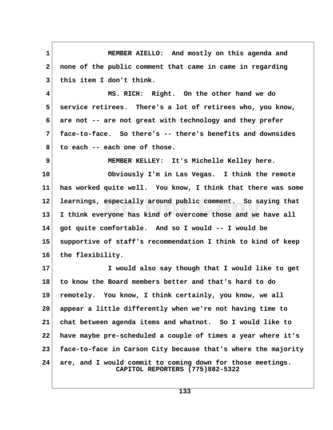**1 MEMBER AIELLO: And mostly on this agenda and 2 none of the public comment that came in came in regarding 3 this item I don't think.**

 **4 MS. RICH: Right. On the other hand we do 5 service retirees. There's a lot of retirees who, you know, 6 are not -- are not great with technology and they prefer 7 face-to-face. So there's -- there's benefits and downsides 8 to each -- each one of those.**

 **9 MEMBER KELLEY: It's Michelle Kelley here.**

**10 Obviously I'm in Las Vegas. I think the remote 11 has worked quite well. You know, I think that there was some 12 learnings, especially around public comment. So saying that 13 I think everyone has kind of overcome those and we have all 14 got quite comfortable. And so I would -- I would be 15 supportive of staff's recommendation I think to kind of keep 16 the flexibility.**

**17 I would also say though that I would like to get 18 to know the Board members better and that's hard to do 19 remotely. You know, I think certainly, you know, we all 20 appear a little differently when we're not having time to 21 chat between agenda items and whatnot. So I would like to 22 have maybe pre-scheduled a couple of times a year where it's 23 face-to-face in Carson City because that's where the majority 24 are, and I would commit to coming down for those meetings. CAPITOL REPORTERS (775)882-5322**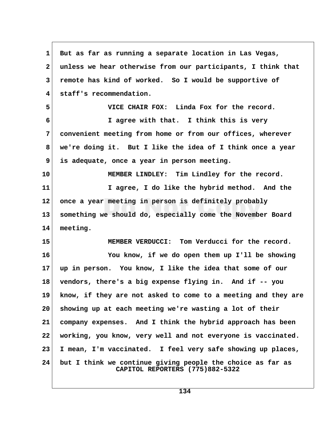| 1            | But as far as running a separate location in Las Vegas,                                       |  |
|--------------|-----------------------------------------------------------------------------------------------|--|
| $\mathbf{2}$ | unless we hear otherwise from our participants, I think that                                  |  |
| 3            | remote has kind of worked. So I would be supportive of                                        |  |
| 4            | staff's recommendation.                                                                       |  |
| 5            | VICE CHAIR FOX: Linda Fox for the record.                                                     |  |
| 6            | I agree with that. I think this is very                                                       |  |
| 7            | convenient meeting from home or from our offices, wherever                                    |  |
| 8            | we're doing it. But I like the idea of I think once a year                                    |  |
| 9            | is adequate, once a year in person meeting.                                                   |  |
| 10           | MEMBER LINDLEY: Tim Lindley for the record.                                                   |  |
| 11           | I agree, I do like the hybrid method. And the                                                 |  |
| $12 \,$      | once a year meeting in person is definitely probably                                          |  |
| 13           | something we should do, especially come the November Board                                    |  |
| 14           | meeting.                                                                                      |  |
| 15           | MEMBER VERDUCCI: Tom Verducci for the record.                                                 |  |
| 16           | You know, if we do open them up I'll be showing                                               |  |
| 17           | up in person. You know, I like the idea that some of our                                      |  |
| 18           | vendors, there's a big expense flying in. And if -- you                                       |  |
| 19           | know, if they are not asked to come to a meeting and they are                                 |  |
| 20           | showing up at each meeting we're wasting a lot of their                                       |  |
| 21           | company expenses. And I think the hybrid approach has been                                    |  |
| 22           | working, you know, very well and not everyone is vaccinated.                                  |  |
| 23           | I mean, I'm vaccinated. I feel very safe showing up places,                                   |  |
| 24           | but I think we continue giving people the choice as far as<br>CAPITOL REPORTERS (775)882-5322 |  |

 $\Gamma$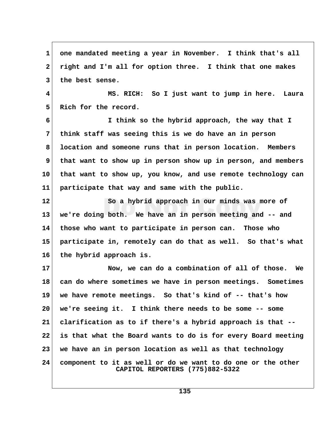1 one mandated meeting a year in November. I think that's all  **2 right and I'm all for option three. I think that one makes 3 the best sense. 4 MS. RICH: So I just want to jump in here. Laura** 5 Rich for the record.  **6 I think so the hybrid approach, the way that I 7 think staff was seeing this is we do have an in person 8 location and someone runs that in person location. Members 9 that want to show up in person show up in person, and members 10 that want to show up, you know, and use remote technology can 11 participate that way and same with the public. 12 So a hybrid approach in our minds was more of 13 we're doing both. We have an in person meeting and -- and 14 those who want to participate in person can. Those who 15 participate in, remotely can do that as well. So that's what 16 the hybrid approach is. 17 Now, we can do a combination of all of those. We 18 can do where sometimes we have in person meetings. Sometimes 19 we have remote meetings. So that's kind of -- that's how 20 we're seeing it. I think there needs to be some -- some 21 clarification as to if there's a hybrid approach is that -- 22 is that what the Board wants to do is for every Board meeting 23 we have an in person location as well as that technology 24 component to it as well or do we want to do one or the other CAPITOL REPORTERS (775)882-5322**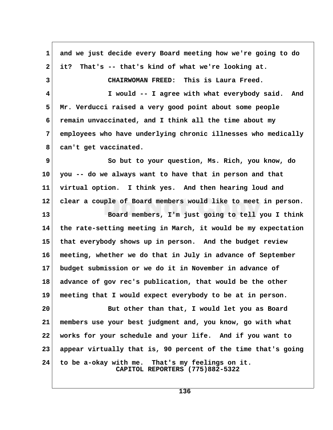| $\mathbf{1}$ | and we just decide every Board meeting how we're going to do                       |  |
|--------------|------------------------------------------------------------------------------------|--|
| $\mathbf{2}$ | That's -- that's kind of what we're looking at.<br>it?                             |  |
| 3            | CHAIRWOMAN FREED: This is Laura Freed.                                             |  |
| 4            | I would -- I agree with what everybody said. And                                   |  |
| 5            | Mr. Verducci raised a very good point about some people                            |  |
| 6            | remain unvaccinated, and I think all the time about my                             |  |
| 7            | employees who have underlying chronic illnesses who medically                      |  |
| 8            | can't get vaccinated.                                                              |  |
| 9            | So but to your question, Ms. Rich, you know, do                                    |  |
| 10           | you -- do we always want to have that in person and that                           |  |
| 11           | virtual option. I think yes. And then hearing loud and                             |  |
| 12           | clear a couple of Board members would like to meet in person.                      |  |
| 13           | Board members, I'm just going to tell you I think                                  |  |
| 14           | the rate-setting meeting in March, it would be my expectation                      |  |
| 15           | that everybody shows up in person. And the budget review                           |  |
| 16           | meeting, whether we do that in July in advance of September                        |  |
| 17           | budget submission or we do it in November in advance of                            |  |
| 18           | advance of gov rec's publication, that would be the other                          |  |
| 19           | meeting that I would expect everybody to be at in person.                          |  |
| 20           | But other than that, I would let you as Board                                      |  |
| 21           | members use your best judgment and, you know, go with what                         |  |
| 22           | works for your schedule and your life. And if you want to                          |  |
| 23           | appear virtually that is, 90 percent of the time that's going                      |  |
| 24           | to be a-okay with me. That's my feelings on it.<br>CAPITOL REPORTERS (775)882-5322 |  |

 $\sqrt{ }$ 

**136**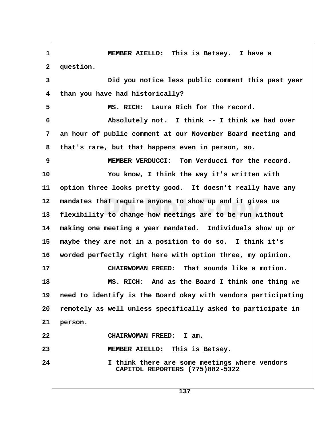**1 MEMBER AIELLO: This is Betsey. I have a** 2 **question. 3 Did you notice less public comment this past year 4 than you have had historically? 5 MS. RICH: Laura Rich for the record. 6 Absolutely not. I think -- I think we had over 7 an hour of public comment at our November Board meeting and 8 that's rare, but that happens even in person, so. 9 MEMBER VERDUCCI: Tom Verducci for the record. 10 You know, I think the way it's written with 11 option three looks pretty good. It doesn't really have any 12 mandates that require anyone to show up and it gives us 13 flexibility to change how meetings are to be run without 14 making one meeting a year mandated. Individuals show up or 15 maybe they are not in a position to do so. I think it's 16 worded perfectly right here with option three, my opinion. 17 CHAIRWOMAN FREED: That sounds like a motion. 18 MS. RICH: And as the Board I think one thing we 19 need to identify is the Board okay with vendors participating 20 remotely as well unless specifically asked to participate in 21 person. 22 CHAIRWOMAN FREED: I am. 23 MEMBER AIELLO: This is Betsey. 24 I think there are some meetings where vendors CAPITOL REPORTERS (775)882-5322**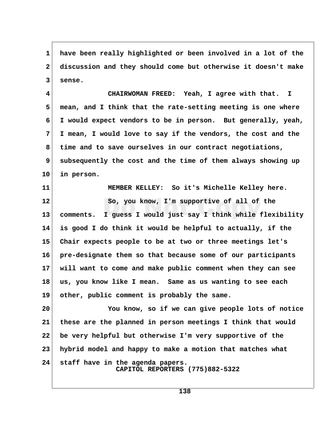**1 have been really highlighted or been involved in a lot of the 2 discussion and they should come but otherwise it doesn't make 3 sense.**

 **4 CHAIRWOMAN FREED: Yeah, I agree with that. I 5 mean, and I think that the rate-setting meeting is one where 6 I would expect vendors to be in person. But generally, yeah, 7 I mean, I would love to say if the vendors, the cost and the 8 time and to save ourselves in our contract negotiations, 9 subsequently the cost and the time of them always showing up 10 in person.**

**11 MEMBER KELLEY: So it's Michelle Kelley here. 12 So, you know, I'm supportive of all of the 13 comments. I guess I would just say I think while flexibility 14 is good I do think it would be helpful to actually, if the 15 Chair expects people to be at two or three meetings let's 16 pre-designate them so that because some of our participants 17 will want to come and make public comment when they can see 18 us, you know like I mean. Same as us wanting to see each 19 other, public comment is probably the same.**

**20 You know, so if we can give people lots of notice 21 these are the planned in person meetings I think that would 22 be very helpful but otherwise I'm very supportive of the 23 hybrid model and happy to make a motion that matches what 24 staff have in the agenda papers. CAPITOL REPORTERS (775)882-5322**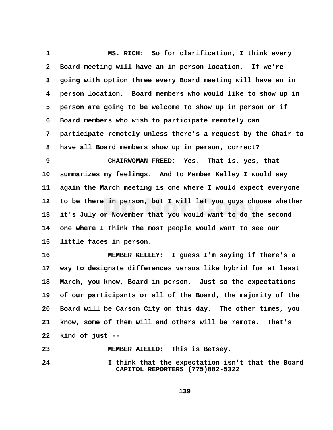**1 MS. RICH: So for clarification, I think every 2 Board meeting will have an in person location. If we're 3 going with option three every Board meeting will have an in 4 person location. Board members who would like to show up in 5 person are going to be welcome to show up in person or if 6 Board members who wish to participate remotely can 7 participate remotely unless there's a request by the Chair to 8 have all Board members show up in person, correct? 9 CHAIRWOMAN FREED: Yes. That is, yes, that 10 summarizes my feelings. And to Member Kelley I would say 11 again the March meeting is one where I would expect everyone 12 to be there in person, but I will let you guys choose whether 13 it's July or November that you would want to do the second 14 one where I think the most people would want to see our 15 little faces in person. 16 MEMBER KELLEY: I guess I'm saying if there's a 17 way to designate differences versus like hybrid for at least 18 March, you know, Board in person. Just so the expectations 19 of our participants or all of the Board, the majority of the 20 Board will be Carson City on this day. The other times, you 21 know, some of them will and others will be remote. That's**

**22 kind of just --**

**23 MEMBER AIELLO: This is Betsey.**

**24 I think that the expectation isn't that the Board CAPITOL REPORTERS (775)882-5322**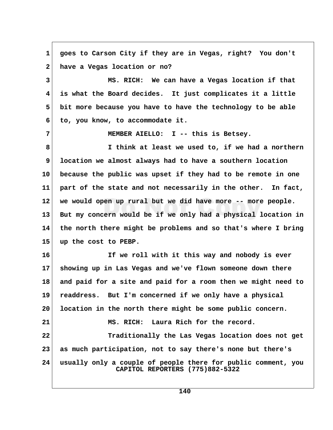**1 goes to Carson City if they are in Vegas, right? You don't 2 have a Vegas location or no? 3 MS. RICH: We can have a Vegas location if that 4 is what the Board decides. It just complicates it a little 5 bit more because you have to have the technology to be able 6 to, you know, to accommodate it. 7 MEMBER AIELLO: I -- this is Betsey. 8 I think at least we used to, if we had a northern 9 location we almost always had to have a southern location 10 because the public was upset if they had to be remote in one 11 part of the state and not necessarily in the other. In fact, 12 we would open up rural but we did have more -- more people. 13 But my concern would be if we only had a physical location in 14 the north there might be problems and so that's where I bring 15 up the cost to PEBP. 16 If we roll with it this way and nobody is ever 17 showing up in Las Vegas and we've flown someone down there 18 and paid for a site and paid for a room then we might need to 19 readdress. But I'm concerned if we only have a physical 20 location in the north there might be some public concern. 21 MS. RICH: Laura Rich for the record. 22 Traditionally the Las Vegas location does not get 23 as much participation, not to say there's none but there's 24 usually only a couple of people there for public comment, you CAPITOL REPORTERS (775)882-5322**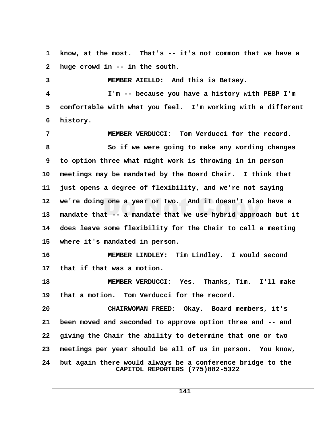**1 know, at the most. That's -- it's not common that we have a 2 huge crowd in -- in the south. 3 MEMBER AIELLO: And this is Betsey. 4 I'm -- because you have a history with PEBP I'm 5 comfortable with what you feel. I'm working with a different 6 history. 7 MEMBER VERDUCCI: Tom Verducci for the record. 8 So if we were going to make any wording changes 9 to option three what might work is throwing in in person 10 meetings may be mandated by the Board Chair. I think that 11 just opens a degree of flexibility, and we're not saying 12 we're doing one a year or two. And it doesn't also have a 13 mandate that -- a mandate that we use hybrid approach but it 14 does leave some flexibility for the Chair to call a meeting 15 where it's mandated in person. 16 MEMBER LINDLEY: Tim Lindley. I would second 17 that if that was a motion. 18 MEMBER VERDUCCI: Yes. Thanks, Tim. I'll make 19 that a motion. Tom Verducci for the record. 20 CHAIRWOMAN FREED: Okay. Board members, it's 21 been moved and seconded to approve option three and -- and 22 giving the Chair the ability to determine that one or two 23 meetings per year should be all of us in person. You know, 24 but again there would always be a conference bridge to the CAPITOL REPORTERS (775)882-5322**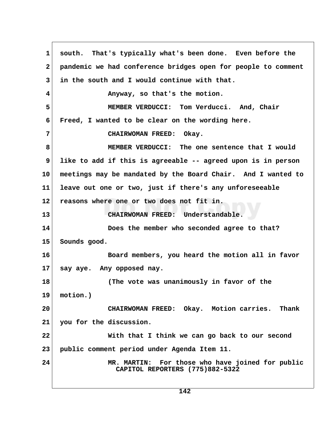1 south. That's typically what's been done. Even before the  **2 pandemic we had conference bridges open for people to comment 3 in the south and I would continue with that. 4 Anyway, so that's the motion. 5 MEMBER VERDUCCI: Tom Verducci. And, Chair 6 Freed, I wanted to be clear on the wording here. 7 CHAIRWOMAN FREED: Okay. 8 MEMBER VERDUCCI: The one sentence that I would 9 like to add if this is agreeable -- agreed upon is in person 10 meetings may be mandated by the Board Chair. And I wanted to 11 leave out one or two, just if there's any unforeseeable 12 reasons where one or two does not fit in. 13 CHAIRWOMAN FREED: Understandable. 14 Does the member who seconded agree to that? 15 Sounds good. 16 Board members, you heard the motion all in favor 17 say aye. Any opposed nay. 18 (The vote was unanimously in favor of the 19 motion.) 20 CHAIRWOMAN FREED: Okay. Motion carries. Thank 21 you for the discussion. 22 With that I think we can go back to our second 23 public comment period under Agenda Item 11. 24 MR. MARTIN: For those who have joined for public CAPITOL REPORTERS (775)882-5322**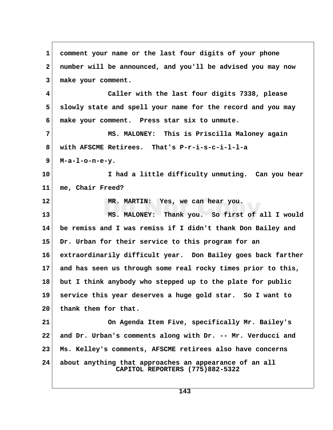**1 comment your name or the last four digits of your phone 2 number will be announced, and you'll be advised you may now 3 make your comment. 4 Caller with the last four digits 7338, please 5 slowly state and spell your name for the record and you may 6 make your comment. Press star six to unmute. 7 MS. MALONEY: This is Priscilla Maloney again 8 with AFSCME Retirees. That's P-r-i-s-c-i-l-l-a 9 M-a-l-o-n-e-y. 10 I had a little difficulty unmuting. Can you hear 11 me, Chair Freed? 12 MR. MARTIN: Yes, we can hear you. 13 MS. MALONEY: Thank you. So first of all I would 14 be remiss and I was remiss if I didn't thank Don Bailey and 15 Dr. Urban for their service to this program for an 16 extraordinarily difficult year. Don Bailey goes back farther 17 and has seen us through some real rocky times prior to this, 18 but I think anybody who stepped up to the plate for public 19 service this year deserves a huge gold star. So I want to 20 thank them for that. 21 On Agenda Item Five, specifically Mr. Bailey's 22 and Dr. Urban's comments along with Dr. -- Mr. Verducci and 23 Ms. Kelley's comments, AFSCME retirees also have concerns 24 about anything that approaches an appearance of an all CAPITOL REPORTERS (775)882-5322**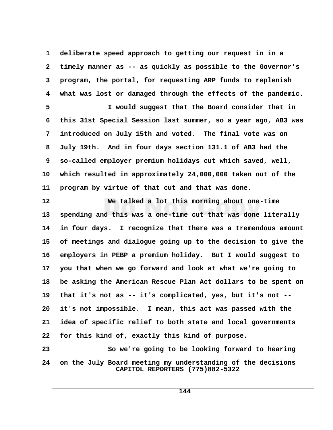**1 deliberate speed approach to getting our request in in a 2 timely manner as -- as quickly as possible to the Governor's 3 program, the portal, for requesting ARP funds to replenish 4 what was lost or damaged through the effects of the pandemic.**

 **5 I would suggest that the Board consider that in 6 this 31st Special Session last summer, so a year ago, AB3 was 7 introduced on July 15th and voted. The final vote was on 8 July 19th. And in four days section 131.1 of AB3 had the 9 so-called employer premium holidays cut which saved, well, 10 which resulted in approximately 24,000,000 taken out of the 11 program by virtue of that cut and that was done.**

**12 We talked a lot this morning about one-time 13 spending and this was a one-time cut that was done literally 14 in four days. I recognize that there was a tremendous amount 15 of meetings and dialogue going up to the decision to give the 16 employers in PEBP a premium holiday. But I would suggest to 17 you that when we go forward and look at what we're going to 18 be asking the American Rescue Plan Act dollars to be spent on 19 that it's not as -- it's complicated, yes, but it's not -- 20 it's not impossible. I mean, this act was passed with the 21 idea of specific relief to both state and local governments 22 for this kind of, exactly this kind of purpose.**

**23** So we're going to be looking forward to hearing **24 on the July Board meeting my understanding of the decisions CAPITOL REPORTERS (775)882-5322**

**144**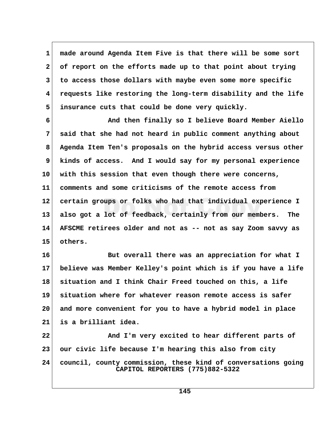**1 made around Agenda Item Five is that there will be some sort 2 of report on the efforts made up to that point about trying 3 to access those dollars with maybe even some more specific 4 requests like restoring the long-term disability and the life 5 insurance cuts that could be done very quickly.**

 **6 And then finally so I believe Board Member Aiello 7 said that she had not heard in public comment anything about 8 Agenda Item Ten's proposals on the hybrid access versus other 9 kinds of access. And I would say for my personal experience 10 with this session that even though there were concerns, 11 comments and some criticisms of the remote access from 12 certain groups or folks who had that individual experience I 13 also got a lot of feedback, certainly from our members. The 14 AFSCME retirees older and not as -- not as say Zoom savvy as 15 others.**

**16 But overall there was an appreciation for what I 17 believe was Member Kelley's point which is if you have a life 18 situation and I think Chair Freed touched on this, a life 19 situation where for whatever reason remote access is safer 20 and more convenient for you to have a hybrid model in place 21 is a brilliant idea.**

**22 And I'm very excited to hear different parts of 23 our civic life because I'm hearing this also from city 24 council, county commission, these kind of conversations going CAPITOL REPORTERS (775)882-5322**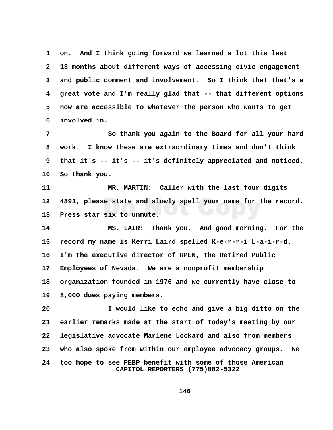1 on. And I think going forward we learned a lot this last  **2 13 months about different ways of accessing civic engagement 3 and public comment and involvement. So I think that that's a 4 great vote and I'm really glad that -- that different options 5 now are accessible to whatever the person who wants to get 6 involved in. 7** So thank you again to the Board for all your hard  **8 work. I know these are extraordinary times and don't think 9 that it's -- it's -- it's definitely appreciated and noticed. 10 So thank you. 11 MR. MARTIN: Caller with the last four digits 12 4891, please state and slowly spell your name for the record. 13 Press star six to unmute. 14 MS. LAIR: Thank you. And good morning. For the 15 record my name is Kerri Laird spelled K-e-r-r-i L-a-i-r-d. 16 I'm the executive director of RPEN, the Retired Public 17 Employees of Nevada. We are a nonprofit membership 18 organization founded in 1976 and we currently have close to 19 8,000 dues paying members. 20 I would like to echo and give a big ditto on the 21 earlier remarks made at the start of today's meeting by our 22 legislative advocate Marlene Lockard and also from members 23 who also spoke from within our employee advocacy groups. We 24 too hope to see PEBP benefit with some of those American CAPITOL REPORTERS (775)882-5322**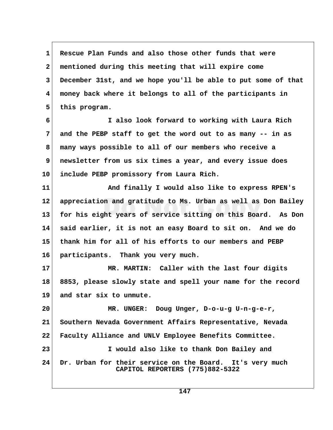**1 Rescue Plan Funds and also those other funds that were 2 mentioned during this meeting that will expire come 3 December 31st, and we hope you'll be able to put some of that 4 money back where it belongs to all of the participants in** 5 this program.

 **6 I also look forward to working with Laura Rich 7 and the PEBP staff to get the word out to as many -- in as 8 many ways possible to all of our members who receive a 9 newsletter from us six times a year, and every issue does 10 include PEBP promissory from Laura Rich.**

**11 And finally I would also like to express RPEN's 12 appreciation and gratitude to Ms. Urban as well as Don Bailey 13 for his eight years of service sitting on this Board. As Don 14 said earlier, it is not an easy Board to sit on. And we do 15 thank him for all of his efforts to our members and PEBP 16 participants. Thank you very much.**

**17 MR. MARTIN: Caller with the last four digits 18 8853, please slowly state and spell your name for the record 19 and star six to unmute.**

**20 MR. UNGER: Doug Unger, D-o-u-g U-n-g-e-r, 21 Southern Nevada Government Affairs Representative, Nevada 22 Faculty Alliance and UNLV Employee Benefits Committee. 23 I would also like to thank Don Bailey and 24 Dr. Urban for their service on the Board. It's very much CAPITOL REPORTERS (775)882-5322**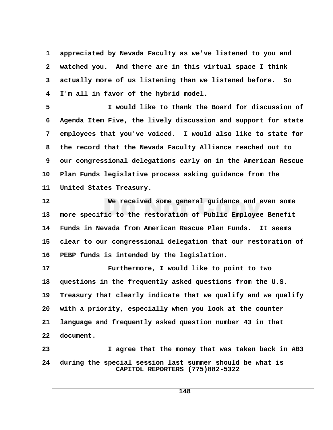**1 appreciated by Nevada Faculty as we've listened to you and 2 watched you. And there are in this virtual space I think 3 actually more of us listening than we listened before. So 4 I'm all in favor of the hybrid model.**

 **5 I would like to thank the Board for discussion of 6 Agenda Item Five, the lively discussion and support for state 7 employees that you've voiced. I would also like to state for 8 the record that the Nevada Faculty Alliance reached out to 9 our congressional delegations early on in the American Rescue 10 Plan Funds legislative process asking guidance from the 11 United States Treasury.**

**12 We received some general guidance and even some 13 more specific to the restoration of Public Employee Benefit 14 Funds in Nevada from American Rescue Plan Funds. It seems 15 clear to our congressional delegation that our restoration of 16 PEBP funds is intended by the legislation.**

**17 Furthermore, I would like to point to two 18 questions in the frequently asked questions from the U.S. 19 Treasury that clearly indicate that we qualify and we qualify 20 with a priority, especially when you look at the counter 21 language and frequently asked question number 43 in that 22 document. 23 I agree that the money that was taken back in AB3**

**24 during the special session last summer should be what is CAPITOL REPORTERS (775)882-5322**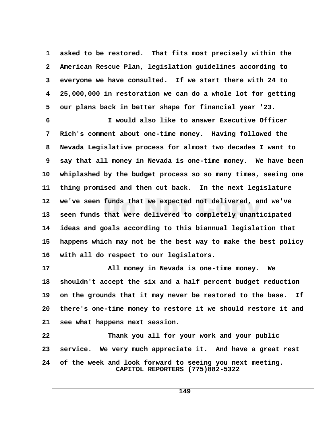**1 asked to be restored. That fits most precisely within the 2 American Rescue Plan, legislation guidelines according to 3 everyone we have consulted. If we start there with 24 to 4 25,000,000 in restoration we can do a whole lot for getting 5 our plans back in better shape for financial year '23.**

 **6 I would also like to answer Executive Officer 7 Rich's comment about one-time money. Having followed the 8 Nevada Legislative process for almost two decades I want to 9 say that all money in Nevada is one-time money. We have been 10 whiplashed by the budget process so so many times, seeing one 11 thing promised and then cut back. In the next legislature 12 we've seen funds that we expected not delivered, and we've 13 seen funds that were delivered to completely unanticipated 14 ideas and goals according to this biannual legislation that 15 happens which may not be the best way to make the best policy 16 with all do respect to our legislators.**

**17 All money in Nevada is one-time money. We 18 shouldn't accept the six and a half percent budget reduction 19 on the grounds that it may never be restored to the base. If 20 there's one-time money to restore it we should restore it and 21 see what happens next session.**

**22 Thank you all for your work and your public 23 service. We very much appreciate it. And have a great rest 24 of the week and look forward to seeing you next meeting. CAPITOL REPORTERS (775)882-5322**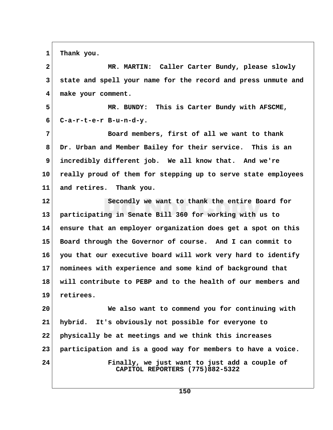1 Thank you.

 **2 MR. MARTIN: Caller Carter Bundy, please slowly 3 state and spell your name for the record and press unmute and 4 make your comment. 5 MR. BUNDY: This is Carter Bundy with AFSCME, 6 C-a-r-t-e-r B-u-n-d-y. 7 Board members, first of all we want to thank 8 Dr. Urban and Member Bailey for their service. This is an 9 incredibly different job. We all know that. And we're 10 really proud of them for stepping up to serve state employees 11 and retires. Thank you. 12 Secondly we want to thank the entire Board for 13 participating in Senate Bill 360 for working with us to 14 ensure that an employer organization does get a spot on this 15 Board through the Governor of course. And I can commit to 16 you that our executive board will work very hard to identify 17 nominees with experience and some kind of background that 18 will contribute to PEBP and to the health of our members and 19 retirees. 20 We also want to commend you for continuing with 21 hybrid. It's obviously not possible for everyone to 22 physically be at meetings and we think this increases 23 participation and is a good way for members to have a voice. 24 Finally, we just want to just add a couple of CAPITOL REPORTERS (775)882-5322**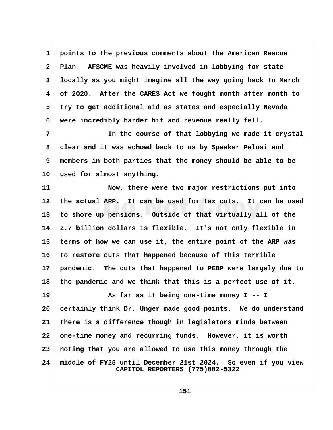**1 points to the previous comments about the American Rescue 2 Plan. AFSCME was heavily involved in lobbying for state 3 locally as you might imagine all the way going back to March 4 of 2020. After the CARES Act we fought month after month to 5 try to get additional aid as states and especially Nevada 6 were incredibly harder hit and revenue really fell.**

 **7 In the course of that lobbying we made it crystal 8 clear and it was echoed back to us by Speaker Pelosi and 9 members in both parties that the money should be able to be 10 used for almost anything.**

**11 Now, there were two major restrictions put into 12 the actual ARP. It can be used for tax cuts. It can be used 13 to shore up pensions. Outside of that virtually all of the 14 2.7 billion dollars is flexible. It's not only flexible in 15 terms of how we can use it, the entire point of the ARP was 16 to restore cuts that happened because of this terrible 17 pandemic. The cuts that happened to PEBP were largely due to 18 the pandemic and we think that this is a perfect use of it.**

19 As far as it being one-time money I -- I **20 certainly think Dr. Unger made good points. We do understand 21 there is a difference though in legislators minds between 22 one-time money and recurring funds. However, it is worth 23 noting that you are allowed to use this money through the 24 middle of FY25 until December 21st 2024. So even if you view CAPITOL REPORTERS (775)882-5322**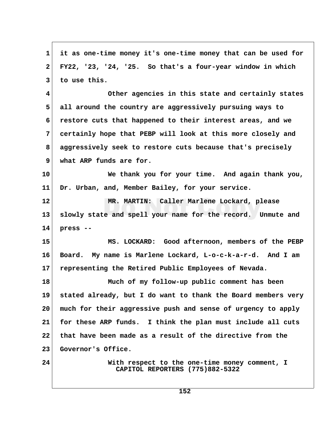**1 it as one-time money it's one-time money that can be used for 2 FY22, '23, '24, '25. So that's a four-year window in which 3 to use this. 4 Other agencies in this state and certainly states 5 all around the country are aggressively pursuing ways to 6 restore cuts that happened to their interest areas, and we 7 certainly hope that PEBP will look at this more closely and 8 aggressively seek to restore cuts because that's precisely 9 what ARP funds are for. 10 We thank you for your time. And again thank you, 11 Dr. Urban, and, Member Bailey, for your service. 12 MR. MARTIN: Caller Marlene Lockard, please 13 slowly state and spell your name for the record. Unmute and 14 press -- 15 MS. LOCKARD: Good afternoon, members of the PEBP 16 Board. My name is Marlene Lockard, L-o-c-k-a-r-d. And I am 17 representing the Retired Public Employees of Nevada. 18 Much of my follow-up public comment has been 19 stated already, but I do want to thank the Board members very 20 much for their aggressive push and sense of urgency to apply 21 for these ARP funds. I think the plan must include all cuts 22 that have been made as a result of the directive from the 23 Governor's Office. 24 With respect to the one-time money comment, I CAPITOL REPORTERS (775)882-5322**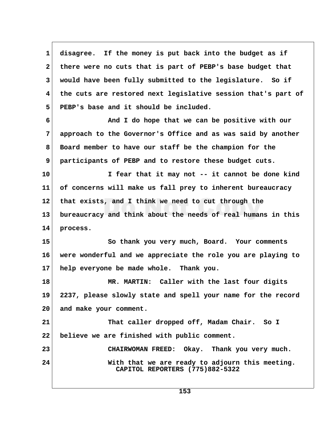**1 disagree. If the money is put back into the budget as if 2 there were no cuts that is part of PEBP's base budget that 3 would have been fully submitted to the legislature. So if 4 the cuts are restored next legislative session that's part of 5 PEBP's base and it should be included. 6 And I do hope that we can be positive with our 7 approach to the Governor's Office and as was said by another 8 Board member to have our staff be the champion for the 9 participants of PEBP and to restore these budget cuts. 10 I fear that it may not -- it cannot be done kind 11 of concerns will make us fall prey to inherent bureaucracy 12 that exists, and I think we need to cut through the 13 bureaucracy and think about the needs of real humans in this 14 process. 15 So thank you very much, Board. Your comments 16 were wonderful and we appreciate the role you are playing to 17 help everyone be made whole. Thank you. 18 MR. MARTIN: Caller with the last four digits 19 2237, please slowly state and spell your name for the record 20 and make your comment. 21 That caller dropped off, Madam Chair. So I 22 believe we are finished with public comment. 23 CHAIRWOMAN FREED: Okay. Thank you very much. 24 With that we are ready to adjourn this meeting. CAPITOL REPORTERS (775)882-5322**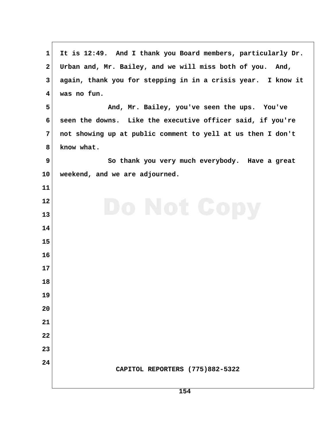| 1                       | It is 12:49. And I thank you Board members, particularly Dr. |
|-------------------------|--------------------------------------------------------------|
| $\mathbf{2}$            | Urban and, Mr. Bailey, and we will miss both of you. And,    |
| 3                       | again, thank you for stepping in in a crisis year. I know it |
| $\overline{\mathbf{4}}$ | was no fun.                                                  |
| 5                       | And, Mr. Bailey, you've seen the ups. You've                 |
| 6                       | seen the downs. Like the executive officer said, if you're   |
| 7                       | not showing up at public comment to yell at us then I don't  |
| 8                       | know what.                                                   |
| 9                       | So thank you very much everybody. Have a great               |
| 10                      | weekend, and we are adjourned.                               |
| 11                      |                                                              |
| 12                      | Do Not Copy                                                  |
| 13                      |                                                              |
| 14                      |                                                              |
| 15                      |                                                              |
| 16                      |                                                              |
| 17                      |                                                              |
| 18                      |                                                              |
| 19                      |                                                              |
| 20                      |                                                              |
| 21                      |                                                              |
| 22                      |                                                              |
| 23                      |                                                              |
| 24                      | CAPITOL REPORTERS (775)882-5322                              |
|                         |                                                              |
|                         |                                                              |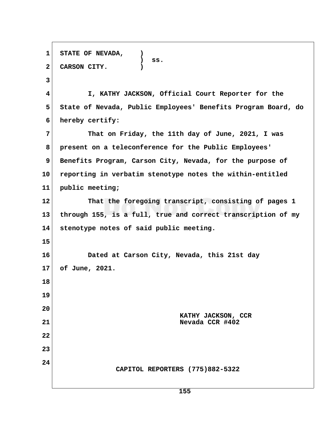**1 STATE OF NEVADA, ) ) ss. 2 CARSON CITY. ) 3 4 I, KATHY JACKSON, Official Court Reporter for the 5 State of Nevada, Public Employees' Benefits Program Board, do 6 hereby certify: 7 That on Friday, the 11th day of June, 2021, I was 8 present on a teleconference for the Public Employees'** 9 Benefits Program, Carson City, Nevada, for the purpose of **10 reporting in verbatim stenotype notes the within-entitled 11 public meeting; 12 That the foregoing transcript, consisting of pages 1 13 through 155, is a full, true and correct transcription of my 14 stenotype notes of said public meeting. 15 16 Dated at Carson City, Nevada, this 21st day 17 of June, 2021. 18 19 20 KATHY JACKSON, CCR 21 Nevada CCR #402 22 23 24 CAPITOL REPORTERS (775)882-5322**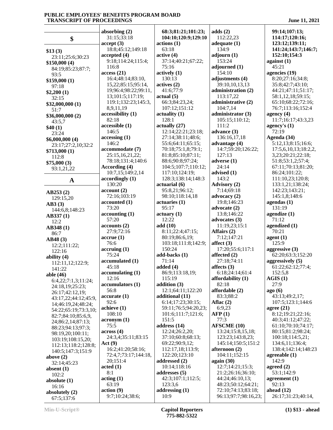|                                       | absorbing $(2)$                   | 68:3;81:21;101:23;      | adds(2)                            | 99:14;107:13;                         |
|---------------------------------------|-----------------------------------|-------------------------|------------------------------------|---------------------------------------|
| \$                                    | 31:15;33:18                       | 104:10;120:9;129:10     | 112:22,23                          | 114:17;120:16;                        |
|                                       | accept(3)                         | actions(1)              | adequate $(1)$                     | 123:12;139:11;                        |
| \$13(3)                               | 18:8;45:12;149:18                 | 63:18                   | 134:9                              | 141:24;143:7;146:7;                   |
| 23:11;25:6;30:23                      | accepted(4)                       | active(4)               | adjourn(1)                         | 152:10;154:3                          |
| \$150,000(4)                          | 9:18;114:24;115:4;                | 37:14;40:21;67:22;      | 153:24                             | against $(1)$                         |
| 84:19;85:23;87:7;                     | 116:8                             | 75:16                   | adjourned (1)                      | 45:21                                 |
| 93:5                                  | access(21)                        | actively(1)             | 154:10                             | agencies (19)                         |
| \$159,000(1)                          | 16:4;48:14;83:10,                 | 130:13                  | adjustments (4)                    | 8:20;27:16;34:8;                      |
| 97:18                                 | 15,22;85:15;95:14,                | actives(2)              | 39:10,10,13,13                     | 35:8;42:7;43:10;                      |
| \$2,200(1)                            | 19;96:4;98:22;99:11,              | 41:6;77:9               | administration (2)                 | 44:21;47:11;51:17;                    |
| 32:15                                 | 13;101:5;117:19;                  | actual(5)               | 113:17,22                          | 58:1,12,18;59:15;                     |
| \$32,000,000 (1)                      | 119:1;132:23;145:3,               | 66:3;84:23,24;          | administrative (2)                 | 65:10;68:22;72:16;                    |
| 51:7                                  | 8,9,11,19                         | 107:12;151:12           | 104:7,14                           | 76:7;113:16;152:4                     |
| \$36,000,000 (2)                      | accessibility (1)                 | $\text{actually } (1)$  | administrator (3)                  | agency $(4)$                          |
| 43:5,7                                | 82:18                             | 128:1                   | 105:15;110:12;                     | 11:7;16:17;43:3,23                    |
| \$40(1)                               | accessible (1)                    | actually (27)           | 111:2                              | agency's $(1)$                        |
| 23:24                                 | 146:5                             | 12:14;22:21;23:18;      | advance (3)                        | 72:19                                 |
| \$6,000,000 (4)                       | accessing(1)                      | 27:14;38:11;48:6;       | 136:16,17,18                       | Agenda (34)                           |
| 23:17;27:2,10;32:2                    | 146:2                             | 55:6;64:11;65:15;       | advantage (4)                      | 5:12,13;8:15;16:6;                    |
| \$713,000(1)                          | accommodate (7)                   | 70:18;75:1,8;79:1;      | 14:7;59:20;126:22;                 | 17:5,6,10,13;18:2,2,                  |
| 112:8                                 | 25:15,16,21,22;                   | 81:8;85:10;87:11;       | 127:13                             | 3,23;20:21;22:18;                     |
| \$75,000(3)                           | 78:18;131:4;140:6                 | 88:6;90:8;97:24;        | adverse (1)                        | 51:8;53:1,2;57:4;                     |
| 93:1,21,22                            | According (4)                     | 104:5;107:7;110:12;     | 24:14                              | 67:11;70:13;81:20;                    |
|                                       | 10:7,15;149:2,14                  | 117:10;124:19;          | advised (1)                        | 86:24;101:22;                         |
| $\mathbf A$                           | accordingly(1)                    | 128:3;138:14;148:3      | 143:2                              | 111:10,23;120:8;                      |
|                                       | 130:20                            | actuarial (6)           | Advisory (2)                       | 133:1,21;138:24;                      |
| AB253(2)                              | account(2)                        | 95:8,21;96:12;          | 7:14;69:18                         | 142:23;143:21;                        |
| 129:15,20                             | 72:16;103:19                      | 98:10;118:14,18         | advocacy $(2)$                     | 145:1,8;148:6                         |
| AB3(3)                                | accounted (1)                     | actuaries(1)            | 19:8;146:23                        | agendas $(1)$                         |
| 144:6,8;148:23                        | 73:20                             | 95:17                   | advocate (2)                       | 131:19                                |
| AB337(1)                              | accounting(1)                     | actuary (1)             | 13:8;146:22                        | agendize $(1)$                        |
| 12:2                                  | 57:20                             | 12:22                   | advocates $(3)$                    | 71:12                                 |
| AB348(1)                              | accounts(2)                       | add (10)                | 11:19,23;15:1                      | agendized (1)                         |
| 86:7                                  | 27:9;72:16                        | 8:11;22:4;47:15;        | Affairs (2)                        | 70:21                                 |
| AB48(3)                               | $accru$ e $(1)$                   | 80:19;86:6,19;          | 7:12;147:21                        | agent(1)                              |
| 12:2;111:22;                          | 76:6                              | 103:18;111:8;142:9;     | affect $(3)$                       | 125:9                                 |
| 122:16                                | $\arctan(1)$<br>75:24             | 150:24<br>add-backs (1) | 17:20;55:6;117:1<br>affected $(2)$ | aggressive $(3)$<br>62:20;63:3;152:20 |
| ability $(4)$                         | accumulated (1)                   | 71:14                   | 27:18;74:11                        | aggressively (5)                      |
| 112:11,12;122:9;                      | 45:18                             | added $(4)$             | affects $(3)$                      | 61:22;62:12;77:4;                     |
| 141:22                                | accumulating (1)                  | 86:9;113:18,19;         | 6:18;24:14;61:4                    | 152:5,8                               |
| able (46)                             | 12:16                             | 115:19                  | affordability $(1)$                | AGIS(1)                               |
| 6:4,22;7:1,3;11:24;                   | accumulators (1)                  | addition $(3)$          | 82:18                              | 27:9                                  |
| 24:18,19;25:23;                       | 56:8                              | 12:1;64:11;122:20       | affordable (2)                     | ago(6)                                |
| 26:17;42:12,19;                       | accurate (1)                      | additional (11)         | 83:3:88:2                          | 43:13;49:2,17;                        |
| 43:17,22;44:12;45:9,                  | 92:6                              | 6:14;17:23;30:15;       | Aflac $(2)$                        | 107:5;123:1;144:6                     |
| 14;46:19,24;48:24;                    | achieve(1)                        | 59:11;76:5;94:20,23;    | 6:9,23                             | agree $(21)$                          |
| 54:22;65:19;73:3,10;                  | 108:10                            | 101:6;111:7;121:6;      | AFP(1)                             | 8:12;19:21;22:16;                     |
| 82:7;84:10;85:6,9,                    | acronym (1)                       | 151:5                   | 77:3                               | 40:3;41:12;47:22;                     |
| 24;86:2,14;87:13;                     | 75:5                              | address (14)            | <b>AFSCME</b> (10)                 | 61:10;70:10;74:17;                    |
| 88:23;94:13;97:3;                     | across (4)                        | 12:24;26:2,20;          | 13:24;15:8,15,18;                  | 80:15;81:2;98:24;                     |
| 98:19,20;100:11;<br>103:19;108:15,20; | 24:3,4;35:11;83:15                | 37:10;60:8;68:13;       | 123:23;143:8,23;                   | 100:18;114:5,21;                      |
| 112:13;118:2;128:8;                   | Act(9)                            | 69:22;90:9,12;          | 145:14;150:5;151:2                 | 134:6,11;136:4;                       |
| 140:5;147:3;151:9                     | 16:2;41:20;58:16;                 | 112:17,18;113:9;        | afternoon (2)                      | 138:4;142:14;148:23                   |
| above $(2)$                           | 72:4,7;73:17;144:18,              | 122:20;123:10           | 104:11;152:15                      | agreeable $(1)$                       |
| 32:14;45:23                           | 20;151:4                          | addressed (2)           | again $(30)$                       | 142:9                                 |
| absent $(1)$                          | $\boldsymbol{\mathrm{acted}}$ (1) | 10:14;118:16            | 12:7;14:21;15:3;                   | agreed $(2)$                          |
| 102:2                                 | 8:1                               | addresses (5)           | 21:2;26:16;36:10;                  | 53:1;142:9                            |
| absolute $(1)$                        | acting(1)                         | 42:3;107:1;112:5;       | 44:24;46:10,13;                    | agreement $(1)$                       |
| 16:16                                 | 63:19                             | 123:3,6                 | 48:23;50:12;64:21;                 | 92:13                                 |
| absolutely (2)                        | action(9)                         | addressing $(1)$        | 72:10;74:13;83:18;                 | ahead $(12)$                          |
| 67:5;137:6                            | 9:7;10:24;38:6;                   | 10:9                    | 96:13;97:7;98:16,23;               | 26:17;31:23;40:14,                    |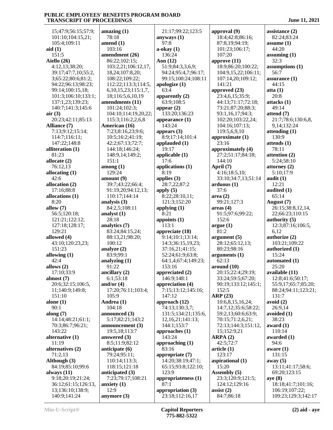15;47:9;56:15;57:9; 101:10;104:15,21; 105:4;109:11 **aid (1)** 151:5 **Aiello (26)** 4:12,13;38:20; 39:17;47:7,10;55:2, 3;65:22;80:6;81:2; 94:22;96:13;98:23; 99:14;100:15,18; 101:3;106:10;133:1; 137:1,23;139:23; 140:7;141:3;145:6 **air (3)** 20:23;42:11;85:13 **Alliance (7)** 7:13;9:12;15:14; 114:7;116:11; 147:22;148:8 **alliteration (1)** 81:23 **allocate (2)** 76:12,13 **allocating (1)** 42:6 **allocation (2)** 17:16;88:8 **allocations (1)** 8:20 **allow (7)** 56:5;120:18; 121:21;122:12; 127:18;128:17; 129:21 **allowed (4)** 43:10;120:23,23; 151:23 **allowing (1)** 42:4 **allows (2)** 17:10;33:9 **almost (7)** 20:6;32:15;106:5, 11;140:9;149:8; 151:10 **alone (1)** 90:1 **along (7)** 14:14;48:21;61:1; 70:3;86:7;96:21; 143:22 **alternative (1)** 11:19 **alternatives (2)** 71:2,13 **Although (3)** 84:19;85:10;99:6 **always (11)** 9:18;20:19;21:24; 36:12;61:15;126:13, 13;136:10;138:9; 140:9;141:24

**amazing (1)** 78:18 **amend (1)** 103:16 **amendment (26)** 86:22;102:15; 103:2,21;106:12,17, 18,24;107:8,20; 108:22;109:22; 112:22;113:3;114:5, 6,10,15,23;115:1,7, 18;116:5,6,10,19 **amendments (11)** 101:24;102:3; 104:10;114:19,20,22; 115:3;116:2,2,6,8 **American (16)** 7:23;8:16,23;9:6; 10:5;16:2;41:19; 42:2;67:13;72:7; 144:18;146:24; 148:9,14;149:2; 151:1 **among (1)** 129:24 **amount (9)** 39:7;43:22;66:4; 91:19,20;94:12,13; 110:17;144:14 **analysis (3)** 84:2,5;108:11 **analyst (1)** 28:18 **analytics (7)** 83:24;84:15,24; 88:13,21;98:20; 100:12 **analyze (2)** 83:9;99:1 **analyzing (1)** 91:22 **ancillary (2)** 6:1;53:18 **and/or (4)** 17:20;76:11;103:4; 105:9 **Andrea (1)** 104:18 **announced (3)** 5:17;82:21;143:2 **announcement (3)** 19:5,18;113:7 **answered (3)** 8:5;11:9;82:12 **anticipate (6)** 79:24;95:11; 110:14;113:3; 118:15;121:18 **anticipated (3)** 7:23;79:17;108:21 **anxiety (1)** 12:9 **anymore (3)**

 21:17;99:22;123:5 **anyways (1)** 97:8 **a-okay (1)** 136:24 **Aon (12)** 51:9;84:3,3,6,9; 94:24;95:4,7;96:17; 99:15;100:24;108:11 **apologize (1)** 63:4 **apparently (2)** 63:9;108:5 **appear (2)** 133:20;136:23 **appearance (1)** 143:24 **appears (3)** 8:9;17:14;101:4 **applauded (1)** 19:17 **applicable (1)** 17:6 **applications (1)** 8:19 **applies (3)** 28:7,22;87:2 **apply (5)** 8:22;28:10,11; 121:3;152:20 **applying (1)** 8:21 **appoints (1)** 113:1 **appreciate (18)** 9:14;10:1;13:14; 14:3;36:15,19,23; 37:16,21;41:15; 52:24;61:9;63:8; 64:1,4;67:4;149:23; 153:16 **appreciated (2)** 146:9;148:1 **appreciation (4)** 7:15;13:12;145:16; 147:12 **approach (12)** 74:13;130:3,7; 131:5;134:21;135:6, 12,16,21;141:13; 144:1;153:7 **approaches (1)** 143:24 **approaching (1)** 83:16 **appropriate (7)** 14:20;38:19;47:1; 65:15;93:8;122:10; 123:9 **appropriateness (1)** 87:1 **appropriation (3)** 23:18;112:16,17

**approval (9)** 18:4;42:8;86:16; 87:8,19;94:19; 101:23;106:17; 107:20 **approve (11)** 18:9;86:20;100:22; 104:9,15,22;106:11; 107:14,20;109:12; 141:21 **approved (23)** 23:4,6,15;35:9; 44:13;71:17;72:18; 73:21;87:20;88:3; 93:1,16,17;94:3; 102:20;103:22,24; 104:16;107:13; 119:5,6,9,10 **approximate (1)** 23:16 **approximately (4)** 27:2;51:17;84:18; 144:10 **April (7)** 4:16;18:5,10; 33:10;34:7,13;51:14 **arduous (1)** 37:6 **area (2)** 99:21;127:3 **areas (4)** 91:5;97:6;99:22; 152:6 **argue (1)** 81:2 **argument (5)** 28:12;65:12,13; 80:23;98:16 **arguments (1)** 62:13 **around (10)** 20:15;22:4;29:19; 33:24;59:5;67:20; 90:19;133:12;145:1; 152:5 **ARP (23)** 10:6,8,15,16,24; 14:7,12;35:6;58:22; 59:2,13;60:6;63:9; 70:15;71:2,6,21; 72:13;144:3;151:12, 15;152:9,21 **ARPA (2)** 42:5;72:7 **article (1)** 123:17 **aspirational (1)** 15:20 **Assembly (5)** 23:3;120:9;121:5; 124:12;129:16 **assist (2)** 84:7;86:18

**assistance (2)** 82:24;83:24 **assume (1)** 44:20 **assuming (1)** 32:3 **assumptions (1)** 56:7 **assurance (1)** 44:15 **atta (1)** 20:8 **attacks (1)** 49:14 **attend (7)** 21:7;78:6;130:6,8, 9,14;132:24 **attending (1)** 130:9 **attends (1)** 78:11 **attention (2)** 5:24;58:10 **attorney (2)** 5:10;17:9 **audit (1)** 12:21 **audited (1)** 65:14 **August (7)** 26:15;38:8,12,14, 22;66:23;110:15 **authority (5)** 12:3;87:16;106:5, 6,12 **authorize (2)** 103:21;109:22 **authorized (1)** 15:24 **automated (1)** 25:20 **available (11)** 12:8;41:6;50:17; 55:9,17;65:7;85:20; 88:24;94:11;123:21; 131:7 **avoid (2)** 26:9,14 **avoided (1)** 38:23 **award (1)** 110:14 **awarded (1)** 94:6 **aware (1)** 131:15 **away (5)** 13:11;41:17;58:6; 69:20;123:15 **aye (8)** 18:18;41:7;101:16; 106:19;107:22; 109:23;129:3;142:17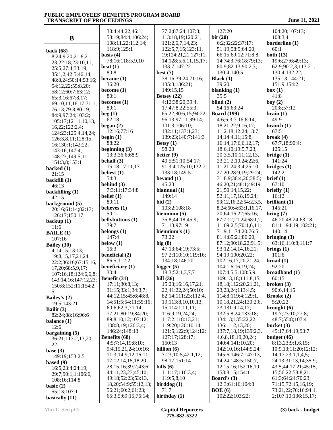|                                              | 33:4;44:22;46:1;           | 77:2;87:24;107:3;    | 127:20                       | 104:20;107:13;       |
|----------------------------------------------|----------------------------|----------------------|------------------------------|----------------------|
| $\bf{B}$                                     | 58:19;84:4;106:24;         | 113:18,19;120:21;    | bit $(20)$                   | 108:3,4              |
|                                              | 108:11,22;112:14;          | 121:2,6,7,14,23;     | 6:2;32:22;37:17;             | borderline (1)       |
|                                              | 118:9;125:1                | 122:5,7,15;123:11,   | 51:19;58:5;64:20;            | 60:1                 |
| back (68)                                    | basis $(4)$                | 19;124:21,21;127:11, | 66:15;69:12;71:8,8,          | both $(13)$          |
| 8:24;9:20;21:8,21,                           | 78:16;118:5,9,10           | 14;128:5,6,11,15,17; | 14;74:3;76:18;79:13;         | 19:6;27:6;49:13;     |
| 23;22:18;23:10,11;                           | beat $(1)$                 | 133:7;147:22         | 80:9;82:13;90:2,3;           | 62:9;90:2,3;113:21;  |
| 25:5;27:4;33:19;                             | 80:8                       | best $(7)$           | 130:4;140:5                  | 130:4;132:22;        |
| 35:1,2;42:5;46:14;                           | became $(1)$               | 38:16;39:24;71:16;   | Black $(1)$                  | 135:13;144:21;       |
| 48:8,24;50:14;53:16;                         | 36:20                      | 135:3;136:21;        | 39:20                        | 151:9;154:2          |
| 54:12,22;55:8,20;                            | become $(1)$               | 149:15,15            | blanking $(1)$               | box(1)               |
| 58:12;60:7;63:12;                            | 80:1                       | Betsey $(22)$        | 35:5                         | 41:8                 |
| 65:3,16;67:8,17;                             | becomes $(1)$              | 4:12;38:20;39:4,     | blind $(2)$                  | boy $(2)$            |
| 69:10,11,16,17;71:1;                         | 80:1                       | 17;47:8,22;55:3;     | 54:16;63:24                  | 20:8;57:12           |
| 76:13;79:8;80:19;                            | beg(1)                     | 65:22;80:6,15;94:22; | <b>Board</b> (199)           | brain(1)             |
| 84:9;97:24;103:2;                            | 62:18                      | 96:13;97:11;99:14;   | 4:6;6:3;7:16;8:14,           | 49:9                 |
| 105:17;121:1,10,13,                          | began $(2)$                | 101:3;106:10;        | 18,21,22;9:16,17;            | branch $(1)$         |
| 16,22;122:2,4;                               | 12:16;77:16                | 132:11;137:1,23;     | 11:2,18;12:24;13:7,          | 67:5                 |
| 124:23;125:4,14,24;                          | begin $(1)$                | 139:23;140:7;141:3   | 14;14:4,11;15:8;             | break $(4)$          |
| 126:3,8,11;128:15,                           | 88:22                      | Betsy $(1)$          | 16:14;17:6,6,12,17;          | 67:7,18;90:4;        |
| 16;130:1;142:22;                             | beginning (3)              | 98:23                | 18:6, 10:19:5, 7, 23;        | 125:15               |
| 143:16;147:4;                                | 13:3;36:6;68:9             | better $(9)$         | 20:3,5,10,11,12,13,          | bridge(1)            |
| 148:23;149:5,11;                             | behalf $(3)$               | 40:5;51:10;54:17;    | 23;21:2,10,24;22:6,          | 141:24               |
| 151:3,8;153:1                                | 15:18;17:11,17             | 91:3,4;125:10;132:7; | 11,21;24:3,4;25:10;          | bridges(1)           |
| backed $(1)$                                 | behest $(1)$               | 133:18;149:5         | 27:20;28:9,19;29:24;         | 142:2                |
| 21:15                                        | 54:3                       | beyond $(1)$         | 31:8,9;36:4,20;38:5;         | brief (1)            |
| backfill (1)                                 | behind $(3)$               | 45:23                | 46:20,21;48:1;49:19,         | 67:10                |
| 46:13                                        | 7:3;11:17;34:8             | biannual (1)         | 21;50:14,15,22;              | briefly $(1)$        |
| backfilling (1)                              | belief $(1)$               | 149:14               | 52:11,17,18,19,24;           | 16:12                |
| 42:15                                        | 80:11                      | bid(2)               | 53:12,16,22;54:2,3,5,        | brilliant $(1)$      |
| background (5)                               | believes (1)               | 103:2;108:18         | 8, 24; 60: 4; 63: 1, 16, 17, | 145:21               |
| 20:16;61:14;82:13;                           | 50:1                       | biennium $(5)$       | 20;64:16,22;65:16;           | bring(7)             |
| 126:17;150:17                                | bellybuttons (1)           | 35:8;44:18;45:9;     | 67:7,12,21,24;68:1,2,        | 46:20;48:24;63:18;   |
| backup $(1)$                                 | 79:7                       | 71:13;97:19          | 11;69:2,5;70:1,6,11;         | 81:11;94:19;102:21;  |
| 11:6                                         | belongs $(1)$              | biennium's (1)       | 71:9,11;74:20;76:5;          | 140:14               |
| <b>BAILE</b> (1)                             | 147:4                      | 73:22                | 81:4;85:21;86:20;            | bringing $(3)$       |
| 107:16                                       | below $(1)$                | big(8)               | 87:12;90:18,22;91:5;         | 63:16;110:8;111:7    |
| Bailey (30)                                  | 16:3                       | 47:13;64:19;73:5;    | 93:12,14,14,16,21;           | brings $(1)$         |
| 4:14,15;13:13;                               | beneficial (2)             | 97:2;110:10;119:16;  | 94:19;100:20,22;             | 101:6                |
| 19:8, 15, 17, 21, 24;                        | 86:5;112:2                 | 134:18;146:20        | 102:16,17,20,21,24;          | broad(1)             |
| 22:2;36:16;67:15,16,<br>17,20;68:5,9,17;     | beneficiary (1)            | bigger $(5)$         | 104:1,6,16,19,24;            | 92:20                |
|                                              | 30:4                       | 18:3;52:1,3,7,7      | 107:4,5,5;108:5,9;           | broadband (1)        |
| 107:16,18;124:6,6,8;<br>143:14,16;147:12,23; | Benefit (31)               | bill $(36)$          | 109:13,18;111:8,15,          | 60:15                |
| 150:8;152:11;154:2,                          | 17:11;30:8,13;             | 15:23;16:16,17,21,   | 18, 18; 112: 20, 21, 21,     | broken $(3)$         |
| 5                                            | 31:15;33:1;34:3,7;         | 22;41:22,24;50:10;   | 23, 23, 24; 113: 4, 5;       | 90:6,14,15           |
| Bailey's (2)                                 | 44:12,15;45:6;48:8,        | 82:14;111:23;112:4,  | 114:8;119:4;129:1,           | Brooke (2)           |
| 19:5;143:21                                  | 14;51:5;54:11;55:16;       | 19;113:8,10,10,13,   | 10, 18, 21, 24; 130: 2, 6,   | 5:20,22              |
| Bailit $(3)$                                 | 60:6;62:3;71:14;           | 15;114:1,11,11;      | 23;131:9,14,17;              | brought $(6)$        |
| 82:24;88:16;96:6                             | 77:21;80:19;84:20;         | 116:9,19,24,24;      | 132:5,8,24;133:18;           | 19:7;23:10;27:8;     |
| balance $(1)$                                | 89:8,10,12;107:12;         | 117:2;118:13,21;     | 134:13;135:22,22;            | 48:7;55:8;107:4      |
| 12:6                                         | 108:8,19;126:3,4;          | 119:20;120:10,14;    | 136:1,12,13,20;              | bucket $(3)$         |
| bargaining $(5)$                             | 146:24;148:13              | 121:5;122:9;124:12;  | 137:7,18,19;139:2,3,         | 45:17;64:19;93:7     |
| 36:21;113:2,13,20,                           | Benefits (68)              | 127:17;128:17;       | 4, 6, 8, 18, 19, 20, 24;     | budget (46)          |
| 22                                           | 4:5;7:14,19;8:10;          | 150:13               | 140:4;141:10,20;             | 8:13,23;9:1,6,15;    |
| base $(3)$                                   | 9:4,15,21,24;10:16;        | billion $(6)$        | 142:10,16;144:5,24;          | 10:9,13;11:20;12:12; |
| 149:19;153:2,5                               | 11:3;14:9,12;16:11;        | 7:23;10:5;42:1,12;   | 145:6;146:7;147:13,          | 14:17;23:1,1,4,5;    |
| based (9)                                    | 17:12,14,15,18,20;         | 98:17;151:14         | 14,24;148:5;150:7,           | 24:13;31:13,14;35:9; |
| 16:5;23:4;24:19;                             | 28:15,16;39:2;43:6;        | bills $(6)$          | 12, 15, 16; 152: 16, 19;     | 43:5;44:17,21;45:15, |
| 29:7;90:1,1;106:6;                           | 44:11,23,23;45:10;         | 111:17;116:3,4;      | 153:8,15;154:1               | 15;56:22;58:8,21;    |
| 108:16;114:8                                 | 49:18;52:23;53:13,         | 119:5,8,10           | Board's (3)                  | 61:3;64:24;70:23;    |
| basic $(2)$                                  | 18, 20; 54: 9; 55: 12, 13; | birddog(1)           | 12:3;61:16;104:8             | 71:15;72:15,16,19;   |
| 55:13;107:1                                  | 56:21;60:2;61:23;          | 71:7                 | BOE(6)                       | 73:21,22;76:16;94:1, |
|                                              | 65:3,5;69:15;76:14;        | birthday (1)         | 102:22;103:22;               | 2;107:10;136:15,17;  |
| basically (11)                               |                            |                      |                              |                      |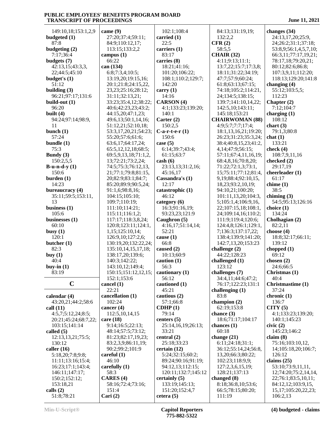| 149:10,18;153:1,2,9        | came (9)                        | 102:1;108:4                         | 84:13;131:19,19;                           | changes $(34)$                            |
|----------------------------|---------------------------------|-------------------------------------|--------------------------------------------|-------------------------------------------|
| budgeted (1)               | 27:20;37:4;59:11;               | carried (1)                         | 132:2,2                                    | 24:13,17,20;25:9,                         |
| 87:8                       | 84:9;110:12,17;                 | 22:5                                | CFR(2)                                     | 24;26:2;31:1;37:18;                       |
| budgeting (2)              | 113:15;133:2,2                  | carriers (1)                        | 58:5,5                                     | 53:8,9;56:1,4,5,7,10;                     |
| 7:17;36:4                  | campus $(1)$                    | 83:17                               | <b>CHAIR (32)</b>                          | 66:3,11;77:17,19,21;                      |
| budgets (7)                | 66:22                           | carries (8)                         | 4:11;9:13;11:1;                            | 78:17,18;79:20,21;                        |
| 42:13,15;43:3,3,           | can (134)                       | 18:21;41:16;                        | 13:7,22;15:7;17:3,8;                       | 80:12;82:6;86:8;                          |
| 22;44:5;45:10              | 6:8;7:3,4;10:5;                 | 101:20;106:22;                      | 18:11;31:22;34:19;                         | 107:3,9,11;112:20;                        |
| budget's (1)               | 13:19,20;19:15,16;              | 108:1;110:2;129:7;                  | 47:7;57:9;60:24;                           | 118:13;129:20;141:8                       |
| 51:12                      | 20:1;21:8;24:15,22,             | 142:20                              | 61:8;63:13;67:15;                          | changing $(4)$                            |
| building $(3)$             | 23, 23; 25: 16; 28: 12;         | carry $(1)$                         | 74:18;105:2;114:21,                        | 55:12;103:5,5;                            |
| 96:21;97:17;131:6          | 31:11;32:13,21;                 | 14:16                               | 24;134:5;138:15;                           | 112:23                                    |
| build-out $(1)$            | 33:23;35:4,12;38:22;            | <b>CARSON</b> (4)                   | 139:7;141:10,14,22;                        | Chapter $(2)$                             |
| 96:20                      | 40:6;42:23,23;43:2;             | 4:1;133:23;139:20;                  | 142:5,10;143:11;                           | 7:12;104:7                                |
| built $(4)$                | 44:15,20;47:1,23;               | 140:1                               | 145:18;153:21                              | charging $(1)$                            |
| 94:24;97:14;98:9,          | 49:6,13;50:1,14,16;             | Carter $(2)$                        | <b>CHAIRWOMAN (88)</b>                     | 108:12                                    |
| 11                         | 51:12,21;52:10,18;              | 150:2,5                             | 4:9;5:7;7:7;17:4;                          | chart $(3)$                               |
| bunch $(1)$                | 53:3,17,20,21;54:23;            | $C$ -a-r-t-e-r $(1)$                | 18:1,13,16,21;19:20;                       | 79:1,3;80:8                               |
| 57:24                      | 55:20;57:6;61:6;                | 150:6                               | 26:23;31:23;35:3,24;                       | chat(1)                                   |
| bundle $(1)$               | 63:6,17;64:17,24;               | case $(5)$                          | 38:4;40:8,15,23;41:2,                      | 133:21                                    |
| 75:3                       | 65:5, 12, 12, 18; 68:5;         | 6:14;39:7;43:4;                     | 4, 14; 47: 9; 56: 15;                      | check $(4)$                               |
| Bundy $(3)$                | 69:5, 9, 13, 18; 71:1, 2,       | 61:15:63:7                          | 57:11;67:4,11,16,19;                       | 108:7,9,11,16                             |
| 150:2,5,5                  | 13;72:21;73:2,24;               | $\cosh(6)$                          | 68:4,8,16;70:8,20;                         | checked (2)                               |
| $B-u-n-d-y(1)$             | 74:5;75:3;76:12,13,             | 23:13,13;31:2,16;                   | 71:22;72:1,3;73:1,                         | 29:17,19                                  |
| 150:6                      | 21;77:1;79:8;81:15,             | 45:16,17                            | 15;75:11;77:12;81:4,                       | cheerleader (1)                           |
| burden(1)                  | 20;82:9;83:1;84:7;              | Cassandra's (1)                     | 9, 19; 88: 4; 92: 10, 15,                  | 61:17                                     |
| 14:23                      | 85:20;89:9;90:5,24;             | 12:17                               | 18,23;93:2,10,19;                          | chime $(1)$                               |
| bureaucracy (4)            | 91:1,6;98:8,16;                 | catastrophic (1)<br>46:12           | 94:10,21;100:20;                           | 38:5                                      |
| 35:11;59:5;153:11,<br>13   | 104:15;105:10;                  |                                     | 101:11,13,20;104:3,                        | chiming $(3)$                             |
| business $(1)$             | 109:7;110:19;<br>111:10;114:21; | category $(6)$<br>16:3;91:16,19;    | 5;105:1,4;106:9,16,<br>22;107:15,18;108:1, | 54:5;95:13;126:16<br>choice $(1)$         |
| 105:6                      | 115:11;116:1,2;                 | 93:23,23;121:9                      | 24;109:14,16;110:2;                        | 134:24                                    |
| businesses (1)             | 117:17;118:3,8,24;              | Caughron (5)                        | 111:9;119:4;120:6;                         | Cholhagian (2)                            |
| 60:10                      | 120:8;123:11;124:1,             | 4:16,17;51:14,14;                   | 124:4,8;126:1;129:1,                       | 82:2,11                                   |
| busy $(1)$                 | 1,15;125:10,14;                 | 52:21                               | 7;136:3;137:17,22;                         | choose $(4)$                              |
| 120:1                      | 126:9,10;127:2,6;               | cause $(1)$                         | 138:4;139:9;141:20;                        | 18:8;32:17;66:11;                         |
| butcher (1)                | 130:19,20;132:22,24;            | 66:8                                | 142:7,13,20;153:23                         | 139:12                                    |
| 82:3                       | 135:10,14,15,17,18;             | caused (2)                          | challenge $(2)$                            | chopped $(1)$                             |
| buy $(1)$                  | 138:17,20;139:6;                | 10:13;60:9                          | 44:22;128:23                               | 69:12                                     |
| 40:4                       | 140:3;142:22;                   | caution $(1)$                       | challenged (1)                             | chosen $(2)$                              |
| buy-in $(1)$               | 143:10,12;149:4;                | 56:3                                | 123:12                                     | 24:6;66:5                                 |
| 83:19                      | 150:15;151:12,12,15;            | cautionary (1)                      | challenges (7)                             | Christmas (1)                             |
|                            | 152:1:153:6                     | 56:12                               | 34:4,11;44:6;47:2;                         | 40:4                                      |
| $\mathbf C$                | cancel (1)                      | cautioned (1)                       | 76:17;122:23;131:1                         | <b>Christmastime</b> (1)                  |
|                            | 22:21                           | 45:21                               | challenging $(1)$                          | 37:24                                     |
| calendar (4)               | cancellation (1)                | cautious $(2)$                      | 83:8                                       | chronic (1)                               |
| 43:20,21;44:2;58:6         | 102:24                          | 57:1;66:8                           | champion (2)                               | 136:7                                     |
| call $(11)$                | cancer $(4)$                    | CDHP(1)                             | 62:19;153:8                                | CITY(5)                                   |
| 4:5,7;5:12,24;8:5;         | 112:5, 10, 14, 15               | 79:14                               | chance $(3)$                               | 4:1;133:23;139:20;                        |
| 20:21;45:24;68:7,22;       | care $(18)$                     | centers $(5)$                       | 18:6;71:17;104:17                          | 140:1;145:23                              |
| 103:15:141:14              | 9:14;16:5;22:13;                | 25:14,16,19;26:13;                  | chances $(1)$                              | civic(2)                                  |
| called $(5)$               | 48:14;57:5;73:12;               | 33:21                               | 60:18                                      | 145:23;146:2                              |
| 12:13,13,21;75:5;          | 81:23;82:17,19,23;              | central $(2)$                       | change $(21)$                              | claim(8)                                  |
| 130:12                     | 83:2,3,9;86:11,19;              | 25:18;33:23                         | 6:11;24:18;31:1;                           | 75:16;103:10,12,                          |
| caller $(16)$              | 90:2;99:2;101:9                 | certain $(12)$                      | 36:12;55:14,24;56:8,                       | 14;105:18,20;106:7;                       |
| 5:18,20;7:8;9:8;           | careful $(1)$                   | 5:24;32:15;60:2;                    | 13,20;66:3;80:22;                          | 126:12                                    |
| 11:11;13:16;15:4;          | 46:10                           | 89:24;90:16;91:19;                  | 102:23;118:9,9;                            | claims $(25)$                             |
| 16:23;17:1;143:4;          | carefully $(1)$                 | 94:12,13;112:15;                    | 127:2,3,6,15,19;                           | 53:10;73:9,11,11,                         |
| 146:11;147:17;             | 58:3<br>CARES <sup>(4)</sup>    | 120:11;132:7;145:12<br>certainly(5) | 128:21;137:13<br>changed (8)               | 12;74:20;75:2,14,14,                      |
| 150:2;152:12;<br>153:18,21 | 58:16;72:4;73:16;               | 133:19;145:13;                      | 8:18;36:8,10;53:6;                         | 22;76:1;83:5,10,11;<br>84:12,12;103:9,15, |
| calls $(2)$                | 151:4                           | 151:20;152:4,7                      | 66:5;78:15;80:20;                          | 15,17;105:20,22,23;                       |
| 51:8;78:21                 | Cari $(2)$                      | cetera(5)                           | 111:19                                     | 106:2,13                                  |
|                            |                                 |                                     |                                            |                                           |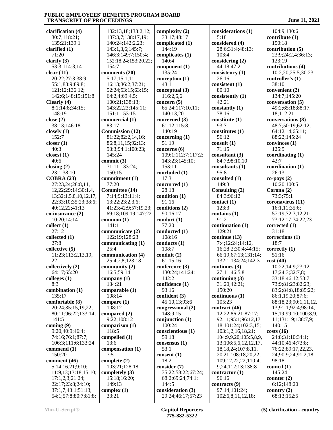**clarification (4)** 30:7;118:21; 135:21;139:1 **clarified (1)** 71:20 **clarify (3)** 53:3;114:3,14 **clear (11)** 20:22;27:3;38:9; 55:1;88:9;89:8; 121:12;136:12; 142:6;148:15;151:8 **Clearly (4)** 8:1;14:8;34:15; 148:19 **close (2)** 38:13;146:18 **closely (1)** 152:7 **closer (1)** 40:3 **closest (1)** 40:6 **closing (2)** 23:1;38:10 **COBRA (23)** 27:23,24;28:8,11, 12,22;29:14;30:1,4, 13;32:1,5,8,10,12,17, 22;33:10;35:23;38:6; 40:12,22;41:13 **co-insurance (2)** 10:20;14:14 **collect (1)**  $27.12$ **collected (1)** 27:8 **collective (5)** 11:23;113:2,13,19, 22 **collectively (2)** 64:17;65:20 **colleges (1)** 8:3 **combination (1)** 135:17 **comfortable (8)** 20:24;35:15,19,22; 80:11;96:22;133:14; 141:5 **coming (9)** 9:20;40:9;46:4; 74:16;76:1;87:7; 106:3;111:6;133:24 **commend (1)** 150:20 **comment (46)** 5:14,16,21;9:10; 11:9,13;13:18;15:10; 17:1,2,3;21:24; 22:17;23:8;24:10; 37:1,7;43:1;51:13; 54:1;57:8;80:7;81:8;

 132:13,18;133:2,12; 137:3,7;138:17,19; 140:24;142:2,23; 143:1,3,6;145:7; 146:3;149:7;150:4; 152:18,24;153:20,22; 154:7 **comments (20)** 5:17;15:1,11; 16:13;36:2;37:21; 52:24;53:15;63:15; 64:2,4;69:4,5; 100:21;138:13; 143:22,23;145:11; 151:1;153:15 **commercial (1)** 83:17 **Commission (12)** 81:22;82:2,14,16; 86:8,11,15;92:13; 93:3;94:1;100:23; 145:24 **commit (3)** 71:11;133:24; 150:15 **commitment (1)** 77:20 **Committee (14)** 7:14;9:13;11:4; 13:22;23:2,3,6; 41:23;42:9;57:19,23; 69:18;109:19;147:22 **common (1)** 141:1 **communicate (2)** 122:19;128:23 **communicating (1)** 25:4 **communication (4)** 25:4,7,8;123:18 **community (2)** 16:5;59:14 **company (1)** 134:21 **comparable (1)** 108:14 **compare (1)** 108:12 **compared (2)** 9:22;108:12 **comparison (1)** 118:5 **compelled (1)** 13:6 **compensation (1)** 7:5 **complete (2)** 103:21;128:18 **completely (3)** 15:18;16:20; 149:13 **complex (1)** 33:21

**complexity (2)** 33:17;48:17 **complicated (1)** 144:19 **complicates (1)** 140:4 **component (1)** 135:24 **conception (1)** 43:1 **conceptual (3)** 116:2,5,6 **concern (5)** 65:24;117:10,11; 140:13,20 **concerned (3)** 61:12;115:8; 140:19 **concerning (1)** 51:19 **concerns (6)** 109:1;112:7;117:2; 143:23;145:10; 153:11 **concluded (1)** 17:3 **concurred (1)** 28:18 **condition (1)** 91:16 **conditions (2)** 90:16,17 **conduct (1)** 77:20 **conducted (1)** 108:16 **conducts (1)** 108:7 **conduit (2)** 61:15,16 **conference (3)** 130:24;141:24; 142:2 **confidence (1)** 93:16 **confident (3)** 45:10,13;93:6 **congressional (2)** 148:9,15 **conjunction (1)** 100:24 **conscientious (1)** 59:18 **consensus (1)** 53:1 **consent (1)** 18:2 **consider (7)** 35:22;58:22;67:24; 68:2;69:24;74:1; 144:5 **consideration (3)** 29:24;46:17;57:23

**considerations (1)** 5:18 **considered (4)** 28:6;31:4;48:13; 103:4 **considering (2)** 44:18;47:2 **consistency (1)** 26:16 **consistent (1)** 80:10 **consistently (1)** 42:21 **constantly (1)** 78:16 **constitute (1)** 93:7 **constitutes (1)** 56:12 **consult (1)** 71:15 **consultant (3)** 84:7;98:10,10 **consultants (1)** 95:8 **consulted (1)** 149:3 **Consulting (2)** 84:3;96:12 **contact (1)** 123:3 **contains (1)** 91:2 **continuation (1)** 129:21 **continue (13)** 7:4;12:24;14:12, 16;28:2;30:4;44:15; 66:19;67:13;131:14; 132:1;134:24;142:3 **continues (3)** 27:11;46:5,8 **continuing (3)** 31:20;42:21; 150:20 **continuous (1)** 105:23 **contract (46)** 12:22;86:21;87:17; 92:11;95:1;96:12,17, 18;101:24;102:3,15; 103:1,2,16,18,21; 104:9,9,20;105:5,8,9, 13;106:5,6,12,12,17, 18,18,24;107:8,11, 20,21;108:18,20,22; 109:12,22,22;110:4, 9,24;112:13;138:8 **contractor (1)** 96:16 **contracts (9)** 97:14;101:24; 102:6,8,11,12,18;

 104:9;130:6 **contribute (1)** 150:18 **contribution (5)** 23:9;24:2,4;36:13; 123:19 **contributions (4)** 10:2,20;25:5;30:23 **controller's (1)** 38:10 **convenient (2)** 134:7;145:20 **conversation (5)** 49:2;65:18;88:17, 18;112:21 **conversations (8)** 48:7;50:19;62:12; 64:12,14;65:11; 88:22;145:24 **convinces (1)** 125:9 **coordinating (1)** 42:7 **coordination (1)** 26:13 **co-pays (2)** 10:20;100:5 **Corona (2)** 73:3;75:1 **coronavirus (11)** 16:1,11;35:6; 57:19;72:3,12,21; 73:12,17;74:22,23 **corrected (1)** 31:18 **corrections (1)** 18:7 **correctly (1)** 51:16 **cost (40)** 10:22;14:9;23:12, 17;24:3;32:7,8; 33:18;46:12;53:7; 73:9;81:23;82:23; 83:2;84:8,18;85:22; 86:1,19,20;87:6; 88:18,23;90:1,11,12, 13;91:1;92:4;98:14, 15,19;99:10;100:8,9, 11;131:19;138:7,9; 140:15 **costs (16)** 24:8;31:10;34:1; 44:10;46:4;73:8; 76:22;89:17,22,23, 24;90:9,24;91:2,18; 98:18 **council (1)** 145:24 **counter (2)** 6:12;148:20 **country (2)** 68:13;152:5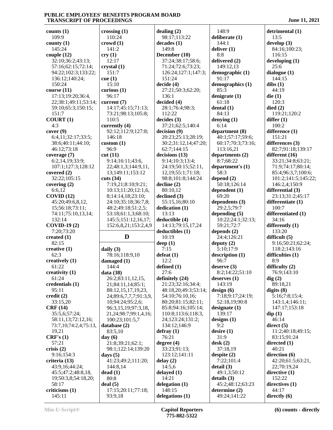**counts (1)** 109:9 **county (1)** 145:24 **couple (12)** 32:10;36:2;43:13; 57:16;62:15;72:14; 94:22;102:3;133:22; 136:12;140:24; 150:24 **course (11)** 17:13;19:20;36:4, 22;38:1;49:11;53:14; 59:10;65:3;150:15; 151:7 **COURT (1)** 4:3 **cover (9)** 6:4,11;32:17;33:5; 38:6;40:11;44:10; 46:12;73:18 **coverage (7)** 6:2,14,19;33:9; 107:1;127:3;128:12 **covered (2)** 32:22;105:15 **covering (2)** 6:6,12 **COVID (12)** 45:20;49:6,8,12, 15;56:18;73:11; 74:11;75:10,13,14; 132:14 **COVID-19 (2)** 7:20;73:20 **created (1)** 82:15 **creative (1)** 62:3 **creatively (1)** 61:22 **creativity (1)** 61:24 **credentials (1)** 95:11 **credit (2)** 33:15,20 **CRF (14)** 35:5,6;57:24; 58:11,13;72:12,16; 73:7,10;74:2,4;75:13, 19,21 **CRF's (1)** 57:21 **crisis (2)** 9:16;154:3 **criteria (13)** 43:9,16;44:24; 45:5;47:2;48:8,18, 19;50:3,8;54:18,20; 58:17 **criticisms (1)** 145:11 **crossing (1)** 110:24 **crowd (1)** 141:2 **cry (1)** 12:17 **crystal (1)** 151:7 **cue (1)** 15:10 **curious (1)** 96:17 **current (7)** 14:17;4 73:21;9 110:5 **currently (4)** 92:12;1 146:18 **custom (1)** 96:9 **cut (11)** 9:14:16: 22;48:1 13;149: **cuts (34)** 7:19,21 10:13;1 8:14:14  $24:10:3$ 48:2;49 53:18:61 145:5;1 152:6,8,21;153:2,4,9 **daily (3)** 78:16;1 **damaged (1)** 144:4 **data (38)** 26:2;83 21;84:1 24;89:6, 10;94:24 96:3,15,  $100:23$ : database ( 83:5,10 **day (6)** 21:8;39 98:1;122 **days (5)** 41:23;4 **dead (1)** 80:8 **deal (5)**  $17:15;20$ 93:9,18

| ossing(1)                                                             | dealing $(2)$          | 148:9            |
|-----------------------------------------------------------------------|------------------------|------------------|
| 110:24                                                                | 98:17;113:22           | deliberate (1)   |
|                                                                       |                        |                  |
| owd(1)                                                                | decades (1)            | 144:1            |
| 141:2                                                                 | 149:8                  | deliver $(1)$    |
|                                                                       |                        | 8:8              |
| y(1)                                                                  | December (10)          |                  |
| 12:17                                                                 | 37:24;38:17;58:6;      | delivered (2)    |
| ystal (1)                                                             | 71:24;72:6;73:23;      | 149:12,13        |
|                                                                       |                        |                  |
| 151:7                                                                 | 126:24;127:1;147:3;    | demographic (1)  |
| e(1)                                                                  | 151:24                 | 91:17            |
| 15:10                                                                 | decide (4)             | demographics (1  |
|                                                                       |                        |                  |
| rious(1)                                                              | 27:21;50:3;62:20;      | 85:3             |
| 96:17                                                                 | 136:1                  | denigrate (1)    |
| rrent (7)                                                             | decided (4)            | 61:18            |
|                                                                       |                        |                  |
| 14:17;45:15;71:13;                                                    | 28:1;76:4;98:3;        | dental $(1)$     |
| 73:21;98:13;105:8;                                                    | 112:22                 | 84:13            |
| 110:5                                                                 | decides (3)            | denying $(1)$    |
|                                                                       |                        |                  |
| rrently (4)                                                           | 37:21;62:5;140:4       | 6:14             |
| 92:12;112:9;127:8;                                                    | decision (9)           | department (8)   |
| 146:18                                                                | 20:23;25:13;28:19;     | 40:1;57:17;59:   |
|                                                                       |                        |                  |
| $^{1}$                                                                | 30:2;31:12,14;47:20;   | 60:17;70:3;73:   |
| 96:9                                                                  | 62:7;144:15            | 113:16,21        |
| it $(11)$                                                             | decisions (13)         | departments (2)  |
|                                                                       |                        |                  |
| 9:14;16:11;43:6,                                                      | 9:14;10:3;13:4;        | 8:7;68:22        |
| 22;48:1,3;144:9,11,                                                   | 24:19;50:15;52:11,     | department's (1) |
| 13;149:11;153:12                                                      | 12, 19; 55: 1; 71: 18; | 58:3             |
|                                                                       |                        |                  |
| its(34)                                                               | 98:8;101:8;144:24      | depend (2)       |
| 7:19,21;8:10;9:21;                                                    | $\text{decline} (2)$   | 50:18;126:14     |
| 10:13;11:20;12:1,6,                                                   | 80:10,12               | dependent (1)    |
|                                                                       |                        |                  |
| 8;14:14,18;23:10;                                                     | declined (3)           | 69:20            |
| 24:10;35:18;36:7,8;                                                   | 55:15,16;80:10         | dependents (3)   |
| 48:2;49:18;51:2,5;                                                    | dedication (1)         | 29:2,5;79:7      |
| 53:18;61:1,3;68:10;                                                   | 13:13                  |                  |
|                                                                       |                        |                  |
|                                                                       |                        | depending (5)    |
| 145:5;151:12,16,17;                                                   | deductible (4)         | 10:22;24:1;32:   |
|                                                                       |                        |                  |
| 152:6,8,21;153:2,4,9                                                  | 14:13;79:15,17,24      | 59:21;72:7       |
|                                                                       | deductibles (1)        | depends $(2)$    |
| D                                                                     | 10:19                  | 24:4;126:21      |
|                                                                       |                        |                  |
|                                                                       | deep(1)                | deputy $(2)$     |
| $n$ ily $(3)$                                                         | 7:15                   | 5:10;17:9        |
| 78:16;118:9,10                                                        | defeat(1)              | description (1)  |
|                                                                       | 12:2                   | 96:7             |
| maged (1)                                                             |                        |                  |
| 144:4                                                                 | defined $(1)$          | deserve (3)      |
| ıta (38)                                                              | 27:6                   | 8:2;14:22;51:1   |
| 26:2;83:11,12,15,                                                     | definitely (24)        | deserves $(1)$   |
|                                                                       |                        |                  |
| 21;84:11,14;85:1;                                                     | 21:23;32:16;34:4;      | 143:19           |
| 88:12,15,17,19,23,                                                    | 48:18,20;49:3;53:14;   | design(6)        |
| 24;89:6,7,7,7;91:3,9,                                                 | 54:10;76:10,16;        | 7:18;9:17;24:1   |
|                                                                       |                        |                  |
| 10:94:24:95:2,6:                                                      | 80:20;81:15;82:11;     | 52:18,19;90:8    |
| 96:3,15,19;97:3,18,                                                   | 85:8;94:16;105:14;     | designate (1)    |
| 21,24;98:7;99:1,4,16;                                                 | 110:8;113:6;118:3,     | 139:17           |
|                                                                       |                        |                  |
| 100:23;101:5,7                                                        | 24;123:24;131:2;       | designs $(1)$    |
| itabase (2)                                                           | 134:12;146:9           | 9:2              |
| 83:5,10                                                               | defray(1)              | desire(1)        |
|                                                                       | 76:21                  | 31:9             |
| ıy (6)                                                                |                        |                  |
| 21:8;39:21;62:1;                                                      | degree $(4)$           | $\text{desk}(2)$ |
| 98:1;122:14;139:20                                                    | 33:23;91:13;           | 37:18,19         |
|                                                                       | 123:12;141:11          | despite $(2)$    |
|                                                                       |                        |                  |
|                                                                       | delay(2)               | 7:22;101:4       |
|                                                                       | 14:5,6                 | detail (3)       |
|                                                                       | delayed (1)            | 49:1,3;50:12     |
|                                                                       | 14:21                  | details (3)      |
|                                                                       |                        |                  |
| ıys (5)<br>41:23;49:2;111:20;<br>144:8,14<br>rad(1)<br>80:8<br>al (5) | delegation $(1)$       | 45:2;48:12;63:   |
| 17:15;20:11;77:18;                                                    | 148:15                 | determine (2)    |
| 93:9,18                                                               | delegations (1)        | 49:24;141:22     |

 148:9 **deliberate (1)** 144:1 **deliver (1)** 8:8 **delivered (2)** 149:12,13 **demographic (1)** 91:17 **demographics (1)** 85:3 **denigrate (1)** 61:18 **dental (1)** 84:13 **denying (1)** 6:14 **department (8)** 40:1;57:17;59:6; 60:17;70:3;73:16; 113:16,21 **departments (2)** 8:7;68:22 **department's (1)** 58:3 50:18;126:14 **dependent (1)** 69:20 **dependents (3)** 29:2,5;79:7 **depending (5)** 10:22;24:1;32:13; 59:21;72:7 **depends (2)** 24:4;126:21 **deputy (2)** 5:10;17:9 **description (1)** 96:7 **deserve (3)** 8:2;14:22;51:10 **deserves (1)** 143:19 7:18;9:17;24:19; 52:18,19;90:8 **designate (1)** 139:17 **designs (1)** 9:2 **desire (1)** 31:9 **desk (2)** 37:18,19 **despite (2)** 7:22;101:4 **detail (3)** 49:1,3;50:12 **details (3)** 45:2;48:12;63:23 **determine (2)** 49:24;141:22

**detrimental (1)** 13:5 **develop (3)** 84:16;100:23; 116:15 **developing (1)** 25:6 **dialogue (1)** 144:15 **dibs (1)** 44:19 **die (1)** 120:3 **died (2)** 119:21;120:2 **differ (1)** 100:2 **difference (1)** 151:21 **differences (3)** 82:7;91:18;139:17 **different (16)** 33:21;34:8;63:21; 71:9;74:17;80:14; 85:4;96:3,7;100:6; 101:2;141:5;145:22; 146:2,4;150:9 **differential (3)** 23:13;31:2;45:17 **differentiate (1)** 100:7 **differentiated (1)** 34:16 **differently (1)** 133:20 **difficult (5)** 9:16;50:21;62:24; 118:2;143:16 **difficulties (1)** 8:9 **difficulty (2)** 76:9;143:10 **dig (2)** 89:18,21 **digits (8)** 5:16;7:8;15:4; 143:1,4;146:11; 147:17;153:18 **dip (1)** 46:14 **direct (5)** 11:2;40:18;49:15; 83:15;91:24 **directed (1)** 40:21 **direction (6)** 42:20;61:5;63:21, 22;70:19,24 **directive (1)** 152:22 **directives (1)** 44:17 **directly (6)**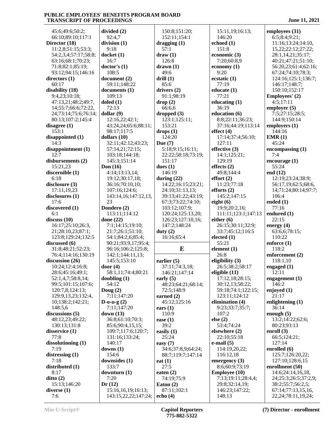45:6;49:6;50:2; 66:10;89:10;117:1 **Director (18)** 11:2,8;51:15;53:3; 54:2,3,4;57:17;58:8; 63:16;68:1;70:23; 71:8;82:1;85:19; 93:12;94:15;146:16 **directors (1)** 60:17 **disability (18)** 9:4,23;10:18; 47:13,21;48:2;49:7, 14;55:7;66:6;72:22, 24;73:14;75:6;76:14; 80:13;107:2;145:4 **disagree (1)** 153:1 **disappointed (1)** 14:3 **disappointment (1)** 12:7 **disbursements (2)** 15:21,23 **discernible (1)** 6:18 **disclosure (3)** 17:11,19,23 **disclosures (1)** 17:6 **discovered (1)** 6:1 **discuss (10)** 16:17;25:10;26:3, 21;28:10,23;87:1; 123:8;129:24;132:5 **discussed (6)** 31:8;48:21;52:23; 76:4;114:16;130:19 **discussion (26)** 10:24;12:4;16:8; 28:6;45:16;49:1; 52:1,4,7;58:8,14; 99:5;101:15;107:6; 120:7,8;124:13; 129:9,13,23;132:4, 10;138:2;142:21; 148:5,6 **discussions (5)** 48:12,23;49:22; 130:13;131:8 **disservice (1)** 77:8 **dissolutioning (1)** 7:19 **distressing (1)** 7:18 **distributed (1)** 8:17 **ditto (2)** 15:13;146:20 **diverse (1)** 7:6

23

**divided (2)** 92:4,7 **division (1)** 9:18 **docket (1)** 16:7 **doctor's (1)** 108:5 **document (2)** 59:11;148:22 **documents (1)** 109:13 **doled (1)** 72:13 **dollar (9)** 12:16,22;42:1; 43:24,24;65:6;88:11; 98:17;117:5 **dollars (10)** 32:11;42:12;43:23; 57:14,21;72:15; 103:18;144:18; 145:3;151:14 **Don (16)** 4:14;13:13,14; 19:12;30:17,18; 36:16;70:10,10; 107:16;124:6; 143:14,16;147:12,13, **Dondero (2)** 113:11;114:12 **done (22)** 7:1;14:15;19:10; 21:7;26:1;51:10; 54:1;84:2,6;85:4; 90:21;93:9,17;95:4; 96:16;106:2;125:8; 142:1;144:11,13; 145:5;153:10 **door (4)** 58:1,11;74:4;80:21 **doubling (1)** 54:12 **Doug (2)** 7:11;147:20 **D-o-u-g (2)** 7:11;147:20 **down (13)** 36:8;61:10;70:3; 85:6;90:4,15,15; 109:7;117:6;120:7; 131:16;133:24; 140:17 **downs (1)** 154:6 **downsides (1)** 133:7 **downturn (1)** 7:20 **Dr (12)** 15:16,16,19;16:13; 143:15,22,22;147:24; 150:8;151:20; 152:11;154:1 **dragging (1)** 57:1 **draw (1)** 126:8 **drawn (1)** 49:6 **drill (1)** 85:6 **drivers (2)** 91:1;98:19 **drop (2)**  $66.66$ **dropped (3)** 123:1;125:11; 153:21 **drops (1)** 124:20 **Due (7)** 5:18;9:15;16:11; 22:22;58:18;73:19; 151:17 **dues (1)** 146:19 **during (22)** 14:22;16:15;23:21; 24:10;31:13,13; 39:13;41:22;43:19; 67:3;73:22;74:10; 103:12;107:9; 120:24;125:13,20; 126:23;127:10,16; 147:2;148:24 **duty (2)** 16:16;65:4 **earlier (5)** 37:11;74:3,18; 146:21;147:14 **early (5)** 48:23;64:21;68:14; 72:5;148:9 **earned (2)** 45:12;125:16 **ears (1)** 110:9 **ease (1)** 39:2 **easily (1)** 25:24 **easy (7)** 34:6;37:8,9;64:24; 88:7;119:7;147:14 **eat (1)** 27:5 **eaten (2)** 74:19;75:9 **Eaton (2)** 87:11;102:1 **echo (4)**

**E element (1)** 15:11,19;16:13; 146:20 **echoed (1)** 151:8 **economic (3)** 7:20;60:8,9 **economy (1)** 9:20 **ecstatic (1)** 77:19 **educate (1)** 77:21 **educating (1)** 36:19 **education (6)** 8:8;22:11;36:23; 37:16;44:19;113:14 **effect (4)** 17:14;37:4;56:10; 127:11 **effective (3)** 14:1;125:21; 129:19 **effects (2)** 49:8;144:4 **effort (2)** 11:23;77:18 **efforts (2)** 145:2;147:15 **eight (6)** 19:9;20:2,16; 111:11;123:1;147:13 **either (6)** 26:15;30:11;32:9; 33:7;45:12;116:5 **elected (1)** 55:21 26:8 **eligibility (3)** 26:5;38:2;58:17 **eligible (11)** 17:12,18;28:15; 30:12,13;58:22; 59:18;74:1;122:15; 123:11;124:12 **elimination (4)** 9:23;33:7;35:7; 107:2 **else (2)** 53:4;74:24 **elsewhere (2)** 22:10;55:18 **e-mail (5)** 114:19,20,22; 116:12,18 **emergency (3)** 8:6;60:9;73:19 **Employee (10)** 7:13;19:11;28:4,4; 29:8;32:14,19; 146:23;147:22; 148:13

**employees (31)**

 6:5;8:4;9:21; 11:16;13:24;14:10, 15,22;22:12;27:22; 28:1,14,21;35:17; 40:21;47:21;51:10; 56:20,23;61:4;62:16; 67:24;74:10;78:3; 124:16;125:1;136:7; 146:17;148:7; 150:10;152:17 **Employees' (2)** 4:5;17:11 **employer (5)** 7:5;27:15;28:5; 144:9;150:14 **employers (1)** 144:16 **EMR (1)** 45:24 **encompassing (1)** 7:4 **encourage (1)** 55:24 **end (12)** 12:19;23:24;38:9; 56:17,19;62:5;68:6, 14;71:24;80:14;97:7; 106:4 **ended (1)** 77:16 **endured (1)** 22:15 **energy (4)** 63:6,6;78:15; 110:22 **enforce (1)** 118:2 **enforcement (2)** 118:1,10 **engaged (1)** 12:11 **engagement (1)** 146:2 **enjoyed (1)** 21:17 **enlightening (1)** 36:14 **enough (5)** 13:2;14:22;62:6; 80:23;93:13 **enroll (3)** 66:5;124:21; 127:14 **enrolled (6)** 125:7;126:20,22; 127:10;128:6,15 **enrollment (50)** 14:6;24:14,16,18, 24;25:3;26:5;37:2,9; 38:2;55:7;56:2,5; 67:14;77:13,15,16, 22,24;78:11,19,24;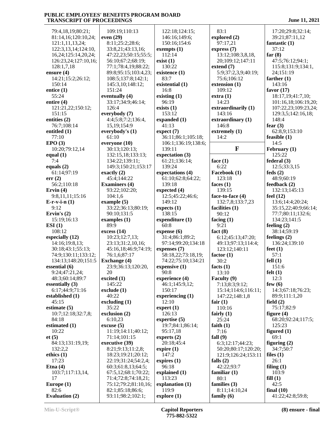| 79:4,18,19;80:21;      | 109:19;110:13                         | 122:18;124:15;       |
|------------------------|---------------------------------------|----------------------|
| 81:14,16;120:10,24;    | even (29)                             | 146:16;149:6;        |
| 121:1,11,13,24;        | 8:11;25:2;28:6;                       | 150:16;154:6         |
| 122:3,13,14;124:10,    | 33:8,21;43:13,16;                     | exempts $(1)$        |
| 16,24;125:14,20,24;    | 47:22,23;50:15;55:5;                  | 112:14               |
| 126:23,24;127:10,16;   | 56:10;67:2;68:19;                     | exist(1)             |
| 128:1,7,18             | 77:1;78:4,19;88:22;                   | 130:22               |
| ensure (4)             | 89:8;95:15;103:4,23;                  | existence (1)        |
| 14:21;15:2;26:12;      | 108:5;137:8;142:1;                    | 83:7                 |
|                        | 145:3,10;148:12;                      |                      |
| 150:14                 | 151:24                                | existential (1)      |
| entice (1)             |                                       | 16:8                 |
| 55:24                  | eventually (4)                        | existing $(1)$       |
| entire (4)             | 33:17;34:9;46:14;                     | 96:19                |
| 121:21,22;150:12;      | 126:4                                 | exists $(1)$         |
| 151:15                 | everybody (7)                         | 153:12               |
| entities (2)           | 4:4;5:8;7:2;136:4,                    | expanded (1)         |
| 76:7;108:14            | 15, 19; 154: 9                        | 41:13                |
| entitled (1)           | everybody's (1)                       | expect (7)           |
| 77:10                  | 61:10                                 | 36:11;86:1;105:18;   |
| EPO(3)                 | everyone (10)                         | 106:1;136:19;138:6;  |
| 10:20;79:12,14         | 30:13;120:13;                         | 139:11               |
| equal $(1)$            | 132:15,18;133:13;                     | expectation (3)      |
| 7:4                    | 134:22;139:11;                        | 61:21;136:14;        |
| equals $(2)$           | 149:3;150:21;153:17                   | 139:24               |
| 61:14;97:19            | exactly $(2)$                         | expectations (4)     |
| err(2)                 | 45:4;144:22                           | 61:10;62:8;64:22;    |
| 56:2;110:18            | <b>Examiners (4)</b>                  | 139:18               |
| Ervin $(4)$            | 93:22;102:20;                         | expected (4)         |
| 9:8,11,11;15:16        | 104:1,6                               | 12:5;45:22;46:6;     |
| $E-r-v-i-n(1)$         | example $(5)$                         | 149:12               |
| 9:12                   | 33:22;36:13;80:19;                    | expects $(1)$        |
| Ervin's $(2)$          | 90:10;131:5                           | 138:15               |
|                        |                                       |                      |
|                        |                                       |                      |
| 15:19;16:13            | examples $(1)$                        | expenditure (1)      |
| ESI(1)                 | 89:9                                  | 60:8                 |
| 108:12                 | excess(14)                            | expense (6)          |
| especially (12)        | 10:23;12:7,13;                        | 31:4;86:1;89:2;      |
| 14:16;19:8,13;         | 23:13;31:2,10,16;                     | 97:14;99:20;134:18   |
| 30:18;43:1;55:13;      | 45:16,18;46:9;74:19;                  | expenses (7)         |
| 74:9;130:11;133:12;    | 76:1,6;87:17                          | 58:18,22;73:18,19;   |
| 134:13;148:20;151:5    | Exchange (4)                          | 74:22;75:10;134:21   |
| essential (6)          | 23:9;36:13;120:20,                    | expensive (1)        |
| 9:24;47:21,24;         | 20                                    | 90:8                 |
| 48:3;60:14;89:7        | excited $(1)$                         | experience (4)       |
| essentially (3)        | 145:22                                | 46:1;145:9,12;       |
| 6:17;44:9;71:16        | exclude (1)                           | 150:17               |
| established (1)        | 40:22                                 | experiencing $(1)$   |
| 45:15                  | excluding $(1)$                       | 12:10                |
| estimate (5)           | 35:22                                 | $\exp$ ert $(1)$     |
| 10:7;12:18;32:7,8;     | exclusion (2)                         | 126:13               |
| 84:18                  | 6:10,23                               | expertise (5)        |
| estimated (1)          | excuse(5)                             | 19:7;84:1;86:14;     |
| 10:22                  | 11:19;14:11;40:12;                    | 95:17,18             |
| et(5)                  | 71:14;101:15                          | experts $(2)$        |
| 84:13;131:19,19;       | executive (39)                        | 20:18;45:4           |
| 132:2,2                | 8:21;9:13;11:2,8;                     | expire(1)            |
| ethics (1)             | 18:23;19:21;20:12;                    | 147:2                |
| 17:23                  | 22:19;31:24;54:2,4;                   | expires $(1)$        |
| Etna $(4)$             | 60:3;61:8,13;64:5;                    | 96:18                |
| 103:7;117:13,14,       | 67:5,12;68:1;70:22;                   | explained (1)        |
| 17                     | 71:4;72:8;74:18,21;                   | 113:23               |
| Europe (1)             | 75:12;79:2;81:10,16;                  | explanation (1)      |
| 82:6<br>Evaluation (2) | 82:1;85:18;86:6;<br>93:11;98:2;102:1; | 119:9<br>explore (1) |

 83:1 **explored (2)** 97:17,21 **express (7)** 13:12;108:3,8,18, 20;109:12;147:11 **extend (7)** 5:9;37:2,3,9;40:19; 75:6;106:12 **extension (1)** 109:12 **extra (1)** 14:23 **extraordinarily (1)** 143:16 **extraordinary (1)** 146:8 **extremely (1)** 14:2 **F face (1)** 6:22 **Facebook (1)** 123:18 **faces (1)** 139:15 **face-to-face (4)** 132:7,8;133:7,23 **facilities (1)** 90:12 **facing (1)** 9:21 **fact (8)** 6:12;45:13;47:20; 49:13;97:13;114:4; 123:12;140:11 **factor (1)** 30:2 **facts (1)** 13:10 **Faculty (9)** 7:13;8:3;9:12; 15:14;114:6;116:11; 147:22;148:1,8 **fair (1)** 110:16 **fairly (1)** 25:24 **faith (1)** 7:16 **fall (9)** 6:3;12:17;44:23; 50:20;80:17;120:20; 121:9;126:24;153:11 **falls (2)** 42:22;93:7 **familiar (1)** 80:1 **families (3)** 8:11;14:10,24 **family (6)**

 17:20;29:8;32:14; 39:21;87:11,12 **fantastic (1)** 37:12 **far (8)** 47:5;76:12;94:1; 115:8;131:9;134:1, 24;151:19 **farther (1)** 143:16 **favor (17)** 18:17,19;41:7,10; 101:16,18;106:19,20; 107:22,23;109:23,24; 129:3,5;142:16,18; 148:4 **fear (3)** 62:8,9;153:10 **feasible (1)** 14:5 **February (1)** 125:22 **federal (3)** 12:5;33:3,15 **feds (2)** 48:9;60:19 **feedback (2)** 132:13;145:13 **feel (12)** 13:6;14:4;20:24; 35:15,22;40:9;66:14; 77:7;80:11;132:6; 134:23;141:5 **feeling (2)** 38:14;59:19 **feelings (2)** 136:24;139:10 **feet (1)** 57:1 **fell (1)** 151:6 **felt (1)** 12:3 **few (6)** 14:3;67:18;76:23; 89:9;111:1,20 **field (2)** 75:17;82:9 **figure (4)** 68:20;92:24;117:5; 125:23 **figured (1)**  $69:1$ **figuring (2)** 34:7;50:7 **files (1)** 26:1 **filing (1)** 103:9 **fill (1)** 42:5 **final (10)** 41:22;42:8;59:8;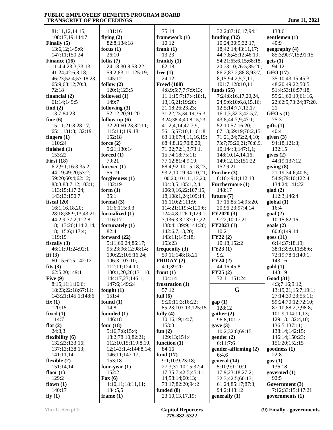81:11,12,14,15; 108:17,19;144:7 **Finally (5)** 13:6,12;145:6; 147:11;150:24 **Finance (16)** 11:4,4;23:3;33:13; 41:24;42:6,8,18; 46:23;52:4;57:18,23; 65:9;68:12;70:3; 72:18 **financial (2)** 61:14;149:5 **find (2)** 13:7;84:23 **fine (6)** 15:11;21:8;28:17; 65:1;131:8;132:19 **fingers (1)** 110:24 **finished (1)** 153:22 **First (18)** 6:2;9:1;16:3;35:2; **f**  44:19;49:20;53:2; 59:20;60:4;62:12; 83:3;88:7,12;103:1; 113:15;117:24; 143:13;150:7 **fiscal (20)** 16:1,16,18,20; 28:18;38:9,13;43:21; 44:2,9;77:2;112:8,  $18;113:20;114:2,14$ , f 18;115:6;117:4; 119:19 **fiscally (3)** 46:11;91:24;92:1 **fit (3)** 60:15;62:5;142:12 **fits (3)** 62:5,20;149:1 **Five (9)** 8:15;11:1;16:6; 18:23;22:18;67:11; **f**  143:21;145:1;148:6 **fix (1)** 120:15 **fixed (1)** 114:7 **flat (2)** 24:3,3 **flexibility (6)** 132:23;133:16; 137:13;138:13; 141:11,14 **flexible (2)** 151:14,14 **floor (1)** 129:2 **flown (1)** 140:17 **fly (1)**

| 131:16                 |               |
|------------------------|---------------|
| flying $(2)$           | fra           |
| 82:8;134:18            |               |
| focus $(1)$            | fra           |
| 26:10                  |               |
| folks $(7)$            |               |
|                        | fra           |
| 24:18;30:8;58:22;      |               |
| 59:2;83:11;125:19;     | fre           |
| 145:12                 |               |
| follow $(2)$           | Fr            |
| 120:1;123:5            |               |
| followed (1)           |               |
| 149:7                  |               |
| following (3)          |               |
|                        |               |
| 52:12,20;91:20         |               |
| follow-up (6)          | $\frac{1}{2}$ |
| 32:20;60:23;82:11;     |               |
| 115:11;119:18;         |               |
| 152:18                 |               |
| force $(2)$            |               |
| 9:21;130:14            |               |
| forced (1)             |               |
|                        |               |
| 79:21                  |               |
| forever $(1)$          |               |
| 56:19                  |               |
| forgiveness (1)        |               |
| 102:19                 |               |
| form $(1)$             |               |
| 35:1                   |               |
| formal $(3)$           |               |
|                        |               |
|                        |               |
| 11:6;115:3,3           |               |
| formalized (1)         |               |
| 116:17                 |               |
| fortunately (1)        |               |
| 82:4                   |               |
| forward (22)           |               |
|                        |               |
| 5:11;60:24;86:17;      |               |
| 95:23;96:12;98:14;     | fre           |
| 100:22;105:16,24;      |               |
| 106:3;107:10;          | FR            |
| 112:11;124:10;         |               |
| 130:1,20,20;131:10;    | fro           |
| 144:17,23;146:1;       |               |
| 147:6;149:24           | frı           |
| fought $(1)$           |               |
| 151:4                  | ful           |
|                        |               |
| found $(1)$            |               |
| 14:8                   |               |
| founded (1)            | ful           |
| 146:18                 |               |
| four $(18)$            |               |
| 5:16;7:8;15:4;         | fuı           |
| 18:2;78:10;82:21;      |               |
| 112:10,15;119:8,10,    | fuı           |
| 12;143:1,4;144:8,14;   |               |
| 146:11;147:17;         | fuı           |
|                        |               |
| 153:18                 |               |
| four-year (1)          |               |
| 152:2                  |               |
| Fox $(6)$              |               |
| 4:10,11;18:11,11;      |               |
| 134:5,5<br>frame $(1)$ | fuı           |

|    | 75:14                                 | 32:2;87:16,17;9              |
|----|---------------------------------------|------------------------------|
|    | framework (1)                         | funding $(32)$               |
|    | 10:12                                 | 10:24;30:9;32:1              |
|    | frank $(1)$                           | 18;42:14;43:11,              |
|    | 13:23                                 | 44:7,8;45:12;46              |
|    | frankly $(1)$                         | 54:21;65:6,15;6              |
|    | 62:18                                 | 20;73:10;76:5;8              |
|    | free $(1)$                            | 86:2;87:2;88:8;9             |
|    | 24:12                                 | 8,15;94:2,5,7,11             |
|    | <b>Freed (108)</b>                    | 101:7;128:10,11              |
|    | 4:8,9;5:7;7:7;9:13;                   | funds $(55)$                 |
|    | 11:1;15:7;17:4;18:1,                  | 7:24;8:16,17,20              |
|    | 13,16,21;19:20;                       | 24;9:6;10:6,8,15             |
|    | 21:18;26:23,23;                       | 12:5;14:7,7,12,1             |
|    | 31:22,23;34:19;35:3,                  | 16:1,3;32:3;42:5             |
|    | 3,24;38:4;40:8,15,23;                 | 43:8;44:7,9;47:1             |
|    | 41:2,4,14;47:7,9;                     | 52:10;57:16,20;              |
|    | 56:15;57:10,11;61:8;                  | 67:13;69:19;70:              |
|    | 63:13;67:4,11,16,19;                  | 71:21,24;72:2,4              |
|    | 68:4,8,16;70:8,20;                    | 73:7;75:20,21;76             |
|    | 71:22;72:1,3;73:1,                    | 10;144:3;147:1,              |
|    | 15;74:18;75:11;                       | 148:10,14,14,16              |
|    | 77:12;81:4,9,19;                      | 149:12,13;151:2              |
|    | 88:4;92:10,15,18,23;                  | 152:9,21                     |
|    | 93:2,10,19;94:10,21;                  | Further (3)                  |
|    | 100:20;101:11,13,20;                  | 6:16;49:1;112:1              |
|    | 104:3,5;105:1,2,4;                    | <b>Furthermore (1)</b>       |
|    | 106:9,16,22;107:15,                   | 148:17                       |
|    | 18;108:1,24;109:14,                   | future (7)                   |
|    | 16;110:2;111:9;                       | 17:16;85:14;95:              |
|    | 114:21;119:4;120:6;                   | 20;96:23;97:4,1              |
|    | 124:4,8;126:1;129:1,                  | FY2020(3)                    |
|    | 7;136:3,3;137:17,22;                  | 9:22;10:17,21                |
|    | 138:4;139:9;141:20;<br>142:6,7,13,20; | FY2023 (1)<br>10:21          |
|    | 143:11;145:18;                        | FY22(2)                      |
|    | 153:23                                | 10:18;152:2                  |
|    | frequently (3)                        | FY23(1)                      |
|    | 59:11;148:18,21                       | 9:2                          |
|    | FRIDAY (2)                            | FY24(2)                      |
|    | 4:1;39:20                             | 44:16;45:8                   |
| ); | front $(1)$                           | FY25(2)                      |
|    | 104:14                                | 72:11;151:24                 |
|    | frustration (1)                       |                              |
|    | 57:12                                 | G                            |
|    | full $(6)$                            |                              |
|    | 9:20;11:3;16:22;                      | gap(1)                       |
|    | 85:23;103:13;125:15                   | 128:12                       |
|    | fully $(4)$                           | gather (2)                   |
|    | 10:16,19;14:7;                        | 96:8;101:7                   |
|    | 153:3                                 | gave (3)                     |
|    | fun $(2)$                             | 10:2;32:8;69:15              |
|    | 129:13;154:4                          | gender (2)                   |
| ), | function $(1)$                        | 6:11;7:6                     |
| 4: | 84:16                                 | gender-affirming             |
|    |                                       |                              |
|    | fund $(17)$                           | 6:4,6                        |
|    | 9:1;10:9;23:18;                       | general (14)                 |
|    | 27:3;31:10,15;32:4,                   | 5:10;9:1;10:9;               |
|    | 17;35:7;42:5;45:11,                   | 17:9;23:18;27:2              |
|    | 14;58:14;60:13;                       | 32:3;42:5;60:13              |
|    | 73:17;82:20;94:2                      | 61:24;85:17;87:              |
|    | funded (8)<br>23:10,13,17,19;         | 94:2;148:12<br>generally (1) |

 32:2;87:16,17;94:1 **funding (32)** 10:24;30:9;32:17, 18;42:14;43:11,17; 44:7,8;45:12;46:19; 54:21;65:6,15;68:18, 20;73:10;76:5;85:20; 86:2;87:2;88:8;93:7, 8,15;94:2,5,7,11; 101:7;128:10,11 **funds (55)** 7:24;8:16,17,20,24, 24;9:6;10:6,8,15,16; 12:5;14:7,7,12,17; 16:1,3;32:3;42:5,7; 43:8;44:7,9;47:1; 52:10;57:16,20; 67:13;69:19;70:2,15; 71:21,24;72:2,4,10; 73:7;75:20,21;76:8,9, 10;144:3;147:1,1; 148:10,14,14,16; 149:12,13;151:22; 152:9,21 6:16;49:1;112:13 **Furthermore (1)** 148:17 **future (7)** 17:16;85:14;95:20, 20;96:23;97:4,14 **FY2020 (3)** 9:22;10:17,21 **FY2023 (1)** 10:21 **FY22 (2)** 10:18;152:2 **FY23 (1)** 9:2 **FY24 (2)** 44:16;45:8 **FY25 (2)** 72:11;151:24 **G** 13 **gap (1) gather (2)** 96:8;101:7 **gave (3)** 10:2;32:8;69:15 **gender (2)** 6:11;7:6 **gender-affirming (2)** 6:4,6 **general (14)** 5:10;9:1;10:9; 17:9;23:18;27:2; 32:3;42:5;60:13; 61:24;85:17;87:3; 94:2;148:12 **generally (1)**

|          | 138:6                                   |
|----------|-----------------------------------------|
|          | gentlemen (1)                           |
|          | 40:9                                    |
|          | geography (4)<br>85:3;90:7,15;91:15     |
|          | gets(1)                                 |
|          | 94:12                                   |
| ,        | <b>GFO (17)</b>                         |
|          | 35:10;43:15;45:3;                       |
|          | 48:20;49:22;50:5;                       |
|          | 51:4;53:16;57:18;<br>59:21;60:19;61:16, |
| ;        | 22;62:5;73:24;87:20,                    |
|          | 21                                      |
|          | GFO's(1)                                |
|          | 75:3                                    |
| $\vdots$ | giffs(1)<br>40:4                        |
|          | given $(3)$                             |
| ۱,       | 94:18;121:3;                            |
|          | 132:15                                  |
|          | gives $(2)$<br>44:19;137:12             |
|          | giving(8)                               |
|          | 21:19;34:6;40:5;                        |
|          | 54:9;79:10;122:4;                       |
|          | 134:24;141:22                           |
|          | $\text{glad}(2)$<br>112:3;146:4         |
|          | global(1)                               |
|          | 16:4                                    |
|          | goal(2)                                 |
|          | 10:15;82:16<br>goals (2)                |
|          | 60:6;149:14                             |
|          | goes (11)                               |
|          | 6:14;37:18,19;                          |
|          | 38:1;39:9,11;58:6;<br>72:19;78:1;140:1; |
|          | 143:16                                  |
|          | gold (1)                                |
|          | 143:19                                  |
|          | Good (31)                               |
|          | 4:3;7:16;9:12;<br>13:19,21;15:7;19:1;   |
|          | 27:14;39:23;55:11;                      |
|          | 59:24;70:12;72:10;                      |
|          | 87:10;88:2,3;98:8;                      |
|          | 101:9;104:11,13;<br>129:13;132:4,10;    |
|          | 136:5;137:11;                           |
|          | 138:14;142:15;                          |
|          | 146:14;150:23;                          |
|          | 151:20;152:15                           |
|          | goodness (1)<br>22:8                    |
|          | gov(1)                                  |
|          | 136:18                                  |
|          | governed (1)                            |
|          | 92:5<br>Government (3)                  |
|          | 7:12;33:15;147:21                       |
|          | governments (1)                         |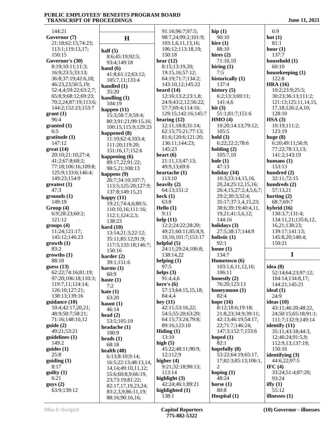144:21 **Governor (7)** 21:18;62:15;74:23; 113:1;119:13,17; 150:15 **Governor's (30)** 8:19;10:11;11:3; 16:9;23:5;33:13; 36:8;37:19;42:6,18; 46:23,23;50:5,19; 52:4,4;59:22;63:2,7; 65:8,9;68:12;69:23; 70:2,24;87:19;113:6; 144:2;152:23;153:7 **grant (1)** 96:4 **granted (1)** 6:5 **gratitude (1)** 147:12 **great (14)** 20:10;21:10;27:4; 41:2;67:8;68:2; 77:18;106:16;109:8; 125:9;133:6;146:4; 149:23;154:9 **greatest (1)** 47:3 **grounds (1)** 149:19 **Group (4)** 6:9;28:23;60:2; 121:12 **groups (4)** 11:24;121:17; 145:12;146:23 **growth (1)** 83:2 **growths (1)** 88:18 **guess (13)** 62:22;74:16;81:19; 97:20;106:18;110:3; 119:7,11;124:14; 126:10;127:21; 138:13;139:16 **guidance (10)** 10:4;42:17,20,21; 48:9;50:7;58:21; 71:16;148:10,12 **guide (2)** 49:21;53:21 **guidelines (1)** 149:2 **guides (1)** 25:8 **guiding (1)** 8:17 **guilty (1)** 6:21 **guys (2)** 63:9;139:12 **half (5) hand (6) hard (10) harms (1) haste (1)** 7:2 **hate (1) haunt (1) head (2) heads (1)**

60:9

**H** 8:6;45:19;92:5; 93:4;149:18 41:8;61:12;63:12; 105:7,11;133:4 **handled (1)** 35:20 **handling (1)** 104:19 **happen (11)** 15:3;58:7,9;59:4; 80:3;91:21;99:15,16; 100:15;115:9;129:23 **happened (8)** 11:10;62:4;103:4; 111:20;119:20; 151:16,17;152:6 **happening (6)** 89:17,22;91:22; 98:5,21;108:13 **happens (9)** 26:7;34:10;107:7; 113:5;125:20;127:9; 137:8;149:15,21 **happy (11)** 19:21;74:4,6;80:5; 110:10,16;111:16; 112:1;124:2,3; 138:23 13:14;21:3;22:12; 35:11;85:12;91:9; 117:5;133:18;146:7; 150:16 **harder (2)** 39:1;151:6 63:20 46:14 53:5;105:19 **headache (1)** 100:9 68:18 **health (48)** 6:13;8:10;9:14; 16:5;22:13;48:13,14, 14,14;49:10,11,12; 55:6;60:8,9;66:19, 23;73:19;81:22; 82:17,17,19,23,24; 83:2,3,9;86:11,19; 88:16;90:16,16; 91:16;96:7;97:5; 98:7,24;99:2;101:9; 103:1,6,11,13,16; 106:12;113:18,19; 150:18 **hear (12)** 8:15;13:19,20; 19:15,16;57:12; 64:19;71:7;134:2; 143:10,12;145:22 **heard (14)** 12:16;13:2;23:1,8; 24:9;43:2,12;56:22; 57:7;69:4;114:16; 129:15;142:16;145:7 **hearing (12)** 12:11;18:8;31:14; 62:15;75:21;77:13; 81:6;120:6;121:20; 136:11;144:23; 145:23 **heart (6)** 21:11,13;47:13; 49:9,13;69:6 **heartache (1)** 113:10 **heavily (2)** 64:13;151:2 **heck (1)** 63:8 **Hello (1)** 9:11 **help (11)** 12:2;24:22;28:20; 49:21;60:11;85:8,9, 10,16;101:7;153:17 **helpful (5)** 24:11;29:24;106:8; 138:14,22 **helping (1)** 97:5 **helps (3)** 91:4,4,6 **here's (6)** 57:13;64:15,15,18; 84:4,4 **hey (11)** 42:11;53:16,22; 54:5;55:20;63:20; 64:15;73:24;79:8; 89:16;123:10 **Hiding (1)** 13:10 **high (5)** 45:22;48:11;90:9, 12;112:9 **higher (4)** 9:21;32:18;90:13; 113:14 **highlight (3)** 42:24;46:1;89:21 **highlighted (1)** 138:1

**hip (1)** 90:10 **hire (1)** 88:10 **hires (2)** 71:10,10 **hiring (1)** 7:5 **historically (1)** 137:4 **history (5)** 6:2;13:3;69:11; 141:4,6 **hit (3)** 51:1;81:7;151:6 **HMO (4)** 10:20;14:13;79:12; 105:5 **hold (3)** 6:22;22:2;78:6 **holding (2)** 105:7,10 **hole (1)** 47:13 **holiday (34)** 10:3;23:14,15,16, 20,24;25:12,15,16; 26:4,15;27:2,4,5,6,7; 29:2;30:3;32:4; 35:17;37:1,4,15,23; 38:6;39:19;40:4,11, 19,21;41:5,6,12; 144:16 **holidays (3)** 27:5;38:17;144:9 **holistic (1)** 92:1 **home (1)** 134:7 **Hometown (6)** 103:1,6,11,12,16; 106:11 **honestly (2)** 76:20;123:13 **honeymoon (1)** 82:4 **hope (16)** 8:12;18:6;19:18; 21:8,23;34:9;39:11; 42:13;46:19;54:17, 22;71:7;146:24; 147:3;152:7;153:6 **hoped (1)** 82:1 **hopefully (8)** 53:22;64:19;65:17, 17;82:3;85:13;106:1, 2 **hoping (1)** 48:24 **horse (1)** 80:8 **Hospital (1)**

 6:9 **hot (1)** 81:1 **hour (1)** 137:7 **household (1)** 60:10 **housekeeping (1)** 122:8 **HRA (16)** 10:2;23:9;25:5; 30:23;36:13;111:2; 121:13;125:11,14,15, 17,18;126:2,4,10; 128:10 **HSA (3)** 10:19;111:2; 123:19 **huge (8)** 6:20;49:11;56:9; 77:22;78:13,13; 141:2;143:19 **humans (1)** 153:13 **hundred (2)** 32:11;72:15 **hundreds (2)** 57:13,21 **hurting (2)** 68:7;69:7 **hybrid (16)** 130:3,7;131:4; 134:11,21;135:6,12, 16,21;138:23; 139:17;141:13; 145:8,20;148:4; 150:21 **I idea (8)** 52:14;64:23;97:12; 104:14;134:8,17; 144:21;145:21 **ideal (1)** 24:9 **ideas (10)** 43:11;46:20;48:22, 24;50:15;65:18;91:1; 111:7;132:9;149:14 **identify (11)** 35:11;43:18;44:3, 12;46:24;91:5,9; 112:9,13;137:19; 150:16 **identifying (3)** 44:6,22;97:5 **IFC (4)** 33:24;51:4;87:20; 93:24 **iffy (1)** 55:12 **illnesses (1)**

**Min-U-Script® Capitol Reporters 775-882-5322**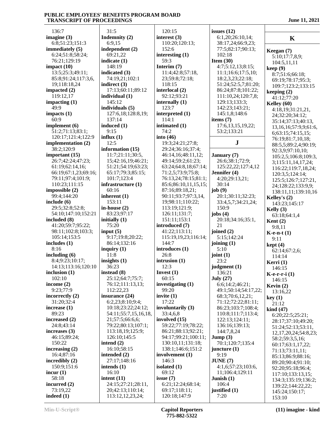136:7 **imagine (3)** 6:8;51:23;151:3 **immediately (5)** 6:24;51:8;58:24; 76:21;129:19 **impact (10)** 13:5;25:3;49:11; 85:8;91:24;117:3,6, 19;118:18,24 **impacted (2)** 119:12,17 **impacting (1)** 49:9 **impacts (1)** 60:9 **implement (6)** 51:2;71:13;83:1; 120:17;121:4;122:9 **implementation (2)** 38:2;120:9 **important (15)** 26:7;42:24;47:23; 61:19;62:14,16; 66:19;67:1,23;69:16; 79:11;97:4;101:9; 110:23;111:15 **impossible (2)** 99:4;144:20 **include (6)** 29:5;32:8;52:8; 54:10;147:10;152:21 **included (8)** 41:20;59:7;95:22; 98:11;102:8;103:3; 105:14;153:5 **includes (1)** 8:16 **including (6)** 8:4;9:23;10:17; 14:13;113:16;120:10 **inclusion (1)** 102:10 **income (2)** 9:23;77:9 **incorrectly (2)** 31:20;32:4 **increase (1)** 89:23 **increased (2)** 24:8;43:14 **increases (3)** 46:15;89:24; 150:22 **increasing (2)** 16:4;87:16 **incredibly (2)** 150:9;151:6 **incur (1)** 58:18 **incurred (2)** 73:19,22 **indeed (1)**

 31:5 **Indemnity (2)** 6:9,15 **independent (2)** 69:21,22 **indicate (1)** 148:19 **indicated (3)** 74:19,21;102:1 **indirect (3)** 17:13;60:11;89:12 **individual (1)** 145:12 **individuals (5)** 127:6,18;128:8,19; 137:14 **induced (1)** 9:15 **influx (1)** 12:5 **information (15)** 11:7;21:11;30:5, 15;42:16,19;46:21; 51:21;54:19;63:23; 65:17;79:3;85:15; 101:7;123:4 **infrastructure (1)** 60:16 **inherent (1)** 153:11 **in-house (2)** 83:23;97:17 **initially (1)** 75:20 **input (5)** 9:17;19:8;20:22; 86:14;132:16 **inquiry (1)** 11:8 **insights (1)** 36:23 **instead (8)** 25:12;64:7;75:7; 76:12;111:13,13; 112:22,23 **insurance (24)** 6:2,23;8:10;9:4; 10:18;23:22;24:12; 54:11;55:7,15,16,18, 21;57:5;66:6,6; 79:22;80:13;107:1; 113:18,19;125:9; 126:10;145:5 **intend (2)** 16:10;58:15 **intended (2)** 27:17;148:16 **intends (1)** 16:10 **intent (11)** 24:15;27:21;28:11, 20;42:13;110:14; 113:12,12,23,24;

 120:15 **interest (3)** 110:20;120:13; 152:6 **interesting (1)** 59:3 **Interim (7)** 11:4;42:8;57:18, 23;59:8;72:18; 118:15 **interlocal (2)** 92:12;93:21 **internally (1)** 123:7 **interpreted (1)** 114:1 **intimated (1)** 74:2 **into (46)** 19:3;24:21;27:8; 29:24;36:16;37:4; 46:14,16;48:11,12; 49:14;59:2;61:23; 63:24;64:8,18;67:14; 71:2,5;73:9;75:8; 76:13,24;78:15;81:1; 85:6;86:10,11,15,15; 87:16;89:18,21; 90:11;93:7;97:3,14, 19;98:11;110:22; 113:19;121:9; 126:11;131:7; 151:11;153:1 **introduced (7)** 41:22;113:11; 115:19,19,23;116:14; 144:7 **introduces (1)** 26:8 **intrusion (1)** 12:3 **Invest (1)** 60:15 **investigating (1)** 99:20 **invite (1)** 17:22 **involuntarily (3)** 33:4,6,8 **involved (15)** 59:22;77:19;78:22; 86:21;88:13;92:21; 94:17;99:21;100:11; 130:10,11;131:18; 138:1;146:6;151:2 **involvement (1)** 146:3 **isolated (1)** 69:12 **issue (7)** 6:21;12:24;68:14; 69:17;118:11; 120:18;147:9

**issues (12)** 6:1,20;26:10,14; 38:17,24;66:9,23; 77:5;82:17;90:13; 102:18 **Item (30)** 4:7;5:12,13;8:15; 11:1;16:6;17:5,10; 18:2,3,23;22:18; 51:24;52:5,7;81:20; 86:24;87:8;101:22; 111:10,24;120:7,8; 129:13;133:3; 142:23;143:21; 145:1,8;148:6 **items (7)** 17:6,13,15,19,22; 53:2;133:21 **J January (7)** 26:6;38:1;72:9; 125:22,22;127:4,12 **Jennifer (4)** 4:20;29:13,21; 30:14 **job (9)** 20:1;30:11;32:23; 33:4,5,7;34:21,24; 150:9 **jobs (4)** 20:18;34:16;35:1, 21 **joined (2)** 5:15;142:24 **joining (1)** 5:10 **joint (1)** 23:2 **judgment (1)** 136:21 **July (27)** 6:6;14:2;46:21; 49:1;50:14;54:17,22; 68:3;70:6,12,21; 71:12;72:22;81:11; 86:23;103:7;108:4; 110:8;111:7;113:4; 122:13;124:11; 136:16;139:13; 144:7,8,24 **Jump (3)** 70:1;120:7;135:4 **juncture (1)** 9:19 **JUNE (7)** 4:1,6;57:23;103:6, 11;106:4;129:11 **Junish (1)** 106:4 **justified (1)** 7:20

| K                                           |  |
|---------------------------------------------|--|
| Keegan (7)                                  |  |
| 5:10;17:7,8,9;<br>104:5,11,11               |  |
| keep (9)                                    |  |
| 8:7;51:6;66:18;                             |  |
| 69:19;78:17;95:3;                           |  |
| 109:7;123:2;133:15                          |  |
| keeping (2)<br>41:12;77:20                  |  |
| Kelley (60)                                 |  |
| 4:18,19;31:21,21,                           |  |
| 24;32:20;34:12;                             |  |
| 35:14;37:13;40:13,<br>13,16,16;57:9,9;61:6, |  |
| 6;63:15;74:15,15;                           |  |
| 76:19;81:7,10,18;                           |  |
| 88:5,5;89:2,4;90:19;                        |  |
| 92:3,9;97:10,10;<br>105:2,5;106:8;109:3,    |  |
| 3;115:11,14,17,24;                          |  |
| 116:22;119:7,18,24;                         |  |
| 120:3,5;124:14;                             |  |
| 125:5;126:7;127:21,<br>24;128:22;133:9,9;   |  |
| 138:11,11;139:10,16                         |  |
| Kelley's (2)                                |  |
| 143:23;145:17                               |  |
| Kelly $(3)$<br>63:18;64:1,4                 |  |
| Kent $(2)$                                  |  |
| 9:8,11                                      |  |
| $K$ -e-n-t $(1)$                            |  |
| 9:11<br>kept(4)                             |  |
| 62:14;67:2,6;                               |  |
| 114:14                                      |  |
| Kerri (1)<br>146:15                         |  |
| K-e-r-r-i (1)                               |  |
| 146:15                                      |  |
| Kevin $(2)$                                 |  |
| 13:16,22<br>key(1)                          |  |
| 21:12                                       |  |
| kind (47)                                   |  |
| 6:20;22:5;25:21;                            |  |
| 28:17;37:10;49:20;<br>51:24;52:13;53:11,    |  |
| 12, 17, 20, 24; 54: 8, 23;                  |  |
| 58:2;59:3,5,16;                             |  |
| 60:17;63:1,17,22;                           |  |
| 71:13;73:11,11;                             |  |
| 85:13;86:9;88:16;<br>89:20;90:4;91:10;      |  |
| 92:20;95:18;96:4;                           |  |
| 117:10;133:13,15;                           |  |
| 134:3;135:19;136:2;                         |  |
| 139:22;144:22,22;<br>145:24;150:17;         |  |
| 153:10                                      |  |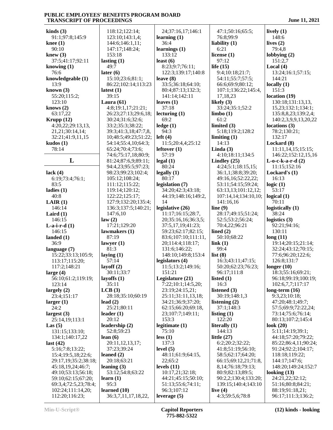49:7

81:3

95:3

**kinds (3)** 91:1;97:8;145:9 **knee (1)** 90:10 **knew (3)** 37:5;41:17;92:11 **knowing (1)** 76:6 **knowledgeable (1)** 13:9 **known (3)** 55:20;115:2; 123:10 **knows (2)** 63:17,22 **Krupp (12)** 4:20,22;29:13,13, 21,21;30:14,14; 32:21;41:9,11,15 **kudos (1)** 78:14 **L lack (4)** 6:19;73:4;76:1; 83:5 **ladies (1)** 40:8 **LAIR (1)** 146:14 **Laird (1)** 146:15 **L-a-i-r-d (1)** 146:15 **landed (1)** 36:9 **language (7)** 15:22;33:13;105:9; 113:17;115:20; 117:2;148:21 **large (4)** 56:10;61:2;119:19; 123:14 **largely (2)** 23:4;151:17 **larger (1)** 24:2 **largest (3)** 25:14,19;113:1 **Las (5)** 131:15;133:10; 134:1;140:17,22 **last (42)** 5:16;7:8;13:22; 15:4;19:5,18;22:6; 29:17,19;35:2;38:18; 45:18,19,24;46:7; 49:10;53:13;56:18; 59:10;62:15;67:20; 69:3,4;72:5,23;78:4; 102:24;111:14,20; 112:20;116:23; **law (2)**

 118:12;122:14; 123:10;143:1,4; 144:6;146:1,11; 147:17;148:24; 153:18 **lasting (1) later (6)** 15:10;23:6;81:1; 86:22;102:14;113:23 **latest (1)** 39:15 **Laura (61)** 4:8;19:1,17;21:21; 26:23;27:13;29:6,18; 30:24;31:6;32:6; 33:2;35:3;38:22; 39:3;41:3,18;47:7,8, 10;48:5;49:23;51:22; 54:14;55:4,10;64:3; 65:24;70:4;73:6; 74:6;75:17,18;80:9; 81:24;87:6,9;89:11; 94:4,23;95:5;97:23; 98:23;99:23;102:4; 105:12;108:24; 111:12;115:22; 119:14;120:12; 122:22;125:17; 127:9;132:20;135:4; 136:3;137:5;140:21; 147:6,10 17:21;129:20 **lawmakers (1)** 87:19 **lawyer (1) laying (1)** 57:14 **layoff (2)** 30:11;33:7 **layoffs (1)** 35:11 **LCB (3)** 28:18;35:10;60:19 **lead (2)** 25:21;80:11 **leader (1)** 20:12 **leadership (2)** 52:8;59:23 **lean (6)** 20:11,12,13,17; 37:23;39:24 **leaned (2)** 20:18;63:21 **leaning (3)** 53:12;54:8;63:22 **learn (1) learned (10)** 36:3,7,11,17,18,22, 24;37:16,17;146:1 **learning (1)** 36:4 **learnings (1)** 133:12 **least (6)** 8:23;9:7;76:11; 122:3;139:17;140:8 **leave (8)** 33:5;36:18;64:10; 80:4;87:13;132:3; 141:14;142:11 **leaves (1)** 37:18 **lecturing (1)** 69:2 **ledge (1)** 94:3 **left (4)** 11:5;20:4,4;25:12 **leftover (1)** 57:19 **legal (1)** 80:24 **legally (1)** 80:17 **legislation (7)** 34:20;42:3;43:18; 44:19;148:16;149:2, 14 **legislative (26)** 11:17;16:15;28:7, 20;35:16,16;36:3,5; 37:5,17,19;41:23; 59:23;62:17;82:15; 83:6;107:10;111:11, 20;114:4;118:17; 131:6;146:22; 148:10;149:8;153:4 **legislators (4)** 11:5;13:2;149:16; 151:21 **Legislature (21)** 7:22;10:1;14:5,20; 23:19;24:15,21; 25:11;31:11,13,18; 34:21;36:9;37:20; 62:15;66:20;69:18, 23;107:7;149:11; 153:3 **legitimate (1)** 75:10 **less (1)** 137:3 **level (5)** 48:11;61:9;64:15, 22;65:2 **levels (11)** 10:17,21;32:18; 44:21;45:15;50:10; 51:13;55:6;74:11; 96:3;107:12 **leverage (5)**

 47:1;50:16;65:5; 76:8;99:9 **liability (1)** 6:21 **license (1)** 97:12 **life (15)** 9:4;10:18;21:7; 54:11;55:7;57:5; 66:6;69:9;80:12; 107:1;136:22;145:4, 17,18,23 **likely (3)** 33:24;35:1;52:2 **limbo (1)** 61:2 **limited (3)** 5:18;119:2;128:2 **limiting (1)** 14:13 **Linda (3)** 4:10;18:11;134:5 **Lindley (25)** 4:24;5:1;18:15,15; 36:1,1;38:8;39:20; 49:16,16;52:22,22; 53:11;54:15;59:24; 63:13,13;101:12,12; 107:14,14;134:10,10; 141:16,16 **line (9)** 28:17;49:15;51:24; 52:5;53:2;56:24; 70:4,22;96:21 **lined (2)** 50:10;68:22 **link (1)** 99:4 **list (8)** 16:3;43:11;47:15; 50:20;62:23;76:23; 96:17;111:8 **listed (1)** 16:3 **listened (3)** 30:19;148:1,3 **listening (2)** 37:1;148:3 **listing (1)** 122:20 **literally (1)** 144:13 **little (27)** 6:2;20:2;32:22; 41:8;51:19;56:10; 58:5;62:17;64:20; 66:15;69:12,21;71:8, 8,14;76:18;79:13; 80:9;82:13;89:5; 90:2,2;130:4;133:20; 139:15;140:4;143:10 **live (4)** 4:3;59:5,6;78:8

**lively (1)** 148:6 **lives (2)** 79:4,8 **lobbying (2)** 151:2,7 **Local (4)** 13:24;16:1;57:15; 144:21 **locally (1)** 151:3 **location (19)** 130:18;131:13,13, 15,23;132:1;134:1; 135:8,8,23;139:2,4; 140:2,3,9,9,13,20,22 **locations (3)** 78:2;130:21; 132:17 **Lockard (8)** 11:11,14,15;15:15; 146:22;152:12,15,16 **L-o-c-k-a-r-d (2)** 11:15;152:16 **Lockard's (1)** 16:13 **logic (1)** 53:17 **logical (1)** 70:11 **logistically (1)** 38:24 **logistics (3)** 92:21;94:16; 130:11 **long (11)** 19:14;20:15;21:14; 32:24;43:12;70:15; 77:6;96:20;122:6; 126:8;131:7 **longer (10)** 18:3;55:16;69:21; 96:18;99:19;100:19; 102:6,7,7;117:17 **long-term (16)** 9:3,23;10:18; 47:20;48:1;49:7; 57:5;69:9;72:22,24; 73:14;75:6;76:14; 80:13;107:2;145:4 **look (20)** 5:11;14:19;39:1; 44:18;57:20;79:22; 85:22;86:4,11;90:24; 91:24;92:2;104:17; 118:18;119:22; 144:17;147:6; 148:20;149:24;152:7 **looking (13)** 24:21,22;32:12; 51:16;80:8;84:21; 88:19;91:18,21; 96:17;111:3;136:2;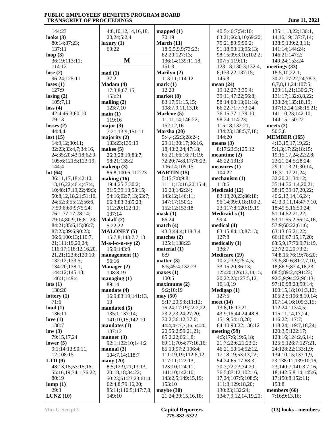144:23 **looks (3)** 80:14;87:23; 137:11 **loop (3)** 36:19;113:11; 114:12 **lose (2)** 96:24;125:11 **loses (1)** 127:9 **losing (2)** 105:7,11 **loss (4)** 42:4;46:3;60:10; 79:13 **losses (2)** 44:4,4 **lost (15)** 14:9,12;30:11; 32:23;33:4,7;34:16, 24;35:20;43:18;62:9; 105:6;121:5;123:19; 144:4 **lot (64)** 36:11,17,18;42:10, 13,16,22;46:4;47:4, 10;48:17,19,22;49:3; 50:8,12,18,21;51:10, 24;52:3;55:12;56:6, 7;59:6;69:9;75:24; 76:1;77:17;78:14; 79:14;80:9,16;81:23; 84:21;85:6,15;86:7; 87:23;89:6;90:23; 96:6;100:13;110:7, 21;111:19,20,24; 116:17;118:12,16,20, 21,21;123:6;130:10; 132:12;133:5; 134:20;138:1; 144:12;145:13; 146:1;149:4 **lots (1)** 138:20 **lottery (1)** 71:6 **loud (1)** 136:11 **love (1)** 138:7 **low (3)** 79:15,17,24 **lower (5)** 9:1;14:13;90:11, 12;108:15 **LTD (9)** 48:13,15;53:15,16; 55:16,19;74:1;76:22; 80:19 **lump (1)** 29:3 **LUNZ (10)**

| 4:8, 10, 12, 14, 16, 18,       | mapped $(1)$                     |
|--------------------------------|----------------------------------|
| 20,24;5:2,4                    | 70:19                            |
| luxury(1)                      | March $(11)$                     |
| 69:22                          | 18:5,5,9,9;73:23;                |
|                                | 82:20;127:13;                    |
| M                              | 136:14;139:11,18;                |
|                                | 151:3                            |
| $\text{mad}(\mathbf{1})$       | Marilyn (2)                      |
| 37:2                           | 113:11;114:12                    |
| Madam (4)                      | mark(1)                          |
| 17:3,8;67:15;                  | 12:23                            |
| 153:21                         | market (8)                       |
| mailing $(2)$                  | 83:17;91:15,15;                  |
| 123:7,10                       | 108:7,9,11,13,16<br>Marlene (5)  |
| main(1)<br>119:16              | 11:11,14;146:22;                 |
| major $(3)$                    | 152:12,16                        |
| 7:21;13:9;151:11               | Marsha (20)                      |
| majority (2)                   | 5:4,4;22:3;28:24;                |
| 133:23;139:19                  | 29:11;30:17;36:16,               |
| makes $(5)$                    | 18;40:2,24;47:18;                |
| 26:3;28:19;83:7;               | 65:21;66:16;71:19;               |
| 98:21;135:2                    | 72:20;74:8,17;76:23;             |
| makeup (3)                     | 106:14;109:15                    |
| 86:8;100:6;112:23              | <b>MARTIN</b> (15)               |
| making $(16)$                  | 5:15;7:8;9:8;                    |
| 19:4;25:7;30:2;                | 11:11;13:16,20;15:4;             |
| 31:5;39:13;53:15;              | 16:23;142:24;                    |
| 54:16;62:7,13;63:7;            | 143:12;146:11;                   |
| 66:3;83:3;85:23;               | 147:17;150:2;                    |
| 112:20;122:10;                 | 152:12;153:18                    |
| 137:14                         | mask(1)                          |
| Malaff (2)                     | 66:24                            |
| 5:22,22                        | match $(4)$                      |
| <b>MALONEY</b> (5)             | 43:3;44:4;118:3,4                |
| 15:7,8;143:7,7,13              | matches (2)                      |
| $M-a-l-o-n-e-y(2)$             | 125:1;138:23                     |
| 15:9;143:9                     | material (1)                     |
| manaqement (1)                 | 6:9                              |
| 96:16                          | matter $(3)$                     |
| Manager (2)                    | 8:5;45:4;132:23                  |
| 108:8,19<br>managing $(1)$     | maxes(1)<br>100:5                |
| 89:14                          | maximums(2)                      |
| mandate (4)                    | 9:2;10:19                        |
| 16:9;83:19;141:13,             | may(50)                          |
| 13                             | 5:17,20;9:8;11:12;               |
| mandated $(5)$                 | 16:24;17:19;22:2.22;             |
| 135:1;137:14;                  | 23:2,23,24;27:20;                |
| 141:10,15;142:10               | 30:2;36:12;37:6;                 |
| mandates (1)                   | 44:4;47:7,7,16;54:20,            |
| 137:12                         | 20;55:2;59:21,21;                |
| manner $(3)$                   | 65:2,22;66:1,8;                  |
| 92:1;122:10;144:2              | 69:11;70:4;77:16,16;             |
| manual(3)                      | 85:10;97:2;106:4;                |
| 104:7,14;118:7                 | 111:19,19;112:8,12;              |
| many $(20)$                    | 117:11;122:13;                   |
| 8:5;12:9,21;13:13;             | 123:10;124:11;                   |
| 20:18,18;34:22;                | 141:10;142:10;                   |
| 50:23;51:23,23;61:4;           | 143:2,5;149:15,19;               |
| 62:4,8;79:16,20;               | 153:10                           |
| 85:11;110:5;147:7,8;<br>149:10 | maybe (30)<br>21:24;39:15,16,18; |
|                                |                                  |

 $13:23:$  $:11.18:$ :12  $5.15:$ 13,16  $16:22;$ 28:24; 7:36:16, 47:18; 6:71:19: 17:76:23:  $:15$  $5,20;15:4;$ 24:  $:11:$  $:2:$  $:18$  $18.34$  $3:23$  $3:11:12;$  $(3:2:2,22)$ ;  $27:20;$  $37:6;$ ,16:54:20,  $:21.21:$  $1.8:$ 77:16,16;  $:106:4;$ 12:8,12; :13;  $:11;$  $:10;$  $9:15,19;$ 5,16,18; 40:5;46:7;54:10; 63:21;66:3,10;69:20; 75:21;89:9;90:2; 91:18;93:13;95:13; 98:15;99:3,10;102:2; 107:5;119:11; 123:18;130:3;132:4, 8;133:22;137:15; 145:3 **mean (24)** 19:12;27:3;35:4; 39:11;47:22;56:8; 58:14;60:13;61:18; 66:22;71:7;73:24; 76:15;77:1;79:10; 98:24;114:23; 115:18;132:21; 134:23;138:5,7,18; 144:20 **means (3)** 8:17;23:3;125:12 **meantime (2)** 46:22;131:3 **measures (1)** 104:22 **mechanism (1)** 118:6 **Medicaid (12)** 83:13,20,23;86:18; 96:14;99:9,18;100:2, 23;117:8;120:19,19 **Medicaid's (1)** 99:4 **medical (4)** 83:15;84:13;87:13; 127:8 **medically (1)** 136:7 **Medicare (19)** 10:2;23:9;25:4,5; 33:15,20;36:13; 125:20;126:13,14,15, 20,22,23;127:5,12, 16,18,19 **Medigap (1)** 127:5 **meet (14)** 13:8;16:17,21; 43:9,16;44:24;48:8, 15,19;54:18,20; 84:10;90:22;136:12 **meeting (59)** 4:5;17:6;19:6,18; 21:7;22:6,21;23:2; 46:21;50:14;52:12, 17,18,19;53:13,22; 54:24;65:17;68:3; 70:7;72:23;74:20; 76:5;87:12;102:16, 17,24;107:5;108:5; 111:8;129:18,20; 130:23;132:24; 134:7,9,12,14,19,20;

 141:14;144:24; 146:21;147:2; 149:24;153:24 **meetings (33)** 18:5,10;22:1; 30:21;77:22,24;78:3, 6,7,8,11,24;107:5; 129:11,21;130:2,7; 131:17;132:8,8,22; 133:24;135:18,19; 137:13,24;138:15,21; 141:10,23;142:10; 144:15;150:22 **meets (2)** 50:3,8 **MEMBER (165)** 4:13,15,17,19,22; 5:1,3;17:22;18:15; 19:15,17,24;22:2,8; 23:21;24:5;28:24; 29:11,13,21;30:14, 16;31:17,21,24; 32:20,21;34:12; 35:14;36:1,4,20,21; 38:15;39:17,20,22; 40:2,13,14,16,24; 41:3,9,11,14;47:7,10, 18;49:5,16;50:24; 51:14;52:21,22; 53:11;55:2;56:14,16; 57:9;60:22;61:6; 63:13;65:21,22; 66:16;67:15,17,20; 68:5,9,17;70:9;71:19, 23;72:2,20;73:2; 74:8,15;76:19;78:20; 79:5;80:6;81:2,7,10, 18;86:9;87:4,18,23; 88:5;89:2,4;91:23; 92:3,9;94:22;96:13; 97:10;98:23;99:14; 100:15,18;101:3,12; 105:2,5;106:8,10,14; 107:14,16;109:3,15; 112:24;113:4,5; 115:11,14,17,24; 116:22;117:7; 118:24;119:7,18,24; 120:3,5;122:17; 123:16;124:2,6,14; 125:5;126:7;127:21, 24;128:22;133:1,9; 134:10,15;137:1,9, 23;138:11;139:10,16, 23;140:7;141:3,7,16, 18;142:5,8,14;145:6, 17;150:8;152:11; 153:8 **members (66)** 7:16;9:13,16;

 135:1,13,22;136:1, 14,16,19;137:7,14; 138:5;139:2,3,11;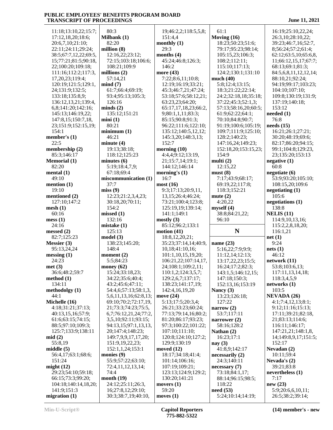11:18;13:10,22;15:7; 17:12,18,20;18:6; 20:6,7,10;21:10; 22:11;24:11;29:24; 38:5;67:7,12,22;69:5, 15;77:21;81:5;90:18, 22;100:20;109:18; 111:16;112:2;117:3, 17,20,23;119:4; 120:19;121:5;129:1, 24;131:9;132:5; 133:18;135:8,9; 136:12,13,21;139:4, 6,8;141:20;142:16; 145:13;146:19,22; 147:8,15;150:7,18, 23;151:9;152:15,19; 154:1 **member's (1)** 22:5 **membership (2)** 85:3;146:17 **Memorial (1)** 82:20 **mental (1)** 49:10 **mention (1)**  $19.10$ **mentioned (2)** 127:10;147:2 **mesh (1)** 60:16 **mess (1)** 24:16 **messed (2)** 82:7;125:23 **Messier (3)** 95:13,24,24 **messing (1)** 24:23 **met (3)** 36:6;48:2;59:7 **method (1)** 134:11 **methodolgy (1)** 44:1 **Michelle (16)** 4:18;31:21;37:13; 40:13,15,16;57:9; 61:6;63:15;74:15; 88:5;97:10;109:3; 125:7;133:9;138:11 **mid (2)** 55:8,19 **middle (5)** 56:4,17;63:1;68:6; 151:24 **might (12)** 29:23;54:10;59:18; 66:15;73:3;99:20; 104:18;140:14,18,20; 141:9;151:3 **migration (1)** 80:3 **Milbank (1)** 82:20 **million (8) millions (2)** 57:14,21 **mind (7)** 126:16 **minds (2) mini (1)** 80:21 **minimum (1)** 46:21 **minute (4) minutes (6)** 67:18;69:4 37:7 **miss (9)** 154:2 **missed (1)** 132:16 **mistake (1)** 125:13 **model (3)** 148:4 **moment (2)** 5:5;84:23 **money (62) monies (9)** 74:4 **month (19)**

 12:16,22;23:12; 72:15;103:18;106:6; 108:21;109:9 61:7;66:4;69:19; 93:4;95:13;105:3; 135:12;151:21 19:13;38:18; 118:12;125:23 5:19;18:4,7,9; **miscommunication (1)** 12:23;21:2,3,4,23; 30:18,20;70:11; 138:23;145:20; 15:24;33:18,23; 34:22;35:6;40:4; 43:2;45:6;47:11; 54:4,6;57:13;58:1,3, 5,6,11,13,16;62:8,13; 69:10;70:2;72:17,19, 21;73:3;74:23;75:5, 6,7;76:12,21,24;77:2, 3,5,10;92:11;93:15; 94:13,15;97:1,13,13, 20;147:4;148:23; 149:7,9,9,17,17,20; 151:9,19,22,23; 152:1,1,24;153:1 55:9;57:22;63:10; 72:4,11,12,13,14; 24:12;25:11;26:3, 16;27:8,12;29:10; 30:3;38:7,19;40:10, 19;46:2,2;118:5,5,8; 151:4,4 **monthly (1)** 29:3 **months (4)** 45:24;46:8;126:3; 146:2 **more (43)** 7:22;8:6,11;10:8; 12:19;16:19;33:21; 45:3;46:7,21;47:24; 53:18;57:6;58:12,21; 63:23,23;64:20; 65:17,17,18,23;66:2, 9;80:1,1,11;83:3; 85:15;90:8;91:3; 96:22;111:6;122:10; 135:12;140:5,12,12; 145:3,20;148:3,13; 152:7 **morning (10)** 4:4,4;9:12;13:19, 21;15:7,14;19:1; 144:12;146:14 **morning's (1)** 16:7 **most (16)** 9:3;17:13;20:9,11, 13,15;26:4;46:24; 73:21;100:4;123:8; 125:19,19;139:14; 141:1;149:1 **mostly (3)** 85:12;96:2;133:1 **motion (41)** 18:8,12,20,21; 35:23;37:14,14;40:9, 10,18;41:10,16; 101:1,10,15,19,20; 106:21,22;107:14,17, 24;108:1;109:2,11; 110:1,2;124:3,5,7; 129:2,6,7;137:17; 138:23;141:17,19; 142:4,16,19,20 **move (24)** 5:13;17:5;20:3,4; 26:21;33:23;60:24; 77:13;79:14,16;80:2; 81:20;86:17;93:23; 97:3;100:22;101:22; 107:10;111:10; 120:8;124:10;127:2; 129:9;130:19 **moved (12)** 18:17;34:18;41:4; 101:14;106:16; 107:19;109:21; 123:13;124:9;129:2; 130:20;141:21 **movers (1)** 59:20 **moves (1) need (53)**

 61:1 **Moving (16)** 18:23;50:23;51:6; 79:17;95:23;98:14; 105:15,23;106:3; 108:2;112:11; 115:10;117:13; 124:2;130:1;131:10 **much (40)** 5:8;12:4;13:15; 18:3;21:22;22:14; 24:2;32:18,18;35:18; 37:22;45:3;52:1,3; 57:13;58:16,20;60:5; 61:9;62:22;64:1; 70:10;84:8;90:7; 91:19;100:6;105:19; 109:7;111:9;125:10; 128:2;140:23; 147:16,24;149:23; 152:18,20;153:15,23; 154:9 **multi (2)** 12:15,22 **must (8)** 7:17;43:9;68:17; 69:19,22;117:8; 118:3;152:21 **mute (2)** 4:20,22 **myself (4)** 38:8;84:21,22; 96:10 **N name (23)** 5:16,22;7:9;9:9; 11:12,14;12:13; 13:17,22,23;15:5; 16:24;17:2;82:3; 143:1,5;146:12,15; 147:18;150:3; 152:13,16;153:19 **Nancy (3)** 13:23;126:18; 127:22 **narrow (2)** 53:7;117:11 **narrower (2)** 58:16;128:2 **Nathan (2)** 16:23;17:1 **nay (3)** 41:8,9;142:17 **necessarily (2)** 24:3;140:11 **necessary (7)** 73:18;84:1,17; 88:14;96:15;98:5;

 16:19;25:10,22,24; 26:3,10;28:10,22; 39:23;46:7,16;52:7, 8;56:24;57:2;61:4; 62:12;63:5,10;65:6,8, 11;66:12,15,17;67:7; 68:13;69:1;81:3; 84:5,6,8,11,12,12,14; 88:10,21;92:24; 94:19;99:17;103:23; 104:10;107:10; 109:8;130:19;131:9; 137:19;140:18; 153:12 **needed (1)** 76:8 **needs (15)** 16:21;26:1;27:21; 30:20;48:19;69:6; 82:17;86:20;94:15; 99:1;104:8;129:23, 23;135:20;153:13 **negative (1)** 60:8 **negotiate (6)** 53:9;93:20;105:10; 108:15,20;109:6 **negotiating (1)** 105:6 **negotiations (1)** 138:8 **NELIS (11)** 114:9,10,13,16; 115:2,2,8,18,20; 116:1,21 **net (1)** 9:24 **nets (1)** 46:12 **network (11)** 53:8;103:6,13; 117:11,13,14,18; 118:3,4,5,9 **networks (1)** 103:5 **NEVADA (26)** 4:1;7:4,12,13;8:1; 9:12;11:16;15:13; 17:11;39:21;82:18, 21;83:13;114:6; 116:11;146:17; 147:21,21;148:1,8, 14;149:8,9,17;151:5; 152:17 **Nevadan (2)** 10:11;59:4 **Nevada's (2)** 39:21;83:8 **nevertheless (1)** 7:17 **new (23)** 5:9;20:6,6,10,11; 26:5;38:2;39:14;

118:22

5:24;10:14;14:19;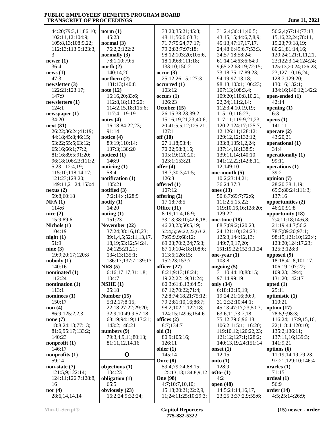| 44:20;79:3,11;86:10; | norm(1)                 | 33:20;35:21;45:3;          | 31:2,4;36:11;40:5;   | 56:2,4;67:14;77:13,     |
|----------------------|-------------------------|----------------------------|----------------------|-------------------------|
| 102:11,12;104:9;     | 45:23                   | 48:11;56:6;63:3;           | 43:15,15;44:6,7,8,9; | 15, 16, 22, 24; 78: 11, |
|                      |                         |                            |                      |                         |
| 105:8,13;108:9,22;   | normal $(3)$            | 71:7;75:24;77:17;          | 45:13;47:17,17,17,   | 19,23;79:18,19;         |
| 112:13;113:5;123:3,  | 76:2,2;122:2            | 79:2;83:7;97:18;           | 24;48:6;49:6,7;53:3, | 80:21;81:14,16;         |
| 3                    | normally $(3)$          | 98:12;103:20;105:6,        | 24;57:18;58:24;      | 120:24;121:1,11,21,     |
| newer (1)            | 78:1,10:79:5            | 18;109:8;111:18;           | 61:14,14;63:6;64:9,  | 23;122:3,14;124:24;     |
| 36:4                 | north $(2)$             | 133:10;150:21              | 9;65:22;68:19;72:15; | 125:13,20,24;126:23,    |
|                      |                         |                            |                      |                         |
| news(1)              | 140:14,20               | occur(3)                   | 73:18;75:17;89:23;   | 23;127:10,16,24;        |
| 47:3                 | northern $(2)$          | 25:12;26:15;127:3          | 94:19;97:13,18;      | 128:7;129:20;           |
| newsletter (3)       | 131:13;140:8            | occurred(1)                | 98:13;103:1;106:23;  | 130:16;132:1;           |
| 122:21;123:17;       | note $(12)$             | 103:12                     | 107:13;108:3,4;      | 134:16;140:12;142:2     |
| 147:9                | 16:16,20;83:6;          | occurs(1)                  | 109:20;110:8,10,21,  | open-ended (1)          |
|                      |                         | 126:23                     |                      |                         |
| newsletters (1)      | 112:8,18;113:20;        |                            | 22, 24; 111: 2, 14;  | 42:14                   |
| 124:1                | 114:2,15,18;115:6;      | October (15)               | 112:3,4,10,19,19;    | opening $(1)$           |
| newspaper (1)        | 117:4;119:19            | 26:15;38:23;39:2,          | 115:10;116:23;       | 6:3                     |
| 34:20                | notes $(4)$             | 15, 16, 19, 21, 23; 40: 6, | 117:11;119:9,21,23;  | opens $(1)$             |
| next (31)            | 16:18;84:22,23;         | 20;41:5,5,12;125:21;       | 120:2;124:17;125:7,  | 141:11                  |
| 26:22;36:24;41:19;   | 91:14                   | 127:1                      | 12;126:11;128:12;    | operate $(2)$           |
|                      |                         |                            |                      |                         |
| 44:18;45:8;46:15;    | notice (4)              | off(10)                    | 129:12,12;132:12;    | 43:20,21                |
| 53:22;55:5;63:12;    | 89:19;110:14;           | 27:1,18;53:4;              | 133:8;135:1,2,24;    | operational (1)         |
| 65:16;66:1;77:2;     | 137:3;138:20            | 70:22;98:3,15;             | 137:14,18;138:5;     | 34:4                    |
| 81:16;89:5;91:20;    | noticed $(1)$           | 105:19;120:20;             | 139:11,14;140:10;    | operationally (1)       |
| 96:18;106:23;111:2,  | 146:9                   | 123:1;153:21               | 141:12,22;142:8,11,  | 99:11                   |
|                      |                         | offer $(4)$                |                      |                         |
| 5,23;112:4,19;       | noticing $(1)$          |                            | 12;149:10            | operations (1)          |
| 115:10;118:14,17;    | 58:4                    | 18:7;30:3;41:5;            | one-month (5)        | 39:2                    |
| 121:23;128:20;       | notification (1)        | 126:8                      | 10:2;23:14,21;       | opinion (7)             |
| 149:11,21,24;153:4   | 105:21                  | offered (1)                | 36:24;37:3           | 28:20;38:1,19;          |
| nexus(2)             | notified (3)            | 107:12                     | ones $(13)$          | 69:3;80:24;111:3;       |
| 59:8;60:18           | 7:2;14:4;128:9          | offering $(2)$             | 50:6,7;69:7;72:6;    | 137:16                  |
|                      |                         |                            |                      |                         |
| <b>NFA</b> (1)       | notify $(1)$            | 17:18:78:5                 | 111:2,5,15,22;       | opportunities (2)       |
| 114:6                | 14:20                   | Office (31)                | 119:10,16,16;128:20; | 46:20;91:8              |
| nice(2)              | noting(1)               | 8:19;11:4;16:9;            | 129:22               | opportunity (18)        |
| 15:9;89:6            | 151:23                  | 33:13;38:10;42:6,18;       | one-time (18)        | 7:4;11:18;14:6,8;       |
| Nichols (1)          | November (22)           | 46:23,23;50:5,19;          | 88:7;89:2;120:23,    | 21:19;44:7;56:21;       |
| 104:19               | 37:24;38:16,18,23;      |                            |                      | 78:7;89:20;97:1;        |
|                      |                         | 52:4,5;59:22,22;63:2,      | 24;121:10;124:23;    |                         |
| night(1)             | 39:1,4,5;52:11,13,17,   | 7;65:9,9;68:12;            | 125:3;144:12,13;     | 98:15;121:10;122:4;     |
| 51:9                 | 18, 19; 53: 12; 54: 24, | 69:23;70:2,24;75:3;        | 149:7,9,17,20;       | 123:20;124:17,23;       |
| nine(3)              | 24;125:21,21;           | 87:19;104:18;108:6;        | 151:19,22;152:1,1,24 | 125:3;128:3             |
| 19:9;20:17;120:8     | 134:13;135:1;           | 113:6;126:15;              | one-year $(1)$       | opposed (9)             |
| nobody (1)           | 136:17;137:7;139:13     | 152:23;153:7               | 103:8                | 18:18;41:8;101:17;      |
|                      |                         |                            |                      |                         |
| 140:16               | NRS(5)                  | officer $(27)$             | ongoing (5)          | 106:19;107:22;          |
| nominated (1)        | 6:16;17:17;31:1,8;      | 8:21;9:13;18:24;           | 31:10;44:10;88:15;   | 109:23;129:4;           |
| 112:24               | 104:7                   | 19:22;22:19;31:24;         | 97:14:99:19          | 131:20;142:17           |
| nomination (1)       | NSHE(1)                 | 60:3;61:8,13;64:5;         | only (34)            | opted $(1)$             |
| 113:1                | 25:18                   | 67:12;70:22;71:4;          | 6:18;12:19,19;       | 25:11                   |
| nominees (1)         | Number (15)             | 72:8;74:18,21;75:12;       | 19:24;21:16;30:9;    | optimistic $(1)$        |
|                      |                         |                            |                      |                         |
| 150:17               | 5:12,17;8:15;           | 79:2;81:10,16;86:7;        | 31:2;32:10;44:1;     | 110:21                  |
| non (4)              | 22:18;27:22;29:20;      | 98:2;102:1;122:18;         | 45:13;47:17,23;50:7; | option $(17)$           |
| 86:9;125:2,2,3       | 32:9,10;49:9;57:18;     | 124:15;149:6;154:6         | 63:6,11;73:7,18;     | 78:5,9;98:3;            |
| none (7)             | 68:19;94:19;117:21;     | offices $(2)$              | 75:12;79:6;96:18;    | 116:24;117:9,15,16,     |
| 18:8;24:13;77:13;    | 143:2;148:21            | 8:7;134:7                  | 106:2;115:1;116:20;  | 22;118:4;120:10;        |
| 81:6;95:17;133:2;    | numbers $(9)$           | old(3)                     | 119:10,12;120:22,23; | 135:2;136:11;           |
|                      |                         |                            |                      |                         |
| 140:23               | 79:3,4,9,11;80:13;      | 80:9;105:16;               | 121:12;127:1;128:2;  | 137:11,16;139:3;        |
| nonprofit (1)        | 81:11,12,14,16          | 126:11                     | 140:13,19,24;151:14  | 141:9,21                |
| 146:17               |                         | older $(1)$                | onset $(1)$          | options (6)             |
| nonprofits (1)       | $\mathbf 0$             | 145:14                     | 12:15                | 11:19;14:19;79:23;      |
| 59:14                |                         | Once (8)                   | onto $(1)$           | 97:21;129:10;146:4      |
|                      |                         | 59:4;79:24;88:15;          | 128:9                | oracles $(1)$           |
| non-state (7)        | objections (1)          |                            |                      |                         |
| 121:5,9;122:14;      | 104:23                  | 125:13,13;134:8,9,12       | $000 - (1)$          | 71:15                   |
| 124:11;126:7;128:8,  | obligation (1)          | <b>One</b> (98)            | 4:2                  | oreden(1)               |
| 16                   | 65:5                    | 4:7;10:7,10,10;            | open (48)            | 56:9                    |
| nor (4)              | obviously (23)          | 15:18;20:21;22:2,9,        | 14:5;24:14,16,17,    | order(14)               |
| 28:6, 14, 14, 14     | 16:2;24:9;32:24;        | 11;24:11;25:10;29:3;       | 23;25:3;37:2,9;55:6; | 4:5;25:14;26:9;         |
|                      |                         |                            |                      |                         |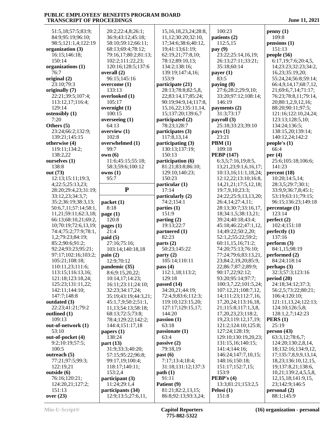| 51:5,18;57:5;83:9;               | 20:2;22:4,8;26:1;                      | 15, 16, 18, 23, 24; 28: 8,             | 100:23                                          | penny(1)                            |
|----------------------------------|----------------------------------------|----------------------------------------|-------------------------------------------------|-------------------------------------|
| 84:9;95:19;96:10;                | 36:9;43:12;45:18;                      | 11,12;30:20;32:10,                     | patients (2)                                    | 109:8                               |
| 98:5;121:1,4;122:19              | 58:10;59:12;66:11;                     | 17;34:6;38:6;40:12,                    | 112:5,15                                        | pensions(1)                         |
| organization (3)                 | 68:13;69:4;78:12;                      | 19;41:13;61:19;                        | pay (9)                                         | 151:13                              |
| 16:15;146:18;                    | 79:16,17;80:2;81:13;                   | 62:19,21;77:8,10;                      | 23:22;25:14,16,19;                              | people (56)                         |
| 150:14                           | 102:2;111:22,23;                       | 78:12;89:10,13;                        | 26:13;27:11;33:21;                              | 6:17,19;7:6;20:4,5,                 |
| organizations (1)                | 120:16;128:5;137:6                     | 134:2;138:16;                          | 35:18;60:14                                     | 14;23:23;32:23;34:2,                |
| 76:7                             | overall (2)                            | 139:19;147:4,16;                       | payer $(1)$                                     | 16,23;35:19,20;                     |
| original (2)                     | 96:15;145:16                           | 153:9                                  | 83:5                                            | 55:24,24;56:8;59:14;                |
| 23:10;79:3                       | overcome (1)                           | participate (21)                       | paying (8)                                      | 66:4,9,14,17;68:7,12,               |
| originally (7)                   | 133:13                                 | 28:13;78:8;82:5,8,                     | 27:6;28:2;29:9,10;                              | 21;69:6,7,14;71:17;                 |
| 22:21;39:5;107:4;                | overlooked (1)                         | 22;83:14,17;85:24;                     | 33:20;97:12;108:14;                             | 76:23;78:8,11;79:14,                |
| 113:12,17;116:4;                 | 105:17                                 | 90:19;94:9,14;117:8,                   | 146:19                                          | 20;80:1,2,9,12,16;                  |
| 129:14                           | overnight (1)                          | 15, 16, 22; 135: 11, 14,               | payments (2)                                    | 88:20;90:11;97:5;                   |
| ostensibly (1)                   | 100:15                                 | 15;137:20;139:6,7                      | 31:3;73:17                                      | 121:16;122:10,24,24;                |
| 7:20                             | overseeing (1)                         | participated (2)                       | payroll (3)                                     | 123:13;128:5,10;                    |
| Others (5)                       | 64:13                                  | 78:23;128:7                            | 25:18;33:23;39:10                               | 134:24;136:5;                       |
| 23:24;66:2;132:9;                | overview (1)                           | participates (3)                       | pays (1)                                        | 138:15,20;139:14;                   |
| 139:21;145:15                    | 102:8                                  | 117:8,13,14                            | 23:21                                           | 140:12,24;142:2                     |
| otherwise (4)                    | overwhelmed (1)                        | participating (3)                      | PBM(1)                                          | people's $(1)$                      |
| 119:11;134:2;                    | 99:7                                   | 130:13;137:19;                         | 109:18                                          | 66:4                                |
| 138:2,22                         | own(6)                                 | 150:13                                 | <b>PEBP</b> (147)                               | per $(4)$                           |
| ourselves (1)                    | 11:6;45:15;55:18;                      | participation (6)                      | 6:3,5;7:16,19;8:5,                              | 25:6;105:18;106:6;                  |
| 138:8                            | 58:3;59:6;100:12                       | 81:21;83:8;86:10;                      | 13,21,23;9:1,6,16,17;                           | 141:23                              |
| out (73)                         | owns(1)                                | 129:10;140:23;                         | 10:13,16;11:1,18,24;                            | percent (18)                        |
| 12:13;15:11;19:3,                | 95:7                                   | 150:23                                 | 12:12,22;13:10;16:8,                            | 10:20;14:5,14;                      |
| 4;22:5;25:13,23;                 |                                        | particular (1)                         | 14, 21, 21; 17: 5, 12, 18;                      | 28:3,5;29:7;30:1;                   |
| 28:20;29:4,23;31:19;             | ${\bf P}$                              | 17:14                                  | 19:7,9,10;23:3;                                 | 33:9,9;36:7,8;45:1;                 |
| 33:12,23;34:3,7;                 |                                        | particularly (2)                       | 24:22;25:9,13,13,20;                            | 53:19;63:11;79:15;                  |
| 35:2;36:19;38:3,13;              | packet (1)                             | 74:2;154:1                             | 26:4,14;27:4,11;                                | 96:15;136:23;149:18                 |
| 50:6,7,11;57:14;58:1,            | 8:18                                   | parties $(1)$                          | 28:13;30:7;33:16,17,                            | percentage (1)                      |
| 11,21;59:11;62:3,18;             | page $(1)$                             | 151:9                                  | 18;34:1,5;38:13,21;                             | 123:14                              |
| 66:13;68:10,21;69:2,             | 120:8                                  | parting (2)                            | 39:24;40:18;43:4;                               | perfect $(2)$                       |
| 10;70:19;72:6,13,19;             | pages $(1)$                            | 19:13;22:7                             | 45:18;46:22;47:1,12,                            | 102:4;151:18                        |
| 74:4;75:2;77:9;78:1,             | 21:4                                   | partnered (1)                          | 14;49:22;50:2,20;                               | perfectly (1)                       |
| 1,2;79:23;84:19;                 | paid(5)                                | 82:23                                  | 52:1,2;55:22;59:2;                              | 137:16                              |
| 85:2;90:6;91:2;                  | 27:16;75:16;                           | parts $(2)$                            | 60:11,15,16;71:2;                               | perform $(3)$                       |
| 92:24;93:23;95:21;               | 103:14;140:18,18                       | 50:23;145:22                           | 74:20;75:13;76:10;                              | 84:1,15;98:19                       |
| 97:17;102:16;103:2;              | $\text{pain}(2)$                       | party(2)                               | 77:24;79:6;83:13,21,                            | performed (2)                       |
| 105:21;108:18;                   | 12:9;70:12                             | 105:14;110:11                          | 23;84:2,19,20;85:9,                             | 84:24;118:14                        |
| 110:11,23;111:6;                 | pandemic (35)                          | pass $(4)$                             | 22;86:7;87:2;89:9;                              | perhaps(3)                          |
| 113:15;116:13,16;                | 8:6;9:15,20,22;                        | 112:1,18;113:2;                        | 90:17,22;92:12;                                 | 32:3;57:3;123:16                    |
| 121:18;123:18,24;                | 10:14,17;14:23;                        | 129:18                                 | 93:20;95:14;97:7;                               | period(20)                          |
| 125:23;131:11,22;                | 16:11;23:11;24:10;                     | passed (14)                            | 100:3,7,22;101:5,24;                            | 24:18;34:12;37:3;                   |
| 142:11;144:10;                   | 32:23;34:17,24;                        | 34:20,21;44:19;                        | 107:12,21;108:7,12,                             | 56:2,5;73:22;80:21;                 |
| 147:7;148:8                      | 35:19;43:19;44:3,21;                   | 72:4,9;83:6;112:3;                     | 14;111:23;112:7,16,                             | 106:4;120:10;                       |
| outdated (3)<br>22:23;41:21;79:2 | 45:1,7,9;50:2;51:1,                    | 119:10;123:15,20;<br>127:17;129:15,17; | 17, 20, 24; 113: 16, 18,<br>21;115:8;117:1,3,8, | 121:11,13,24;122:13;                |
| outlined (1)                     | 11,13;54:13;58:18;<br>68:13;72:5;73:8; | 144:20                                 | 17, 20, 23, 23; 118: 2,                         | 124:10;126:5,8;<br>128:1,2,7;142:23 |
| 109:13                           | 78:4;129:22;142:2;                     | passion(1)                             | 19,23;119:12,17,19;                             | PERS(1)                             |
| out-of-network (1)               | 144:4;151:17,18                        | 63:18                                  | 121:2;124:10;125:8;                             | 25:19                               |
| 53:10                            | papers $(1)$                           | passionate(1)                          | 127:24;128:19;                                  | person(43)                          |
| out-of-pocket (4)                | 138:24                                 | 63:4                                   | 129:10;130:19,20,23;                            | 63:3,12;78:6,7;                     |
| 9:2;10:19;57:5;                  | part (13)                              | passive $(2)$                          | 131:15,16;140:15;                               | 124:20;130:2,8,14,                  |
| 100:5                            | 31:9;33:3;40:20;                       | 79:18,19                               | 141:4;144:16;                                   | 18;132:16;134:9,12,                 |
| outreach (5)                     | 57:15;95:22;96:8;                      | past(6)                                | 146:24;147:7,10,15;                             | 17;135:7,8,9,9,13,14,               |
| 77:21;97:5;99:3;                 | 99:17,19;100:4;                        | 7:17;13:4;18:4;                        | 148:16;150:18;                                  | 18, 23; 136: 10, 12, 15,            |
| 122:19,21                        | 118:17;140:11;                         | 31:18;131:12;137:3                     | 151:17;152:7,15;                                | 19;137:8,21;138:6,                  |
| outside (6)                      | 153:2,4                                | path(1)                                | 153:9                                           | 10,21;139:2,4,5,5,8,                |
| 76:16;120:21;                    | participant (3)                        | 91:11                                  | <b>PEBP's <math>(4)</math></b>                  | 12, 15, 18; 141: 9, 15,             |
| 124:20,21;127:2;                 | 11:24;29:1,4                           | Patient (9)                            | 13:3;81:21;153:2,5                              | 23;142:9;146:5                      |
| 151:13                           | participants (34)                      | 81:21;82:2,13,15;                      | Pelosi $(1)$                                    | personal (2)                        |
| over $(23)$                      | 12:9;13:5;27:6,11,                     | 86:8;92:13;93:3,24;                    | 151:8                                           | 88:1;145:9                          |
|                                  |                                        |                                        |                                                 |                                     |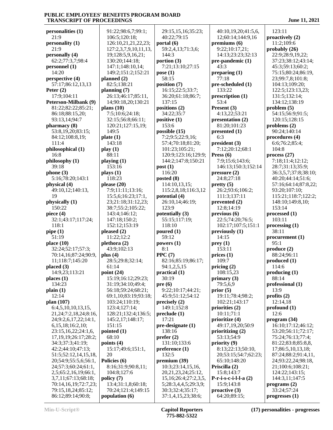**personalities (1)** 21:9 **personality (1)** 21:9 **personally (4)** 62:2;77:3,7;98:4 **personnel (1)** 14:20 **perspective (4)** 57:17;86:12,13,13 **Peter (2)** 17:9;104:11 **Peterson-Milbank (9)** 81:22;82:22;85:21; 86:18;88:15,20; 93:13,14;94:7 **pharmacy (8)** 53:8,19,20;83:15; 84:12;108:8,19; 111:4 **philosophical (1)** 16:8 **philosophy (1)** 39:18 **phone (3)** 5:16;78:20;143:1 **physical (4)** 49:10,12;140:13, 19 **physically (1)** 150:22 **piece (4)** 32:1;43:17;117:24; 118:1 **pipe (1)** 51:19 **place (10)** 32:24;52:17;57:3; 70:14,16;87:24;90:9, 11;118:7;145:20 **placed (3)** 14:9,23;113:21 **places (1)** 134:23 **plain (1)** 12:14 **plan (107)** 6:4,5,10,10,13,15, 21,24;7:2,18,24;8:16, 24;9:2,6,17,22;14:1, 6,15,18;16:2,10; 23:15,16,22;24:1,6, 17,19,19;26:17;28:2; 34:3;37:3;41:19; 42:2;44:10;47:13; 51:5;52:12,14,15,18, 20;54:9;55:5,6;56:1, 24;57:3;60:24;61:1, 2,5;65:2,16,19;66:1, 3,7,11;67:13;68:18; 70:14,16,19;72:7,23; 79:15,18,24;85:12; 86:12;89:14;90:8;

 91:22;98:6,7;99:1; 106:5;120:18; 126:10,21,21,22,23; 127:2,3,7,9,10,11,13, 19;128:5,9,16,21; 130:20;144:18; 147:1;148:10,14; 149:2;151:2;152:21 **planned (2)** 82:5;138:21 **planning (7)** 26:13;46:17;85:11, 14;90:18,20;130:21 **plans (10)** 7:5;10:6;24:18; 32:15;56:8;66:11; 120:21;127:15,19; 149:5 **plate (1)** 143:18 **play (1)** 88:11 **playing (1)** 153:16 **plays (1)** 118:23 **please (20)** 7:9;11:11;13:16; 15:5,6;16:23;17:1, 23;21:18;31:12,23; 38:7;55:2;105:22; 143:4;146:12; 147:18;150:2; 152:12;153:19 **pleased (2)** 11:22;12:2 **plethora (2)** 43:9;102:13 **plus (4)** 28:5;29:8;32:14; 61:14 **point (24)** 15:19;16:12;29:23; 31:19;34:10;49:4; 56:18;59:24;68:21; 69:1,10;83:19;93:18; 103:24;110:19; 123:4;127:14; 128:21;132:4;136:5; 145:2,17;148:17; 151:15 **pointed (1)** 68:10 **points (4)** 15:17;49:6;151:1, 20 **Policies (6)** 8:16;31:9;90:8,11; 104:8;127:6 **policy (7)** 13:4;31:1,8;60:18; 70:24;121:4;149:15 **population (6)** 8:1 **pre (6)**

 29:15,15,16;35:23; 40:22;79:15 **portal (6)** 59:2,4,13;71:3,6; 144:3 **portion (3)** 7:21;13:10;27:15 **pose (1)** 58:15 **position (7)** 16:15;22:5;33:7; 36:20;61:18;86:7; 137:15 **positions (2)** 34:22;35:7 **positive (1)** 153:6 **possible (15)** 7:2;9:5;22:9,16; 57:4;70:18;81:20; 101:23;105:21; 120:9;123:16;129:9; 144:2;147:8;150:21 **post (1)** 116:20 **posted (8)** 114:10,13,15; 115:2,8,18;116:3,12 **potential (4)** 26:10,14;46:19; 123:9 **potentially (3)** 55:15;117:19; 118:10 **poured (1)** 59:12 **powers (1) PPC (7)** 82:16;85:19;86:17; 94:1,2,5,15 **practical (1)** 30:19 9:22;10:17;44:21; 45:9;51:12;54:12 **precisely (2)** 149:1;152:8 **preclude (1)** 17:21 **pre-designate (1)** 138:16 **prefer (2)** 131:10;133:6 **preference (1)** 132:5 **premium (39)** 10:3;23:14,15,16, 20,21,23,24;25:12, 15,16;26:4;27:2,3,5, 5;28:3,4,4,5;29:3,9; 30:3;32:4;35:17; 37:1,4,15,23;38:6;

 40:10,19,20;41:5,6, 12;60:14;144:9,16 **premiums (6)** 9:22;10:17,21; 14:13;23:23;32:13 **pre-pandemic (1)** 43:3 **preparing (1)** 77:18 **pre-scheduled (1)** 133:22 **prescription (1)** 53:4 **Present (3)** 4:13,22;53:21 **presentation (2)** 81:20;101:23 **presented (1)** 6:3 **president (3)** 7:12;20:12;68:1 **Press (6)** 7:9;15:6;143:6; 146:13;150:3;152:14 **pressure (2)** 24:8;27:18 **pretty (5)** 26:2;93:6;106:2; 111:3;137:11 **prevented (2)** 12:8;14:19 **previous (6)** 22:5;74:20;76:5; 102:17;107:5;151:1 **previously (1)** 14:15 **prey (1)** 153:11 **prices (1)** 109:7 **pricing (2)** 108:15,23 **primary (3)** 79:5,6,9 **prior (5)** 19:11;78:4;98:2; 102:21;143:17 **priorities (2)** 10:11;71:1 **prioritize (4)** 49:17,19,20;50:9 **prioritizing (2)** 53:13;54:9 **priority (9)** 8:13;22:13;50:10, 20;53:15;54:7;62:23; 65:10;148:20 **Priscilla (2)** 15:8;143:7 **P-r-i-s-c-i-l-l-a (2)** 15:9;143:8 **proactive (3)** 64:20;89:15;

 123:11 **proactively (2)** 11:2;109:6 **probably (26)** 22:9;28:9,19,22; 37:23;38:12;43:14; 45:3;59:13;60:2; 75:15;80:24;86:19, 23;99:7,8;101:8; 104:13;109:20; 122:5;123:13,23; 131:5;132:14; 134:12;138:19 **problem (5)** 54:15;56:9;91:5; 120:15;128:15 **problems (2)** 90:24;140:14 **procedures (4)** 6:6;76:2;85:4; 104:8 **process (27)** 7:18;11:4;12:12; 28:7;31:13;35:9; 36:3,5,7;37:8;38:10; 40:20;44:14;51:6; 57:16;64:14;87:8,22; 93:20;107:10; 115:21;118:7;122:2; 148:10;149:8,10; 153:14 **processed (1)** 103:11 **processing (1)** 38:11 **procurement (1)**  $95.1$ **produce (2)** 88:24;96:11 **produced (1)** 114:6 **producing (1)** 88:14 **professional (1)** 13:9 **profits (2)** 12:14,18 **profound (1)** 12:6 **program (34)** 16:10;17:12;46:12; 53:20;56:11;72:17; 75:24;76:13;77:4; 81:22;83:8;85:8,8, 17;86:5,10,13,18; 87:24;88:2;91:4,11, 24;93:22,24;98:18, 21;100:6;108:21; 124:22;143:15; 144:3,11;147:5 **programs (2)** 33:24;57:24 **progresses (1)**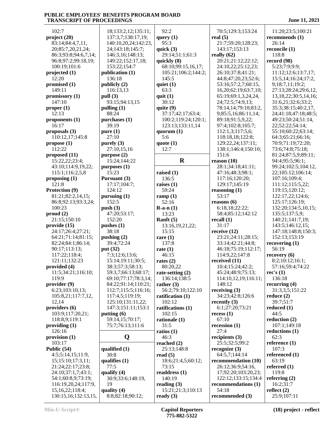| 102:7                            | 18;133:2,12;135:11;                        | 92:2                      | 70:5;129:3;153:24                     | 11:20;23:5;100:21                       |
|----------------------------------|--------------------------------------------|---------------------------|---------------------------------------|-----------------------------------------|
| project (20)<br>83:14;84:4,7,11, | 137:3,7;138:17,19;<br>140:10,20,24;142:23, | query $(1)$<br>95:3       | real $(5)$<br>21:7:59:20:128:23:      | recommends (1)<br>26:14                 |
| 20;85:7,20,21,24;                | 24;143:18;145:7;                           | quick $(3)$               | 143:17;153:13                         | reconcile (1)                           |
| 86:3;93:8;94:6,7,14;             | 146:3,16;148:13;                           | 29:14;51:1;61:3           | really $(62)$                         | 118:8                                   |
| 96:8;97:2;99:18,19;              | 149:22;152:17,18;                          | quickly (8)               | 20:21:21:12:22:12;                    | record (98)                             |
| 100:19;101:6                     | 153:22;154:7                               | 68:10;99:15,16,17;        | 24:10,22;25:12,23;                    | 5:23;7:9;9:9;                           |
| projected (1)                    | publication (1)                            | 105:21;106:2;144:2;       | 26:10;37:8;41:21;                     | 11:12;12:6;13:7,17;                     |
| 12:20                            | 136:18                                     | 145:5                     | 44:8;47:20,23;52:6;                   | 15:5,14;16:24;17:2,                     |
| promised $(1)$                   | publicly (2)                               | quiet $(1)$               | 53:16;57:2,7;60:15,                   | 9;18:7,11;19:2;                         |
| 149:11                           | 116:13,13                                  | 63:3                      | 16,20;62:19;63:7,10;                  | 27:13;28:24;29:6,12,                    |
| promissory (1)                   | pull (3)                                   | quit $(1)$                | 65:19;69:1,3,24,24,                   | 13, 18, 22; 30: 5, 14, 16;              |
| 147:10                           | 93:15;94:13,15                             | 30:12                     | 24;72:5;74:9,13;                      | 31:6,21;32:6;33:2;                      |
| proper <sub>(1)</sub>            | pulling $(1)$                              | quite $(9)$               | 78:14,14;79:10;83:2,                  | 35:3;38:15;40:2,17,                     |
| 12:13                            | 88:24                                      | 37:17;42:17;63:4;         | 9;85:5,16;86:11,14;                   | 24;41:18;47:18;48:5;                    |
| proponents $(1)$                 | purchases (1)                              | 100:2;119:24;120:1;       | 89:18;91:5,9,22;                      | 49:23;50:24;51:14,                      |
| 16:17                            | 39:19                                      | 123:13;133:11,14          | 97:4;102:8;105:7;                     | 22;52:22;54:14;                         |
| proposals (3)<br>110:12,17;145:8 | pure $(1)$<br>27:10                        | quorum $(1)$<br>5:6       | 112:1,3;117:5,6;<br>118:18,18;122:8;  | 55:10;60:22;63:14;<br>64:3;65:21;66:16; |
| propose(1)                       | purely $(3)$                               | quote $(1)$               | 129:22,24;137:11;                     | 70:9;71:19;72:20;                       |
| 112:22                           | 27:10,15,16                                | 12:7                      | 138:1;146:4;150:10;                   | 73:6:74:8:75:18:                        |
| proposed $(11)$                  | purpose $(2)$                              |                           | 151:6                                 | 81:24;87:5,9;89:11;                     |
| 15:22,22;23:4;                   | 15:24;144:22                               | $\mathbf R$               | reason $(10)$                         | 94:4;95:5;96:1;                         |
| 43:10;114:9,19,22;               | purposes (1)                               |                           | 28:1;34:18;41:11;                     | 99:24;102:5;104:12,                     |
| 115:1;116:2,5,8                  | 15:23                                      | raised $(1)$              | 47:16;48:3;98:1;                      | 22;105:12;106:14;                       |
| proposing (1)                    | Pursuant (3)                               | 136:5                     | 117:16;120:20;                        | 107:16;109:4;                           |
| 121:8                            | 17:17:104:7;                               | raises $(1)$              | 129:17;145:19                         | 111:12;115:5,22;                        |
| Protection (9)                   | 124:12                                     | 59:24                     | reasoning $(1)$                       | 119:15;120:12;                          |
| 81:21;82:2,14,15;                | pursuing (1)                               | ramp $(1)$                | 53:17                                 | 122:17,22;124:6;                        |
| 86:8;92:13;93:3,24;              | 152:5                                      | 52:16                     | reasons $(6)$                         | 125:17;126:19;                          |
| 100:23                           | push $(3)$                                 | $R-a-n(1)$                | 6:18,18;22:22;                        | 132:20;134:5,10,15;                     |
| proud(2)                         | 47:20;53:17;                               | 13:23                     | 58:4;85:12;142:12                     | 135:5;137:5,9;                          |
| 21:15;150:10                     | 152:20                                     | Ranft $(5)$               | recall $(1)$                          | 140:21;141:7,19;                        |
| provide (15)                     | pushes $(1)$                               | 13:16,19,21,22;           | 31:17                                 | 143:5;146:12,15;                        |
| 24:17;26:4;27:21;                | 38:18                                      | 15:15                     | receive $(12)$                        | 147:18;148:8;150:3;                     |
| 64:21;71:14;81:15;               | pushing $(2)$                              | rare $(1)$                | 23:21;24:11;28:15;                    | 152:13;153:19                           |
| 82:24;84:1;86:14;                | 39:4;72:24                                 | 137:8                     | 33:14;42:21;44:8;                     | recovering $(1)$<br>56:19               |
| 90:17;113:13;<br>117:22;118:4;   | put (32)<br>7:3;12:6;13:6;                 | rate $(1)$<br>46:15       | 46:18;75:19;112:17;<br>114:9,22;147:8 | recovery(6)                             |
| 121:11;132:23                    | 15:14;19:11;30:5;                          | rates $(2)$               | received $(11)$                       | 8:2;10:12;16:1;                         |
| provided (4)                     | 38:3;57:3;58:13;                           | 80:20,22                  | 10:4;15:24;42:2;                      | 57:16;59:4;74:22                        |
| 11:5;34:21;116:10;               | 59:3,7;66:13;68:17;                        | rate-setting $(2)$        | 45:24;48:9;75:13;                     | rec's $(1)$                             |
| 119:9                            | 69:10;77:17;78:3,14;                       | 136:14;138:5              | 114:10,12,19;116:11;                  | 136:18                                  |
| provider (9)                     | 84:22;91:14;110:21;                        | rather $(3)$              | 148:12                                | recurring $(4)$                         |
| 6:23;103:10,13;                  | 112:7;115:5;116:16;                        | 56:2;79:10;122:10         | receiving $(3)$                       | 31:3,3,5;151:22                         |
| 105:8,21;117:7,12,               | 117:4,5;119:19;                            | ratification $(1)$        | 34:23;42:8;126:6                      | reduce $(2)$                            |
| 12.14                            | 125:10;131:11,22;                          | 102:12                    | recently $(3)$                        | 39:7;51:7                               |
| providers (6)                    | 147:3;151:11;153:1                         | ratifications (1)         | 6:1;27:20;73:21                       | reduced $(1)$                           |
| 103:9;117:20,21;                 | putting (6)                                | 102:15                    | recess(1)                             | 44:5                                    |
| 118:8,9;119:1                    | 59:14,15;70:17;                            | rationale $(1)$           | 67:10                                 | reduction $(2)$                         |
| providing $(1)$                  | 75:7;76:13;111:6                           | 31:5                      | recession $(1)$                       | 107:1;149:18                            |
| 126:16                           |                                            | ratios $(1)$              | 27:4                                  | reductions $(1)$                        |
| provision $(1)$                  | Q                                          | 46:3                      | recipients $(3)$                      | 62:3                                    |
| 103:17                           |                                            | reached $(2)$             | 25:5;32:5;99:2                        | reference (1)                           |
| Public (54)<br>4:5;5:14,15;11:9, | qualified (1)<br>30:8                      | 25:13;148:8<br>read $(5)$ | recognize $(3)$<br>64:5,7;144:14      | 107:3<br>referenced (1)                 |
| 15; 15: 10; 17: 3, 11;           | qualifies $(1)$                            | 18:6;21:4,5;60:12;        | recommendation (10)                   | 63:19                                   |
| 21:24;22:17;23:8;                | 77:5                                       | 73:15                     | 26:12;36:9;54:16,                     | referred (1)                            |
| 24:10;37:1,7;43:1;               | qualify $(4)$                              | readdress $(1)$           | 17;92:20;103:20,23;                   | 119:8                                   |
| 54:1;60:8,9;73:19;               | 30:9;33:6;148:19,                          | 140:19                    | 122:12;133:15;134:4                   | referring $(2)$                         |
| 116:19,20,24;117:9,              | 19                                         | reading $(3)$             | recommendations (1)                   | 16:2;31:7                               |
| 15,16,22;118:4;                  | quality $(4)$                              | 15:21;21:3;110:13         | 54:18                                 | reflect $(2)$                           |
| 130:15,16;132:13,15,             | 8:8;82:18;90:12;                           | ready $(3)$               | recommended (3)                       | 25:9;107:11                             |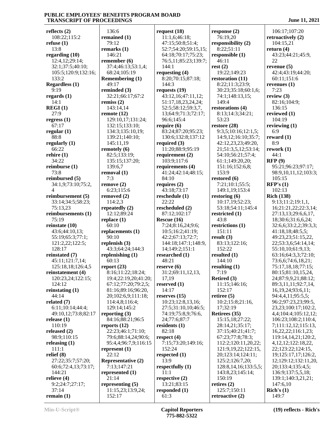**reflects (2)** 108:22;115:2 **refuse (1)** 13:8 **regarding (10)** 12:4,12;29:14; 32:1;37:5;40:10; 105:5;120:9;132:16; 133:2 **Regardless (1)** 9:19 **regards (1)** 14:1 **REGI (1)** 27:9 **regress (1)** 67:17 **regular (1)** 88:8 **regularly (1)** 66:22 **rehire (1)** 34:22 **reimburse (1)** 73:8 **reimbursed (5)** 34:1,9;73:10;75:2, 4 **reimbursement (5)** 33:14;34:5;58:23; 75:13,23 **reimbursements (1)** 75:19 **reinstate (10)** 43:6;44:10,13; 55:19;65:3;77:1; 121:2,22;122:5; 128:17 **reinstated (7)** 45:11;121:7,14; 125:18,18;126:4,5 **reinstatement (4)** 120:23,24;122:15; 124:12 **reinstating (1)** 44:14 **related (7)** 6:11;10:14;44:4; 49:10,12;73:8;82:17 **release (1)** 110:19 **released (2)** 98:9;110:15 **releasing (1)** 111:1 **relief (8)** 27:22;35:7;57:20; 60:6;72:4,13;73:17; 144:21 **relieve (4)** 9:2;24:7;27:17; 37:14 **remain (1)**

 136:6 **remained (1)** 79:12 **remarks (1)** 146:21 **remember (6)** 37:4;46:13;53:1,4; 68:24;105:19 **Remembering (1)** 49:17 **reminded (3)** 32:21;66:17;67:2 **remiss (2)** 143:14,14 **remote (12)** 129:10,17;131:24; 132:15;133:10; 134:3;135:10,19; 139:21;140:10; 145:11,19 **remotely (6)** 82:5;133:19; 135:15;137:20; 139:6,7 **removal (1)** 7:3 **remove (2)** 6:23;115:6 **removed (2)** 114:2,3 **repeatedly (2)** 12:12;89:24 **replace (1)** 60:10 **replacements (1)** 90:10 **replenish (3)** 43:3;64:24;144:3 **replenishing (1)** 60:13 **report (23)** 8:16;11:22;18:24; 19:4;22:19,20;41:20; 67:12;77:20;79:2,5; 81:16;89:16;96:20, 20;102:6,9;111:18; 114:4,8;116:4; 129:14;145:2 **reporting (3)** 84:16;88:21;96:5 **reports (12)** 22:23;46:1;71:10; 79:6;88:14,24;90:6; 95:4,4;96:7,9;116:15 **represent (1)** 22:12 **Representative (2)** 7:13;147:21 **represented (1)** 21:14 **representing (5)** 11:15,23;13:9,24; 152:17

**request (18)** 11:1,6;46:18; 47:15;50:8;51:4; 52:7;54:20;59:15,15; 64:18;70:17;75:23; 76:5,11;85:23;139:7; 144:1 **requesting (4)** 8:20;70:15;87:18; 144:3 **requests (19)** 43:12,16;47:11,12; 51:17,18,23,24,24; 52:5;58:12;59:3,7, 13;64:9;71:3;72:17; 96:6;145:4 **require (6)** 83:24;87:20;95:23; 130:6;132:8;137:12 **required (3)** 11:20;88:9;95:19 **requirement (2)** 103:9;117:6 **requirements (4)** 41:24;42:14;48:15; 84:10 **requires (2)** 43:18;73:17 **reschedule (1)** 22:22 **rescheduled (2)** 87:12;102:17 **Rescue (16)** 7:24;8:16,24;9:6; 10:5;16:2;41:19; 42:2;67:13;72:7; 144:18;147:1;148:9, 14;149:2;151:1 **researched (1)** 48:21 **reserve (6)** 31:2;69:11,12,13, 17,19 **reserved (1)** 14:17 **reserves (15)** 10:23;12:8,13,16; 27:5;31:10,10;46:5; 74:19;75:8,9;76:6, 24;77:6;87:7 **residents (1)** 82:18 **respect (4)** 7:15;73:20;149:16; 152:24 **respected (1)** 13:9 **respectfully (1)** 11:1 **respective (2)** 13:21;83:15 **responded (1)** 61:3

**response (2)** 76:19,20 **responsibility (2)** 8:22;51:11 **responsible (1)** 46:11 **rest (2)** 19:22;149:23 **restoration (11)** 8:22;11:3;23:9; 30:23;35:18;60:1,6; 74:1;148:13,15; 149:4 **restorations (4)** 8:13;14:3;34:21; 53:23 **restore (28)** 9:3,5;10:16;12:1,5; 14:9,12;16:10;35:7; 42:12,23,23;49:20, 21;51:3,5,12;53:14; 54:10;56:21;57:4; 61:1;149:20,20; 151:16;152:6,8; 153:9 **restored (6)** 7:21;10:1;55:5; 149:1,19;153:4 **restoring (6)** 10:17,19;52:23; 53:18;54:11;145:4 **restricted (1)** 43:8 **restrictions (1)** 151:11 **result (3)** 83:13;122:16; 152:22 **resulted (1)** 144:10 **resulting (1)** 7:19 **Retired (3)** 11:15;146:16; 152:17 **retiree (5)** 10:2;15:8;21:16, 17;32:19 **Retirees (35)** 15:15,18;27:22; 28:14,21;35:17; 37:15;40:21;41:7; 67:23;77:8;78:3; 112:2;120:11,20,22; 121:9,19,22;122:15, 20;123:14;124:11; 125:2;126:7,20; 128:8,14,16;133:5,5; 143:8,23;145:14; 150:19 **retires (2)** 125:7;150:11 **retroactive (2)**

 106:17;107:20 **retroactively (2)** 104:15,21 **return (4)** 43:23;44:21;45:9, 22 **revenue (5)** 42:4;43:19;44:20; 60:11;151:6 **revenues (1)** 7:23 **review (3)** 82:16;104:9; 136:15 **reviewed (1)** 104:19 **reviewing (1)** 6:9 **reward (1)** 8:9 **rework (1)** 44:1 **RFP (9)** 95:21;96:23;97:17; 98:9,10,11,12;103:3; 105:15 **RFP's (1)** 102:13 **Rich (138)** 9:13;11:2;19:1,1, 16;21:21,22;22:3,14; 27:13,13;29:6,6,17, 18;30:6;31:6,6,24; 32:6,6;33:2,2;39:3,3; 41:18,18;48:5,5; 49:23,23;51:15,22, 22;53:3,6;54:14,14; 55:10,10;61:9,13; 63:16;64:3,3;72:10; 73:6,6;74:6,18,21; 75:17,18,18;77:15; 80:15;81:10,15,24, 24;87:9,9,21;88:12; 89:3,11,11;92:7,14, 16,19,24;93:6,11; 94:4,4,11;95:5,5; 96:2;97:23,23;99:5, 23,23;100:17;102:2, 4,4;104:4;105:12,12; 106:23;108:2;110:4, 7;111:12,12;115:13, 16,22,22;116:1,23; 119:14,14,21;120:2, 4,12,12;122:18,22, 22;123:22;124:15, 19;125:17,17;126:2, 12;129:12;132:11,20, 20;133:4;135:4,5; 136:9;137:5,5,18; 139:1;140:3,21,21; 147:6,10 **Rich's (1)** 149:7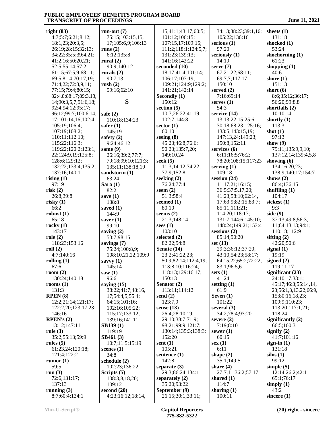| right $(83)$                                | run-out $(7)$                   | 15;41:1;43:17;60:5;                | 34:13;38:23;39:1,16;            | sheets $(1)$                 |
|---------------------------------------------|---------------------------------|------------------------------------|---------------------------------|------------------------------|
| 4:7;5:7;6:21;8:12;                          | 75:15;103:15,15,                | 101:12;106:15;                     | 105:22;136:16                   | 131:18                       |
| 18:1,23;20:3,5;                             | 17;105:6,9;106:13               | 107:15,17;109:15;                  | serious $(1)$                   | shocked (1)                  |
| 26:19;28:15;32:13;                          | runs $(2)$                      | 111:2;118:1;124:5,7;               | 97:20                           | 53:24                        |
| 34:22;35:5;39:4,21;                         | 6:12;135:8                      | 131:23;139:13;                     | seriously (1)                   | shoehorning (1)              |
| 41:2,16;50:20,21;                           | rural $(2)$                     | 141:16;142:22                      | 14:19                           | 61:23                        |
| 52:5;55:14;57:2;                            | 90:9;140:12                     | seconded (10)                      | serve $(7)$                     | shopping $(1)$               |
| 61:15;67:5,9;68:11;                         | rurals $(2)$                    | 18:17;41:4;101:14;                 | 67:21,22;68:11;                 | 40:6                         |
| 69:5,8,14;70:17,19;                         | 90:7,13                         | 106:17;107:19;                     | 69:7,7;117:17;                  | shore $(1)$                  |
| 71:4,22;72:8,9,11;                          | rush(2)                         | 109:21;124:9;129:2;                | 150:10                          | 151:13                       |
| 77:15;79:4;80:15;                           | 59:16;62:10                     | 141:21;142:14                      | served $(2)$                    | short $(6)$                  |
| 82:4,8;88:17;89:3,13,                       |                                 | Secondly (1)                       | 7:16;69:14                      | 8:6;35:12;36:17;             |
| 14;90:3,5,7;91:6,18;                        | S                               | 150:12                             | serves $(1)$                    | 56:20;99:8,8                 |
| 92:4;94:12;95:17;                           | safe $(2)$                      | section $(5)$<br>10:7;26:22;41:19; | 54:3<br>service (14)            | shortfalls $(2)$<br>10:10,14 |
| 96:12;99:7;100:6,14,<br>17;101:14,16;102:4; | 110:18;134:23                   | 102:7;144:8                        | 13:13;22:15;25:6;               | shortly $(1)$                |
| 105:19;106:4;                               | safer $(1)$                     | sector $(1)$                       | 30:18;68:23;125:16;             | 113:3                        |
| 107:19;108:2;                               | 145:19                          | 60:10                              | 133:5;143:15,19;                | shot $(1)$                   |
| 110:11;112:10;                              | safety $(2)$                    | seeing $(8)$                       | 147:13,24;149:23;               | 97:13                        |
| 115:22;116:3;                               | 9:24;46:12                      | 45:23;46:8;76:6;                   | 150:8;152:11                    | show $(9)$                   |
| 119:22;120:2;123:1,                         | same $(9)$                      | 90:23;135:7,20;                    | services $(6)$                  | 79:11;135:9,9,10;            |
| 22;124:9,19;125:8;                          | 26:16;39:2;77:7;                | 149:10,24                          | 6:11;16:5;76:2;                 | 137:12,14;139:4,5,8          |
| 128:6;129:12;                               | 79:18;99:10;121:3;              | seek $(5)$                         | 78:20;108:15;117:23             | showing $(6)$                |
| 132:22;133:4;135:2;                         | 135:11;138:18,19                | 11:3;14:12;74:22;                  | serving $(1)$                   | 134:16,20,23;                |
| 137:16;140:1                                | sandstorm (1)                   | 77:9;152:8                         | 109:18                          | 138:9;140:17;154:7           |
| rising $(1)$                                | 63:24                           | seeking $(2)$                      | session $(24)$                  | shows $(2)$                  |
| 97:19                                       | Sara $(1)$                      | 76:24;77:4                         | 11:17,21;16:15;                 | 86:4;136:15                  |
| risk(2)                                     | 82:2                            | seem $(2)$                         | 36:5;37:5,17,20;                | shuffling $(1)$              |
| 26:8;39:8                                   | save $(1)$                      | 51:3;58:4                          | 41:23;58:10;62:14,              | 104:17                       |
| risky(1)                                    | 138:8                           | seemed $(1)$                       | 17;63:9;82:15;83:7;             | sickest $(1)$                |
| 66:2                                        | saved $(1)$                     | 80:10                              | 85:11;111:21;                   | 9:3                          |
| robust $(1)$                                | 144:9                           | seems $(2)$                        | 114:20;118:17;                  | side $(9)$                   |
| 65:18                                       | saver $(1)$                     | 21:3;148:14                        | 131:7;144:6;145:10;             | 37:13;49:8;56:3,             |
| rocky $(1)$                                 | 99:10                           | sees $(1)$                         | 148:24;149:21;153:4             | 11;84:13,13;94:1;            |
| 143:17                                      | saving $(2)$                    | 103:10                             | $s$ essions $(2)$               | 110:18;112:9                 |
| role(2)<br>118:23;153:16                    | 53:7;98:15                      | selected $(2)$<br>82:22;94:8       | 85:14;90:20                     | sifting $(2)$<br>42:20;50:6  |
| roll(2)                                     | savings $(7)$<br>75:24;100:8,9; | Senate (14)                        | set $(13)$<br>29:3;36:12;37:20; | signal $(1)$                 |
| 4:7;140:16                                  | 108:10,21,22;109:9              | 23:2;41:22,23;                     | 43:10;54:23;58:17;              | 19:19                        |
| rolling $(1)$                               | savvy $(1)$                     | 50:9;82:14;112:4,19;               | 64:15,22;65:2;72:22;            | signed $(2)$                 |
| 67:6                                        | 145:14                          | 113:8,10;116:24;                   | 83:1;96:5,6                     | 119:11,17                    |
| room $(2)$                                  | saw $(1)$                       | 118:13;129:16,17;                  | sets $(1)$                      | significant $(23)$           |
| 130:24;140:18                               | 96:6                            | 150:13                             | 41:24                           | 24:10,17;33:1;               |
| rooms $(1)$                                 | saying $(15)$                   | Senator (2)                        | setting $(1)$                   | 45:17;46:3;55:14,14,         |
| 131:3                                       | 38:22;41:7;48:16,               | 113:11;114:12                      | 61:9                            | 23;56:1,3,13,22;66:9,        |
| RPEN(8)                                     | 17;54:4,5;55:4;                 | send $(2)$                         | Seven $(1)$                     | 15;80:16,18,23;              |
| 12:2;21:14;121:17;                          | 64:15;101:16;                   | 123:7,9                            | 101:22                          | 109:9;110:23;                |
| 122:2,20;123:17,23;                         | 102:16;105:22;                  | sense $(13)$                       | several $(3)$                   | 113:20;117:1,21;             |
| 146:16                                      | 115:17;133:12;                  | 26:4;28:10,19;                     | 34:2;78:4;93:20                 | 118:24                       |
| RPEN's $(2)$                                | 139:16;141:11                   | 29:10;38:7;71:9;                   | severe $(2)$                    | significantly $(2)$          |
| 13:12;147:11                                | SB139(1)                        | 98:21;99:9;121:7;                  | 7:19;8:10                       | 66:5;100:3                   |
| rule $(3)$                                  | 119:19                          | 130:14;135:3;138:3;                | sewer $(1)$                     | signify $(2)$                |
| 35:2;55:13;59:9                             | SB461(3)<br>10:7;11:5;15:19     | 152:20                             | 60:15                           | 41:7:101:16<br>sign-in $(1)$ |
| rules $(5)$<br>61:23,24;120:18;             | scenes $(1)$                    | sent $(1)$<br>105:21               | sex(1)<br>6:11                  | 131:18                       |
| 121:4;122:2                                 | 34:8                            | sentence $(1)$                     | shape $(2)$                     | $\textbf{silos}(1)$          |
| rumor $(1)$                                 | schedule (2)                    | 142:8                              | 35:1;149:5                      | 99:12                        |
| 59:5                                        | 102:23;136:22                   | separate $(3)$                     | share $(4)$                     | simple $(5)$                 |
| run $(3)$                                   | Scripts $(5)$                   | 29:3;86:24;134:1                   | 27:7,11;36:2;57:17              | 12:14;26:2;42:11;            |
| 72:6;131:17;                                | 108:3,8,18,20;                  | separately $(2)$                   | shared $(1)$                    | 65:1;76:17                   |
| 137:13                                      | 109:12                          | 35:20;93:22                        | 114:7                           | simply $(1)$                 |
| running $(3)$                               | second $(20)$                   | September (9)                      | sharing $(1)$                   | 43:2                         |
| 8:7;60:4;134:1                              | 4:23;16:12;18:14,               | 26:15;30:1;33:11;                  | 100:11                          | sincere $(1)$                |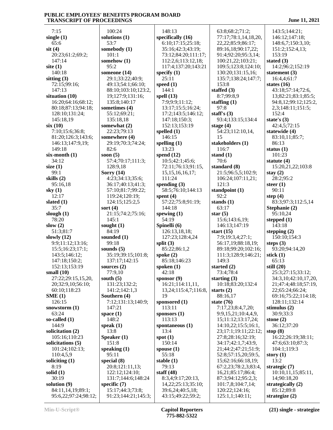7:15 **single (1)** 65:6 **sit (4)** 20:23;61:2;69:2; 147:14 **site (1)** 140:18 **sitting (3)** 72:15;99:16; 147:13 **situation (10)** 16:20;64:16;68:12; 80:18;87:13;94:18; 128:10;131:24; 145:18,19 **six (10)** 7:10;15:6;36:8; 81:20;126:3;143:6; 146:13;147:9,19; 149:18 **six-month (1)** 34:12 **size (1)** 99:1 **skills (2)** 95:16,18 **sky (1)** 12:17 **slated (1)** 35:7 **slough (1)** 78:20 **slow (2)** 51:3;81:7 **slowly (12)** 9:9;11:12;13:16; 15:5;16:23;17:1; 143:5;146:12; 147:18;150:2; 152:13;153:19 **small (10)** 27:22;29:15,15,20, 20;32:9,10;56:10; 60:10;118:23 **SME (1)** 126:15 **snowstorm (1)** 63:24 **so-called (1)** 144:9 **solicitation (2)** 105:16;110:23 **solicitations (5)** 101:24;102:13; 110:4,5,9 **soliciting (1)** 8:19 **solid (1)** 30:19 **solution (9)** 84:11,14,19;89:1; 95:6,22;97:24;98:12;

 100:24 **solutions (1)** 53:7 **somebody (1)** 101:1 **somehow (1)** 95:2 **someone (14)** 29:1;33:22;40:9; 49:13;54:1;66:10; 88:10;103:10;123:2, 19;127:9;131:16; 135:8;140:17 **sometimes (4)** 55:12;69:21; 135:18,18 **somewhat (2)** 22:23;79:13 **somewhere (4)** 29:19;70:3;74:24; 82:6 **soon (5)** 57:4;70:17;111:3; 128:9,18 **Sorry (14)** 4:23;34:13;35:6; 36:17;40:13;41:3; 57:10;81:7;99:22; 119:24;120:19; 124:15;125:2,5 **sort (4)** 21:15;74:2;75:16; 145:1 **sought (1)** 84:19 **sounded (1)** 99:18 **sounds (5)** 35:19;39:15;101:8; 137:17;142:15 **sources (2)** 77:9,10 **south (5)** 131:23;132:2; 141:2;142:1,3 **Southern (4)** 7:12;131:13;140:9; 147:21 **space (1)** 148:2 **speak (1)** 13:8 **Speaker (1)** 151:8 **speaking (1)** 95:11 **special (8)** 20:8;121:11,13; 122:12;124:10; 131:7;144:6;148:24 **specific (7)** 15:17;44:3;73:8; 91:23;144:21;145:3;

 148:13 **specifically (16)** 6:10;17:15;25:18; 35:16;42:3;43:19; 73:12;84:20;111:17; 112:2,6;113:12,18; 117:4;137:20;143:21 **specify (1)** 25:11 **speed (1)** 144:1 **spell (13)** 7:9;9:9;11:12; 13:17;15:5;16:24; 17:2;143:5;146:12; 147:18;150:3; 152:13;153:19 **spelled (1)** 146:15 **spelling (1)** 13:23 **spend (12)** 10:5;42:1;45:6; 72:11;76:13;91:15, 15,15,16,16,17; 111:24 **spending (3)** 58:5;76:10;144:13 **spent (4)** 57:22;75:8;91:19; 144:18 **spewing (1)** 54:19 **Spinelli (6)** 126:13,18,18; 127:23;128:4,24 **split (3)** 85:22;86:1,2 **spoke (2)** 85:18;146:23 **spoken (1)** 42:18 **sponsor (9)** 16:21;114:11,11, 13,24;115:4,7;116:8, 19 **sponsored (1)** 113:11 **sponsors (1)** 113:13 **spontaneous (1)** 13:4 **spot (1)** 150:14 **spouse (1)** 55:18 **stable (1)** 79:13 **staff (48)** 8:3,4;9:17;20:13, 14,22;25:13;35:10; 39:6,24;40:5,18; 43:15;49:22;59:2;

 63:8;68:2;71:2; 77:17;78:1,14,18,20, 22,22;85:9;86:17; 89:16,18;90:17,22; 91:4;92:20;95:3,14; 100:21,22;103:21; 109:5;123:8;124:10; 130:20;131:15,16; 135:7;138:24;147:7; 153:8 **staffed (3)** 8:7;99:8,9 **staffing (1)** 97:8 **staff's (3)** 93:4;133:15;134:4 **stage (4)** 54:23;112:10,14, 15 **stakeholders (1)** 116:7 **stand (1)** 70:6 **standard (8)** 21:5;96:5,5;102:9; 106:24;107:11,21; 121:3 **standpoint (1)** 92:2 **stands (1)** 63:17 **star (5)** 15:6;143:6,19; 146:13;147:19 **start (15)** 7:9;19:3,4;27:1; 56:17,19;88:18,19; 89:18;99:20;102:16; 111:3;128:9;146:21; 149:3 **started (2)** 73:4;78:4 **starting (3)** 10:18;83:20;132:4 **starts (2)** 88:16,17 **state (76)** 7:17,23;8:4,7,20; 9:9,15,21;10:4,4,9, 15;11:12;13:17,24; 14:10,22;15:5;16:1, 23;17:1;19:11;22:12; 27:8;28:16;32:19; 34:17;42:1,7;43:9, 21;44:2;47:21;51:9; 52:8;57:15,20;59:5, 15;62:16;66:18,19; 67:2,23;78:2,3;83:4, 16,21;85:17;86:4; 87:3;94:12;95:2,3; 101:7,8;104:7,14; 120:22;124:16; 125:1,1;140:11;

 143:5;144:21; 146:12;147:18; 148:6,7;150:3,10; 151:2;152:4,13; 153:19 **stated (3)** 14:2;96:2;152:19 **statement (3)** 16:4,4;61:7 **states (16)** 43:18;57:14;72:6, 13;82:21;83:1;85:5; 94:8,12;99:12;125:2, 2,3;148:11;151:5; 152:4 **state's (3)** 42:4,5;72:15 **statewide (4)** 83:10,11;85:7; 86:13 **status (1)** 101:23 **statute (4)** 15:20,21,22;103:8 **stay (2)** 28:2;95:2 **steer (1)** 90:11 **step (4)** 83:3;97:3;112:5,14 **Stephanie (2)** 95:10,24 **stepped (1)** 143:18 **stepping (2)** 150:10;154:3 **steps (3)** 93:20;94:14,20 **stick (1)** 65:13 **still (20)** 25:3;27:15;33:12; 34:3,10;42:10,17,20, 21;47:4;48:18;57:19, 22;65:24;66:24; 69:16;75:22;114:18; 128:11;132:14 **stimulus (2)** 30:9;33:3 **stone (2)** 36:12;37:20 **stop (8)** 16:22;26:19;38:11; 47:6;63:10;87:3; 104:1;119:3 **story (1)** 13:2 **strategic (7)** 10:10,11,15;85:11, 14;90:18,20 **strategically (2)** 85:12;89:8 **strategize (2)**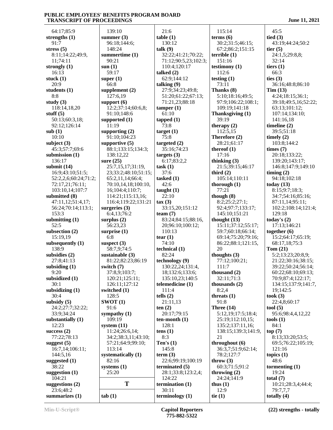64:17;85:9 **strengths (1)** 91:7 **stress (5)** 8:11;14:22;49:9, 11;74:11 **strongly (1)** 16:13 **stuck (1)** 20:9 **students (1)** 8:8 **study (3)** 118:14,18,20 **stuff (5)** 50:13;60:3,18; 92:12;126:14 **sub (1)** 10:10 **subject (3)** 45:3;57:7;69:6 **submission (1)** 136:17 **submit (14)** 16:9;43:10;51:5; 52:2,2,6;60:24;71:2; 72:17,21;76:11; 103:10,14;107:7 **submitted (8)** 47:11,12;51:4,17; 56:24;70:14;113:1; 153:3 **submitting (1)** 52:5 **subsection (2)** 15:19,19 **subsequently (1)** 138:9 **subsidies (2)** 27:8;41:13 **subsiding (1)** 9:20 **subsidized (1)** 30:1 **subsidizing (1)** 30:4 **subsidy (5)** 24:2;27:7;32:22; 33:9;34:24 **substantially (1)** 12:23 **success (2)** 77:22;78:13 **suggest (5)** 16:7,14;106:11; 144:5,16 **suggested (1)** 38:22 **suggestion (1)** 104:21 **suggestions (2)** 23:6;48:2 **summarizes (1)**

 139:10 **summer (3)** 96:18;144:6; 148:24 **summertime (1)** 90:21 **sun (1)** 59:17 **super (1)** 66:8 **supplement (2)** 127:6,19 **support (6)** 12:2;37:14;60:6,8; 91:10;148:6 **supported (1)** 11:19 **supporting (2)** 91:10;104:23 **supportive (5)** 88:1;133:15;134:3; 138:12,22 **sure (25)** 25:7,15,17;31:19, 23;33:2;48:10;51:15; 65:2,11,14;66:4; 70:10,14,18;100:10, 16;104:4;110:7; 114:21;115:13,16; 116:4;119:22;131:21 **surgeries (3)** 6:4,13;76:2 **surplus (2)** 56:23,23 **surprise (1)** 6:8 **suspect (3)** 58:7,9;74:5 **sustainable (3)** 81:22;82:23;86:19 **switch (7)** 37:8,9;103:7; 120:21;125:11; 126:11;127:12 **switched (1)** 128:5 **SWOT (1)** 91:6 **sympathy (1)** 109:19 **system (11)** 11:24;26:6,14; 34:2;38:3,11;43:10; 57:21;64:9;99:10; 113:14 **systematically (1)** 82:16 **systems (1)** 25:20 **T** te **tab (1)**

 21:6 **table (1)** 130:12 **talk (9)** 32:22;41:21;70:22; 71:12;90:5,23;102:3; 110:4;120:17 **talked (2)** 62:9;144:12 **talking (9)** 27:9;34:23;49:8; 51:20;61:22;67:13; 71:21,23;88:18 **tamper (1)** 61:10 **tapped (1)** 73:8 **target (1)** 75:8 **targeted (2)** 35:16;74:23 **targets (3)** 6:17;83:2,2 **task (1)** 37:6 **tasked (1)** 42:6 **taught (1)** 22:10 **tax (3)** 33:15,20;151:12 **team (7)** 83:24;84:15;88:16, 20;96:10;100:12; 110:13 **tear (1)** 74:10 **technical (1)** 82:24 **technology (9)** 130:22,24;131:4, 18;132:6;133:6; 135:10,23;140:5 **telemedicine (1)** 111:4 **tells (2)** 21:11,13 **ten (2)** 20:17;79:15 **ten-month (1)** 128:1 **tens (1)** 8:3 **Ten's (1)** 145:8 **term (3)** 22:6;99:19;100:19 **terminated (5)** 28:1;33:8;123:2,4; 124:22 **termination (1)** 30:11 **terminology (1)**

 115:14 **terms (6)** 30:2;31:5;46:15; 67:2;86:2;151:15 **terrible (1)** 151:16 **testimony (1)** 112:6 **testing (1)** 73:11 **Thanks (8)** 5:10;18:16;49:5; 97:9;106:22;108:1; 109:19;141:18 **Thanksgiving (1)** 39:19 **therapy (2)** 112:5,15 **Therefore (2)** 28:21;61:17 **thereof (1)** 17:16 **thinking (3)** 21:5;39:15;46:17 **third (2)** 105:14;110:11 **thorough (1)** 77:21 **though (8)** 8:2;25:2;27:1; 92:4;97:7;133:17; 145:10;151:21 **thought (13)** 15:11;37:12;55:17; 59:7;60:18;66:14; 69:14;75:20;79:16; 86:22;88:1;121:15, 20 **thoughts (3)** 77:12;100:21; 111:7 **thousand (2)** 32:11;71:3 **thousands (2)** 8:2,4 **threats (1)** 91:8 **Three (14)** 5:12,19;17:5;18:4; 25:19;112:10,15; 135:2;137:11,16; 138:15;139:3;141:9, 21 **throughout (6)** 36:3,7;51:9;62:14; 78:2;127:7 **throw (3)** 60:3;71:5;91:2 **throwing (2)** 24:24;141:9 **thus (1)** 12:9 **tie (1)**

 45:5 **tied (3)** 43:19;44:24;50:2 **tier (5)** 24:1,5;29:8,8; 32:14 **tiers (1)** 66:3 **ties (3)** 36:16;48:8;86:10 **Tim (13)** 4:24;18:15;36:1; 39:18;49:5,16;52:22; 63:13;101:12; 107:14;134:10; 141:16,18 **timeline (2)** 39:5;51:18 **timely (2)** 103:8;144:2 **times (7)** 20:18;133:22; 139:20;143:17; 146:8;147:9;149:10 **timing (2)** 94:18;102:18 **today (13)** 8:15;9:7;18:3; 34:7;54:16;85:16; 87:11,14;95:11; 102:2;108:14;121:4; 129:18 **today's (2)** 17:13;146:21 **together (6)** 15:2;64:17;65:19; 68:17,18;75:3 **Tom (21)** 5:2;13:23;20:8,9; 21:22;30:16;38:15; 39:22;50:24;56:14; 60:22;68:10;69:13; 70:9;87:4;122:17; 134:15;137:9;141:7, 19;142:5 **took (3)** 22:4,8;60:17 **tool (5)** 95:6;98:4,4,12,22 **tools (1)** 84:1 **top (7)** 8:13;33:20;53:5; 69:5;76:22;105:19; 121:16 **topics (1)** 48:6 **tormenting (1)** 19:24 **total (7)** 10:21;28:3,4;44:4;

 79:7,7,7 **totally (4)**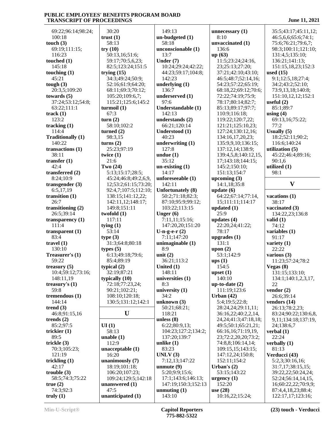69:22;96:14;98:24; 100:18 **touch (3)** 69:19;111:15; 116:23 **touched (1)** 145:18 **touching (1)** 45:21 **tough (3)** 20:3,5;109:20 **towards (5)** 37:24;53:12;54:8; 63:22;111:1 **track (1)** 123:2 **tracking (1)** 114:4 **Traditionally (1)** 140:22 **transactions (1)** 38:11 **transfer (1)** 42:4 **transferred (2)** 8:24;10:9 **transgender (3)** 6:5,17,19 **transition (1)** 26:7 **transitioning (2)** 26:5;39:14 **transparency (1)** 111:4 **transparent (1)** 83:4 **travel (1)** 130:10 **Treasurer's (1)** 59:22 **treasury (5)** 10:4;59:12;73:16; 148:11,19 **treasury's (1)** 59:8 **tremendous (1)** 144:14 **trend (3)** 46:8;91:15,16 **trends (2)** 85:2;97:5 **trickier (1)** 89:5 **trickle (3)** 70:3;105:23; 121:19 **trickling (1)** 42:17 **trouble (3)** 58:5;74:3;75:22 **true (2)** 74:3;92:3 **truly (1)**

 30:20 **trust (1)** 58:13 **try (10)** 50:13,16;51:6; 59:17;70:5,6,23; 82:5;123:24;151:5 **trying (15)** 34:3;49:24;50:9; 52:16;61:9;64:20; 68:11;69:3;70:12; 105:20;109:6,7; 115:21;125:6;145:2 **turmoil (1)** 67:3 **turn (2)** 58:10;102:2 **turned (2)** 98:3,15 **turns (2)** 25:23;97:19 **twice (1)** 21:6 **Two (24)** 5:13;15:17;28:5; 45:24;46:8;49:2,6,9, 12;53:2;61:15;73:20; 92:4,7;107:5;112:10; 138:15;141:12,22; 142:11,12;148:17; 149:8;151:11 **twofold (1)** 117:11 **tying (1)** 53:14 **type (3)** 31:3;64:8;80:18 **types (5)** 6:13;49:18;79:6; 85:4;89:19 **typical (2)** 32:19;87:21 **typically (10)** 72:18;77:23,24; 90:21;102:21; 108:10;120:18; 130:5;131:12;142:1  $\mathbf{U}$  1 **UI (1)** 58:13 **unable (1)** 112:9 **unacceptable (1)** 16:20 **unanimously (7)** 18:19;101:18; 106:20;107:23; 109:24;129:5;142:18 **unanswered (1)** 47:5 **unanticipated (1)** 149:13 58:18 13:7 **Under (7)** 142:23 136:7 97:6 142:13 40:23 127:8 **undue (1)** 35:12 14:17 142:11 **Unger (6)** 8:9 **unit (2) United (1)** 148:11 8:3 34:2 118:21 **unless (8) unlike (1)** 83:23 **UNLV (3)** 143:10

**un-budgeted (1) unconscionable (1)** 10:24;29:24;42:22; 44:23;59:17;104:8; **underlying (1) underserved (1) Understandable (1) understands (2)** 66:21;120:14 **Understood (1) underwriting (1) un-existing (1) unforeseeable (1) Unfortunately (8)** 50:2;71:18;82:3; 87:10;95:9;99:12; 103:22;113:15 7:11,11;15:16; 147:20,20;151:20 **U-n-g-e-r (2)** 7:11;147:20 **unimaginable (1)** 36:21;113:2 **universities (1) university (1) unknown (3)** 50:21;68:21; 6:22;80:9,13; 104:23;127:2;134:2; 137:20;139:7 7:12,13;147:22 **unmute (9)** 5:20;9:9;15:6; 17:1;143:6;146:13; 147:19;150:3;152:13 **unmuting (1)**

**unnecessary (1)** 8:10 **unvaccinated (1)** 136:6 **up (63)** 11:5;23:24;24:16, 23;25:13;27:20; 37:21;42:10;43:10; 46:5;48:7;52:14,16; 54:23;57:22;65:19; 68:18,22;69:12;70:6; 72:22;74:19;75:9; 78:17;80:14;82:7; 85:13;89:17;97:7; 110:9;116:18; 119:22;120:7,22; 121:21;125:10,23; 127:24;130:12,16; 134:16,17,20,23; 135:9,9,10;136:15; 137:12,14;138:9; 139:4,5,8;140:12,15, 17;143:18;144:15; 145:2;150:10; 151:13;154:7 **upcoming (3)** 14:1,18;35:8 **update (6)** 64:22;67:14;77:14, 15;111:11;114:17 **updated (1)** 25:9 **updates (4)** 22:20,24;41:22; 78:17 **upgrades (1)** 131:1 **upon (2)** 53:1;142:9 **ups (1)** 154:5 **upset (1)** 140:10 **up-to-date (2)** 111:19;123:6 **Urban (42)** 5:4;19:5;22:8; 28:24,24;29:11,11; 36:16,22;40:2,2,14, 24,24;41:3;47:18,18; 49:5;50:1;65:21,21; 66:16,16;71:19,19, 23;72:2,20,20;73:2; 74:8,8;106:14,14; 109:15,15;143:15; 147:12,24;150:8; 152:11;154:2 **Urban's (2)** 53:15;143:22 **urgency (1)** 152:20 **use (28)** 10:16,22;15:24;

 35:5;43:17;45:11,12; 46:5,6,6;65:6;74:1; 75:6;76:21;79:6,7; 98:3;100:11;121:10; 131:4,5;135:10; 136:21;141:13; 151:15,18,23;152:3 **used (15)** 9:1;12:5,18;27:4; 34:2;43:2;52:10; 73:9,13,18;140:8; 151:10,12,12;152:1 **useful (2)** 85:1;89:7 **using (4)** 69:13,16;75:22; 77:2 **Usually (5)** 18:2;52:11;90:2; 116:6;140:24 **utilization (5)** 45:22;46:4;89:16; 90:1,6 **utilized (1)** 98:1 **V vacations (1)** 38:17 **vaccinated (3)** 134:22,23;136:8 **valid (1)**  $74.12$ **variables (1)** 91:17 **variety (1)** 22:22 **various (3)** 11:23;57:24;78:2 **Vegas (8)** 131:15;133:10; 134:1;140:1,2,3,17, 22 **vendor (2)** 26:6;39:14 **vendors (14)** 26:13;78:2,23; 83:24;90:22;130:6,8, 9,11;134:18;137:19, 24;138:6,7 **verbal (1)** 22:24 **verbally (1)** 81:13 **Verducci (43)** 5:2,3;30:16,16; 31:7,17;38:15,15; 39:22,22;50:24,24; 52:24;56:14,14,15, 16;60:22,22;70:9,9; 87:4,4,18,23;88:4; 122:17,17;123:16;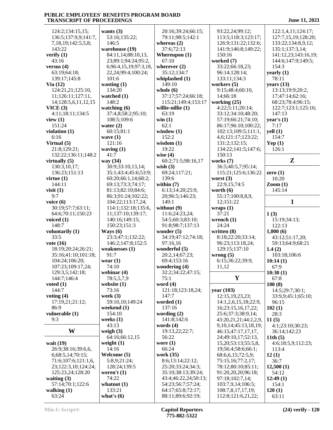| 124:2;134:15,15;       | wants $(3)$            | 20:16;39:24;66:15;                     | 93:22,24;99:12;                         | 122:1,4,11;124:17;            |
|------------------------|------------------------|----------------------------------------|-----------------------------------------|-------------------------------|
| 136:5;137:9,9;141:7,   | 53:16;135:22;          | 79:11;98:5;142:1                       | 113:5;118:3;123:17;                     | 127:7,15,19;128:20;           |
|                        |                        |                                        |                                         |                               |
| 7,18,19;142:5,5,8;     | 146:5                  | whereas $(2)$                          | 126:9;131:22;132:6;                     | 133:22;134:8,9,12;            |
| 143:22                 | warehouse (19)         | 37:6;72:13                             | 141:9;146:8;149:22;                     | 135:1;137:3,14;               |
| verify $(1)$           | 84:11,14;88:10,13,     | Whereupon $(1)$                        | 150:16                                  | 141:12,23;143:16,19;          |
| 43:16                  | 23;89:1;94:24;95:2,    | 67:10                                  | worked (7)                              | 144:6;147:9;149:5;            |
| versus $(4)$           | 6;96:4,15,19;97:3,18,  | wherever $(2)$                         | 33:22;66:18,23;                         | 154:3                         |
|                        |                        |                                        |                                         |                               |
| 63:19;64:18;           | 22,24;99:4;100:24;     | 35:12;134:7                            | 96:14;128:14;                           | yearly $(1)$                  |
| 139:17;145:8           | 101:6                  | whiplashed (1)                         | 133:11;134:3                            | 78:11                         |
| Via $(12)$             | wasting $(1)$          | 149:10                                 | workers $(5)$                           | years $(13)$                  |
| 124:21,21;125:10,      | 134:20                 | whole $(6)$                            | 9:15;48:4;60:10,                        | 13:13;19:9;20:2,              |
| 11;126:11;127:11,      | watched (1)            | 37:17;57:24;66:18;                     | 14;66:18                                | 17;47:14;62:16;               |
|                        |                        |                                        |                                         |                               |
| 14;128:5,6,11,12,15    | 148:2                  | 115:21;149:4;153:17                    | working $(25)$                          | 68:23;78:4;96:15;             |
| VICE(3)                | watching $(6)$         | willie-nillie (1)                      | 4:22;5:11;20:14;                        | 122:7;123:1;125:16;           |
| 4:11;18:11;134:5       | 37:4,8;58:2;95:10;     | 63:19                                  | 33:12;34:10;48:20;                      | 147:13                        |
| view $(1)$             | 108:5;109:6            | win(1)                                 | 57:19;66:21;74:10;                      | year's $(1)$                  |
| 151:24                 | water $(2)$            | 62:1                                   | 86:17;96:10;100:22;                     | 7:17                          |
|                        |                        |                                        |                                         |                               |
| violation $(1)$        | 60:15;81:1             | window $(1)$                           | 102:13;109:5;111:1,                     | yell(1)                       |
| 6:16                   | wave $(1)$             | 152:2                                  | 4,6;121:17;123:22;                      | 154:7                         |
| Virtual (5)            | 121:16                 | wisdom $(1)$                           | 131:2;132:15;                           | Yep $(1)$                     |
| 21:8;129:21;           | waving $(1)$           | 19:22                                  | 134:22;141:5;147:6;                     | 126:1                         |
| 132:22;136:11;148:2    | 41:7                   | wise $(4)$                             | 150:13                                  |                               |
|                        | way (34)               | 60:2;71:5;98:16,17                     | works (7)                               | Z                             |
| virtually $(5)$        |                        |                                        |                                         |                               |
| 130:3,10,17;           | 30:9;33:10,13,14;      | wish $(3)$                             | 36:5;40:5,7;95:14;                      |                               |
| 136:23;151:13          | 35:1;43:4;45:6;53:9;   | 69:24;117:21;                          | 115:21;125:6;136:22                     | zero $(1)$                    |
| virtue $(1)$           | 60:20;66:1,14;68:2;    | 139:6                                  | worst $(3)$                             | 10:20                         |
| 144:11                 | 69:13;73:3;74:17;      | within $(7)$                           | 22:9,15;74:5                            | $\mathrm{Zoom}\left(1\right)$ |
| visit $(1)$            | 81:13;82:10;84:6;      | 6:13;14:20;25:9,                       | worth $(6)$                             | 145:14                        |
|                        |                        |                                        |                                         |                               |
| 9:7                    | 86:3;91:24;102:22;     | 20;96:5;146:23;                        | 55:17;100:8,8,9,                        |                               |
| voice $(6)$            | 104:22;113:17,24;      | 149:1                                  | 12;151:22                               | $\mathbf{1}$                  |
| 30:19;57:7;63:11;      | 114:1;132:18;135:6,    | without (9)                            | wraps(1)                                |                               |
|                        |                        |                                        |                                         |                               |
|                        |                        |                                        |                                         |                               |
| 64:6;70:11;150:23      | 11;137:10;139:17;      | 11:6;24:23,24;                         | 37:21                                   | 1(3)                          |
| voiced $(1)$           | 140:16;149:15;         | 54:5;60:3;83:10;                       | wrench $(1)$                            | 15:19;34:13;                  |
| 148:7                  | 150:23;151:3           | 91:8;98:7;137:13                       | 24:24                                   | 122:13                        |
| voluntarily (1)        | Ways $(6)$             | wonder $(5)$                           | written $(8)$                           | 1,000(6)                      |
|                        |                        |                                        |                                         |                               |
| 33:5                   | 23:3;47:1;132:22;      | 34:19;47:12;74:18;                     | 8:18;22:20;33:14;                       | 43:12;51:17,20;               |
| vote $(16)$            | 146:2;147:8;152:5      | 97:16,16                               | 96:23;113:18,24;                        | 59:13;64:9;68:21              |
| 18:19;20:24;26:21;     | weaknesses $(1)$       | wonderful (5)                          | 129:15;137:10                           | 1.4(2)                        |
| 35:16;41:10;101:18;    | 91:7                   | 20:2,14;67:23;                         | wrong $(5)$                             | 103:18;106:6                  |
| 104:24;106:20;         | wear $(1)$             | 69:4;153:16                            | 6:15;36:22;39:9,                        | 10:14(1)                      |
|                        | 74:10                  | wondering $(4)$                        | 11,12                                   |                               |
| 107:23;109:17,24;      |                        |                                        |                                         | 67:9                          |
| 129:3,5;142:18;        | webinar $(4)$          | 32:2;34:22;47:15;                      |                                         | 10:30(1)                      |
| 144:7;146:4            | 78:5,5,7,9             | 75:1                                   | Y                                       | 67:8                          |
| voted $(1)$            | website $(1)$          | word $(4)$                             |                                         | 100(8)                        |
| 144:7                  | 73:16                  | 121:18;123:18,24;                      | year (103)                              | 14:5;29:7;30:1;               |
| voting $(4)$           | week $(3)$             | 147:7                                  | 12:15,19,23,23;                         | 33:9,9;45:1;65:10;            |
| 17:19,21;21:12;        | 59:10,10;149:24        | worded $(1)$                           | 14:1,2,6,15,18;22:9,                    | 96:15                         |
|                        |                        |                                        |                                         |                               |
| 86:9                   | weekend $(1)$          | 137:16                                 | 16;23:15,16,17,22;                      | 102(1)                        |
| vulnerable (1)         | 154:10                 | wording $(2)$                          | 25:6;37:3;38:9,14;                      | 28:3                          |
| 9:3                    | weeks $(1)$            | 141:8;142:6                            | 43:20,21,21;44:2,2,9,                   | 11(5)                         |
|                        | 43:13                  | words $(4)$                            | 9, 10, 14; 45: 13, 18, 19;              | 4:1;23:10;30:23;              |
| W                      | weigh $(3)$            | 19:13,22;22:7;                         | 46:15;47:17,17,17,                      | 36:14;142:23                  |
|                        | 64:16;66:12,15         | 56:22                                  | 24;49:10,17;52:13,                      | 11th $(5)$                    |
|                        |                        |                                        |                                         |                               |
| wait $(19)$            | weight $(1)$           | wore $(1)$                             | 15,20;53:13;55:5,8,                     | 4:6;18:5,9;112:23;            |
| 26:9;38:16;39:6,6,     | 14:16                  | 66:24                                  | 19;56:4;58:6;66:1;                      | 113:4                         |
| 6;68:5,14;70:15;       | Welcome (5)            | work (35)                              | 68:6, 6, 15; 72: 5, 9;                  | 12(1)                         |
| 71:6;107:6;121:1,6,    | 5:8,9;21:24;           | 8:6;13:14;22:12;                       | 75:15,16;77:2,17;                       | 36:7                          |
| 23;122:3,10;124:24;    | 128:24;139:5           | 25:20;33:24;34:3;                      | 78:12;80:10;85:11;                      | 12,500(1)                     |
|                        |                        | 35:10;38:13;39:24;                     |                                         |                               |
| 125:23,24;128:20       | weren't $(1)$          |                                        | 91:20,20,20;96:18;                      | 54:12                         |
| waiting $(3)$          | 74:22                  | 43:4;46:22,24;50:13;                   | 97:18;102:7,14;                         | 12:49(1)                      |
| 57:14;70:1;122:6       | whatnot $(1)$          | 54:23;56:7;57:24;                      | 103:7,9,14;106:5;                       | 154:1                         |
| walking $(1)$<br>63:24 | 133:21<br>what's $(6)$ | 64:17;65:8;72:17;<br>88:11;89:6;92:19; | 108:7,8,17,17,19;<br>112:8;121:6,21,22; | 120(1)<br>63:11               |